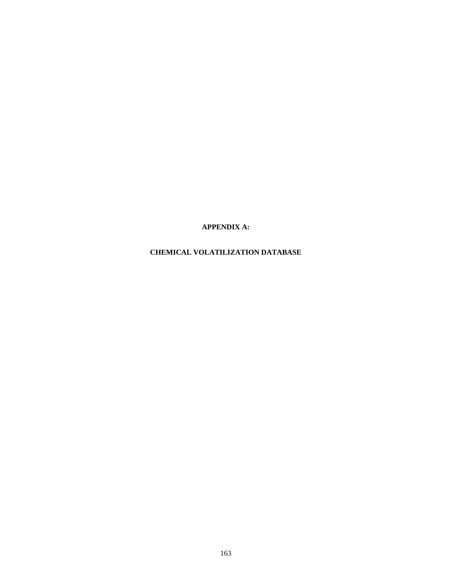**APPENDIX A:** 

# **CHEMICAL VOLATILIZATION DATABASE**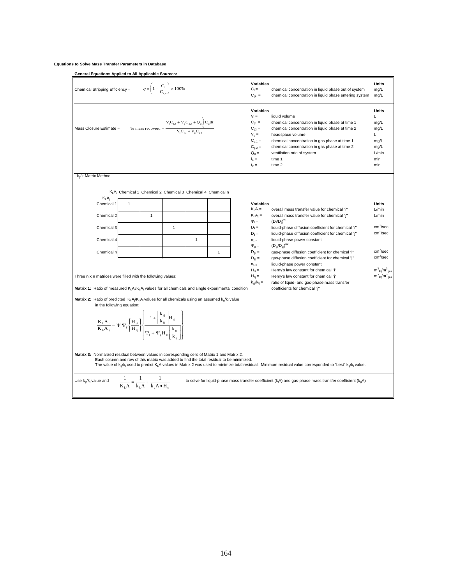### **Equations to Solve Mass Transfer Parameters in Database**

**General Equations Applied to All Applicable Sources:**

| Chemical Stripping Efficiency =                                                                                                                                                                                                                                                                                                                                                                                                                                                                                                                                                                                                                                                                                                                                                                                                                                                                                                                                                                                                                                                                                                                                                                               |                                                                   |   | $\eta = \left(1 - \frac{C_1}{C}\right) \times 100\%$ |                                                                                                                              |              |  | Variables<br>$C_1 =$<br>$C_{\text{Lin}} =$                                                                                            | chemical concentration in liquid phase out of system<br>chemical concentration in liquid phase entering system                                                                                                                                                                                | <b>Units</b><br>mg/L<br>mg/L                                                     |
|---------------------------------------------------------------------------------------------------------------------------------------------------------------------------------------------------------------------------------------------------------------------------------------------------------------------------------------------------------------------------------------------------------------------------------------------------------------------------------------------------------------------------------------------------------------------------------------------------------------------------------------------------------------------------------------------------------------------------------------------------------------------------------------------------------------------------------------------------------------------------------------------------------------------------------------------------------------------------------------------------------------------------------------------------------------------------------------------------------------------------------------------------------------------------------------------------------------|-------------------------------------------------------------------|---|------------------------------------------------------|------------------------------------------------------------------------------------------------------------------------------|--------------|--|---------------------------------------------------------------------------------------------------------------------------------------|-----------------------------------------------------------------------------------------------------------------------------------------------------------------------------------------------------------------------------------------------------------------------------------------------|----------------------------------------------------------------------------------|
| Mass Closure Estimate =                                                                                                                                                                                                                                                                                                                                                                                                                                                                                                                                                                                                                                                                                                                                                                                                                                                                                                                                                                                                                                                                                                                                                                                       |                                                                   |   |                                                      | $\% \text{ mass recovered} = \frac{V_1 C_{12} + V_g C_{g2} + Q_g \int\limits_{t_1}^{t_2} C_g dt}{V_1 C_{1,1} + V_g C_{g,1}}$ |              |  | Variables<br>$V_1 =$<br>$C_{1.1} =$<br>$C_{1,2} =$<br>$V_{\alpha} =$<br>$C_{0.1} =$<br>$C_{0,2} =$<br>$Q_{q} =$<br>$t_1 =$<br>$t_2 =$ | liquid volume<br>chemical concentration in liquid phase at time 1<br>chemical concentration in liquid phase at time 2<br>headspace volume<br>chemical concentration in gas phase at time 1<br>chemical concentration in gas phase at time 2<br>ventilation rate of system<br>time 1<br>time 2 | <b>Units</b><br>L<br>mg/L<br>mg/L<br>L<br>mg/L<br>mg/L<br>$L/m$ in<br>min<br>min |
| k <sub>o</sub> /k <sub>i</sub> Matrix Method                                                                                                                                                                                                                                                                                                                                                                                                                                                                                                                                                                                                                                                                                                                                                                                                                                                                                                                                                                                                                                                                                                                                                                  |                                                                   |   |                                                      |                                                                                                                              |              |  |                                                                                                                                       |                                                                                                                                                                                                                                                                                               |                                                                                  |
| $K_L A_i$                                                                                                                                                                                                                                                                                                                                                                                                                                                                                                                                                                                                                                                                                                                                                                                                                                                                                                                                                                                                                                                                                                                                                                                                     |                                                                   |   |                                                      | KLA; Chemical 1 Chemical 2 Chemical 3 Chemical 4 Chemical n                                                                  |              |  |                                                                                                                                       |                                                                                                                                                                                                                                                                                               |                                                                                  |
| Chemical 1                                                                                                                                                                                                                                                                                                                                                                                                                                                                                                                                                                                                                                                                                                                                                                                                                                                                                                                                                                                                                                                                                                                                                                                                    | $\mathbf{1}$                                                      |   |                                                      |                                                                                                                              |              |  | Variables<br>$K_i A_i =$                                                                                                              | overall mass transfer value for chemical "i"                                                                                                                                                                                                                                                  | <b>Units</b><br>L/min                                                            |
| Chemical 2                                                                                                                                                                                                                                                                                                                                                                                                                                                                                                                                                                                                                                                                                                                                                                                                                                                                                                                                                                                                                                                                                                                                                                                                    |                                                                   | 1 |                                                      |                                                                                                                              |              |  | $K_L A_i =$                                                                                                                           | overall mass transfer value for chemical "j"<br>$(D_{ii}/D_{ii})^{n1}$                                                                                                                                                                                                                        | L/min                                                                            |
| Chemical 3                                                                                                                                                                                                                                                                                                                                                                                                                                                                                                                                                                                                                                                                                                                                                                                                                                                                                                                                                                                                                                                                                                                                                                                                    |                                                                   |   | 1                                                    |                                                                                                                              |              |  | $\Psi_1 =$<br>$D_{ii} =$                                                                                                              | liquid-phase diffusion coefficient for chemical "i"                                                                                                                                                                                                                                           | $cm^2/sec$                                                                       |
|                                                                                                                                                                                                                                                                                                                                                                                                                                                                                                                                                                                                                                                                                                                                                                                                                                                                                                                                                                                                                                                                                                                                                                                                               |                                                                   |   |                                                      |                                                                                                                              |              |  | $D_{ii} =$                                                                                                                            | liquid-phase diffusion coefficient for chemical "j"                                                                                                                                                                                                                                           | $cm^2/sec$                                                                       |
| Chemical 4                                                                                                                                                                                                                                                                                                                                                                                                                                                                                                                                                                                                                                                                                                                                                                                                                                                                                                                                                                                                                                                                                                                                                                                                    |                                                                   |   |                                                      | $\mathbf{1}$                                                                                                                 |              |  | $n_1 =$<br>$\Psi_{q} =$                                                                                                               | liquid-phase power constant<br>$(D_{qi}/D_{qi})^{n2}$                                                                                                                                                                                                                                         |                                                                                  |
| Chemical n                                                                                                                                                                                                                                                                                                                                                                                                                                                                                                                                                                                                                                                                                                                                                                                                                                                                                                                                                                                                                                                                                                                                                                                                    |                                                                   |   |                                                      |                                                                                                                              | $\mathbf{1}$ |  | $D_{\alpha i} =$                                                                                                                      | gas-phase diffusion coefficient for chemical "i"                                                                                                                                                                                                                                              | $cm^2/sec$                                                                       |
| $cm^2/sec$<br>$D_{\alpha i} =$<br>gas-phase diffusion coefficient for chemical "i"<br>$n_1 =$<br>liquid-phase power constant<br>$m^3_{liq}/m^3_{gas}$<br>$H_{ci} =$<br>Henry's law constant for chemical "i"<br>$m_{\text{liq}}^3/m_{\text{gas}}^3$<br>$H_{ci} =$<br>Henry's law constant for chemical "i"<br>Three n x n matrices were filled with the following values:<br>$k_{qi}/k_{li} =$<br>ratio of liquid- and gas-phase mass transfer<br><b>Matrix 1:</b> Ratio of measured $K_L A_i/K_L A_i$ values for all chemicals and single experimental condition<br>coefficients for chemical "j"<br><b>Matrix 2:</b> Ratio of predicted $K_1 A_i/K_1 A_i$ values for all chemicals using an assumed $k_n/k_1$ value<br>in the following equation:<br>$\label{eq:K} \frac{\mathbf{K}_\mathrm{L}\mathbf{A}_\mathrm{i}}{\mathbf{K}_\mathrm{L}\mathbf{A}_\mathrm{j}} = \Psi_\mathrm{i}\Psi_\mathrm{s}\left\{\frac{\mathbf{H}_\mathrm{ci}}{\mathbf{H}_\mathrm{cj}}\right\} \left  \frac{1 + \left[\frac{\mathbf{k}_\mathrm{gi}}{\mathbf{k}_\mathrm{j}}\right]\!\mathbf{H}_\mathrm{cj}}{\Psi_\mathrm{i} + \Psi_\mathrm{g}\mathbf{H}_\mathrm{cj}\!\left[\frac{\mathbf{k}_\mathrm{gi}}{\mathbf{k}}\right]}\right ,$ |                                                                   |   |                                                      |                                                                                                                              |              |  |                                                                                                                                       |                                                                                                                                                                                                                                                                                               |                                                                                  |
| Matrix 3: Normalized residual between values in corresponding cells of Matrix 1 and Matrix 2.                                                                                                                                                                                                                                                                                                                                                                                                                                                                                                                                                                                                                                                                                                                                                                                                                                                                                                                                                                                                                                                                                                                 |                                                                   |   |                                                      | Each column and row of this matrix was added to find the total residual to be minimized.                                     |              |  |                                                                                                                                       | The value of $k_q k_l$ used to predict $K_l$ A values in Matrix 2 was used to minimize total residual. Minimum residual value corresponded to "best" $k_q/k_l$ value.                                                                                                                         |                                                                                  |
| Use k <sub>o</sub> /k <sub>i</sub> value and                                                                                                                                                                                                                                                                                                                                                                                                                                                                                                                                                                                                                                                                                                                                                                                                                                                                                                                                                                                                                                                                                                                                                                  | $\frac{1}{K_L A} = \frac{1}{k_L A} + \frac{1}{k_e A \bullet H_c}$ |   |                                                      |                                                                                                                              |              |  |                                                                                                                                       | to solve for liquid-phase mass transfer coefficient ( $kiA$ ) and gas-phase mass transfer coefficient ( $kiA$ )                                                                                                                                                                               |                                                                                  |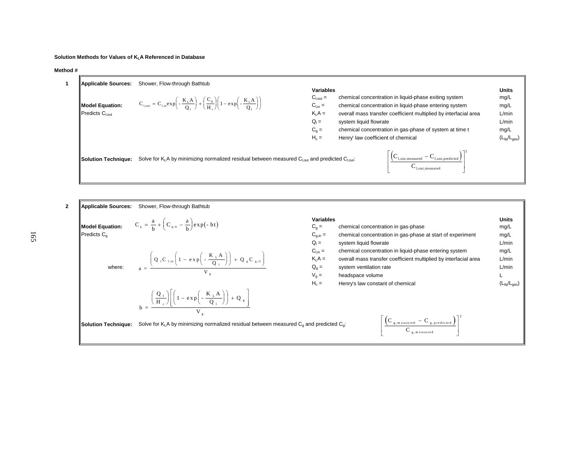## **Solution Methods for Values of KLA Referenced in Database**

#### **Method #**

| Applicable Sources:                                       | Shower, Flow-through Bathtub                                                                                                                          |                                                                                                     |                                                                                                                                                                                                                                                                                                                |                                                                               |
|-----------------------------------------------------------|-------------------------------------------------------------------------------------------------------------------------------------------------------|-----------------------------------------------------------------------------------------------------|----------------------------------------------------------------------------------------------------------------------------------------------------------------------------------------------------------------------------------------------------------------------------------------------------------------|-------------------------------------------------------------------------------|
| Model Equation:<br>$\parallel$ Predicts $C_{\text{Lout}}$ | $C_{1,\text{out}} = C_{1,\text{in}} \exp\left(-\frac{K_L A}{Q}\right) + \left(\frac{C_g}{H}\right)\left(1 - \exp\left(-\frac{K_L A}{Q}\right)\right)$ | <b>Variables</b><br>$C_{1,out} =$<br>$C_{\text{Lin}} =$<br>$KLA =$<br>$Q_i =$<br>$C_q =$<br>$H_c =$ | chemical concentration in liquid-phase exiting system<br>chemical concentration in liquid-phase entering system<br>overall mass transfer coefficient multiplied by interfacial area<br>system liquid flowrate<br>chemical concentration in gas-phase of system at time t<br>Henry' law coefficient of chemical | <b>Units</b><br>mg/L<br>mg/L<br>L/min<br>L/min<br>mg/L<br>$(L_{liq}/L_{gas})$ |
| <b>llSolution Techniaue:</b>                              | Solve for K <sub>1</sub> A by minimizing normalized residual between measured C <sub>1,0ut</sub> and predicted C <sub>1,0ut</sub> :                   |                                                                                                     | $\left  \left( \mathrm{C_{1,out,measured}} - \mathrm{C_{1,out,predicted}} \right) \right $<br>$\mathbf{C}_{\text{l,out,measured}}$                                                                                                                                                                             |                                                                               |

| Applicable Sources:      | Shower, Flow-through Bathtub                                                                                                                                                                                                                                           |                                                                         |                                                                                                                                                                                                               |                                                             |
|--------------------------|------------------------------------------------------------------------------------------------------------------------------------------------------------------------------------------------------------------------------------------------------------------------|-------------------------------------------------------------------------|---------------------------------------------------------------------------------------------------------------------------------------------------------------------------------------------------------------|-------------------------------------------------------------|
| $P$ redicts $C_{\alpha}$ | <b>Model Equation:</b> $C_g = \frac{a}{b} + \left(C_{g,in} - \frac{a}{b}\right) exp(-bt)$                                                                                                                                                                              | <b>Variables</b><br>$C_q =$<br>$C_{q,in} =$<br>$Q_i =$                  | chemical concentration in gas-phase<br>chemical concentration in gas-phase at start of experiment<br>system liquid flowrate                                                                                   | Units<br>mg/L<br>mg/L<br>L/min                              |
| where:                   | $a = \frac{\left(Q_{1}C_{1,in}\left(1 - e X P\left(-\frac{K_{1}A}{Q_{1}}\right)\right) + Q_{g}C_{g,in}\right)}{V}$                                                                                                                                                     | $C_{\text{Lin}} =$<br>$K_i A =$<br>$Q_0 =$<br>$V_{\alpha} =$<br>$H_c =$ | chemical concentration in liquid-phase entering system<br>overall mass transfer coefficient multiplied by interfacial area<br>system ventilation rate<br>headspace volume<br>Henry's law constant of chemical | mg/L<br>L/min<br>L/min<br>$(L_{\text{liq}}/L_{\text{gas}})$ |
| Solution Technique:      | $= \frac{\left(\frac{Q_1}{H_c}\right) \left[\left(1 - \exp\left(-\frac{K_L A}{Q_1}\right)\right) + Q_g\right]}{1 - \left(\frac{K_L A}{Q_1}\right) + Q_g}$<br>Solve for K <sub>i</sub> A by minimizing normalized residual between measured $C_0$ and predicted $C_0$ : |                                                                         | $\left\{ \mathbf{C}_{g, \, \text{measured}} - \mathbf{C}_{g, \, \text{predicted}} \right\}$                                                                                                                   |                                                             |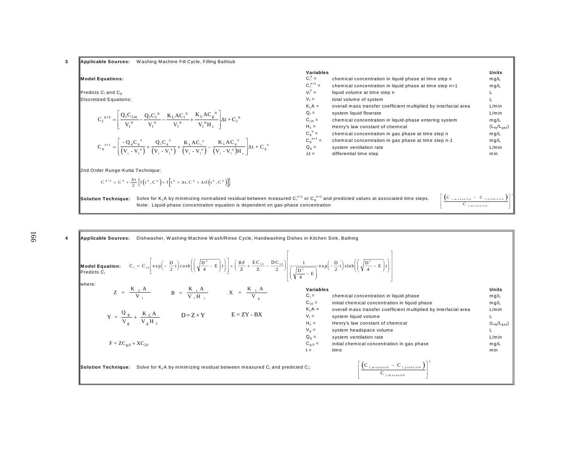**3 Applicable Sources:** W ashing Machine Fill Cycle, Filling Bathtub

#### **Model Equations:** C<sub>l</sub>

**Predicts C<sub>l</sub>** and C<sub>g</sub>  $V_1$  $\Box$ Discretized Equations:  $\lor$ 

$$
C_1^{n+1} = \left[ \frac{Q_1 C_{1,in}}{V_1^{n}} - \frac{Q_1 C_1^{n}}{V_1^{n}} - \frac{K_L A C_1^{n}}{V_1^{n}} + \frac{K_L A C_g^{n}}{V_1^{n} H_c} \right] \Delta t + C_1^{n}
$$
  

$$
C_g^{n+1} = \left[ \frac{-Q_g C_g^{n}}{(V_t - V_1^{n})} + \frac{Q_1 C_g^{n}}{(V_t - V_1^{n})} + \frac{K_L A C_1^{n}}{(V_t - V_1^{n})} - \frac{K_L A C_g^{n}}{(V_t - V_1^{n}) H_c} \right] \Delta t + C_g
$$

2nd Order Runge-Kutta Technique:

$$
C^{n+1} = C^n + \frac{\Delta t}{2} \left\{ f\left(t^n, C^n\right) + f\left[t^n + \Delta t, C^n + \Delta t f\left(t^n, C^n\right)\right] \right\}
$$

| Variables<br>$C_1^n =$<br>$C_1^{n+1} =$<br>$V_1^n =$<br>$V_+$<br>$K_1A =$<br>$Q_1 =$<br>$C_{\text{Lin}} =$<br>$H_c =$<br>$C_a^n =$<br>$C_g^{n+1} =$<br>$Q_{q} =$<br>$\Delta t =$ | chemical concentration in liquid phase at time step n<br>chemical concentration in liquid phase at time step n+1<br>liquid volume at time step n<br>total volume of system<br>overall mass transfer coefficient multiplied by interfacial area<br>system liquid flowrate<br>chemical concentration in liquid-phase entering system<br>Henry's law constant of chemical<br>chemical concentration in gas phase at time step n<br>chemical concentraiton in gas phase at time step n-1<br>system ventilation rate<br>differential time step | Units<br>mg/L<br>mq/L<br>L<br>L<br>$L/m$ in<br>$L/m$ in<br>mg/L<br>$(L_{\text{liq}}/L_{\text{gas}})$<br>mg/L<br>mg/L<br>$L/m$ in<br>min |
|----------------------------------------------------------------------------------------------------------------------------------------------------------------------------------|-------------------------------------------------------------------------------------------------------------------------------------------------------------------------------------------------------------------------------------------------------------------------------------------------------------------------------------------------------------------------------------------------------------------------------------------------------------------------------------------------------------------------------------------|-----------------------------------------------------------------------------------------------------------------------------------------|
|                                                                                                                                                                                  |                                                                                                                                                                                                                                                                                                                                                                                                                                                                                                                                           |                                                                                                                                         |

**Solution Technique:** Solve for K<sub>L</sub>A by minimizing normalized residual between measured C<sub>i</sub>n+1 or C<sub>g</sub>n+1 and predicted values at associated time steps. Note: Liquid-phase concentration equation is dependent on gas-phase concentration

n

 $\left[\frac{\left(C_{1,m\;e\;asured}\;-\;C_{1,p\;reduced}\right)}{C_{1,m\;easured}}\right]^2$ C l,m <sup>e</sup> <sup>a</sup> su re d

| <b>Model Equation:</b> $C_1 = C_{1,0} \left[ exp\left(-\frac{D}{2}t\right) cosh\left(\left(\sqrt{\frac{D^2}{4}-E}\right)t\right)\right] + \left(\frac{BF}{Z} + \frac{EC_{1,0}}{Z} - \frac{DC_{1,0}}{2}\right) \left(\frac{1}{\sqrt{\frac{D^2}{4}-E}}exp\left(-\frac{D}{2}t\right)sinh\left(\left(\sqrt{\frac{D^2}{4}-E}\right)t\right)\right)$ |                                                                                                                  |             |                                                                                |                                   |
|------------------------------------------------------------------------------------------------------------------------------------------------------------------------------------------------------------------------------------------------------------------------------------------------------------------------------------------------|------------------------------------------------------------------------------------------------------------------|-------------|--------------------------------------------------------------------------------|-----------------------------------|
| lwhere:                                                                                                                                                                                                                                                                                                                                        |                                                                                                                  | Variables   |                                                                                | Units                             |
|                                                                                                                                                                                                                                                                                                                                                | $Z = \frac{K_L A}{V_L}$ $B = \frac{K_L A}{V_H H}$ $X = \frac{K_L A}{V_s}$                                        | $C_1 =$     | chemical concentration in liquid phase                                         | mg/L                              |
|                                                                                                                                                                                                                                                                                                                                                |                                                                                                                  | $C_{1.0} =$ | initial chemical concentration in liquid phase                                 | mg/L                              |
|                                                                                                                                                                                                                                                                                                                                                |                                                                                                                  | $K_1A =$    | overall mass transfer coefficient multiplied by interfacial area               | $L/m$ in                          |
|                                                                                                                                                                                                                                                                                                                                                | $Y = \frac{Q_g}{V} + \frac{K_L A}{V_H H}$ $D = Z + Y$ $E = ZY - BX$                                              | $V_1 =$     | system liquid volume                                                           |                                   |
|                                                                                                                                                                                                                                                                                                                                                |                                                                                                                  | $H_c =$     | Henry's law constant of chemical                                               | $(L_{\text{liq}}/L_{\text{gas}})$ |
|                                                                                                                                                                                                                                                                                                                                                |                                                                                                                  | $V_a =$     | system headspace volume                                                        |                                   |
|                                                                                                                                                                                                                                                                                                                                                |                                                                                                                  | $Q_{q} =$   | system ventilation rate                                                        | $L/m$ in                          |
| $F = ZC_{\sigma,0} + XC_{1.0}$                                                                                                                                                                                                                                                                                                                 |                                                                                                                  | $C_{q,0} =$ | initial chemical concentration in gas phase                                    | mq/L                              |
|                                                                                                                                                                                                                                                                                                                                                |                                                                                                                  | $t =$       | tim e                                                                          | min                               |
| <b>  Solution Techniaue:</b>                                                                                                                                                                                                                                                                                                                   | Solve for K <sub>i</sub> A by minimizing residual between measured C <sub>i</sub> and predicted C <sub>i</sub> : |             | $\left[\frac{\left(C_{1,m\;e\;asured}\right)}{C_{1,m\;e\;asured}}\right]^{-1}$ |                                   |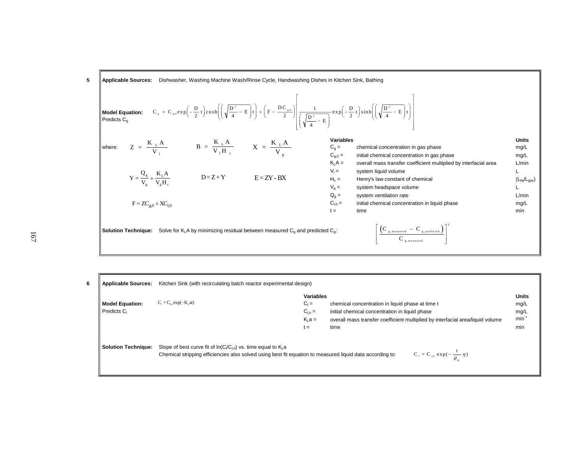**4ppliedble Sources:** Dishwasher, Washington's 
$$
C_g = C_{g,0} exp\left(-\frac{D}{2} t\right) cosh\left(\left(\sqrt{\frac{D^2}{4} - E}\right)t\right) + \left(F - \frac{DC_{g,0}}{2}\right)\left(\sqrt{\frac{D^2}{2} - E}\right)exp\left(-\frac{D}{2} t\right)sinh\left(\left(\sqrt{\frac{D^2}{4} - E}\right)t\right)
$$

\n**4predicts**

\n**4predicts**

\n**4predicts**

\n**4predicts**

\n**4predicts**

\n**4predicts**

\n**4predicts**

\n**4p">(a) Find the formula of the formula of the formula.**

\n**4punctits**

\n**4punctits**

\n**4punctits**

\n**4punctits**

\n**4punctits**

\n**4punctits**

\n**4punctits**

\n**4punctits**

\n**4punct this**

\n**4punct this**

\n**4punct this**

\n**4punct this**

\n**4punct this**

\n**4punct this**

\n**4punct this**

\n**4punct this**

\n**4punct this**

\n**4punct this**

\n**4punct this**

\n**4punct this**

\n**4punct this**

\n**4punct this**

\n**4punct this**

\n**4punct this**

\n**4punct this**

\n**4punct this**

\n**4punct this**

\n**4punct this**

\n**4punct this**

\n**4punct this**

\n**4punct this**

\n**4punct this**

\n**4punct this**

\n**4punct this**

\n**4punct this**

\n<

| 6 | <b>Applicable Sources:</b>           | Kitchen Sink (with recirculating batch reactor experimental design)                                                                                                              |                                                               |                                                                                                                                                                                              |                                                   |
|---|--------------------------------------|----------------------------------------------------------------------------------------------------------------------------------------------------------------------------------|---------------------------------------------------------------|----------------------------------------------------------------------------------------------------------------------------------------------------------------------------------------------|---------------------------------------------------|
|   | <b>Model Equation:</b><br>Predicts C | $C_1 = C_{10} \exp(-K_1 \text{at})$                                                                                                                                              | <b>Variables</b><br>$C_1 =$<br>$C_{1,0} =$<br>$K1 a =$<br>t = | chemical concentration in liquid phase at time t<br>initial chemical concentration in liquid phase<br>overall mass transfer coefficient multiplied by interfacial area/liquid volume<br>time | <b>Units</b><br>mg/L<br>mg/L<br>$min^{-1}$<br>min |
|   | <b>Solution Technique:</b>           | Slope of best curve fit of $In(C/C_{10})$ vs. time equal to $K_1$ a<br>Chemical stripping efficiencies also solved using best fit equation to measured liquid data according to: |                                                               | $C_1 = C_{1,0} \exp(-\frac{1}{\theta} \eta)$                                                                                                                                                 |                                                   |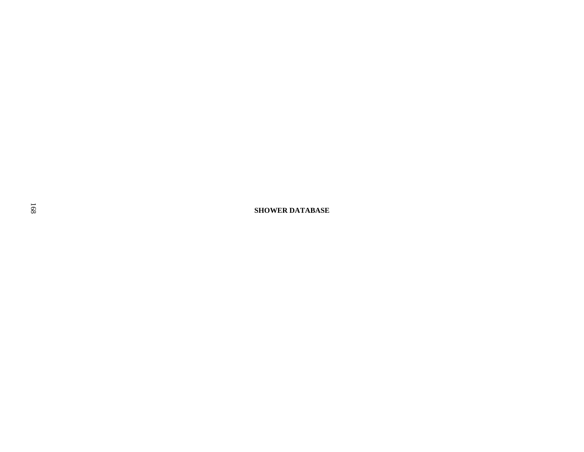**SHOWER DATABASE**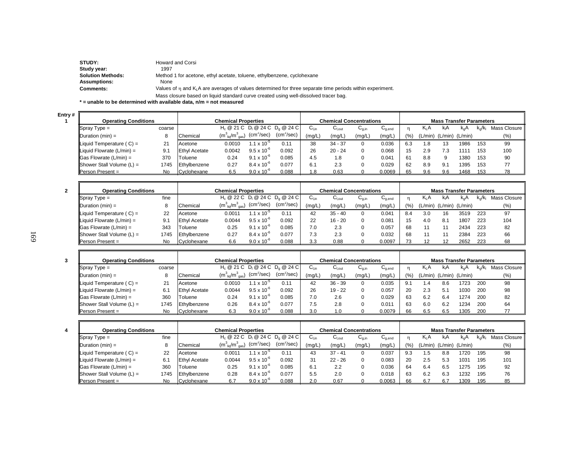| STUDY:                   | Howard and Corsi                                                                                                    |
|--------------------------|---------------------------------------------------------------------------------------------------------------------|
| Study year:              | 1997                                                                                                                |
| <b>Solution Methods:</b> | Method 1 for acetone, ethyl acetate, toluene, ethylbenzene, cyclohexane                                             |
| <b>Assumptions:</b>      | None                                                                                                                |
| <b>Comments:</b>         | Values of $\eta$ and $K_i$ . A are averages of values determined for three separate time periods within experiment. |
|                          | Mass closure based on liquid standard curve created using well-dissolved tracer bag.                                |

**\* = unable to be determined with available data, n/m = not measured**

**Entry # 1**

| .# II |                                          |        |                            |                                       |                      |                                    |                                |                    |            |                                        |                                 |                  |                         |                  |           |                |
|-------|------------------------------------------|--------|----------------------------|---------------------------------------|----------------------|------------------------------------|--------------------------------|--------------------|------------|----------------------------------------|---------------------------------|------------------|-------------------------|------------------|-----------|----------------|
|       | <b>Operating Conditions</b>              |        | <b>Chemical Properties</b> |                                       |                      |                                    | <b>Chemical Concentrations</b> |                    |            |                                        | <b>Mass Transfer Parameters</b> |                  |                         |                  |           |                |
|       | $\sqrt{\text{Spray Type}} =$             | coarse |                            |                                       |                      | $H_c @ 21 C D_1 @ 24 C D_0 @ 24 C$ | ∪եո                            | ∪l.out             | $U_{0,in}$ | $\mathsf{u}_{\mathsf{q},\mathsf{end}}$ |                                 | K <sub>I</sub> A | KιA                     | k <sub>α</sub> Α | $K_0/K_1$ | Mass Closure I |
|       | $\Delta$ Duration (min) =                |        | Chemical                   | $(m_{\text{lio}}^3/m_{\text{gas}}^3)$ | $(cm^2/sec)$         | $(cm^2/sec)$                       | (mg/L)                         | (mg/L <sub>)</sub> | (mg/L,     | (mg/L,                                 | (%)                             |                  | (L/min) (L/min) (L/min) |                  |           | $(\% )$        |
|       | Liquid Temperature $(C) =$               | 21     | Acetone                    | 0.0010                                | $1 \times 10^{-5}$   | 0.11                               | 38                             | $34 - 37$          | 0          | 0.036                                  | 6.3                             | 1.8              | 13                      | 1986             | 153       | 99             |
|       | Liquid Flowrate $(L/min) =$              | 9.1    | <b>Ethyl Acetate</b>       | 0.0042                                | $9.5 \times 10^{-6}$ | 0.092                              | 26                             | $20 - 24$          |            | 0.068                                  | 15                              | 2.9              | בי                      | 1111             | 153       | 100            |
|       | $\textsf{  Gas}$ Flowrate (L/min) =      | 370    | Toluene                    | 0.24                                  | $9.1 \times 10^{-6}$ | 0.085                              | 4.5                            | 8.،                |            | 0.041                                  | 61                              | 8.8              | 9                       | 1380             | 153       | 90             |
|       | $\blacksquare$ Shower Stall Volume (L) = | 1745   | Ethylbenzene               | 0.27                                  | $8.4 \times 10^{-6}$ | 0.077                              | 6.1                            | 2.3                |            | 0.029                                  | 62                              | 8.9              | 9.1                     | 1395             | 153       | 77             |
|       | <b>IPerson Present</b> =                 | N٥     | Cyclohexane                | 6.5                                   | $9.0 \times 10^{-6}$ | 0.088                              | R                              | 0.63               |            | 0.0069                                 | 65                              | 96               | 9.6                     | 1468             | 153       | 78             |

| <b>Operating Conditions</b>           |      | <b>Chemical Properties</b> |                                       |                        |              | <b>Chemical Concentrations</b> |                               |            |             | <b>Mass Transfer Parameters</b> |         |                     |      |       |                 |
|---------------------------------------|------|----------------------------|---------------------------------------|------------------------|--------------|--------------------------------|-------------------------------|------------|-------------|---------------------------------|---------|---------------------|------|-------|-----------------|
| $\blacksquare$ Spray Type =           | fine |                            | $H_c @ 22 C D_1 @ 24 C D_0 @ 24 C$    |                        |              | $C_{Lin}$                      | $\mathsf{C}_{\mathsf{I,out}}$ | $U_{q,in}$ | $U_{q,end}$ |                                 | K A     | kıA                 | k.A  | <.√kı | Mass Closure II |
| $\Delta$ Duration (min) =             | 8    | Chemical                   | $(m_{\text{liq}}^3/m_{\text{gas}}^3)$ | $(cm^2/sec)$           | $(cm^2/sec)$ | (mg/L)                         | (mg/L)                        | (mg/L)     | (mg/L)      |                                 | (L/min) | $(L/min)$ $(L/min)$ |      |       | (% )            |
| Liquid Temperature $(C) =$            | 22   | Acetone                    | 0.001'                                | 1.1 x 10 <sup>-5</sup> | 0.11         | 42                             | $35 - 40$                     |            | 0.041       | 8.4                             | 3.0     | 16                  | 3519 | 223   | 97              |
| $\parallel$ Liquid Flowrate (L/min) = | 9.1  | <b>Ethyl Acetate</b>       | 0.0044                                | $9.5 \times 10^{-6}$   | 0.092        | 22                             | $16 - 20$                     | 0          | 0.081       |                                 | 4.0     | 8.1                 | 1807 | 223   | 104             |
| $\parallel$ Gas Flowrate (L/min) =    | 343  | Toluene                    | 0.25                                  | $9.1 \times 10^{-6}$   | 0.085        | 7.0                            | 2.3                           |            | 0.057       | 68                              |         |                     | 2434 | 223   | 82              |
| Shower Stall Volume $(L)$ =           | 1745 | Ethylbenzene               | 0.27                                  | $8.4 \times 10^{-6}$   | 0.077        | 7.3                            | 2.3                           |            | 0.032       | 68                              |         |                     | 2384 | 223   | 66              |
| $\blacksquare$ Person Present =       | No   | Cyclohexane                | 6.6                                   | $9.0 \times 10^{-6}$   | 0.088        | 3.3                            | 0.88                          |            | 0.0097      |                                 |         |                     | 2652 | 223   | 68              |

| <b>Operating Conditions</b>        |        |                      | <b>Chemical Concentrations</b>        |                        |                                                                   |        | <b>Mass Transfer Parameters</b> |            |                                        |            |                  |                 |      |       |              |
|------------------------------------|--------|----------------------|---------------------------------------|------------------------|-------------------------------------------------------------------|--------|---------------------------------|------------|----------------------------------------|------------|------------------|-----------------|------|-------|--------------|
| $\blacksquare$ Spray Type =        | coarse |                      |                                       |                        | H <sub>c</sub> @ 21 C D <sub>i</sub> @ 24 C D <sub>a</sub> @ 24 C | ∪եո    | u <sub>l,out</sub>              | $U_{q,in}$ | $\mathsf{u}_{\mathsf{q},\mathsf{end}}$ |            | K <sub>I</sub> A | kΑ              | k.A  | k./k∟ | Mass Closure |
| $\Delta$ Duration (min) =          | 8      | Chemical             | $(m_{\text{lio}}^3/m_{\text{gas}}^3)$ | $(cm^2/sec)$           | $(cm^2/sec)$                                                      | (mg/L, | (mg/L,                          | (mg/L)     | (mg/L                                  | $(9)_{01}$ | L/min            | (L/min) (L/min) |      |       | (%)          |
| Liquid Temperature $(C) =$         | 21     | Acetone              | 0.0010                                | 1.1 x 10 <sup>-5</sup> | 0.11                                                              | 42     | $36 - 39$                       |            | 0.035                                  | 9.1        | . . 4            | 8.6             | 1723 | 200   | 98           |
| Liquid Flowrate $(L/min) =$        | 6.7    | <b>Ethyl Acetate</b> | 0.0044                                | $9.5 \times 10^{-6}$   | 0.092                                                             | 26     | $19 - 22$                       |            | 0.057                                  | 20         | 2.3              | 5.1             | 1030 | 200   | 98           |
| $\parallel$ Gas Flowrate (L/min) = | 360    | Toluene              | 0.24                                  | $9.1 \times 10^{-6}$   | 0.085                                                             | 7.0    | 2.6                             |            | 0.029                                  | 63         | 6.2              | 6.4             | 1274 | 200   | 82           |
| Shower Stall Volume $(L)$ =        | 1745   | Ethylbenzene         | 0.26                                  | $8.4 \times 10^{-6}$   | 0.077                                                             | 7.5    | 2.8                             |            | 0.011                                  | 63         | 6.0              | 6.2             | 1234 | 200   | 64           |
| $\blacksquare$ Person Present =    | No     | Cyclohexane          | 6.3                                   | $9.0 \times 10^{-6}$   | 0.088                                                             | 3.0    | 0.1                             |            | 0.0079                                 | 66         | 6.5              | 6.5             | 1305 | 200   |              |

| <b>Operating Conditions</b> |      | <b>Chemical Properties</b> |                                       |                        |                                                          |           | <b>Chemical Concentrations</b> |            |                 |       | <b>Mass Transfer Parameters</b> |                 |      |                  |              |
|-----------------------------|------|----------------------------|---------------------------------------|------------------------|----------------------------------------------------------|-----------|--------------------------------|------------|-----------------|-------|---------------------------------|-----------------|------|------------------|--------------|
| $\blacksquare$ Spray Type = | fine |                            |                                       |                        | $H_c$ @ 22 C D <sub>1</sub> @ 24 C D <sub>0</sub> @ 24 C | $C_{Lin}$ | $U_{\text{I,out}}$             | $U_{q,in}$ | $\cup_{g, end}$ |       | K.A                             | kıA             |      | $k_{\alpha}/k_1$ | Mass Closure |
| $\mathsf{IDuration}(min) =$ |      | Chemical                   | $(m_{\text{liq}}^3/m_{\text{gas}}^3)$ | (cm <sup>2</sup> /sec) | $(cm^2/sec)$                                             | (mg/L)    | (mg/L)                         | (mg/L)     | (mg/L)          | (9/6) | 'L/min)                         | (L/min) (L/min) |      |                  | (%)          |
| Liquid Temperature $(C) =$  | 22   | Acetone                    | 0.001                                 | 1.1 x 10 <sup>-5</sup> | 0.11                                                     | 43        | $37 - 41$                      | 0          | 0.037           | 9.3   | . 5                             | 8.8             | 720  | 195              | 98           |
| Liquid Flowrate (L/min) =   | 6.1  | <b>Ethyl Acetate</b>       | 0.0044                                | $9.5 \times 10^{-6}$   | 0.092                                                    | 31        | $22 - 26$                      | $\Omega$   | 0.083           | 20    | 2.5                             | 5.3             | 1031 | 195              | 101          |
| Gas Flowrate (L/min) =      | 360  | Toluene                    | 0.25                                  | $9.1 \times 10^{-6}$   | 0.085                                                    | 6.1       | 2.2                            | 0          | 0.036           | 64    | 6.4                             | 6.5             | 275  | 195              | 92           |
| Shower Stall Volume $(L)$ = | 1745 | Ethylbenzene               | 0.28                                  | $8.4 \times 10^{-6}$   | 0.077                                                    | 5.5       | 2.0                            | 0          | 0.018           | 63    | 6.2                             | 6.3             | 1232 | 195              | 76           |
| $Person Present =$          | No.  | Cyclohexane                | 6.7                                   | $9.0 \times 10^{-6}$   | 0.088                                                    | 2.0       | 0.67                           |            | 0.0063          | 66    |                                 | 6.7             | 1309 | 195              | 85           |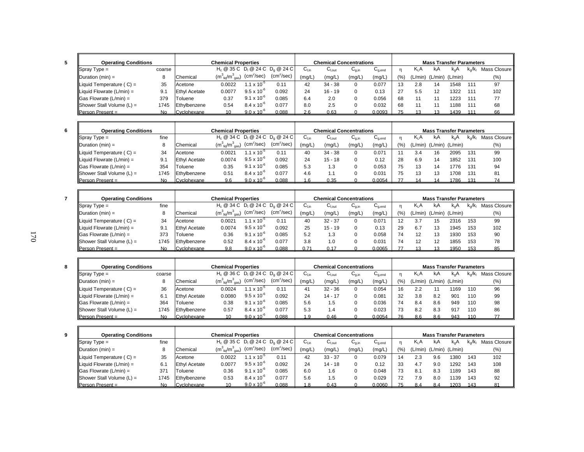| I            |
|--------------|
| I<br>×<br>۰, |

| <b>Operating Conditions</b>        |           |                      | <b>Chemical Properties</b>            |                        |                                                                   |           | <b>Chemical Concentrations</b> |                                       |                                        |      |         | <b>Mass Transfer Parameters</b> |               |      |              |
|------------------------------------|-----------|----------------------|---------------------------------------|------------------------|-------------------------------------------------------------------|-----------|--------------------------------|---------------------------------------|----------------------------------------|------|---------|---------------------------------|---------------|------|--------------|
| $\blacksquare$ Spray Type =        | coarse    |                      |                                       |                        | H <sub>c</sub> @ 35 C D <sub>i</sub> @ 24 C D <sub>a</sub> @ 24 C | $C_{Lin}$ | $C_{\text{Lout}}$              | $\mathsf{u}_{\mathsf{g},\mathsf{in}}$ | $\mathsf{u}_{\mathsf{a}.\mathsf{end}}$ |      | $K_1A$  | KıA                             | $K_{\alpha}A$ | k√k⊦ | Mass Closure |
| $\Delta$ Duration (min) =          |           | Chemical             | $(m_{\text{liq}}^3/m_{\text{gas}}^3)$ | (cm <sup>2</sup> /sec) | (cm <sup>2</sup> /sec)                                            | (mg/L)    | (mg/L)                         | (mg/L)                                | (mg/L,                                 | (% ) | (L/min) | (L/min) (L/min)                 |               |      | $(\%)$       |
| Liquid Temperature $(C) =$         | 35        | Acetone              | 0.0022                                | $1.1 \times 10^{-7}$   | 0.11                                                              | 42        | $34 - 38$                      |                                       | 0.077                                  | 13   | 2.8     | 14                              | 1548          | 111  | 97           |
| Liquid Flowrate $(L/min) =$        | 9.1       | <b>Ethyl Acetate</b> | 0.0077                                | $9.5 \times 10^{-7}$   | 0.092                                                             | 24        | $16 - 19$                      |                                       | 0.13                                   | 27   | 5.5     | 12                              | 1322          | 111  | 102          |
| $\textsf{IGas}$ Flowrate (L/min) = | 379       | Toluene              | 0.37                                  | $9.1 \times 10^{-6}$   | 0.085                                                             | 6.4       | 2.0                            |                                       | 0.056                                  | 68   |         |                                 | 1223          | 111  | 77           |
| Shower Stall Volume $(L)$ =        | 1745      | Ethylbenzene         | 0.54                                  | $8.4 \times 10^{-6}$   | 0.077                                                             | 8.0       | 2.5                            |                                       | 0.032                                  | 68   |         |                                 | 188           | 111  | 68           |
| <b>Person Present =</b>            | <b>No</b> | Cyclohexane          | 10 <sup>1</sup>                       | $9.0 \times 10^{-6}$   | 0.088                                                             | 26        | 0.63                           |                                       | 0.0093                                 |      |         |                                 | 1439          | 111  | 66           |

| <b>Operating Conditions</b>        |      |                      | <b>Chemical Properties</b>                |                      |                                    |           | <b>Chemical Concentrations</b> |            |                                        |       |         | <b>Mass Transfer Parameters</b> |       |                   |              |
|------------------------------------|------|----------------------|-------------------------------------------|----------------------|------------------------------------|-----------|--------------------------------|------------|----------------------------------------|-------|---------|---------------------------------|-------|-------------------|--------------|
| $\sqrt{\text{Spray Type}} =$       | fine |                      |                                           |                      | $H_c @ 34 C D_1 @ 24 C D_0 @ 24 C$ | ∪ւտ       | $U_{\text{Lout}}$              | $U_{q,in}$ | $\mathsf{u}_{\mathsf{q},\mathsf{end}}$ |       | K.A     | kıA                             |       | k <sub>o</sub> ∕k | Mass Closure |
| $ $ Duration (min) =               |      | Chemical             | $(m^{3}_{\text{liq}}/m^{3}_{\text{gas}})$ | $(cm^2/sec)$         | (cm <sup>2</sup> /sec)             | (mg/L)    | (mg/L)                         | (mg/L)     | (mg/L)                                 | (9/6) | (L/min) | (L/min) (L/min)                 |       |                   | $(\%)$       |
| Liquid Temperature $(C) =$         | 34   | Acetone              | 0.0021                                    | $.1 \times 10^{-7}$  | 0.11                               | 40        | $34 - 38$                      | $\Omega$   | 0.071                                  |       | 3.4     | 16                              | 2095  | 131               | 99           |
| Liquid Flowrate $(L/min) =$        | 9.1  | <b>Ethyl Acetate</b> | 0.0074                                    | $9.5 \times 10^{-6}$ | 0.092                              | 24        | $15 - 18$                      | $\Omega$   | 0.12                                   | 28    | 6.9     | 14                              | 1852  | 131               | 100          |
| $\textsf{IGas}$ Flowrate (L/min) = | 354  | Toluene              | 0.35                                      | $9.1 \times 10^{-6}$ | 0.085                              | 5.3       | 1.3                            | 0          | 0.053                                  | 75    |         | 14                              | 776   | 131               | 94           |
| Shower Stall Volume $(L)$ =        | 1745 | Ethylbenzene         | 0.51                                      | $8.4 \times 10^{-7}$ | 0.077                              | 4.6       | 1.1                            |            | 0.031                                  | 75    |         | 13                              | ' 70ኔ | 131               | 81           |
| <b>Person Present =</b>            | N٥   | Cyclohexane          | 9.6                                       | $9.0 \times 10^{-7}$ | 0.088                              | $6 \cdot$ | 0.35                           |            | 0.0054                                 |       |         |                                 | 1786  | 131               | 74           |

| <b>Operating Conditions</b>       |      |                      | <b>Chemical Properties</b>            |                            |                                                                   |        | <b>Chemical Concentrations</b> |                                       |                                                  |       |         | <b>Mass Transfer Parameters</b> |                  |      |              |
|-----------------------------------|------|----------------------|---------------------------------------|----------------------------|-------------------------------------------------------------------|--------|--------------------------------|---------------------------------------|--------------------------------------------------|-------|---------|---------------------------------|------------------|------|--------------|
| $\blacksquare$ Spray Type =       | fine |                      |                                       |                            | H <sub>c</sub> @ 34 C D <sub>i</sub> @ 24 C D <sub>a</sub> @ 24 C | ∪լ։ո   | ∪ <sub>l.out</sub>             | $\mathsf{u}_{\mathsf{a},\mathsf{in}}$ | $\sim$<br>$\mathsf{u}_{\mathsf{q},\mathsf{end}}$ |       | K.A     | kA                              | K <sub>a</sub> F | k./k | Mass Closure |
| $ $ Duration (min) =              |      | Chemical             | $(m_{\text{liq}}^3/m_{\text{gas}}^3)$ | $\text{(cm}^2\text{/sec)}$ | $(cm^2/sec)$                                                      | (mg/L) | (mg/L)                         | (mg/L)                                | (mg/L                                            | (9/0) | 'L/min) | $(L/min)$ $(L/min)$             |                  |      | $(\%)$       |
| Liquid Temperature $(C) =$        | 34   | Acetone              | 0.0021                                | $1.1 \times 10^{-3}$       | 0.11                                                              | 40     | $32 - 37$                      |                                       | 0.071                                            | 12    | 3.7     | 15                              | 2316             | 153  | 99           |
| Liquid Flowrate $(L/min) =$       | 9.1  | <b>Ethyl Acetate</b> | 0.0074                                | $9.5 \times 10^{-6}$       | 0.092                                                             | 25     | $15 - 19$                      |                                       | 0.13                                             | 29    | 6.7     | 13                              | 1945             | 153  | 102          |
| $\textsf{Gas}$ Flowrate (L/min) = | 373  | Toluene              | 0.36                                  | $9.1 \times 10^{-6}$       | 0.085                                                             | 5.2    | 1.3                            |                                       | 0.058                                            | 74    |         | 13                              | 1930             | 153  | 90           |
| Shower Stall Volume $(L)$ =       | 1745 | Ethylbenzene         | 0.52                                  | $8.4 \times 10^{-6}$       | 0.077                                                             | 3.8    | 1.0                            |                                       | 0.031                                            | 74    |         | 12                              | 1855             | 153  | 78           |
| <b>Person Present =</b>           | No   | Cvclohexane          | 9.8                                   | $9.0 \times 10^{-6}$       | 0.088                                                             | 0.71   | 0.17                           |                                       | 0.0065                                           |       |         |                                 | 1950             | 153  | 85           |

| <b>Operating Conditions</b>              |        |                      | <b>Chemical Properties</b>            |                        |                                                                   |        | <b>Chemical Concentrations</b> |                                       |                                        |       |                  | <b>Mass Transfer Parameters</b> |         |     |                |
|------------------------------------------|--------|----------------------|---------------------------------------|------------------------|-------------------------------------------------------------------|--------|--------------------------------|---------------------------------------|----------------------------------------|-------|------------------|---------------------------------|---------|-----|----------------|
| $Spray Type =$                           | coarse |                      |                                       |                        | H <sub>c</sub> @ 36 C D <sub>i</sub> @ 24 C D <sub>a</sub> @ 24 C | ખાં∩   | ∪l.out                         | $\mathsf{u}_{\mathsf{q},\mathsf{in}}$ | $\mathsf{u}_{\mathsf{q},\mathsf{end}}$ |       | K <sub>I</sub> A | kΑ                              | k.A     |     | Mass Closure I |
| $\blacksquare$ Duration (min) =          |        | Chemical             | $(m_{\text{liq}}^3/m_{\text{gas}}^3)$ | (cm <sup>2</sup> /sec) | (cm <sup>2</sup> /sec)                                            | (mg/L) | (mg/L,                         | (mg/L)                                | (mg/L)                                 | (9/0) | (L/min)          | (L/min)                         | (L/min) |     | $(\% )$        |
| Liquid Temperature $(C) =$               | 36     | Acetone              | 0.0024                                | $.1 \times 10^{-7}$    | 0.11                                                              |        | $32 - 36$                      |                                       | 0.054                                  | 16    | 2.2              |                                 | 1169    | 110 | 96             |
| $\blacksquare$ Liquid Flowrate (L/min) = | 6.1    | <b>Ethyl Acetate</b> | 0.0080                                | $9.5 \times 10^{-7}$   | 0.092                                                             | 24     | $14 - 17$                      |                                       | 0.081                                  | 32    | 3.8              | 8.2                             | 901     | 110 | 99             |
| $\textsf{Gas}$ Flowrate (L/min) =        | 364    | .Toluene             | 0.38                                  | $9.1 \times 10^{-6}$   | 0.085                                                             | 5.6    | 1.5                            |                                       | 0.036                                  |       | 8.4              | 8.6                             | 949     | 110 | 98             |
| Shower Stall Volume $(L)$ =              | 1745   | Ethylbenzene         | 0.57                                  | $8.4 \times 10^{-6}$   | 0.077                                                             | 5.3    | ، ۱                            |                                       | 0.023                                  |       | 8.2              | 8.3                             | 917     | 110 | 86             |
| $Person Present =$                       | No.    | Cyclohexane          |                                       | $9.0 \times 10^{-6}$   | 0.088                                                             | -9     | 0.46                           |                                       | 0.0054                                 |       | 86               | 8.6                             | 943     | 110 |                |

| <b>Operating Conditions</b>       |      |                      | <b>Chemical Properties</b>                |                      |                                                                   |        | <b>Chemical Concentrations</b> |            |             |       |         | <b>Mass Transfer Parameters</b> |      |     |              |
|-----------------------------------|------|----------------------|-------------------------------------------|----------------------|-------------------------------------------------------------------|--------|--------------------------------|------------|-------------|-------|---------|---------------------------------|------|-----|--------------|
| $\blacksquare$ Spray Type =       | fine |                      |                                           |                      | H <sub>c</sub> @ 35 C D <sub>i</sub> @ 24 C D <sub>a</sub> @ 24 C | ∪l.in  | $C_{\text{Lout}}$              | $U_{0,in}$ | $U_{q,end}$ | n     | $K_1A$  | kıA                             | k.A  | k√k | Mass Closure |
| $\Delta$ Duration (min) =         |      | Chemical             | $(m^{3}_{\text{liq}}/m^{3}_{\text{gas}})$ | $(cm^2/sec)$         | (cm <sup>2</sup> /sec)                                            | (mg/L, | (mg/L)                         | (mg/L)     | (mg/L)      | (9/0) | (L/min) | (L/min) (L/min)                 |      |     | $(\%)$       |
| Liquid Temperature $(C) =$        | 35   | Acetone              | 0.0022                                    | $1.1 \times 10^{-3}$ | 0.11                                                              | 42     | $33 - 37$                      |            | 0.079       |       | 2.3     | 9.6                             | 1380 | 143 | 102          |
| Liquid Flowrate $(L/min) =$       | 6.1  | <b>Ethyl Acetate</b> | 0.0077                                    | $9.5 \times 10^{-6}$ | 0.092                                                             | 24     | $14 - 18$                      |            | 0.12        | 33    | 4.      | 9.0                             | 1292 | 143 | 108          |
| $\textsf{Gas}$ Flowrate (L/min) = | 371  | Toluene              | 0.36                                      | $9.1 \times 10^{-6}$ | 0.085                                                             | 6.0    | 1.6                            |            | 0.048       | 73    | 8.1     | 8.3                             | 189  | 143 | 88           |
| Shower Stall Volume $(L)$ =       | 1745 | Ethylbenzene         | 0.53                                      | $8.4 \times 10^{-6}$ | 0.077                                                             | 5.6    | 1.5                            |            | 0.029       | 72    | ′.9     | 8.0                             | 139  | 143 | 92           |
| <b>Person Present =</b>           | No   | Cyclohexane          |                                           | $9.0 \times 10^{-6}$ | 0.088                                                             | .8     | 0.43                           |            | 0.0060      | 75    | 8.4     | 8.4                             | 1203 | 143 |              |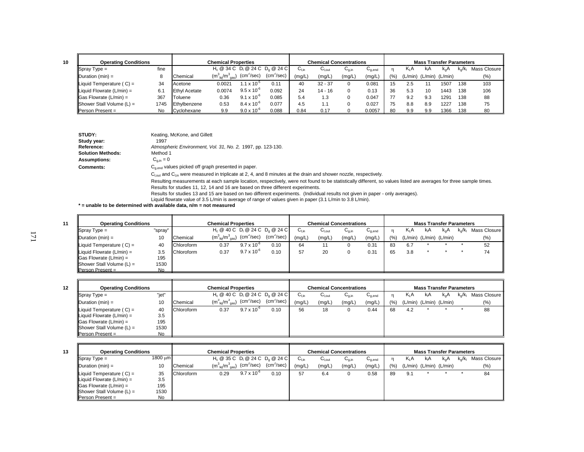| <b>Operating Conditions</b>     |      |                      | <b>Chemical Properties</b>            |                      |                                    |           | <b>Chemical Concentrations</b>     |            |                                        |      |         | <b>Mass Transfer Parameters</b> |               |      |              |
|---------------------------------|------|----------------------|---------------------------------------|----------------------|------------------------------------|-----------|------------------------------------|------------|----------------------------------------|------|---------|---------------------------------|---------------|------|--------------|
| $\sqrt{\text{Spray Type}} =$    | fine |                      |                                       |                      | $H_c @ 34 C D_1 @ 24 C D_0 @ 24 C$ | $C_{Lin}$ | $\mathrm{C_{\text{\tiny{I,out}}}}$ | $U_{q,in}$ | $\mathsf{u}_{\mathsf{q},\mathsf{end}}$ |      | $K_1A$  | kıA                             | $K_{\alpha}P$ | k./k | Mass Closure |
| $\Delta$ Duration (min) =       |      | Chemical             | $(m_{\text{liq}}^3/m_{\text{gas}}^3)$ | $(cm^2/sec)$         | (cm <sup>2</sup> /sec)             | (mg/L)    | (mg/L)                             | (mg/L,     | (mg/L)                                 | (% ) | (L/min) | (L/min)                         | (L/min)       |      | $(\% )$      |
| Liquid Temperature $(C) =$      | 34   | Acetone              | 0.0021                                | $1.1 \times 10^{-7}$ | 0.11                               | 40        | $32 - 37$                          |            | 0.081                                  | 15   | 2.5     |                                 | 1507          | 138  | 103          |
| Liquid Flowrate $(L/min) =$     | 6.1  | <b>Ethyl Acetate</b> | 0.0074                                | $9.5 \times 10^{-6}$ | 0.092                              | 24        | $14 - 16$                          |            | 0.13                                   | 36   | 5.3     | 10                              | 1443          | 138  | 106          |
| $\vert$ Gas Flowrate (L/min) =  | 367  | Toluene              | 0.36                                  | $9.1 \times 10^{-6}$ | 0.085                              | 5.4       | .3                                 |            | 0.047                                  |      | 9.2     | 9.3                             | 1291          | 138  | 88           |
| Shower Stall Volume $(L)$ =     | 1745 | Ethylbenzene         | 0.53                                  | $8.4 \times 10^{-6}$ | 0.077                              | 4.5       | - 4                                |            | 0.027                                  | 75   | 8.8     | 8.9                             | 1227          | 138  | 75           |
| $\blacksquare$ Person Present = | No   | Cyclohexane          | 9.9                                   | $9.0 \times 10^{-6}$ | 0.088                              | 0.84      | 0.17                               |            | 0.0057                                 | 80   | 9.9     | 9.9                             | 1366          | 138  | 80           |

| STUDY:                   | Keating, McKone, and Gillett                                                                                                                                      |
|--------------------------|-------------------------------------------------------------------------------------------------------------------------------------------------------------------|
| Study year:              | 1997                                                                                                                                                              |
| Reference:               | Atmospheric Environment, Vol. 31, No. 2, 1997, pp. 123-130.                                                                                                       |
| <b>Solution Methods:</b> | Method 1                                                                                                                                                          |
| <b>Assumptions:</b>      | $C_{q,in} = 0$                                                                                                                                                    |
| Comments:                | $C_{\text{aend}}$ values picked off graph presented in paper.                                                                                                     |
|                          | $Clout$ and $Clin$ were measured in triplicate at 2, 4, and 8 minutes at the drain and shower nozzle, respectively.                                               |
|                          | Resulting measurements at each sample location, respectively, were not found to be statistically different, so values listed are averages for three sample times. |
|                          | Results for studies 11, 12, 14 and 16 are based on three different experiments.                                                                                   |
|                          | Reculte for studies 13 and 15 are based on two different experiments. (Individual results not given in paper - only averages)                                     |

Results for studies 13 and 15 are based on two different experiments. (Individual results not given in paper - only averages).

Liquid flowrate value of 3.5 L/min is average of range of values given in paper (3.1 L/min to 3.8 L/min).<br>**\* = unable to be determined with available data, n/m = not measured** 

| <b>Operating Conditions</b>                     |         |            | <b>Chemical Properties</b>                                   |                      |                                    |        |                    | <b>Chemical Concentrations</b> |                                    |      |                  | <b>Mass Transfer Parameters</b> |     |                  |                |
|-------------------------------------------------|---------|------------|--------------------------------------------------------------|----------------------|------------------------------------|--------|--------------------|--------------------------------|------------------------------------|------|------------------|---------------------------------|-----|------------------|----------------|
| $\sqrt{\text{Spray Type}} =$                    | "spray" |            |                                                              |                      | $H_c @ 40 C D_1 @ 24 C D_0 @ 24 C$ | ∪⊥in   | $U_{\text{I,out}}$ | $U_{q,in}$                     | $\mathtt{C}_{\text{\text{q},end}}$ |      | K <sub>I</sub> A | kıA                             | k.A | $k_{\alpha}/k_1$ | Mass Closure I |
| $\mathsf{IDuration}\left(\mathsf{min}\right) =$ | 10      | Chemical   | $(m_{\text{liq}}^3/m_{\text{gas}}^3)$ (cm <sup>2</sup> /sec) |                      | (cm <sup>2</sup> /sec)             | (mg/L) | (mg/L)             | (mg/L)                         | (mg/L)                             | (% ) |                  | $(L/min)$ $(L/min)$ $(L/min)$   |     |                  | (%)            |
| Liquid Temperature $(C) =$                      | 40      | Chloroform | 0.37                                                         | $9.7 \times 10^{-6}$ | 0.10                               | 64     | 11                 |                                | 0.31                               | 83   | 6.7              |                                 |     |                  | 52             |
| Liquid Flowrate $(L/min) =$                     | 3.5     | Chloroform | 0.37                                                         | $9.7 \times 10^{-6}$ | 0.10                               | 57     | 20                 |                                | 0.31                               | 65   | 3.8              |                                 |     |                  | 74             |
| $\textsf{G}$ as Flowrate (L/min) =              | 195     |            |                                                              |                      |                                    |        |                    |                                |                                    |      |                  |                                 |     |                  |                |
| Shower Stall Volume $(L)$ =                     | 1530    |            |                                                              |                      |                                    |        |                    |                                |                                    |      |                  |                                 |     |                  |                |
| Person Present =                                | No      |            |                                                              |                      |                                    |        |                    |                                |                                    |      |                  |                                 |     |                  |                |

| 12 | <b>Operating Conditions</b>    |       |            | <b>Chemical Properties</b>                                                                 |                      |                                    |           |             | <b>Chemical Concentrations</b> |             |      |                  | <b>Mass Transfer Parameters</b> |                  |           |              |
|----|--------------------------------|-------|------------|--------------------------------------------------------------------------------------------|----------------------|------------------------------------|-----------|-------------|--------------------------------|-------------|------|------------------|---------------------------------|------------------|-----------|--------------|
|    | $\sqrt{\text{Spray Type}} =$   | "jet" |            |                                                                                            |                      | $H_c @ 40 C D_1 @ 24 C D_0 @ 24 C$ | $C_{Lin}$ | $C_{I,out}$ | $C_{q,in}$                     | $C_{g,end}$ | n    | K <sub>I</sub> A | kıA                             | k <sub>o</sub> A | $k_0/k_1$ | Mass Closure |
|    | $ $ Duration (min) =           | 10    | Chemical   | $(\textsf{m}^3_{\;\;\textsf{liq}}/\textsf{m}^3_{\;\;\textsf{gas}})$ (cm <sup>2</sup> /sec) |                      | $(cm^2/sec)$                       | (mg/L)    | (mg/L)      | (mg/L)                         | (mg/L)      | (% ) |                  | $(L/min)$ $(L/min)$ $(L/min)$   |                  |           | (% )         |
|    | Liquid Temperature $(C) =$     | 40    | Chloroform | 0.37                                                                                       | $9.7 \times 10^{-6}$ | 0.10                               | 56        | 18          | 0                              | 0.44        | 68   | 4.2              |                                 |                  |           | 88           |
|    | Liquid Flowrate $(L/min) =$    | 3.5   |            |                                                                                            |                      |                                    |           |             |                                |             |      |                  |                                 |                  |           |              |
|    | $\vert$ Gas Flowrate (L/min) = | 195   |            |                                                                                            |                      |                                    |           |             |                                |             |      |                  |                                 |                  |           |              |
|    | Shower Stall Volume $(L)$ =    | 1530  |            |                                                                                            |                      |                                    |           |             |                                |             |      |                  |                                 |                  |           |              |
|    | $Person Present =$             | No    |            |                                                                                            |                      |                                    |           |             |                                |             |      |                  |                                 |                  |           |              |

| I | ×<br>×<br>×<br>۰. |
|---|-------------------|

**11**

| <b>Operating Conditions</b>     |         |            | <b>Chemical Properties</b>            |                            |                                    |                  |                   | <b>Chemical Concentrations</b> |                                    |      |        | <b>Mass Transfer Parameters</b> |     |                         |                |
|---------------------------------|---------|------------|---------------------------------------|----------------------------|------------------------------------|------------------|-------------------|--------------------------------|------------------------------------|------|--------|---------------------------------|-----|-------------------------|----------------|
| $\blacksquare$ Spray Type =     | 1800 um |            |                                       |                            | $H_c @ 35 C D_1 @ 24 C D_2 @ 24 C$ | $U_{\text{Lin}}$ | $U_{\text{Lout}}$ | $U_{q,in}$                     | $\mathtt{C}_{\text{\text{q},end}}$ |      | $K_1A$ | kıA                             | k.A | $k_{\alpha}/k_{\alpha}$ | Mass Closure I |
| $IDuration (min) =$             | 10      | Chemical   | $(m_{\text{lio}}^3/m_{\text{gas}}^3)$ | $\text{(cm}^2\text{/sec)}$ | (cm <sup>2</sup> /sec)             | (mg/L)           | (mg/L)            | (mg/L)                         | (mg/L)                             | (% ) |        | (L/min) (L/min) (L/min)         |     |                         | $(\% )$        |
| Liquid Temperature $(C) =$      | 35      | Chloroform | 0.29                                  | $9.7 \times 10^{-6}$       | 0.10                               | 57               | 6.4               | 0                              | 0.58                               | 89   | 9.1    |                                 |     |                         | 84             |
| Liquid Flowrate $(L/min) =$     | 3.5     |            |                                       |                            |                                    |                  |                   |                                |                                    |      |        |                                 |     |                         |                |
| $\vert$ Gas Flowrate (L/min) =  | 195     |            |                                       |                            |                                    |                  |                   |                                |                                    |      |        |                                 |     |                         |                |
| Shower Stall Volume $(L)$ =     | 1530    |            |                                       |                            |                                    |                  |                   |                                |                                    |      |        |                                 |     |                         |                |
| $\blacksquare$ Person Present = | No      |            |                                       |                            |                                    |                  |                   |                                |                                    |      |        |                                 |     |                         |                |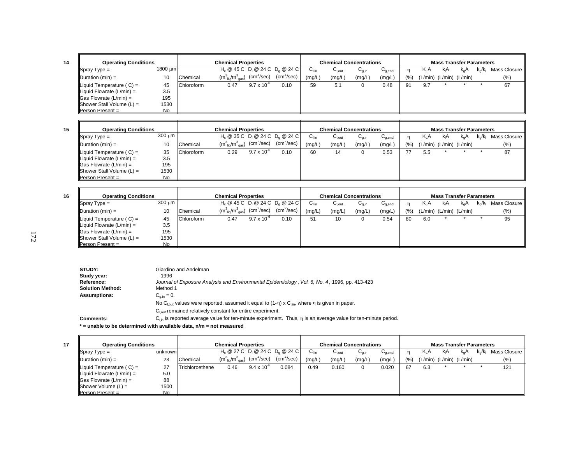| <b>Operating Conditions</b>           |              |                   | <b>Chemical Properties</b>            |                      |                                              |        |        | <b>Chemical Concentrations</b> |                                        |      |     |                               | <b>Mass Transfer Parameters</b> |                                    |
|---------------------------------------|--------------|-------------------|---------------------------------------|----------------------|----------------------------------------------|--------|--------|--------------------------------|----------------------------------------|------|-----|-------------------------------|---------------------------------|------------------------------------|
| $\blacksquare$ Spray Type =           | $1800 \mu m$ |                   |                                       |                      | $H_c \ @ 45 C \ D_1 \ @ 24 C \ D_2 \ @ 24 C$ | ∪∟in   | ∪l.out | $G_{a,in}$                     | $\mathsf{u}_{\mathsf{q},\mathsf{end}}$ |      | KLA | kıA                           | $k_{\alpha}A$                   | $k_q/k_l$ Mass Closure $\parallel$ |
| $\blacksquare$ Duration (min) =       | 10           | Chemical          | $(m_{\text{liq}}^3/m_{\text{gas}}^3)$ | $\rm (cm^2/sec)$     | (cm <sup>2</sup> /sec)                       | (mg/L) | (mg/L) | (mg/L)                         | (mg/L)                                 | (% ) |     | $(L/min)$ $(L/min)$ $(L/min)$ |                                 | $(\%)$                             |
| $\parallel$ Liquid Temperature (C) =  | 45           | <b>Chloroform</b> | 0.47                                  | $9.7 \times 10^{-6}$ | 0.10                                         | 59     | 5.1    |                                | 0.48                                   | 91   | 9.7 |                               |                                 | 67                                 |
| $\parallel$ Liquid Flowrate (L/min) = | 3.5          |                   |                                       |                      |                                              |        |        |                                |                                        |      |     |                               |                                 |                                    |
| $\vert$ Gas Flowrate (L/min) =        | 195          |                   |                                       |                      |                                              |        |        |                                |                                        |      |     |                               |                                 |                                    |
| $ $ Shower Stall Volume $(L)$ =       | 1530         |                   |                                       |                      |                                              |        |        |                                |                                        |      |     |                               |                                 |                                    |
| $\blacksquare$ Person Present =       | <b>No</b>    |                   |                                       |                      |                                              |        |        |                                |                                        |      |     |                               |                                 |                                    |

**16**

| <b>Operating Conditions</b>           |             |                   | <b>Chemical Properties</b>                                             |                      |                                    |           |             | <b>Chemical Concentrations</b> |             |           |                         | <b>Mass Transfer Parameters</b> |          |                         |              |
|---------------------------------------|-------------|-------------------|------------------------------------------------------------------------|----------------------|------------------------------------|-----------|-------------|--------------------------------|-------------|-----------|-------------------------|---------------------------------|----------|-------------------------|--------------|
| $\sqrt{\text{Spray Type}} =$          | $300 \mu m$ |                   |                                                                        |                      | $H_c @ 35 C D_1 @ 24 C D_2 @ 24 C$ | $C_{Lin}$ | $C_{I.out}$ | ∪ <sub>g,in</sub>              | $C_{q,end}$ |           | $K_1A$                  | kıA                             | $k_{n}A$ | $k_{\alpha}/k_{\alpha}$ | Mass Closure |
| $\blacksquare$ Duration (min) =       | 10          | Chemical          | $(m^3_{\ \ \ \text{lig}}/m^3_{\ \ \text{gas}})$ (cm <sup>2</sup> /sec) |                      | $(cm^2/sec)$                       | (mg/L)    | (mg/L)      | (mg/L)                         | (mg/L)      | $(%^{1})$ | (L/min) (L/min) (L/min) |                                 |          |                         | $(\% )$      |
| Liquid Temperature $(C) =$            | 35          | <b>Chloroform</b> | 0.29                                                                   | $9.7 \times 10^{-7}$ | 0.10                               | 60        | 14          |                                | 0.53        |           | 5.5                     |                                 |          |                         | 87           |
| $\parallel$ Liquid Flowrate (L/min) = | 3.5         |                   |                                                                        |                      |                                    |           |             |                                |             |           |                         |                                 |          |                         |              |
| $\vert$ Gas Flowrate (L/min) =        | 195         |                   |                                                                        |                      |                                    |           |             |                                |             |           |                         |                                 |          |                         |              |
| $ $ Shower Stall Volume $(L)$ =       | 1530        |                   |                                                                        |                      |                                    |           |             |                                |             |           |                         |                                 |          |                         |              |
| $\blacksquare$ Person Present =       | No          |                   |                                                                        |                      |                                    |           |             |                                |             |           |                         |                                 |          |                         |              |

| <b>Operating Conditions</b>        |           |            | <b>Chemical Properties</b>            |                        |                                              |           |                    | <b>Chemical Concentrations</b> |                                    |      |                  |     | <b>Mass Transfer Parameters</b> |               |                |
|------------------------------------|-----------|------------|---------------------------------------|------------------------|----------------------------------------------|-----------|--------------------|--------------------------------|------------------------------------|------|------------------|-----|---------------------------------|---------------|----------------|
| $\sqrt{\text{Spray Type}} =$       | 300 um    |            |                                       |                        | $H_c \ @ 45 C \ D_1 \ @ 24 C \ D_2 \ @ 24 C$ | $C_{Lin}$ | u <sub>l,out</sub> | $U_{q,in}$                     | $\mathtt{C}_{\text{\text{q},end}}$ |      | K <sub>I</sub> A | kıA | $k_{\alpha}A$                   | $k_{0}/k_{1}$ | Mass Closure I |
| $\Delta$ Duration (min) =          | 10        | Chemical   | $(m_{\text{liq}}^3/m_{\text{gas}}^3)$ | (cm <sup>2</sup> /sec) | (cm <sup>2</sup> /sec)                       | (mg/L)    | (mg/L)             | (mg/L)                         | (mg/L)                             | (% ) |                  |     | $(L/min)$ $(L/min)$ $(L/min)$   |               | (%)            |
| Liquid Temperature $(C) =$         | 45        | Chloroform | 0.47                                  | $9.7 \times 10^{-6}$   | 0.10                                         | 51        | 10                 |                                | 0.54                               | 80   | 6.0              |     |                                 |               | 95             |
| Liquid Flowrate $(L/min) =$        | 3.5       |            |                                       |                        |                                              |           |                    |                                |                                    |      |                  |     |                                 |               |                |
| $\parallel$ Gas Flowrate (L/min) = | 195       |            |                                       |                        |                                              |           |                    |                                |                                    |      |                  |     |                                 |               |                |
| $ $ Shower Stall Volume $(L)$ =    | 1530      |            |                                       |                        |                                              |           |                    |                                |                                    |      |                  |     |                                 |               |                |
| $\blacksquare$ Person Present =    | <b>No</b> |            |                                       |                        |                                              |           |                    |                                |                                    |      |                  |     |                                 |               |                |

| STUDY:                  | Giardino and Andelman                                                                                                             |
|-------------------------|-----------------------------------------------------------------------------------------------------------------------------------|
| Study year:             | 1996                                                                                                                              |
| Reference:              | Journal of Exposure Analysis and Environmental Epidemiology, Vol. 6, No. 4, 1996, pp. 413-423                                     |
| <b>Solution Method:</b> | Method 1                                                                                                                          |
| <b>Assumptions:</b>     | $C_{q,in} = 0.$                                                                                                                   |
|                         | No C <sub>lout</sub> values were reported, assumed it equal to $(1-\eta) \times C_{\text{lin}}$ , where $\eta$ is given in paper. |
|                         | $Cl out$ remained relatively constant for entire experiment.                                                                      |
| <b>Comments:</b>        | $C_{lin}$ is reported average value for ten-minute experiment. Thus, $\eta$ is an average value for ten-minute period.            |
|                         | * = unable to be determined with available data, n/m = not measured                                                               |

| <b>Operating Conditions</b>           |         |                 | <b>Chemical Properties</b>                                   |                      |                                    |           |                    | <b>Chemical Concentrations</b> |             |       |                               | <b>Mass Transfer Parameters</b> |               |                         |              |
|---------------------------------------|---------|-----------------|--------------------------------------------------------------|----------------------|------------------------------------|-----------|--------------------|--------------------------------|-------------|-------|-------------------------------|---------------------------------|---------------|-------------------------|--------------|
| $\sqrt{\text{Spray Type}} =$          | unknown |                 |                                                              |                      | $H_c @ 27 C D_1 @ 24 C D_2 @ 24 C$ | $C_{Lin}$ | $C_{\text{l,out}}$ | $U_{q,in}$                     | $C_{q,end}$ |       | $K_1A$                        | kA                              | $k_{\alpha}A$ | $k_{\alpha}/k_{\alpha}$ | Mass Closure |
| $\Delta$ Duration (min) =             | 23      | Chemical        | $(m_{\text{liq}}^3/m_{\text{gas}}^3)$ (cm <sup>2</sup> /sec) |                      | $(cm^2/sec)$                       | (mg/L)    | (mg/L)             | (mg/L)                         | (mg/L)      | (9/6) | $(L/min)$ $(L/min)$ $(L/min)$ |                                 |               |                         | (%)          |
| Liquid Temperature $(C) =$            | 27      | Trichloroethene | 0.46                                                         | $9.4 \times 10^{-6}$ | 0.084                              | 0.49      | 0.160              |                                | 0.020       | 67    | 6.3                           |                                 |               |                         | 121          |
| $\parallel$ Liquid Flowrate (L/min) = | 5.0     |                 |                                                              |                      |                                    |           |                    |                                |             |       |                               |                                 |               |                         |              |
| $\vert$ Gas Flowrate (L/min) =        | 88      |                 |                                                              |                      |                                    |           |                    |                                |             |       |                               |                                 |               |                         |              |
| $ $ Shower Volume $(L)$ =             | 1500    |                 |                                                              |                      |                                    |           |                    |                                |             |       |                               |                                 |               |                         |              |
| $Person Present =$                    | No.     |                 |                                                              |                      |                                    |           |                    |                                |             |       |                               |                                 |               |                         |              |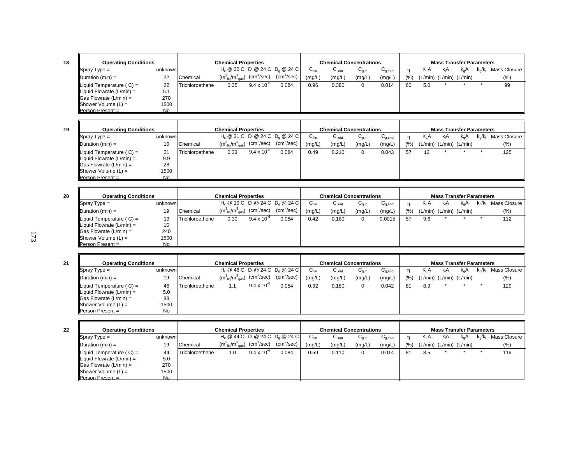| <b>Operating Conditions</b>           |           |                 | <b>Chemical Properties</b>            |                      |                                    |        |                   | <b>Chemical Concentrations</b> |             |       |        | <b>Mass Transfer Parameters</b> |               |                        |              |
|---------------------------------------|-----------|-----------------|---------------------------------------|----------------------|------------------------------------|--------|-------------------|--------------------------------|-------------|-------|--------|---------------------------------|---------------|------------------------|--------------|
| $\sqrt{\text{Spray Type}} =$          | unknown   |                 |                                       |                      | $H_c @ 22 C D_1 @ 24 C D_0 @ 24 C$ | ∪⊥տ    | $U_{\text{Lout}}$ | $U_{q,in}$                     | $U_{q,end}$ |       | $K_1A$ | kıA                             | $k_{\alpha}A$ | $k_{\alpha}/k_{\beta}$ | Mass Closure |
| Duration $(min) =$                    | 22        | Chemical        | $(m_{\text{liq}}^3/m_{\text{gas}}^3)$ | $\rm (cm^2/sec)$     | (cm <sup>2</sup> /sec)             | (mg/L) | (mg/L)            | (mg/L)                         | (mg/L)      | (9/6) |        | $(L/min)$ $(L/min)$ $(L/min)$   |               |                        | $(\% )$      |
| Liquid Temperature $(C) =$            | 22        | Trichloroethene | 0.35                                  | $9.4 \times 10^{-6}$ | 0.084                              | 0.96   | 0.380             |                                | 0.014       | 60    | 5.0    |                                 |               |                        | 99           |
| $\parallel$ Liquid Flowrate (L/min) = | 5.1       |                 |                                       |                      |                                    |        |                   |                                |             |       |        |                                 |               |                        |              |
| $\textsf{  Gas}$ Flowrate (L/min) =   | 270       |                 |                                       |                      |                                    |        |                   |                                |             |       |        |                                 |               |                        |              |
| $ $ Shower Volume $(L)$ =             | 1500      |                 |                                       |                      |                                    |        |                   |                                |             |       |        |                                 |               |                        |              |
| $Person Present =$                    | <b>No</b> |                 |                                       |                      |                                    |        |                   |                                |             |       |        |                                 |               |                        |              |

| <b>Operating Conditions</b>           |         |                 | <b>Chemical Properties</b>                                   |                      |                                                                                |           |                          | <b>Chemical Concentrations</b> |             |     |        |                               | <b>Mass Transfer Parameters</b> |                         |              |
|---------------------------------------|---------|-----------------|--------------------------------------------------------------|----------------------|--------------------------------------------------------------------------------|-----------|--------------------------|--------------------------------|-------------|-----|--------|-------------------------------|---------------------------------|-------------------------|--------------|
| $\blacksquare$ Spray Type =           | unknown |                 |                                                              |                      | $H_c \otimes 21 C$ D <sub>1</sub> $\otimes$ 24 C D <sub>0</sub> $\otimes$ 24 C | $C_{Lin}$ | $C_{\text{\tiny{Lout}}}$ | $U_{q,in}$                     | $C_{q,end}$ |     | $K_1A$ | kıA                           | k.A                             | $k_{\alpha}/k_{\alpha}$ | Mass Closure |
| $ $ Duration (min) =                  | 10      | Chemical        | $(m_{\text{liq}}^3/m_{\text{gas}}^3)$ (cm <sup>2</sup> /sec) |                      | $\text{(cm}^2\text{/sec)}$                                                     | (mg/L)    | (mg/L)                   | (mg/L)                         | (mg/L)      | (%) |        | $(L/min)$ $(L/min)$ $(L/min)$ |                                 |                         | (%)          |
| $\parallel$ Liquid Temperature (C) =  | 21      | Trichloroethene | 0.33                                                         | $9.4 \times 10^{-7}$ | 0.084                                                                          | 0.49      | 0.210                    |                                | 0.043       | 57  | 12     |                               |                                 |                         | 125          |
| $\parallel$ Liquid Flowrate (L/min) = | 9.9     |                 |                                                              |                      |                                                                                |           |                          |                                |             |     |        |                               |                                 |                         |              |
| $\parallel$ Gas Flowrate (L/min) =    | 28      |                 |                                                              |                      |                                                                                |           |                          |                                |             |     |        |                               |                                 |                         |              |
| $ $ Shower Volume $(L)$ =             | 1500    |                 |                                                              |                      |                                                                                |           |                          |                                |             |     |        |                               |                                 |                         |              |
| $Person Present =$                    | No      |                 |                                                              |                      |                                                                                |           |                          |                                |             |     |        |                               |                                 |                         |              |

| 20 | <b>Operating Conditions</b>       |           |                 | <b>Chemical Properties</b>                             |                      |                                    |           | <b>Chemical Concentrations</b> |            |             |     |                  | <b>Mass Transfer Parameters</b> |           |                         |                |
|----|-----------------------------------|-----------|-----------------|--------------------------------------------------------|----------------------|------------------------------------|-----------|--------------------------------|------------|-------------|-----|------------------|---------------------------------|-----------|-------------------------|----------------|
|    | $\blacksquare$ Spray Type =       | unknown   |                 |                                                        |                      | $H_c @ 19 C D_1 @ 24 C D_0 @ 24 C$ | $C_{Lin}$ | $C_{\text{Lout}}$              | $U_{0,in}$ | $C_{g,end}$ |     | K <sub>I</sub> A | kıA                             | $k_{0}$ A | $k_{\alpha}/k_{\alpha}$ | Mass Closure I |
|    | Duration (min) =                  | 19        | Chemical        | $\rm (m_{\ \, liq}^3/m_{\ \, gas}^3)$ $\rm (cm^2/sec)$ |                      | $(cm^2/sec)$                       | (mg/L)    | (mg/L)                         | (mg/L)     | (mg/L)      | (%) |                  | $(L/min)$ $(L/min)$ $(L/min)$   |           |                         | $(\% )$        |
|    | Liquid Temperature $(C) =$        | 19        | Trichloroethene | 0.30                                                   | $9.4 \times 10^{-6}$ | 0.084                              | 0.42      | 0.180                          | 0          | 0.0015      | 57  | 9.6              |                                 |           |                         | 112            |
|    | Liquid Flowrate (L/min) =         | 10        |                 |                                                        |                      |                                    |           |                                |            |             |     |                  |                                 |           |                         |                |
|    | $\textsf{Gas}$ Flowrate (L/min) = | 240       |                 |                                                        |                      |                                    |           |                                |            |             |     |                  |                                 |           |                         |                |
|    | $ $ Shower Volume $(L)$ =         | 1500      |                 |                                                        |                      |                                    |           |                                |            |             |     |                  |                                 |           |                         |                |
|    | Person Present =                  | <b>No</b> |                 |                                                        |                      |                                    |           |                                |            |             |     |                  |                                 |           |                         |                |

| 21 | <b>Operating Conditions</b> |           |                 | <b>Chemical Properties</b>                                                                                                            |                      |                                    |                           |                    | <b>Chemical Concentrations</b> |                                        |      |                               | <b>Mass Transfer Parameters</b> |               |                                    |
|----|-----------------------------|-----------|-----------------|---------------------------------------------------------------------------------------------------------------------------------------|----------------------|------------------------------------|---------------------------|--------------------|--------------------------------|----------------------------------------|------|-------------------------------|---------------------------------|---------------|------------------------------------|
|    | $\blacksquare$ Spray Type = | unknown   |                 |                                                                                                                                       |                      | $H_c @ 46 C D_1 @ 24 C D_2 @ 24 C$ | $\mathsf{C}_\mathsf{Lin}$ | $C_{\text{l.out}}$ | $C_{q,in}$                     | $\mathsf{u}_{\mathsf{q},\mathsf{end}}$ |      | $K_L A$                       | kıA                             | $k_{\alpha}A$ | $k_{\rm g}/k_{\rm I}$ Mass Closure |
|    | $\mathsf{IDuration}(min) =$ | 19        | Chemical        | $(\mathsf{m}_{\mathsf{\stackrel{?}{\mathsf{liq}}}/\mathsf{m}_{\mathsf{\stackrel{?}{\mathsf{gas}}}}^3)$ $(\mathsf{cm}^2/\mathsf{sec})$ |                      | $(cm^2/sec)$                       | (mg/L)                    | (mg/L)             | (mg/L)                         | (mg/L,                                 | (% ) | $(L/min)$ $(L/min)$ $(L/min)$ |                                 |               | (% )                               |
|    | Liquid Temperature $(C) =$  | 46        | Trichloroethene |                                                                                                                                       | $9.4 \times 10^{-6}$ | 0.084                              | 0.92                      | 0.180              | 0                              | 0.042                                  | 81   | 8.9                           |                                 |               | 129                                |
|    | Liquid Flowrate (L/min) =   | 5.0       |                 |                                                                                                                                       |                      |                                    |                           |                    |                                |                                        |      |                               |                                 |               |                                    |
|    | Gas Flowrate (L/min) =      | 83        |                 |                                                                                                                                       |                      |                                    |                           |                    |                                |                                        |      |                               |                                 |               |                                    |
|    | $ $ Shower Volume $(L)$ =   | 1500      |                 |                                                                                                                                       |                      |                                    |                           |                    |                                |                                        |      |                               |                                 |               |                                    |
|    | Person Present =            | <b>No</b> |                 |                                                                                                                                       |                      |                                    |                           |                    |                                |                                        |      |                               |                                 |               |                                    |

| <b>Operating Conditions</b>          |         |                 | <b>Chemical Properties</b>                                   |                      |                                    |           |                              | <b>Chemical Concentrations</b> |                                        |      |                         | <b>Mass Transfer Parameters</b> |     |                         |              |
|--------------------------------------|---------|-----------------|--------------------------------------------------------------|----------------------|------------------------------------|-----------|------------------------------|--------------------------------|----------------------------------------|------|-------------------------|---------------------------------|-----|-------------------------|--------------|
| $\blacksquare$ Spray Type =          | unknown |                 |                                                              |                      | $H_c @ 44 C D_1 @ 24 C D_2 @ 24 C$ | $C_{Lin}$ | $\mathsf{C}_{\mathsf{Lout}}$ | $C_{q,in}$                     | $\mathsf{u}_{\mathsf{q},\mathsf{end}}$ |      | $K_1A$                  | kıA                             | k.A | $k_{\alpha}/k_{\alpha}$ | Mass Closure |
| $\Delta$ Duration (min) =            | 19      | Chemical        | $(m_{\text{liq}}^3/m_{\text{gas}}^3)$ (cm <sup>2</sup> /sec) |                      | $(cm^2/sec)$                       | (mg/L)    | (mg/L)                       | (mg/L)                         | (mg/L)                                 | (% ) | (L/min) (L/min) (L/min) |                                 |     |                         | (%)          |
| $\parallel$ Liquid Temperature (C) = | 44      | Trichloroethene | 1.0                                                          | $9.4 \times 10^{-6}$ | 0.084                              | 0.59      | 0.110                        |                                | 0.014                                  | 81   | 8.5                     |                                 |     |                         | 119          |
| Liquid Flowrate $(L/min) =$          | 5.0     |                 |                                                              |                      |                                    |           |                              |                                |                                        |      |                         |                                 |     |                         |              |
| $\parallel$ Gas Flowrate (L/min) =   | 270     |                 |                                                              |                      |                                    |           |                              |                                |                                        |      |                         |                                 |     |                         |              |
| $ $ Shower Volume $(L)$ =            | 1500    |                 |                                                              |                      |                                    |           |                              |                                |                                        |      |                         |                                 |     |                         |              |
| $\blacksquare$ Person Present =      | No      |                 |                                                              |                      |                                    |           |                              |                                |                                        |      |                         |                                 |     |                         |              |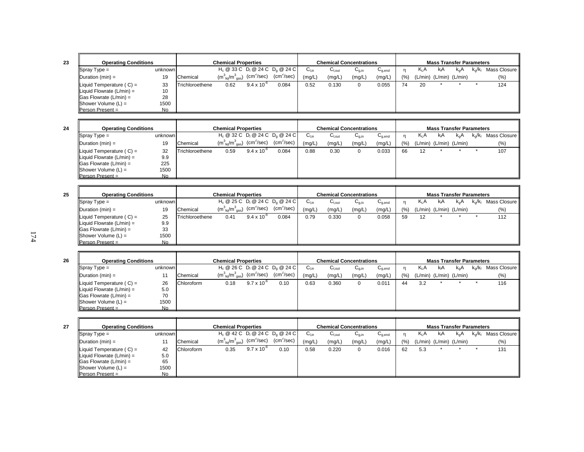| <b>Operating Conditions</b>       |         |                 | <b>Chemical Properties</b>            |                        |                                    |           |                    | <b>Chemical Concentrations</b> |                                        |      |                               | <b>Mass Transfer Parameters</b> |               |                         |              |
|-----------------------------------|---------|-----------------|---------------------------------------|------------------------|------------------------------------|-----------|--------------------|--------------------------------|----------------------------------------|------|-------------------------------|---------------------------------|---------------|-------------------------|--------------|
| $Spray Type =$                    | unknown |                 |                                       |                        | $H_c @ 33 C D_1 @ 24 C D_0 @ 24 C$ | $C_{Lin}$ | $C_{\text{l,out}}$ | $C_{q,in}$                     | $\mathsf{u}_{\mathsf{q},\mathsf{end}}$ |      | $K_1A$                        | кA                              | $k_{\alpha}A$ | $k_{\alpha}/k_{\alpha}$ | Mass Closure |
| Duration $(min) =$                | 19      | Chemical        | $(m_{\text{liq}}^3/m_{\text{gas}}^3)$ | (cm <sup>2</sup> /sec) | $(cm^2/sec)$                       | (mg/L)    | (mg/L)             | (mg/L)                         | (mg/L)                                 | (% ) | $(L/min)$ $(L/min)$ $(L/min)$ |                                 |               |                         | $(\%)$       |
| Liquid Temperature $(C) =$        | 33      | Trichloroethene | 0.62                                  | $9.4 \times 10^{-6}$   | 0.084                              | 0.52      | 0.130              |                                | 0.055                                  | 74   | 20                            |                                 |               |                         | 124          |
| Liquid Flowrate $(L/min) =$       | 10      |                 |                                       |                        |                                    |           |                    |                                |                                        |      |                               |                                 |               |                         |              |
| $\textsf{Gas}$ Flowrate (L/min) = | 28      |                 |                                       |                        |                                    |           |                    |                                |                                        |      |                               |                                 |               |                         |              |
| Shower Volume $(L)$ =             | 1500    |                 |                                       |                        |                                    |           |                    |                                |                                        |      |                               |                                 |               |                         |              |
| <b>Person Present =</b>           | No.     |                 |                                       |                        |                                    |           |                    |                                |                                        |      |                               |                                 |               |                         |              |

| <b>Operating Conditions</b>          |         |                 | <b>Chemical Properties</b>                                                     |                      |                                    |           | <b>Chemical Concentrations</b> |            |                                        |     |         | <b>Mass Transfer Parameters</b> |        |           |              |
|--------------------------------------|---------|-----------------|--------------------------------------------------------------------------------|----------------------|------------------------------------|-----------|--------------------------------|------------|----------------------------------------|-----|---------|---------------------------------|--------|-----------|--------------|
| $\blacksquare$ Spray Type =          | unknown |                 |                                                                                |                      | $H_c @ 32 C D_1 @ 24 C D_0 @ 24 C$ | $C_{Lin}$ | $C_{\text{l,out}}$             | $G_{q,in}$ | $\mathsf{u}_{\mathsf{q},\mathsf{end}}$ |     | KLA     | kıA                             | $k_0A$ | $k_0/k_1$ | Mass Closure |
| $\Delta$ Duration (min) =            | 19      | Chemical        | $\rm (m_{\ \ \ \textrm{liq}}^{3}/m_{\ \ \textrm{gas}}^{3})$ $\rm (cm^{2}/sec)$ |                      | (cm <sup>2</sup> /sec)             | (mg/L)    | (mg/L)                         | (mg/L)     | (mg/L,                                 | (%) | (L/min) | (L/min) (L/min)                 |        |           | $(\% )$      |
| $\parallel$ Liquid Temperature (C) = | 32      | Trichloroethene | 0.59                                                                           | $9.4 \times 10^{-7}$ | 0.084                              | 0.88      | 0.30                           | 0          | 0.033                                  | 66  | 12      |                                 |        |           | 107          |
| Liquid Flowrate $(L/min) =$          | 9.9     |                 |                                                                                |                      |                                    |           |                                |            |                                        |     |         |                                 |        |           |              |
| $\vert$ Gas Flowrate (L/min) =       | 225     |                 |                                                                                |                      |                                    |           |                                |            |                                        |     |         |                                 |        |           |              |
| $ $ Shower Volume $(L)$ =            | 1500    |                 |                                                                                |                      |                                    |           |                                |            |                                        |     |         |                                 |        |           |              |
| $Person Present =$                   | No      |                 |                                                                                |                      |                                    |           |                                |            |                                        |     |         |                                 |        |           |              |

| 25 | <b>Operating Conditions</b>    |           |                 | <b>Chemical Properties</b>                             |                      |                                                                   |                  |                   | <b>Chemical Concentrations</b> |             |     |        |                         | <b>Mass Transfer Parameters</b> |           |                |
|----|--------------------------------|-----------|-----------------|--------------------------------------------------------|----------------------|-------------------------------------------------------------------|------------------|-------------------|--------------------------------|-------------|-----|--------|-------------------------|---------------------------------|-----------|----------------|
|    | $\blacksquare$ Spray Type =    | unknown   |                 |                                                        |                      | H <sub>c</sub> @ 25 C D <sub>i</sub> @ 24 C D <sub>a</sub> @ 24 C | $U_{\text{lin}}$ | $C_{\text{Lout}}$ | $\sim$<br>$U_{q,in}$           | $U_{q,end}$ |     | $K_1A$ | kıA                     | k.A                             | $k_0/k_1$ | Mass Closure I |
|    | $IDuration (min) =$            | 19        | Chemical        | $\rm (m_{\ \, liq}^3/m_{\ \, gas}^3)$ $\rm (cm^2/sec)$ |                      | $(cm^2/sec)$                                                      | (mg/L)           | (mg/L)            | (mg/L)                         | (mg/L)      | (%) |        | (L/min) (L/min) (L/min) |                                 |           | (% )           |
|    | Liquid Temperature $(C) =$     | 25        | Trichloroethene | 0.41                                                   | $9.4 \times 10^{-6}$ | 0.084                                                             | 0.79             | 0.330             | 0                              | 0.058       | 59  | 12     |                         |                                 |           | 112            |
|    | Liquid Flowrate $(L/min) =$    | 9.9       |                 |                                                        |                      |                                                                   |                  |                   |                                |             |     |        |                         |                                 |           |                |
|    | $\vert$ Gas Flowrate (L/min) = | 33        |                 |                                                        |                      |                                                                   |                  |                   |                                |             |     |        |                         |                                 |           |                |
|    | $ $ Shower Volume $(L)$ =      | 1500      |                 |                                                        |                      |                                                                   |                  |                   |                                |             |     |        |                         |                                 |           |                |
|    | <b>Person Present =</b>        | <b>No</b> |                 |                                                        |                      |                                                                   |                  |                   |                                |             |     |        |                         |                                 |           |                |

| 26 | <b>Operating Conditions</b>         |           |                   | <b>Chemical Properties</b>                                   |                      |                                    |        |                   | <b>Chemical Concentrations</b> |                                        |       |        | <b>Mass Transfer Parameters</b> |               |           |              |
|----|-------------------------------------|-----------|-------------------|--------------------------------------------------------------|----------------------|------------------------------------|--------|-------------------|--------------------------------|----------------------------------------|-------|--------|---------------------------------|---------------|-----------|--------------|
|    | $\blacksquare$ Spray Type =         | unknown   |                   |                                                              |                      | $H_c @ 26 C D_1 @ 24 C D_2 @ 24 C$ | ∪⊥ո    | $C_{\text{Lout}}$ | $U_{q,in}$                     | $\mathsf{u}_{\mathsf{q},\mathsf{end}}$ | n     | $K_1A$ | kıA                             | $k_{\alpha}A$ | $k_0/k_1$ | Mass Closure |
|    | $\Delta$ Duration (min) =           | 11        | Chemical          | $(m_{\text{liq}}^3/m_{\text{gas}}^3)$ (cm <sup>2</sup> /sec) |                      | $(cm^2/sec)$                       | (mg/L) | (mg/L)            | (mg/L)                         | (mg/L)                                 | (9/0) |        | $(L/min)$ $(L/min)$ $(L/min)$   |               |           | (% )         |
|    | Liquid Temperature $(C) =$          | 26        | <b>Chloroform</b> | 0.18                                                         | $9.7 \times 10^{-6}$ | 0.10                               | 0.63   | 0.360             | $\Omega$                       | 0.011                                  | 44    | 3.2    |                                 |               |           | 116          |
|    | Liquid Flowrate $(L/min) =$         | 5.0       |                   |                                                              |                      |                                    |        |                   |                                |                                        |       |        |                                 |               |           |              |
|    | $\textsf{  Gas}$ Flowrate (L/min) = | 70        |                   |                                                              |                      |                                    |        |                   |                                |                                        |       |        |                                 |               |           |              |
|    | $ $ Shower Volume $(L)$ =           | 1500      |                   |                                                              |                      |                                    |        |                   |                                |                                        |       |        |                                 |               |           |              |
|    | <b>IPerson Present</b> =            | <b>No</b> |                   |                                                              |                      |                                    |        |                   |                                |                                        |       |        |                                 |               |           |              |

| <b>Operating Conditions</b>           |         |            | <b>Chemical Properties</b>            |                        |                                    |           |             | <b>Chemical Concentrations</b> |             |          |     | <b>Mass Transfer Parameters</b> |                  |           |              |
|---------------------------------------|---------|------------|---------------------------------------|------------------------|------------------------------------|-----------|-------------|--------------------------------|-------------|----------|-----|---------------------------------|------------------|-----------|--------------|
| $Spray Type =$                        | unknown |            |                                       |                        | $H_c @ 42 C D_1 @ 24 C D_2 @ 24 C$ | $C_{Lin}$ | $C_{I,out}$ | $G_{q,in}$                     | $C_{q,end}$ |          | KLA | kıA                             | k <sub>o</sub> A | $k_0/k_1$ | Mass Closure |
| $IDuration (min) =$                   |         | Chemical   | $(m_{\text{liq}}^3/m_{\text{gas}}^3)$ | (cm <sup>2</sup> /sec) | (cm <sup>2</sup> /sec)             | (mg/L)    | (mg/L)      | (mg/L)                         | (mg/L)      | $(%_{0}$ |     | $(L/min)$ $(L/min)$ $(L/min)$   |                  |           | (% )         |
| Liquid Temperature $(C) =$            | 42      | Chloroform | 0.35                                  | $9.7 \times 10^{-7}$   | 0.10                               | 0.58      | 0.220       |                                | 0.016       | 62       | 5.3 |                                 |                  |           | 131          |
| $\parallel$ Liquid Flowrate (L/min) = | 5.0     |            |                                       |                        |                                    |           |             |                                |             |          |     |                                 |                  |           |              |
| $\vert$ Gas Flowrate (L/min) =        | 65      |            |                                       |                        |                                    |           |             |                                |             |          |     |                                 |                  |           |              |
| $ $ Shower Volume $(L)$ =             | 1500    |            |                                       |                        |                                    |           |             |                                |             |          |     |                                 |                  |           |              |
| $Person Present =$                    | No      |            |                                       |                        |                                    |           |             |                                |             |          |     |                                 |                  |           |              |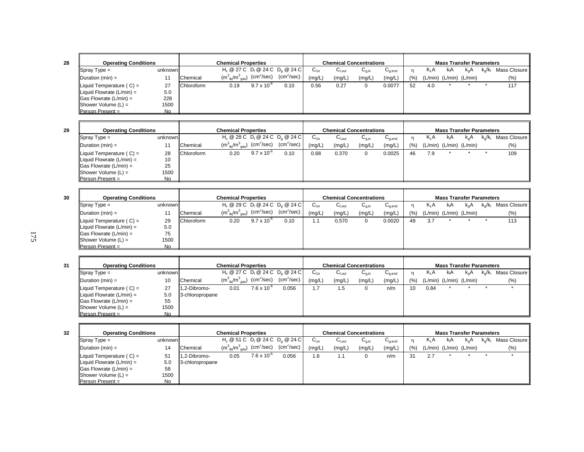| <b>Operating Conditions</b> |         |            | <b>Chemical Properties</b>                     |                      |                                                                                |           |                   | <b>Chemical Concentrations</b> |                                        |     |                               |     | <b>Mass Transfer Parameters</b> |                  |              |
|-----------------------------|---------|------------|------------------------------------------------|----------------------|--------------------------------------------------------------------------------|-----------|-------------------|--------------------------------|----------------------------------------|-----|-------------------------------|-----|---------------------------------|------------------|--------------|
| Spray Type $=$              | unknown |            |                                                |                      | $H_c \otimes 27 C$ D <sub>1</sub> $\otimes$ 24 C D <sub>0</sub> $\otimes$ 24 C | $C_{Lin}$ | $C_{\text{Lout}}$ | $G_{a,in}$                     | $\mathsf{u}_{\mathsf{a}.\mathsf{end}}$ |     | $K_1A$                        | kıA | $k_{\alpha}A$                   | $k_{\alpha}/k_0$ | Mass Closure |
| Duration (min) =            | 11      | Chemical   | $(m^3_{liq}/m^3_{gas})$ (cm <sup>2</sup> /sec) |                      | (cm <sup>2</sup> /sec)                                                         | (mg/L)    | (mg/L)            | (mg/L)                         | (mg/L)                                 | (%) | $(L/min)$ $(L/min)$ $(L/min)$ |     |                                 |                  | $(\%)$       |
| Liquid Temperature $(C) =$  | 27      | Chloroform | 0.19                                           | $9.7 \times 10^{-6}$ | 0.10                                                                           | 0.56      | 0.27              |                                | 0.0077                                 | 52  | 4.0                           |     |                                 |                  | 117          |
| Liquid Flowrate (L/min) =   | 5.0     |            |                                                |                      |                                                                                |           |                   |                                |                                        |     |                               |     |                                 |                  |              |
| Gas Flowrate (L/min) =      | 228     |            |                                                |                      |                                                                                |           |                   |                                |                                        |     |                               |     |                                 |                  |              |
| Shower Volume (L) =         | 1500    |            |                                                |                      |                                                                                |           |                   |                                |                                        |     |                               |     |                                 |                  |              |
| Person Present =            | No.     |            |                                                |                      |                                                                                |           |                   |                                |                                        |     |                               |     |                                 |                  |              |

| <b>Operating Conditions</b>          |         |                   | <b>Chemical Properties</b>            |                        |                                                                   |                  |                    | <b>Chemical Concentrations</b> |                                        |       |     | <b>Mass Transfer Parameters</b> |     |                |              |
|--------------------------------------|---------|-------------------|---------------------------------------|------------------------|-------------------------------------------------------------------|------------------|--------------------|--------------------------------|----------------------------------------|-------|-----|---------------------------------|-----|----------------|--------------|
| $\blacksquare$ Spray Type =          | unknown |                   |                                       |                        | H <sub>c</sub> @ 28 C D <sub>i</sub> @ 24 C D <sub>a</sub> @ 24 C | ບ <sub>∐in</sub> | ∪ <sub>l,out</sub> | $U_{q,in}$                     | $\mathsf{u}_{\mathsf{q},\mathsf{end}}$ | n     | K.A | k A                             | k.A | $k_{\alpha}/k$ | Mass Closure |
| $\blacksquare$ Duration (min) =      |         | Chemical          | $(m_{\text{liq}}^3/m_{\text{gas}}^3)$ | (cm <sup>2</sup> /sec) | (cm <sup>2</sup> /sec)                                            | (mg/L)           | (mg/L)             | (mg/L)                         | (mg/L)                                 | (9/6) |     | $(L/min)$ $(L/min)$ $(L/min)$   |     |                | $(\% )$      |
| $\parallel$ Liquid Temperature (C) = | 28      | <b>Chloroform</b> | 0.20                                  | $9.7 \times 10^{-6}$   | 0.10                                                              | 0.68             | 0.370              | 0                              | 0.0025                                 | 46    | 7.9 |                                 |     |                | 109          |
| Liquid Flowrate $(L/min) =$          | 10      |                   |                                       |                        |                                                                   |                  |                    |                                |                                        |       |     |                                 |     |                |              |
| $\vert$ Gas Flowrate (L/min) =       | 25      |                   |                                       |                        |                                                                   |                  |                    |                                |                                        |       |     |                                 |     |                |              |
| $ $ Shower Volume $(L)$ =            | 1500    |                   |                                       |                        |                                                                   |                  |                    |                                |                                        |       |     |                                 |     |                |              |
| <b>Person Present =</b>              | No      |                   |                                       |                        |                                                                   |                  |                    |                                |                                        |       |     |                                 |     |                |              |

| 30 | <b>Operating Conditions</b>    |         |            | <b>Chemical Properties</b>                                                                     |                      |                                    |           | <b>Chemical Concentrations</b> |            |                                        |     |                  | <b>Mass Transfer Parameters</b> |     |              |
|----|--------------------------------|---------|------------|------------------------------------------------------------------------------------------------|----------------------|------------------------------------|-----------|--------------------------------|------------|----------------------------------------|-----|------------------|---------------------------------|-----|--------------|
|    | $\blacksquare$ Spray Type =    | unknown |            |                                                                                                |                      | $H_0 @ 29 C D_1 @ 24 C D_0 @ 24 C$ | $U_{lin}$ | $G_{\text{Lout}}$              | $C_{q,in}$ | $\mathsf{C}_{\mathsf{q},\mathsf{end}}$ |     | K <sub>I</sub> A | k A                             | k.A | Mass Closure |
|    | $I$ Duration (min) =           |         | Chemical   | $(\mathsf{m}_{\;\mathsf{liq}}^3/\mathsf{m}_{\;\mathsf{gas}}^3)$ $(\mathsf{cm}^2/\mathsf{sec})$ |                      | $(cm^2/sec)$                       | (mg/L)    | (mg/L)                         | (mg/L)     | (mg/L)                                 | (%) |                  | $(L/min)$ $(L/min)$ $(L/min)$   |     | (% )         |
|    | Liquid Temperature (C) =       | 29      | Chloroform | 0.20                                                                                           | $9.7 \times 10^{-6}$ | 0.10                               | . .       | 0.570                          | 0          | 0.0020                                 | 49  | 3.7              |                                 |     | 113          |
|    | Liquid Flowrate $(L/min) =$    | 5.0     |            |                                                                                                |                      |                                    |           |                                |            |                                        |     |                  |                                 |     |              |
|    | $\vert$ Gas Flowrate (L/min) = | 75      |            |                                                                                                |                      |                                    |           |                                |            |                                        |     |                  |                                 |     |              |
|    | $ $ Shower Volume $(L)$ =      | 1500    |            |                                                                                                |                      |                                    |           |                                |            |                                        |     |                  |                                 |     |              |
|    | $Person Present =$             | No      |            |                                                                                                |                      |                                    |           |                                |            |                                        |     |                  |                                 |     |              |

| <b>Operating Conditions</b>          |         |                 | <b>Chemical Properties</b>                                                             |                      |                                                                                |                              |                    | <b>Chemical Concentrations</b>        |                                        |      |        | <b>Mass Transfer Parameters</b> |     |                  |                |
|--------------------------------------|---------|-----------------|----------------------------------------------------------------------------------------|----------------------|--------------------------------------------------------------------------------|------------------------------|--------------------|---------------------------------------|----------------------------------------|------|--------|---------------------------------|-----|------------------|----------------|
| $\sqrt{\text{Spray Type}} =$         | unknown |                 |                                                                                        |                      | $H_c \otimes 27$ C D <sub>1</sub> $\otimes$ 24 C D <sub>3</sub> $\otimes$ 24 C | $U_{\text{Lin}}$             | $U_{\text{I,out}}$ | $\mathsf{u}_{\mathsf{g},\mathsf{in}}$ | $\mathsf{u}_{\mathsf{q},\mathsf{end}}$ |      | $K_1A$ | kıA                             | k.A | $k_{\alpha}/k_1$ | Mass Closure I |
| $\Delta$ Duration (min) =            | 10      | Chemical        | $(\textsf{m}^3_{\;\textsf{liq}}/\textsf{m}^3_{\;\textsf{gas}})$ (cm <sup>2</sup> /sec) |                      | $\text{(cm}^2\text{/sec)}$                                                     | (mg/L)                       | (mg/L)             | (mg/L)                                | (mg/L)                                 | (% ) |        | $(L/min)$ $(L/min)$ $(L/min)$   |     |                  | $(\% )$        |
| $\parallel$ Liquid Temperature (C) = | 27      | 1.2-Dibromo-    | 0.01                                                                                   | $7.6 \times 10^{-6}$ | 0.056                                                                          | 7<br>$\cdot$ $\cdot$ $\cdot$ | 1.5                |                                       | n/m                                    | 10   | 0.84   |                                 |     |                  |                |
| Liquid Flowrate $(L/min) =$          | 5.0     | 3-chloropropane |                                                                                        |                      |                                                                                |                              |                    |                                       |                                        |      |        |                                 |     |                  |                |
| $\textsf{  Gas}$ Flowrate (L/min) =  | 55      |                 |                                                                                        |                      |                                                                                |                              |                    |                                       |                                        |      |        |                                 |     |                  |                |
| $ $ Shower Volume $(L)$ =            | 1500    |                 |                                                                                        |                      |                                                                                |                              |                    |                                       |                                        |      |        |                                 |     |                  |                |
| <b>Person Present =</b>              | No      |                 |                                                                                        |                      |                                                                                |                              |                    |                                       |                                        |      |        |                                 |     |                  |                |

| <b>Operating Conditions</b>              |         |                 | <b>Chemical Properties</b>                                                             |                      |                                              |                  | <b>Chemical Concentrations</b> |                                       |             |           |         | <b>Mass Transfer Parameters</b> |               |      |              |
|------------------------------------------|---------|-----------------|----------------------------------------------------------------------------------------|----------------------|----------------------------------------------|------------------|--------------------------------|---------------------------------------|-------------|-----------|---------|---------------------------------|---------------|------|--------------|
| $\blacksquare$ Spray Type =              | unknown |                 |                                                                                        |                      | $H_c \ @ 51 C \ D_1 \ @ 24 C \ D_2 \ @ 24 C$ | $C_{\text{Lin}}$ | <sub>l.out</sub> اَب           | $\mathsf{u}_{\mathsf{q},\mathsf{in}}$ | $C_{q,end}$ |           | $K_1A$  | kıA                             | $k_{\alpha}A$ | k./k | Mass Closure |
| $\Delta$ Duration (min) =                | 14      | Chemical        | $(\textsf{m}^3_{\;\textsf{liq}}/\textsf{m}^3_{\;\textsf{gas}})$ (cm <sup>2</sup> /sec) |                      | $(cm^2/sec)$                                 | (mg/L)           | (mg/L)                         | (mg/L)                                | (mg/L)      | $(9)_{0}$ | (L/min) | (L/min) (L/min)                 |               |      | (%)          |
| Liquid Temperature $(C) =$               | 51      | 1.2-Dibromo-    | 0.05                                                                                   | $7.6 \times 10^{-6}$ | 0.056                                        | 1.6              |                                |                                       | n/m         | 31        | 2.7     |                                 |               |      |              |
| $\blacksquare$ Liquid Flowrate (L/min) = | 5.0     | 3-chloropropane |                                                                                        |                      |                                              |                  |                                |                                       |             |           |         |                                 |               |      |              |
| $\textsf{  Gas}$ Flowrate (L/min) =      | 58      |                 |                                                                                        |                      |                                              |                  |                                |                                       |             |           |         |                                 |               |      |              |
| $ $ Shower Volume $(L)$ =                | 1500    |                 |                                                                                        |                      |                                              |                  |                                |                                       |             |           |         |                                 |               |      |              |
| $Person Present =$                       | No      |                 |                                                                                        |                      |                                              |                  |                                |                                       |             |           |         |                                 |               |      |              |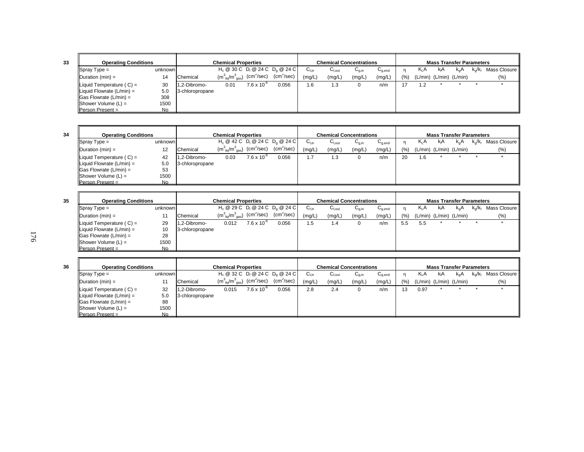| <b>Operating Conditions</b>           |                |                 | <b>Chemical Properties</b>            |                        |                                    |                  |        | <b>Chemical Concentrations</b>        |                                        |       |                               | <b>Mass Transfer Parameters</b> |               |                  |              |
|---------------------------------------|----------------|-----------------|---------------------------------------|------------------------|------------------------------------|------------------|--------|---------------------------------------|----------------------------------------|-------|-------------------------------|---------------------------------|---------------|------------------|--------------|
| $Spray Type =$                        | unknown        |                 |                                       |                        | $H_c @ 30 C D_1 @ 24 C D_0 @ 24 C$ | ∪ <sub>Lin</sub> | ∪l.out | $\mathsf{C}_{\mathsf{a}.\mathsf{in}}$ | $\mathsf{u}_{\mathsf{q},\mathsf{end}}$ |       | K <sub>L</sub> A              | kıA                             | $k_{\alpha}A$ | $k_{\alpha}/k_1$ | Mass Closure |
| $\Delta$ Duration (min) =             | 14             | Chemical        | $(m_{\text{lio}}^3/m_{\text{gas}}^3)$ | (cm <sup>2</sup> /sec) | $(cm^2/sec)$                       | (mg/L)           | (mg/L) | (mg/L)                                | (mg/L)                                 | (9/6) | $(L/min)$ $(L/min)$ $(L/min)$ |                                 |               |                  | $(\%)$       |
| Liquid Temperature $(C) =$            | 30             | 1.2-Dibromo-    | 0.01                                  | $7.6 \times 10^{-6}$   | 0.056                              | . 6              | 1.3    |                                       | n/m                                    |       | 1.2                           |                                 |               |                  |              |
| $\parallel$ Liquid Flowrate (L/min) = | 5.0            | 3-chloropropane |                                       |                        |                                    |                  |        |                                       |                                        |       |                               |                                 |               |                  |              |
| $\textsf{Gas}$ Flowrate (L/min) =     | 308            |                 |                                       |                        |                                    |                  |        |                                       |                                        |       |                               |                                 |               |                  |              |
| $ $ Shower Volume $(L)$ =             | 1500           |                 |                                       |                        |                                    |                  |        |                                       |                                        |       |                               |                                 |               |                  |              |
| Person Present $=$                    | N <sub>0</sub> |                 |                                       |                        |                                    |                  |        |                                       |                                        |       |                               |                                 |               |                  |              |

| <b>Operating Conditions</b>    |           |                 | <b>Chemical Properties</b>                                   |                      |                                    |                  |                   | <b>Chemical Concentrations</b> |                                        |     |        |                         | <b>Mass Transfer Parameters</b> |                         |              |
|--------------------------------|-----------|-----------------|--------------------------------------------------------------|----------------------|------------------------------------|------------------|-------------------|--------------------------------|----------------------------------------|-----|--------|-------------------------|---------------------------------|-------------------------|--------------|
| $Spray Type =$                 | unknown   |                 |                                                              |                      | $H_c @ 42 C D_1 @ 24 C D_2 @ 24 C$ | ∪ <sub>Lin</sub> | $U_{\text{Lout}}$ | $U_{q,in}$                     | $\mathsf{u}_{\mathsf{q},\mathsf{end}}$ |     | $K_1A$ | kıA                     | k.A                             | $k_{\alpha}/k_{\alpha}$ | Mass Closure |
| $\Delta$ Duration (min) =      |           | Chemical        | $(m_{\text{liq}}^3/m_{\text{gas}}^3)$ (cm <sup>2</sup> /sec) |                      | $(cm^2/sec)$                       | (mg/L)           | (mg/L)            | (mg/L)                         | (mg/L)                                 | (%) |        | (L/min) (L/min) (L/min) |                                 |                         | (%)          |
| Liquid Temperature $(C) =$     | 42        | 1.2-Dibromo-    | 0.03                                                         | $7.6 \times 10^{-7}$ | 0.056                              | . . 7            | 1.3               |                                | n/m                                    | 20  | 1.6    |                         |                                 |                         |              |
| Liquid Flowrate $(L/min) =$    | 5.0       | 3-chloropropane |                                                              |                      |                                    |                  |                   |                                |                                        |     |        |                         |                                 |                         |              |
| $\vert$ Gas Flowrate (L/min) = | 53        |                 |                                                              |                      |                                    |                  |                   |                                |                                        |     |        |                         |                                 |                         |              |
| $ $ Shower Volume $(L)$ =      | 1500      |                 |                                                              |                      |                                    |                  |                   |                                |                                        |     |        |                         |                                 |                         |              |
| <b>Person Present =</b>        | <b>No</b> |                 |                                                              |                      |                                    |                  |                   |                                |                                        |     |        |                         |                                 |                         |              |

| 35 | <b>Operating Conditions</b>           |                |                 | <b>Chemical Properties</b>                                   |                      |                                                                               |                  |                    | <b>Chemical Concentrations</b> |                                        |     |                  |     | <b>Mass Transfer Parameters</b> |                         |              |
|----|---------------------------------------|----------------|-----------------|--------------------------------------------------------------|----------------------|-------------------------------------------------------------------------------|------------------|--------------------|--------------------------------|----------------------------------------|-----|------------------|-----|---------------------------------|-------------------------|--------------|
|    | $\sqrt{\text{Spray Type}} =$          | unknown        |                 |                                                              |                      | $H_c \otimes 29C$ D <sub>1</sub> $\otimes$ 24 C D <sub>0</sub> $\otimes$ 24 C | $C_{\text{Lin}}$ | $C_{\text{l.out}}$ | $C_{q,in}$                     | $\mathsf{u}_{\mathsf{q},\mathsf{end}}$ |     | K <sub>I</sub> A | kıA | $k_{\alpha}A$                   | $k_{\alpha}/k_{\alpha}$ | Mass Closure |
|    | $\blacksquare$ Duration (min) =       |                | Chemical        | $(m_{\text{liq}}^3/m_{\text{gas}}^3)$ (cm <sup>2</sup> /sec) |                      | (cm <sup>2</sup> /sec)                                                        | (mg/L,           | (mg/L)             | (mg/L)                         | (mg/L)                                 | (%) |                  |     | $(L/min)$ $(L/min)$ $(L/min)$   |                         | (%)          |
|    | $\parallel$ Liquid Temperature (C) =  | 29             | 11.2-Dibromo-   | 0.012                                                        | $7.6 \times 10^{-6}$ | 0.056                                                                         | 1.5              | 1.4                |                                | n/m                                    | 5.5 | 5.5              |     |                                 |                         |              |
|    | $\parallel$ Liquid Flowrate (L/min) = | 10             | 3-chloropropane |                                                              |                      |                                                                               |                  |                    |                                |                                        |     |                  |     |                                 |                         |              |
|    | $\textsf{  Gas}$ Flowrate (L/min) =   | 28             |                 |                                                              |                      |                                                                               |                  |                    |                                |                                        |     |                  |     |                                 |                         |              |
|    | $ $ Shower Volume $(L)$ =             | 1500           |                 |                                                              |                      |                                                                               |                  |                    |                                |                                        |     |                  |     |                                 |                         |              |
|    | <b>Person Present =</b>               | N <sub>o</sub> |                 |                                                              |                      |                                                                               |                  |                    |                                |                                        |     |                  |     |                                 |                         |              |

| 36 | <b>Operating Conditions</b>           |           |                 | <b>Chemical Properties</b>                                                           |                      |                                    |           | Chemical Concentrations |            |                                        |     |                  |     | <b>Mass Transfer Parameters</b> |           |              |
|----|---------------------------------------|-----------|-----------------|--------------------------------------------------------------------------------------|----------------------|------------------------------------|-----------|-------------------------|------------|----------------------------------------|-----|------------------|-----|---------------------------------|-----------|--------------|
|    | $ $ Spray Type =                      | unknown   |                 |                                                                                      |                      | $H_c @ 32 C D_1 @ 24 C D_0 @ 24 C$ | $C_{Lin}$ | $C_{$ l.out             | $C_{q,in}$ | $\mathsf{U}_{\mathsf{a}.\mathsf{end}}$ |     | K <sub>I</sub> A | kıA | $k_0A$                          | $k_0/k_1$ | Mass Closure |
|    | $\blacksquare$ Duration (min) =       |           | Chemical        | $(m^3_{\phantom{a} \text{liq}}/m^3_{\phantom{a} \text{gas}})$ (cm <sup>2</sup> /sec) |                      | $(cm^2/sec)$                       | (mg/L)    | (mg/L,                  | (mg/L)     | (mg/L)                                 | (%) |                  |     | $(L/min)$ $(L/min)$ $(L/min)$   |           | (% )         |
|    | $\parallel$ Liquid Temperature (C) =  | 32        | 1.2-Dibromo-    | 0.015                                                                                | $7.6 \times 10^{-7}$ | 0.056                              | 2.8       | 2.4                     |            | n/m                                    | 13  | 0.97             |     |                                 |           |              |
|    | $\parallel$ Liquid Flowrate (L/min) = | 5.0       | 3-chloropropane |                                                                                      |                      |                                    |           |                         |            |                                        |     |                  |     |                                 |           |              |
|    | $\textsf{  Gas}$ Flowrate (L/min) =   | 88        |                 |                                                                                      |                      |                                    |           |                         |            |                                        |     |                  |     |                                 |           |              |
|    | $ $ Shower Volume $(L)$ =             | 1500      |                 |                                                                                      |                      |                                    |           |                         |            |                                        |     |                  |     |                                 |           |              |
|    | $Person Present =$                    | <b>No</b> |                 |                                                                                      |                      |                                    |           |                         |            |                                        |     |                  |     |                                 |           |              |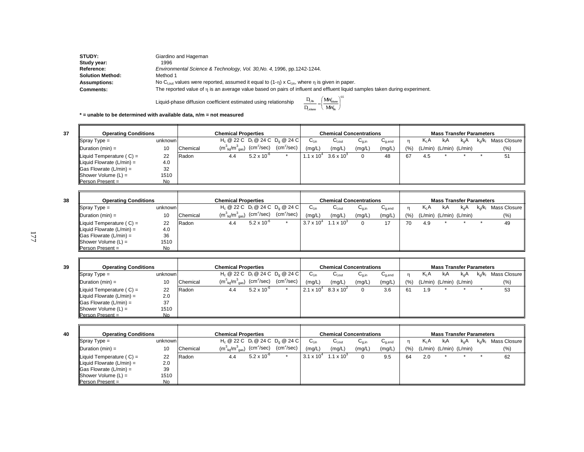| STUDY:                  | Giardino and Hageman                                                                                                       |
|-------------------------|----------------------------------------------------------------------------------------------------------------------------|
| Study year:             | 1996                                                                                                                       |
| <b>Reference:</b>       | Environmental Science & Technology, Vol. 30, No. 4, 1996, pp. 1242-1244.                                                   |
| <b>Solution Method:</b> | Method 1                                                                                                                   |
| <b>Assumptions:</b>     | No C <sub>lout</sub> values were reported, assumed it equal to $(1-\eta) \times C_{lin}$ , where $\eta$ is given in paper. |
| <b>Comments:</b>        | The reported value of n is an average value based on pairs of influent and effluent liquid samples taken during experiment |

Liquid-phase diffusion coefficient estimated using relationship

$$
\frac{D_{l,Rn}}{D_{l,\text{tolure}}}=\hspace{-1mm}\left(\frac{\text{MW}_{\text{colure}}}{\text{MW}_{kn}}\right)^{\hspace{-1mm}0.5}
$$

**\* = unable to be determined with available data, n/m = not measured**

| <b>Operating Conditions</b>    |         |              | <b>Chemical Properties</b>                                                                 |                      |              |                     | <b>Chemical Concentrations</b> |            |                                    |      |                               |     | <b>Mass Transfer Parameters</b> |           |              |
|--------------------------------|---------|--------------|--------------------------------------------------------------------------------------------|----------------------|--------------|---------------------|--------------------------------|------------|------------------------------------|------|-------------------------------|-----|---------------------------------|-----------|--------------|
| $\blacksquare$ Spray Type =    | unknown |              | $H_c @ 22 C D_1 @ 24 C D_0 @ 24 C$                                                         |                      |              | $C_{Lin}$           | $C_{\text{Lout}}$              | $U_{q,in}$ | $\mathtt{C}_{\text{\text{q},end}}$ |      | K <sub>I</sub> A              | kıA | k.A                             | $k_0/k_1$ | Mass Closure |
| Duration $(min) =$             | 10      | Chemical     | $(\textsf{m}^3_{\;\;\mathsf{liq}}/\textsf{m}^3_{\;\;\mathsf{gas}})$ (cm <sup>2</sup> /sec) |                      | $(cm^2/sec)$ | (mg/L)              | (mg/L)                         | (mg/L)     | (mg/L)                             | (% ) | $(L/min)$ $(L/min)$ $(L/min)$ |     |                                 |           | (% )         |
| Liquid Temperature ( $C$ ) =   | 22      | <b>Radon</b> | 4.4                                                                                        | $5.2 \times 10^{-6}$ |              | $1.1 \times 10^{4}$ | $3.6 \times 10^{3}$            | 0          | 48                                 | 67   | 4.5                           |     |                                 |           | 51           |
| Liquid Flowrate (L/min) =      | 4.0     |              |                                                                                            |                      |              |                     |                                |            |                                    |      |                               |     |                                 |           |              |
| $\vert$ Gas Flowrate (L/min) = | 32      |              |                                                                                            |                      |              |                     |                                |            |                                    |      |                               |     |                                 |           |              |
| $ $ Shower Volume $(L)$ =      | 1510    |              |                                                                                            |                      |              |                     |                                |            |                                    |      |                               |     |                                 |           |              |
| $Person Present =$             | No.     |              |                                                                                            |                      |              |                     |                                |            |                                    |      |                               |     |                                 |           |              |

| 38 | <b>Operating Conditions</b>         |           |          | <b>Chemical Properties</b>                                             |                      |              |                     | <b>Chemical Concentrations</b> |                                       |                                        |     |         | <b>Mass Transfer Parameters</b> |          |               |                 |
|----|-------------------------------------|-----------|----------|------------------------------------------------------------------------|----------------------|--------------|---------------------|--------------------------------|---------------------------------------|----------------------------------------|-----|---------|---------------------------------|----------|---------------|-----------------|
|    | $\blacksquare$ Spray Type =         | unknown   |          | $H_c @ 22 C D_1 @ 24 C D_0 @ 24 C$                                     |                      |              | ∪∟in                | $C_{I.out}$                    | $\mathsf{u}_{\mathsf{g},\mathsf{in}}$ | $\mathsf{u}_{\mathsf{g},\mathsf{end}}$ |     | $K_L A$ | KıA                             | $k_{n}A$ | $k_{0}/k_{1}$ | Mass Closure II |
|    | $ $ Duration (min) =                | 10        | Chemical | $(m^3_{\ \ \ \text{liq}}/m^3_{\ \ \text{gas}})$ (cm <sup>2</sup> /sec) |                      | $(cm^2/sec)$ | (mg/L)              | (mg/L)                         | (mg/L)                                | (mg/L)                                 | (9) | (L/min) | (L/min) (L/min)                 |          |               | $(\% )$         |
|    | Liquid Temperature $(C) =$          | 22        | Radon    | 4.4                                                                    | $5.2 \times 10^{-6}$ |              | $3.7 \times 10^{4}$ | $1.1 \times 10^{3}$            |                                       | 17                                     | 70  | 4.9     |                                 |          |               | 49              |
|    | Liquid Flowrate $(L/min) =$         | 4.0       |          |                                                                        |                      |              |                     |                                |                                       |                                        |     |         |                                 |          |               |                 |
|    | $\textsf{  Gas}$ Flowrate (L/min) = | 36        |          |                                                                        |                      |              |                     |                                |                                       |                                        |     |         |                                 |          |               |                 |
|    | $ $ Shower Volume $(L) =$           | 1510      |          |                                                                        |                      |              |                     |                                |                                       |                                        |     |         |                                 |          |               |                 |
|    | Person Present =                    | <b>No</b> |          |                                                                        |                      |              |                     |                                |                                       |                                        |     |         |                                 |          |               |                 |

| 39 | <b>Operating Conditions</b>                    |         |          | <b>Chemical Properties</b>                                                                 |                      |                                                                   |                     | <b>Chemical Concentrations</b> |            |             |     |         | <b>Mass Transfer Parameters</b> |               |                         |                 |
|----|------------------------------------------------|---------|----------|--------------------------------------------------------------------------------------------|----------------------|-------------------------------------------------------------------|---------------------|--------------------------------|------------|-------------|-----|---------|---------------------------------|---------------|-------------------------|-----------------|
|    | $\blacksquare$ Spray Type =                    | unknown |          |                                                                                            |                      | H <sub>c</sub> @ 22 C D <sub>i</sub> @ 24 C D <sub>c</sub> @ 24 C | ∪լ։ո                | $C_{\text{Lout}}$              | $U_{q,in}$ | $U_{g,end}$ |     | K, A    | ΚA                              | $k_{\alpha}A$ | $k_{\alpha}/k_{\alpha}$ | Mass Closure II |
|    | $\mathsf{Duration}\left(\mathsf{min}\right) =$ | 10      | Chemical | $(\textsf{m}^3_{\;\;\mathsf{liq}}/\textsf{m}^3_{\;\;\mathsf{gas}})$ (cm <sup>2</sup> /sec) |                      | (cm <sup>2</sup> /sec)                                            | (mg/L)              | (mg/L)                         | (mg/L)     | (mg/L)      | (%) | (L/min) | (L/min) (L/min)                 |               |                         | (%)             |
|    | Liquid Temperature $(C) =$                     | 22      | Radon    | 4.4                                                                                        | $5.2 \times 10^{-6}$ |                                                                   | $2.1 \times 10^{4}$ | $8.3 \times 10^{2}$            |            | 3.6         | 61  | 1.9     |                                 |               |                         | 53              |
|    | Liquid Flowrate (L/min) =                      | 2.0     |          |                                                                                            |                      |                                                                   |                     |                                |            |             |     |         |                                 |               |                         |                 |
|    | $\textsf{Gas}$ Flowrate (L/min) =              | 37      |          |                                                                                            |                      |                                                                   |                     |                                |            |             |     |         |                                 |               |                         |                 |
|    | $ $ Shower Volume $(L) =$                      | 1510    |          |                                                                                            |                      |                                                                   |                     |                                |            |             |     |         |                                 |               |                         |                 |
|    | Person Present =                               | No      |          |                                                                                            |                      |                                                                   |                     |                                |            |             |     |         |                                 |               |                         |                 |

**40**

| <b>Operating Conditions</b>           |         |               | <b>Chemical Properties</b>                                             |                      |              |                     | <b>Chemical Concentrations</b> |            |             |      |        | <b>Mass Transfer Parameters</b> |               |                         |              |
|---------------------------------------|---------|---------------|------------------------------------------------------------------------|----------------------|--------------|---------------------|--------------------------------|------------|-------------|------|--------|---------------------------------|---------------|-------------------------|--------------|
| $\blacksquare$ Spray Type =           | unknown |               | $H_c @ 22 C D_1 @ 24 C D_0 @ 24 C$                                     |                      |              | $C_{Lin}$           | $C_{\text{Lout}}$              | $U_{q,in}$ | $C_{q,end}$ |      | $K_1A$ | <b>K</b> <sub>I</sub> A         | $K_{\alpha}A$ | $k_{\alpha}/k_{\alpha}$ | Mass Closure |
| $\Delta$ Duration (min) =             | 10      | Chemical      | $(m^3_{\ \ \ \text{lig}}/m^3_{\ \ \text{gas}})$ (cm <sup>2</sup> /sec) |                      | $(cm^2/sec)$ | (mg/L)              | (mg/L)                         | (mg/L)     | (mg/L)      | (% ) |        | $(L/min)$ $(L/min)$ $(L/min)$   |               |                         | $(\% )$      |
| $\parallel$ Liquid Temperature (C) =  | 22      | <b>IRadon</b> | 4.4                                                                    | $5.2 \times 10^{-7}$ |              | $3.1 \times 10^{4}$ | 1.1 x $10^3$                   |            | 9.5         | 64   | 2.0    |                                 |               |                         | 62           |
| $\parallel$ Liquid Flowrate (L/min) = | 2.0     |               |                                                                        |                      |              |                     |                                |            |             |      |        |                                 |               |                         |              |
| $\parallel$ Gas Flowrate (L/min) =    | 39      |               |                                                                        |                      |              |                     |                                |            |             |      |        |                                 |               |                         |              |
| $ $ Shower Volume $(L)$ =             | 1510    |               |                                                                        |                      |              |                     |                                |            |             |      |        |                                 |               |                         |              |
| $Person Present =$                    | No.     |               |                                                                        |                      |              |                     |                                |            |             |      |        |                                 |               |                         |              |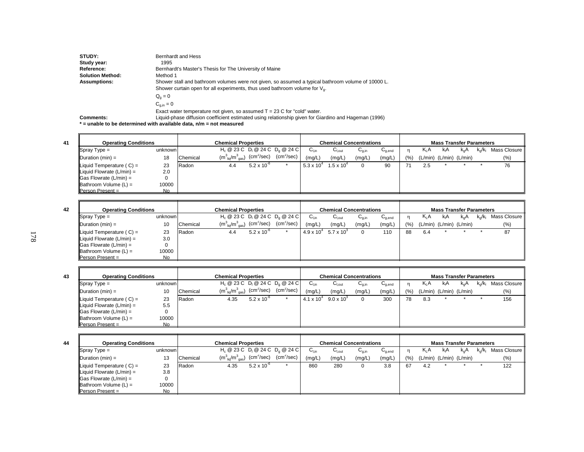| STUDY:                  | Bernhardt and Hess                                                                                    |
|-------------------------|-------------------------------------------------------------------------------------------------------|
| Study year:             | 1995                                                                                                  |
| <b>Reference:</b>       | Bernhardt's Master's Thesis for The University of Maine                                               |
| <b>Solution Method:</b> | Method 1                                                                                              |
| <b>Assumptions:</b>     | Shower stall and bathroom volumes were not given, so assumed a typical bathroom volume of 10000 L.    |
|                         | Shower curtain open for all experiments, thus used bathroom volume for $V_{0}$ .                      |
|                         | $Q_{\alpha} = 0$                                                                                      |
|                         | $C_{\text{min}} = 0$                                                                                  |
|                         | Exact water temperature not given, so assumed $T = 23$ C for "cold" water.                            |
| <b>Comments:</b>        | Liquid-phase diffusion coefficient estimated using relationship given for Giardino and Hageman (1996) |

**\* = unable to be determined with available data, n/m = not measured**

| <b>Operating Conditions</b>           |         |          | <b>Chemical Properties</b>                                     |                      |                                    |                     | <b>Chemical Concentrations</b> |            |             |     |                         | <b>Mass Transfer Parameters</b> |     |           |              |
|---------------------------------------|---------|----------|----------------------------------------------------------------|----------------------|------------------------------------|---------------------|--------------------------------|------------|-------------|-----|-------------------------|---------------------------------|-----|-----------|--------------|
| $\sqrt{\text{Spray Type}} =$          | unknown |          |                                                                |                      | $H_c @ 23 C D_1 @ 24 C D_0 @ 24 C$ | $C_{Lin}$           | $C_{\text{l,out}}$             | $C_{q,in}$ | $U_{q,end}$ | n   | $K_1A$                  | kıA                             | k.A | $k_0/k_1$ | Mass Closure |
| $\Delta$ Duration (min) =             | 18      | Chemical | $(m_{\text{~liq}}^3/m_{\text{~gas}}^3)$ (cm <sup>2</sup> /sec) |                      | $\text{(cm}^2\text{/sec)}$         | (mg/L)              | (mg/L)                         | (mg/L)     | (mg/L)      | (9) | (L/min) (L/min) (L/min) |                                 |     |           | (% )         |
| $\parallel$ Liquid Temperature (C) =  | 23      | Radon    | 4.4                                                            | $5.2 \times 10^{-6}$ |                                    | $5.3 \times 10^{4}$ | $1.5 \times 10^{4}$            |            | 90          |     | 2.5                     |                                 |     |           | 76           |
| $\parallel$ Liquid Flowrate (L/min) = | 2.0     |          |                                                                |                      |                                    |                     |                                |            |             |     |                         |                                 |     |           |              |
| $\vert$ Gas Flowrate (L/min) =        | 0       |          |                                                                |                      |                                    |                     |                                |            |             |     |                         |                                 |     |           |              |
| $\parallel$ Bathroom Volume (L) =     | 10000   |          |                                                                |                      |                                    |                     |                                |            |             |     |                         |                                 |     |           |              |
| $\blacksquare$ Person Present =       | No      |          |                                                                |                      |                                    |                     |                                |            |             |     |                         |                                 |     |           |              |

| 42 | <b>Operating Conditions</b>       |           |          | <b>Chemical Properties</b>            |                          |                        |                     | <b>Chemical Concentrations</b>    |            |                 |     |     | <b>Mass Transfer Parameters</b> |     |           |                |
|----|-----------------------------------|-----------|----------|---------------------------------------|--------------------------|------------------------|---------------------|-----------------------------------|------------|-----------------|-----|-----|---------------------------------|-----|-----------|----------------|
|    | $\blacksquare$ Spray Type =       | unknown   |          | $H_c @ 23 C D_1 @ 24 C D_2 @ 24 C$    |                          |                        | $C_{Lin}$           | $\mathtt{C_{\text{\tiny{Lout}}}}$ | $U_{q,in}$ | $\cup_{g, end}$ |     |     | K A                             | k.A | $k_a/k_b$ | Mass Closure I |
|    | Duration $(min) =$                | 10        | Chemical | $(m_{\text{liq}}^3/m_{\text{gas}}^3)$ | ) (cm <sup>2</sup> /sec) | (cm <sup>2</sup> /sec) | (mg/L)              | (mg/L)                            | (mg/L)     | (mg/L)          | (%) |     | $(L/min)$ $(L/min)$ $(L/min)$   |     |           | (% )           |
|    | Liquid Temperature $(C) =$        | 23        | Radon    | 4.4                                   | $5.2 \times 10^{-6}$     |                        | $4.9 \times 10^{4}$ | $5.7 \times 10^{3}$               |            | 110             | 88  | 6.4 |                                 |     |           | 87             |
|    | Liquid Flowrate $(L/min) =$       | 3.0       |          |                                       |                          |                        |                     |                                   |            |                 |     |     |                                 |     |           |                |
|    | $\textsf{Gas}$ Flowrate (L/min) = | 0         |          |                                       |                          |                        |                     |                                   |            |                 |     |     |                                 |     |           |                |
|    | $\parallel$ Bathroom Volume (L) = | 10000     |          |                                       |                          |                        |                     |                                   |            |                 |     |     |                                 |     |           |                |
|    | Person Present =                  | <b>No</b> |          |                                       |                          |                        |                     |                                   |            |                 |     |     |                                 |     |           |                |

| <b>Operating Conditions</b>           |         |          | <b>Chemical Properties</b>            |                            |                                    |                     | <b>Chemical Concentrations</b> |            |                                        |     |                  | <b>Mass Transfer Parameters</b> |               |                         |                |
|---------------------------------------|---------|----------|---------------------------------------|----------------------------|------------------------------------|---------------------|--------------------------------|------------|----------------------------------------|-----|------------------|---------------------------------|---------------|-------------------------|----------------|
| $ $ Spray Type =                      | unknown |          |                                       |                            | $H_c @ 23 C D_1 @ 24 C D_0 @ 24 C$ | ∪∟in                | $U_{\text{Lout}}$              | $U_{q,in}$ | $\mathsf{u}_{\mathsf{q},\mathsf{end}}$ |     | K <sub>I</sub> A | kA                              | $k_{\alpha}A$ | $k_{\alpha}/k_{\alpha}$ | Mass Closure I |
| $\Delta$ Duration (min) =             | 10      | Chemical | $(m_{\text{lio}}^3/m_{\text{gas}}^3)$ | $\text{(cm}^2\text{/sec)}$ | $(cm^2/sec)$                       | (mq/L)              | (mg/L)                         | (mg/L)     | (mg/L)                                 | (%) |                  | $(L/min)$ $(L/min)$ $(L/min)$   |               |                         | $(\% )$        |
| $\parallel$ Liquid Temperature (C) =  | 23      | Radon    | 4.35                                  | $5.2 \times 10^{-6}$       |                                    | $4.1 \times 10^{4}$ | $9.0 \times 10^{3}$            | 0          | 300                                    | 78  | 8.3              |                                 |               |                         | 156            |
| $\parallel$ Liquid Flowrate (L/min) = | 5.5     |          |                                       |                            |                                    |                     |                                |            |                                        |     |                  |                                 |               |                         |                |
| $\parallel$ Gas Flowrate (L/min) =    |         |          |                                       |                            |                                    |                     |                                |            |                                        |     |                  |                                 |               |                         |                |
| $\parallel$ Bathroom Volume (L) =     | 10000   |          |                                       |                            |                                    |                     |                                |            |                                        |     |                  |                                 |               |                         |                |
| $Person Present =$                    | No.     |          |                                       |                            |                                    |                     |                                |            |                                        |     |                  |                                 |               |                         |                |

| 44 | <b>Operating Conditions</b> |           |          | <b>Chemical Properties</b>                                                                                                             |                      |                                                          |           |                   | <b>Chemical Concentrations</b> |                                        |       |        | <b>Mass Transfer Parameters</b> |     |           |              |
|----|-----------------------------|-----------|----------|----------------------------------------------------------------------------------------------------------------------------------------|----------------------|----------------------------------------------------------|-----------|-------------------|--------------------------------|----------------------------------------|-------|--------|---------------------------------|-----|-----------|--------------|
|    | $\blacksquare$ Spray Type = | unknown   |          |                                                                                                                                        |                      | $H_c$ @ 23 C D <sub>1</sub> @ 24 C D <sub>0</sub> @ 24 C | $C_{Lin}$ | $C_{\text{Lout}}$ | $U_{0,in}$                     | $\mathsf{u}_{\mathsf{q},\mathsf{end}}$ |       | $K_1A$ | kA                              | k.A | $k_0/k_1$ | Mass Closure |
|    | Duration (min) =            | 13        | Chemical | $(\mathsf{m}_{\mathsf{\stackrel{?}{\mathsf{liq}}}}/\mathsf{m}_{\mathsf{\stackrel{?}{\mathsf{gas}}}}^3)$ $(\mathsf{cm}^2/\mathsf{sec})$ |                      | (cm <sup>2</sup> /sec)                                   | (mg/L)    | (mg/L)            | (mg/L)                         | (mg/L,                                 | (9/6) |        | $(L/min)$ $(L/min)$ $(L/min)$   |     |           | (%)          |
|    | Liquid Temperature $(C) =$  | 23        | Radon    | 4.35                                                                                                                                   | $5.2 \times 10^{-6}$ |                                                          | 860       | 280               | 0                              | 3.8                                    | 67    | 4.2    |                                 |     |           | 122          |
|    | Liquid Flowrate $(L/min) =$ | 3.8       |          |                                                                                                                                        |                      |                                                          |           |                   |                                |                                        |       |        |                                 |     |           |              |
|    | Gas Flowrate $(L/min) =$    | 0         |          |                                                                                                                                        |                      |                                                          |           |                   |                                |                                        |       |        |                                 |     |           |              |
|    | Bathroom Volume (L) =       | 10000     |          |                                                                                                                                        |                      |                                                          |           |                   |                                |                                        |       |        |                                 |     |           |              |
|    | Person Present =            | <b>No</b> |          |                                                                                                                                        |                      |                                                          |           |                   |                                |                                        |       |        |                                 |     |           |              |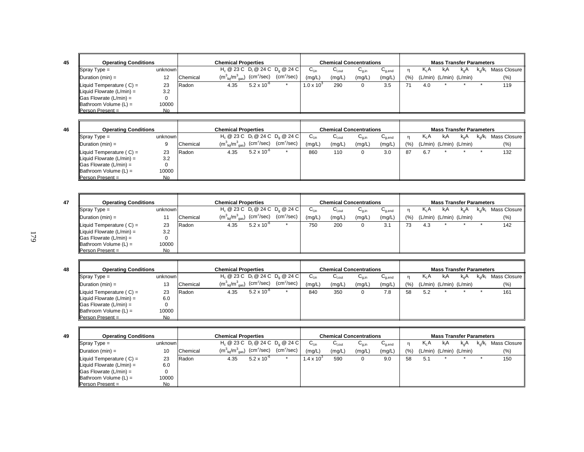| <b>Operating Conditions</b>        |           |               | <b>Chemical Properties</b>            |                        |                                    |                     |                   | <b>Chemical Concentrations</b> |                                        |     |                               | <b>Mass Transfer Parameters</b> |               |               |                |
|------------------------------------|-----------|---------------|---------------------------------------|------------------------|------------------------------------|---------------------|-------------------|--------------------------------|----------------------------------------|-----|-------------------------------|---------------------------------|---------------|---------------|----------------|
| $\sqrt{\text{Spray Type}} =$       | unknown   |               |                                       |                        | $H_c @ 23 C D_1 @ 24 C D_2 @ 24 C$ | $G_{\text{Lin}}$    | $U_{\text{Lout}}$ | $U_{q,in}$                     | $\mathsf{u}_{\mathsf{q},\mathsf{end}}$ |     | K <sub>L</sub> A              | kıA                             | $k_{\alpha}A$ | $k_{0}/k_{1}$ | Mass Closure I |
| $\Delta$ Duration (min) =          |           | Chemical      | $(m_{\text{liq}}^3/m_{\text{gas}}^3)$ | (cm <sup>2</sup> /sec) | (cm <sup>2</sup> /sec)             | (mg/L)              | (mg/L)            | (mg/L)                         | (mg/L)                                 | (%) | $(L/min)$ $(L/min)$ $(L/min)$ |                                 |               |               | (%)            |
| Liquid Temperature $(C) =$         | 23        | <b>IRadon</b> | 4.35                                  | $5.2 \times 10^{-6}$   |                                    | $1.0 \times 10^{3}$ | 290               |                                | 3.5                                    |     | 4.0                           |                                 |               |               | 119            |
| Liquid Flowrate $(L/min) =$        | 3.2       |               |                                       |                        |                                    |                     |                   |                                |                                        |     |                               |                                 |               |               |                |
| $\parallel$ Gas Flowrate (L/min) = | 0         |               |                                       |                        |                                    |                     |                   |                                |                                        |     |                               |                                 |               |               |                |
| $\parallel$ Bathroom Volume (L) =  | 10000     |               |                                       |                        |                                    |                     |                   |                                |                                        |     |                               |                                 |               |               |                |
| <b>Person Present =</b>            | <b>No</b> |               |                                       |                        |                                    |                     |                   |                                |                                        |     |                               |                                 |               |               |                |

**47**

| <b>Operating Conditions</b>           |         |              | <b>Chemical Properties</b>                                     |                      |                                    |                    |             | <b>Chemical Concentrations</b> |                                    |     |                  | <b>Mass Transfer Parameters</b> |     |                        |              |
|---------------------------------------|---------|--------------|----------------------------------------------------------------|----------------------|------------------------------------|--------------------|-------------|--------------------------------|------------------------------------|-----|------------------|---------------------------------|-----|------------------------|--------------|
| $\blacksquare$ Spray Type =           | unknown |              |                                                                |                      | $H_c @ 23 C D_1 @ 24 C D_0 @ 24 C$ | $C_{\mathsf{Lin}}$ | $C_{I,out}$ | $C_{q,in}$                     | $\mathtt{C}_{\text{\text{q},end}}$ |     | K <sub>I</sub> A | kıA                             | k.A | $k_{\alpha}/k_{\beta}$ | Mass Closure |
| $\Delta$ Duration (min) =             |         | Chemical     | $(m_{\text{~liq}}^3/m_{\text{~gas}}^3)$ (cm <sup>2</sup> /sec) |                      | $(cm^2/sec)$                       | (mg/L)             | (mg/L)      | (mg/L)                         | (mg/L)                             | (%) |                  | $(L/min)$ $(L/min)$ $(L/min)$   |     |                        | $(\%)$       |
| Liquid Temperature $(C) =$            | 23      | <b>Radon</b> | 4.35                                                           | $5.2 \times 10^{-6}$ |                                    | 860                | 110         |                                | 3.0                                | 87  | 6.7              |                                 |     |                        | 132          |
| $\parallel$ Liquid Flowrate (L/min) = | 3.2     |              |                                                                |                      |                                    |                    |             |                                |                                    |     |                  |                                 |     |                        |              |
| $\parallel$ Gas Flowrate (L/min) =    |         |              |                                                                |                      |                                    |                    |             |                                |                                    |     |                  |                                 |     |                        |              |
| $\parallel$ Bathroom Volume (L) =     | 10000   |              |                                                                |                      |                                    |                    |             |                                |                                    |     |                  |                                 |     |                        |              |
| $Person Present =$                    | No.     |              |                                                                |                      |                                    |                    |             |                                |                                    |     |                  |                                 |     |                        |              |

| <b>Operating Conditions</b>       |         | <b>Chemical Properties</b> |      |                                                                                      |  |           |            | <b>Chemical Concentrations</b> |             |           |                         | <b>Mass Transfer Parameters</b> |               |                                               |
|-----------------------------------|---------|----------------------------|------|--------------------------------------------------------------------------------------|--|-----------|------------|--------------------------------|-------------|-----------|-------------------------|---------------------------------|---------------|-----------------------------------------------|
| $\blacksquare$ Spray Type =       | unknown |                            |      | $H_c @ 23 C D_1 @ 24 C D_0 @ 24 C$                                                   |  | $C_{Lin}$ | $C_{Lout}$ | ∪ <sub>g,in</sub>              | $C_{q,end}$ |           | $K_1A$                  | kıA                             | $k_{\alpha}A$ | k <sub>o</sub> /k <sub>i</sub> Mass Closure I |
| $\Delta$ Duration (min) =         |         | Chemical                   |      | $(m^3)_{\text{liq}}/m^3_{\text{ gas}}$ (cm <sup>2</sup> /sec) (cm <sup>2</sup> /sec) |  | (mg/L)    | (mg/L)     | (mg/L)                         | (mg/L)      | $(%^{1})$ | (L/min) (L/min) (L/min) |                                 |               | $(\%)$                                        |
| Liquid Temperature $(C) =$        | 23      | Radon                      | 4.35 | $5.2 \times 10^{-6}$                                                                 |  | 750       | 200        |                                | 3.1         | 73        | 4.3                     |                                 |               | 142                                           |
| Liquid Flowrate $(L/min) =$       | 3.2     |                            |      |                                                                                      |  |           |            |                                |             |           |                         |                                 |               |                                               |
| $\vert$ Gas Flowrate (L/min) =    |         |                            |      |                                                                                      |  |           |            |                                |             |           |                         |                                 |               |                                               |
| $\parallel$ Bathroom Volume (L) = | 10000   |                            |      |                                                                                      |  |           |            |                                |             |           |                         |                                 |               |                                               |
| <b>Person Present =</b>           | No      |                            |      |                                                                                      |  |           |            |                                |             |           |                         |                                 |               |                                               |

| 48 | <b>Operating Conditions</b>                     |         |          | <b>Chemical Properties</b><br>$H_c @ 23 C D_1 @ 24 C D_2 @ 24 C$ |                        |              |        |                           | <b>Chemical Concentrations</b> |                                        |                |         | <b>Mass Transfer Parameters</b> |               |                         |                 |
|----|-------------------------------------------------|---------|----------|------------------------------------------------------------------|------------------------|--------------|--------|---------------------------|--------------------------------|----------------------------------------|----------------|---------|---------------------------------|---------------|-------------------------|-----------------|
|    | $\blacksquare$ Spray Type =                     | unknown |          |                                                                  |                        |              | ∪լ։ո   | $C_{\text{\tiny{I,out}}}$ | $U_{q,in}$                     | $\mathsf{u}_{\mathsf{g},\mathsf{end}}$ |                | K.A     | KΑ                              | $k_{\alpha}A$ | $k_{\alpha}/k_{\alpha}$ | Mass Closure II |
|    | $\mathsf{IDuration}\left(\mathsf{min}\right) =$ | 13      | Chemical | $(m_{\text{liq}}^3/m_{\text{gas}}^3)$                            | (cm <sup>2</sup> /sec) | $(cm^2/sec)$ | (mg/L) | (mg/L)                    | (mg/L)                         | (mg/L)                                 | $\frac{10}{6}$ | (L/min) | (L/min) (L/min)                 |               |                         | $(\% )$         |
|    | Liquid Temperature (C) =                        | 23      | Radon    | 4.35                                                             | $5.2 \times 10^{-7}$   |              | 840    | 350                       |                                | 7.8                                    | 58             | 5.2     |                                 |               |                         | 161             |
|    | Liquid Flowrate $(L/min) =$                     | 6.0     |          |                                                                  |                        |              |        |                           |                                |                                        |                |         |                                 |               |                         |                 |
|    | <b>IGas Flowrate (L/min) =</b>                  |         |          |                                                                  |                        |              |        |                           |                                |                                        |                |         |                                 |               |                         |                 |
|    | $\parallel$ Bathroom Volume (L) =               | 10000   |          |                                                                  |                        |              |        |                           |                                |                                        |                |         |                                 |               |                         |                 |
|    | Person Present =                                | No      |          |                                                                  |                        |              |        |                           |                                |                                        |                |         |                                 |               |                         |                 |

|                                       | <b>Chemical Properties</b><br><b>Operating Conditions</b><br>$H_c @ 23 C D_1 @ 24 C D_0 @ 24 C$ |          |                                                                                                                                 |                      |              |                     | <b>Chemical Concentrations</b> |                                       |                                        |       | <b>Mass Transfer Parameters</b> |                               |               |                         |              |
|---------------------------------------|-------------------------------------------------------------------------------------------------|----------|---------------------------------------------------------------------------------------------------------------------------------|----------------------|--------------|---------------------|--------------------------------|---------------------------------------|----------------------------------------|-------|---------------------------------|-------------------------------|---------------|-------------------------|--------------|
| $\blacksquare$ Spray Type =           | unknown                                                                                         |          |                                                                                                                                 |                      |              | ∪ւտ                 | ∪l,out                         | $\mathsf{u}_{\mathsf{g},\mathsf{in}}$ | $\mathsf{u}_{\mathsf{q},\mathsf{end}}$ |       | $K_1A$                          | kA                            | $k_{\alpha}A$ | $k_{\alpha}/k_{\alpha}$ | Mass Closure |
| $\blacksquare$ Duration (min) =       | 10                                                                                              | Chemical | $(\mathsf{m}_{\mathsf{\stackrel{?}{\mathsf{liq}}}}^3/\mathsf{m}_{\mathsf{\stackrel{?}{\mathsf{qas}}}}^3)$ (cm $^2/\text{sec}$ ) |                      | $(cm^2/sec)$ | (mg/L)              | (mg/L)                         | (mg/L)                                | (mg/L)                                 | (9/6) |                                 | $(L/min)$ $(L/min)$ $(L/min)$ |               |                         | (%)          |
| Liquid Temperature $(C) =$            | 23                                                                                              | Radon    | 4.35                                                                                                                            | $5.2 \times 10^{-7}$ |              | $1.4 \times 10^{3}$ | 590                            |                                       | 9.0                                    | 58    | 5.1                             |                               |               |                         | 150          |
| $\parallel$ Liquid Flowrate (L/min) = | 6.0                                                                                             |          |                                                                                                                                 |                      |              |                     |                                |                                       |                                        |       |                                 |                               |               |                         |              |
| $\vert$ Gas Flowrate (L/min) =        |                                                                                                 |          |                                                                                                                                 |                      |              |                     |                                |                                       |                                        |       |                                 |                               |               |                         |              |
| $\parallel$ Bathroom Volume (L) =     | 10000                                                                                           |          |                                                                                                                                 |                      |              |                     |                                |                                       |                                        |       |                                 |                               |               |                         |              |
| $\blacksquare$ Person Present =       | No.                                                                                             |          |                                                                                                                                 |                      |              |                     |                                |                                       |                                        |       |                                 |                               |               |                         |              |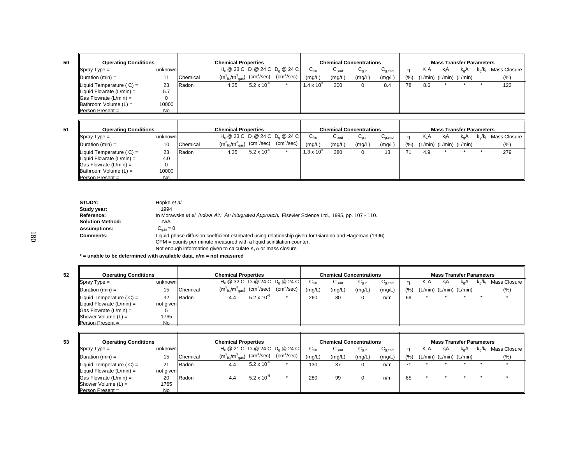| ٦<br>×<br>۰, | ×<br>٠ |
|--------------|--------|

| <b>Operating Conditions</b>           |         |          | <b>Chemical Properties</b>            |                            |                                    |                     |        | <b>Chemical Concentrations</b> |             |      |                  | <b>Mass Transfer Parameters</b> |               |           |                 |
|---------------------------------------|---------|----------|---------------------------------------|----------------------------|------------------------------------|---------------------|--------|--------------------------------|-------------|------|------------------|---------------------------------|---------------|-----------|-----------------|
| $\sqrt{\text{Spray Type}} =$          | unknown |          |                                       |                            | $H_c @ 23 C D_1 @ 24 C D_0 @ 24 C$ | $C_{Lin}$           | ∪l.out | $U_{0,in}$                     | $U_{q,end}$ |      | K <sub>L</sub> A | kıA                             | $k_{\alpha}A$ | $k_0/k_1$ | Mass Closure II |
| Duration $(min) =$                    |         | Chemical | $(m_{\text{liq}}^3/m_{\text{gas}}^3)$ | $\text{(cm}^2\text{/sec)}$ | (cm <sup>2</sup> /sec)             | (mg/L)              | (mg/L) | (mg/L)                         | (mg/L)      | (% ) |                  | (L/min) (L/min) (L/min)         |               |           | (%)             |
| Liquid Temperature $(C) =$            | 23      | Radon    | 4.35                                  | $5.2 \times 10^{-6}$       |                                    | $1.4 \times 10^{3}$ | 300    |                                | 8.4         | 78   | 8.6              |                                 |               |           | 122             |
| $\parallel$ Liquid Flowrate (L/min) = | 5.7     |          |                                       |                            |                                    |                     |        |                                |             |      |                  |                                 |               |           |                 |
| $\vert$ Gas Flowrate (L/min) =        |         |          |                                       |                            |                                    |                     |        |                                |             |      |                  |                                 |               |           |                 |
| $\parallel$ Bathroom Volume (L) =     | 10000   |          |                                       |                            |                                    |                     |        |                                |             |      |                  |                                 |               |           |                 |
| $Person Present =$                    | No.     |          |                                       |                            |                                    |                     |        |                                |             |      |                  |                                 |               |           |                 |

|                                       | <b>Chemical Properties</b><br><b>Operating Conditions</b> |          |                                                        |                      |                                    |                           |                     | <b>Chemical Concentrations</b> |                                        |     |        | <b>Mass Transfer Parameters</b> |     |                         |              |
|---------------------------------------|-----------------------------------------------------------|----------|--------------------------------------------------------|----------------------|------------------------------------|---------------------------|---------------------|--------------------------------|----------------------------------------|-----|--------|---------------------------------|-----|-------------------------|--------------|
| $\blacksquare$ Spray Type =           | unknown                                                   |          |                                                        |                      | $H_c @ 23 C D_1 @ 24 C D_2 @ 24 C$ | $\mathsf{C}_\mathsf{Lin}$ | ان) <sub>،out</sub> | $U_{q,in}$                     | $\mathsf{u}_{\mathsf{q},\mathsf{end}}$ | n   | $K_1A$ | kıA                             | k.A | $k_{\alpha}/k_{\alpha}$ | Mass Closure |
| $\Delta$ Duration (min) =             | 10                                                        | Chemical | $\rm (m_{\ \, liq}^3/m_{\ \, gas}^3)$ $\rm (cm^2/sec)$ |                      | $(cm^2/sec)$                       | (mg/L)                    | (mg/L)              | (mg/L)                         | (mg/L)                                 | (%) |        | (L/min) (L/min) (L/min)         |     |                         | $(\%)$       |
| $\parallel$ Liquid Temperature (C) =  | 23                                                        | Radon    | 4.35                                                   | $5.2 \times 10^{-6}$ |                                    | $.3 \times 10^{3}$        | 380                 | 0                              | 13                                     |     | 4.9    |                                 |     |                         | 279          |
| $\parallel$ Liquid Flowrate (L/min) = | 4.0                                                       |          |                                                        |                      |                                    |                           |                     |                                |                                        |     |        |                                 |     |                         |              |
| $\vert$ Gas Flowrate (L/min) =        |                                                           |          |                                                        |                      |                                    |                           |                     |                                |                                        |     |        |                                 |     |                         |              |
| $\blacksquare$ Bathroom Volume (L) =  | 10000                                                     |          |                                                        |                      |                                    |                           |                     |                                |                                        |     |        |                                 |     |                         |              |
| $Person Present =$                    | No.                                                       |          |                                                        |                      |                                    |                           |                     |                                |                                        |     |        |                                 |     |                         |              |

| STUDY:                  | Hopke et al.                                                                                          |
|-------------------------|-------------------------------------------------------------------------------------------------------|
| Study year:             | 1994                                                                                                  |
| Reference:              | In Morawska et al. Indoor Air: An Integrated Approach, Elsevier Science Ltd., 1995, pp. 107 - 110.    |
| <b>Solution Method:</b> | N/A                                                                                                   |
| <b>Assumptions:</b>     | $C_{\alpha,in} = 0$                                                                                   |
| <b>Comments:</b>        | Liquid-phase diffusion coefficient estimated using relationship given for Giardino and Hageman (1996) |
|                         | CPM = counts per minute measured with a liquid scintilation counter.                                  |
|                         | Not enough information given to calculate K <sub>i</sub> A or mass closure.                           |
|                         |                                                                                                       |

**\* = unable to be determined with available data, n/m = not measured**

| 52 | <b>Operating Conditions</b>           |                |          | <b>Chemical Properties</b><br>$H_c @ 32 C D_1 @ 24 C D_0 @ 24 C$       |                      |              |           |             | <b>Chemical Concentrations</b> |             |     |                  |     | <b>Mass Transfer Parameters</b> |           |              |
|----|---------------------------------------|----------------|----------|------------------------------------------------------------------------|----------------------|--------------|-----------|-------------|--------------------------------|-------------|-----|------------------|-----|---------------------------------|-----------|--------------|
|    | $\blacksquare$ Spray Type =           | unknown        |          |                                                                        |                      |              | $C_{Lin}$ | $C_{I.out}$ | $C_{q,in}$                     | $U_{q,end}$ |     | K <sub>I</sub> A | kıA | k.A                             | $k_0/k_1$ | Mass Closure |
|    | $\Delta$ Duration (min) =             | 15             | Chemical | $(m^3_{\ \ \ \text{lig}}/m^3_{\ \ \text{gas}})$ (cm <sup>2</sup> /sec) |                      | $(cm^2/sec)$ | (mg/L)    | (mg/L)      | (mg/L)                         | (mg/L)      | (%) |                  |     | $(L/min)$ $(L/min)$ $(L/min)$   |           | (%)          |
|    | $\parallel$ Liquid Temperature (C) =  | 32             | Radon    | 4.4                                                                    | $5.2 \times 10^{-6}$ |              | 260       | 80          | 0                              | n/m         | 69  |                  |     |                                 |           |              |
|    | $\parallel$ Liquid Flowrate (L/min) = | not given      |          |                                                                        |                      |              |           |             |                                |             |     |                  |     |                                 |           |              |
|    | $\textsf{Gas}$ Flowrate (L/min) =     |                |          |                                                                        |                      |              |           |             |                                |             |     |                  |     |                                 |           |              |
|    | $ $ Shower Volume $(L)$ =             | 1765           |          |                                                                        |                      |              |           |             |                                |             |     |                  |     |                                 |           |              |
|    | $Person Present =$                    | N <sub>o</sub> |          |                                                                        |                      |              |           |             |                                |             |     |                  |     |                                 |           |              |

| <b>Operating Conditions</b> |           |               | Chemical Properties                   |                        |                                              |        | <b>Chemical Concentrations</b> |        |                                        |                 |         | <b>Mass Transfer Parameters</b> |                  |      |              |
|-----------------------------|-----------|---------------|---------------------------------------|------------------------|----------------------------------------------|--------|--------------------------------|--------|----------------------------------------|-----------------|---------|---------------------------------|------------------|------|--------------|
| Spray Type $=$              | unknown   |               |                                       |                        | $H_c \ @ 21 C \ D_1 \ @ 24 C \ D_2 \ @ 24 C$ | ∪եո    | ∪l.out                         | ∪a.ir  | $\mathsf{u}_{\mathsf{a}.\mathsf{end}}$ |                 | K A     | kıA                             | K <sub>o</sub> A | k./k | Mass Closure |
| Duration (min) =            | 15        | Chemical      | $(m_{\text{lio}}^3/m_{\text{gas}}^3)$ | (cm <sup>2</sup> /sec) | $(cm^2/sec)$                                 | (mg/L) | (mg/L)                         | (mg/L) | (mq/L)                                 | $(%^{0})^{(0)}$ | (L/min) | $(L/min)$ $(L/min)$             |                  |      | (% )         |
| Liquid Temperature $(C) =$  | 21        | <b>IRadon</b> | 4.4                                   | $5.2 \times 10^{-6}$   |                                              | 130    | 37                             |        | n/m                                    |                 |         |                                 |                  |      |              |
| Liquid Flowrate $(L/min) =$ | not given |               |                                       |                        |                                              |        |                                |        |                                        |                 |         |                                 |                  |      |              |
| Gas Flowrate (L/min) =      | 20        | <b>Radon</b>  |                                       | $5.2 \times 10^{-7}$   |                                              | 280    | 99                             |        | n/m                                    | 65              |         |                                 |                  |      |              |

No

Shower Volume (L) = 1765

Person Present =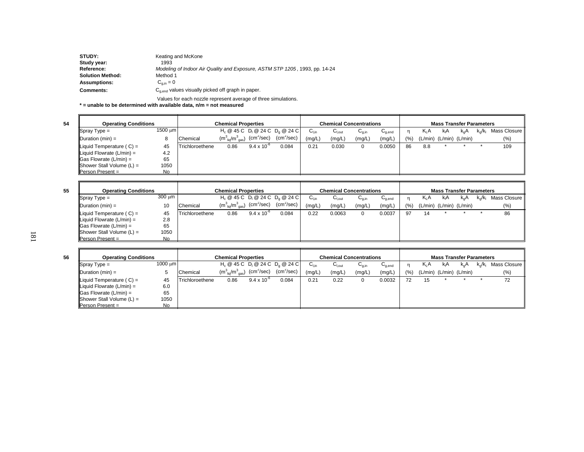| STUDY:                  | Keating and McKone                                                          |
|-------------------------|-----------------------------------------------------------------------------|
| Study year:             | 1993                                                                        |
| Reference:              | Modeling of Indoor Air Quality and Exposure, ASTM STP 1205, 1993, pp. 14-24 |
| <b>Solution Method:</b> | Method 1                                                                    |
| <b>Assumptions:</b>     | $C_{\alpha \text{in}} = 0$                                                  |
| <b>Comments:</b>        | $C_{\alpha, end}$ values visually picked off graph in paper.                |

Values for each nozzle represent average of three simulations.

**\* = unable to be determined with available data, n/m = not measured**

**54**

F

 $\overline{a}$ 

**55**

**56**

|                                       | <b>Operating Conditions</b><br><b>Chemical Properties</b><br>$H_c \ @ 45 C \ D_1 \ @ 24 C \ D_2 \ @ 24 C$ |                 |                                                                                                          |                      |              | <b>Chemical Concentrations</b> |                   |            |             |      | <b>Mass Transfer Parameters</b> |                               |          |           |                |
|---------------------------------------|-----------------------------------------------------------------------------------------------------------|-----------------|----------------------------------------------------------------------------------------------------------|----------------------|--------------|--------------------------------|-------------------|------------|-------------|------|---------------------------------|-------------------------------|----------|-----------|----------------|
| $\blacksquare$ Spray Type =           | 1500 um                                                                                                   |                 |                                                                                                          |                      |              | $C_{Lin}$                      | $G_{\text{Lout}}$ | $G_{q,in}$ | $G_{q,end}$ |      | $K_1A$                          | kıA                           | $k_{n}A$ | $k_0/k_1$ | Mass Closure I |
| $\blacksquare$ Duration (min) =       |                                                                                                           | Chemical        | $(\textsf{m}^{3}_{\ \ \textsf{liq}}/\textsf{m}^{3}_{\ \ \textsf{gas}})$ $(\textsf{cm}^{2}/\textsf{sec})$ |                      | $(cm^2/sec)$ | (mg/L)                         | (mg/L)            | (mg/L)     | (mg/L)      | (% ) |                                 | $(L/min)$ $(L/min)$ $(L/min)$ |          |           | $(\%)$         |
| $\parallel$ Liquid Temperature (C) =  | 45                                                                                                        | Trichloroethene | 0.86                                                                                                     | $9.4 \times 10^{-6}$ | 0.084        | 0.21                           | 0.030             | 0          | 0.0050      | 86   | 8.8                             |                               |          |           | 109            |
| $\parallel$ Liquid Flowrate (L/min) = | 4.2                                                                                                       |                 |                                                                                                          |                      |              |                                |                   |            |             |      |                                 |                               |          |           |                |
| $\vert$ Gas Flowrate (L/min) =        | 65                                                                                                        |                 |                                                                                                          |                      |              |                                |                   |            |             |      |                                 |                               |          |           |                |
| $ $ Shower Stall Volume $(L)$ =       | 1050                                                                                                      |                 |                                                                                                          |                      |              |                                |                   |            |             |      |                                 |                               |          |           |                |
| $Person Present =$                    | No.                                                                                                       |                 |                                                                                                          |                      |              |                                |                   |            |             |      |                                 |                               |          |           |                |

| <b>Operating Conditions</b>           |        |                 | <b>Chemical Properties</b>                                   |                      |                                              |                    | <b>Chemical Concentrations</b> |            |                                        |      |                  | <b>Mass Transfer Parameters</b> |               |           |                |
|---------------------------------------|--------|-----------------|--------------------------------------------------------------|----------------------|----------------------------------------------|--------------------|--------------------------------|------------|----------------------------------------|------|------------------|---------------------------------|---------------|-----------|----------------|
| $\sqrt{\text{Spray Type}} =$          | 300 um |                 |                                                              |                      | $H_c \ @ 45 C \ D_1 \ @ 24 C \ D_2 \ @ 24 C$ | $C_{\mathsf{Lin}}$ | $U_{\text{Lout}}$              | $U_{q,in}$ | $\mathsf{u}_{\mathsf{q},\mathsf{end}}$ |      | K <sub>I</sub> A | kA                              | $k_{\alpha}A$ | $k_0/k_1$ | Mass Closure I |
| $\Delta$ Duration (min) =             | 10     | Chemical        | $(m_{\text{liq}}^3/m_{\text{gas}}^3)$ (cm <sup>2</sup> /sec) |                      | $(cm^2/sec)$                                 | (mg/L)             | (mg/L)                         | (mg/L)     | (mg/L)                                 | (% ) |                  | (L/min) (L/min) (L/min)         |               |           | (%)            |
| $\parallel$ Liquid Temperature (C) =  | 45     | Trichloroethene | 0.86                                                         | $9.4 \times 10^{-6}$ | 0.084                                        | 0.22               | 0.0063                         | 0          | 0.0037                                 | -97  | 14               |                                 |               |           | 86             |
| $\parallel$ Liquid Flowrate (L/min) = | 2.8    |                 |                                                              |                      |                                              |                    |                                |            |                                        |      |                  |                                 |               |           |                |
| $\parallel$ Gas Flowrate (L/min) =    | 65     |                 |                                                              |                      |                                              |                    |                                |            |                                        |      |                  |                                 |               |           |                |
| Shower Stall Volume $(L)$ =           | 1050   |                 |                                                              |                      |                                              |                    |                                |            |                                        |      |                  |                                 |               |           |                |
| $\blacksquare$ Person Present =       | No.    |                 |                                                              |                      |                                              |                    |                                |            |                                        |      |                  |                                 |               |           |                |

| <b>Operating Conditions</b>           |              |                 | <b>Chemical Properties</b>                                                                 |                      |                                              |           | <b>Chemical Concentrations</b> |                   |             |      |                  | <b>Mass Transfer Parameters</b> |     |                         |              |
|---------------------------------------|--------------|-----------------|--------------------------------------------------------------------------------------------|----------------------|----------------------------------------------|-----------|--------------------------------|-------------------|-------------|------|------------------|---------------------------------|-----|-------------------------|--------------|
| $\sqrt{\text{Spray Type}} =$          | 1000 $\mu$ m |                 |                                                                                            |                      | $H_c \ @ 45 C \ D_1 \ @ 24 C \ D_2 \ @ 24 C$ | $C_{Lin}$ | $C_{Lout}$                     | ∪ <sub>g,in</sub> | $C_{q,end}$ |      | K <sub>I</sub> A | kıA                             | k.A | $k_{\alpha}/k_{\alpha}$ | Mass Closure |
| $\blacksquare$ Duration (min) =       |              | Chemical        | $(\textsf{m}^3_{\;\;\textsf{liq}}/\textsf{m}^3_{\;\;\textsf{gas}})$ (cm <sup>2</sup> /sec) |                      | $(cm^2/sec)$                                 | (mg/L)    | (mg/L)                         | (mg/L)            | (mg/L)      | (% ) |                  | (L/min) (L/min) (L/min)         |     |                         | (% )         |
| Liquid Temperature $(C) =$            | 45           | Trichloroethene | 0.86                                                                                       | $9.4 \times 10^{-6}$ | 0.084                                        | 0.21      | 0.22                           |                   | 0.0032      | 72   | 15               |                                 |     |                         | 72           |
| $\parallel$ Liquid Flowrate (L/min) = | 6.0          |                 |                                                                                            |                      |                                              |           |                                |                   |             |      |                  |                                 |     |                         |              |
| $\vert$ Gas Flowrate (L/min) =        | 65           |                 |                                                                                            |                      |                                              |           |                                |                   |             |      |                  |                                 |     |                         |              |
| $ $ Shower Stall Volume $(L)$ =       | 1050         |                 |                                                                                            |                      |                                              |           |                                |                   |             |      |                  |                                 |     |                         |              |
| <b>IPerson Present</b> =              | No           |                 |                                                                                            |                      |                                              |           |                                |                   |             |      |                  |                                 |     |                         |              |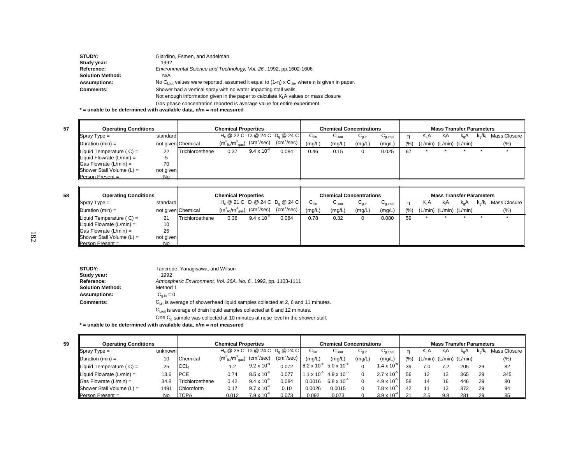| STUDY:              | Giardino, Esmen, and Andelman                                                                                                     |
|---------------------|-----------------------------------------------------------------------------------------------------------------------------------|
| Study year:         | 1992                                                                                                                              |
| Reference:          | Environmental Science and Technology, Vol. 26, 1992, pp.1602-1606                                                                 |
| Solution Method:    | N/A                                                                                                                               |
| <b>Assumptions:</b> | No C <sub>lout</sub> values were reported, assumed it equal to $(1-\eta) \times C_{\text{lin}}$ , where $\eta$ is given in paper. |
| <b>Comments:</b>    | Shower had a vertical spray with no water impacting stall walls.                                                                  |
|                     | Not enough information given in the paper to calculate $K1A$ values or mass closure                                               |

Gas-phase concentration reported is average value for entire experiment.

**\* = unable to be determined with available data, n/m = not measured**

**58**

| <b>Operating Conditions</b>           |           |                    | <b>Chemical Properties</b>                                                            |                      |                                    |           |                   | <b>Chemical Concentrations</b> |             |     |                  | <b>Mass Transfer Parameters</b> |     |           |              |
|---------------------------------------|-----------|--------------------|---------------------------------------------------------------------------------------|----------------------|------------------------------------|-----------|-------------------|--------------------------------|-------------|-----|------------------|---------------------------------|-----|-----------|--------------|
| $\sqrt{\text{Spray Type}} =$          | standard  |                    |                                                                                       |                      | $H_c @ 22 C D_1 @ 24 C D_0 @ 24 C$ | $C_{Lin}$ | $G_{\text{Lout}}$ | $U_{q,in}$                     | $C_{q,end}$ |     | K <sub>I</sub> A | kıA                             | k.A | $k_0/k_1$ | Mass Closure |
| $ $ Duration (min) =                  |           | not given Chemical | $(\mathsf{m}_{\;\mathsf{liq}}^3/\mathsf{m}_{\;\mathsf{gas}}^3)$ (cm $^2/\text{sec}$ ) |                      | (cm <sup>2</sup> /sec)             | 'mg/L)    | (mg/L)            | (mg/L)                         | (mg/L)      | (%) |                  | $(L/min)$ $(L/min)$ $(L/min)$   |     |           | $(\% )$      |
| $\parallel$ Liquid Temperature (C) =  | 22        | Trichloroethene    | 0.37                                                                                  | $9.4 \times 10^{-6}$ | 0.084                              | 0.46      | 0.15              |                                | 0.025       | 67  |                  |                                 |     |           |              |
| $\parallel$ Liquid Flowrate (L/min) = |           |                    |                                                                                       |                      |                                    |           |                   |                                |             |     |                  |                                 |     |           |              |
| $\vert$ Gas Flowrate (L/min) =        | 70        |                    |                                                                                       |                      |                                    |           |                   |                                |             |     |                  |                                 |     |           |              |
| $ $ Shower Stall Volume (L) =         | not given |                    |                                                                                       |                      |                                    |           |                   |                                |             |     |                  |                                 |     |           |              |
| <b>Person Present =</b>               | No.       |                    |                                                                                       |                      |                                    |           |                   |                                |             |     |                  |                                 |     |           |              |

| <b>Operating Conditions</b>        |           |                    | <b>Chemical Properties</b>                                                             |                      |                                              |                           |                    | <b>Chemical Concentrations</b> |             |     |                               | <b>Mass Transfer Parameters</b> |               |                  |                |
|------------------------------------|-----------|--------------------|----------------------------------------------------------------------------------------|----------------------|----------------------------------------------|---------------------------|--------------------|--------------------------------|-------------|-----|-------------------------------|---------------------------------|---------------|------------------|----------------|
| $\sqrt{\text{Spray Type}} =$       | standard  |                    |                                                                                        |                      | $H_c \ @ 21 C \ D_1 \ @ 24 C \ D_2 \ @ 24 C$ | $\mathsf{C}_\mathsf{Lin}$ | $C_{\text{l,out}}$ | $U_{q,in}$                     | $C_{q,end}$ |     | $K_1A$                        | kıA                             | $k_{\alpha}A$ | $k_{\alpha}/k_1$ | Mass Closure I |
| $\Delta$ Duration (min) =          |           | not given Chemical | $(\textsf{m}^3_{\;\textsf{liq}}/\textsf{m}^3_{\;\textsf{gas}})$ (cm <sup>2</sup> /sec) |                      | (cm <sup>2</sup> /sec)                       | (mg/L)                    | (mg/L)             | (mg/L)                         | (mg/L)      | (%) | $(L/min)$ $(L/min)$ $(L/min)$ |                                 |               |                  | $(\% )$        |
| Liquid Temperature $(C) =$         | 21        | Trichloroethene    | 0.36                                                                                   | $9.4 \times 10^{-6}$ | 0.084                                        | 0.78                      | 0.32               |                                | 0.080       | 59  |                               |                                 |               |                  |                |
| Liquid Flowrate $(L/min) =$        | 10        |                    |                                                                                        |                      |                                              |                           |                    |                                |             |     |                               |                                 |               |                  |                |
| $\textsf{IGas}$ Flowrate (L/min) = | 26        |                    |                                                                                        |                      |                                              |                           |                    |                                |             |     |                               |                                 |               |                  |                |
| $ $ Shower Stall Volume (L) =      | not given |                    |                                                                                        |                      |                                              |                           |                    |                                |             |     |                               |                                 |               |                  |                |
| Person Present =                   | No.       |                    |                                                                                        |                      |                                              |                           |                    |                                |             |     |                               |                                 |               |                  |                |

| STUDY:                  | Tancrede, Yanagisawa, and Wilson                                                       |
|-------------------------|----------------------------------------------------------------------------------------|
| Study year:             | 1992                                                                                   |
| Reference:              | Atmospheric Environment, Vol. 26A, No. 6, 1992, pp. 1103-1111                          |
| <b>Solution Method:</b> | Method 1                                                                               |
| <b>Assumptions:</b>     | $C_{\alpha,in} = 0$                                                                    |
| Comments:               | $C_{lin}$ is average of showerhead liquid samples collected at 2, 6 and 11 minutes.    |
|                         | $Clout$ is average of drain liquid samples collected at 8 and 12 minutes.              |
|                         | One $C_{\alpha}$ sample was collected at 10 minutes at nose level in the shower stall. |

**\* = unable to be determined with available data, n/m = not measured**

| <b>Operating Conditions</b>        |         |                  | <b>Chemical Properties</b>                             |                      |                                                          | <b>Chemical Concentrations</b>              |                      |            |                      |      |                  | <b>Mass Transfer Parameters</b> |          |               |              |
|------------------------------------|---------|------------------|--------------------------------------------------------|----------------------|----------------------------------------------------------|---------------------------------------------|----------------------|------------|----------------------|------|------------------|---------------------------------|----------|---------------|--------------|
| $\blacksquare$ Spray Type =        | unknown |                  |                                                        |                      | $H_c$ @ 25 C D <sub>1</sub> @ 24 C D <sub>0</sub> @ 24 C | $C_{Lin}$                                   | $C_{\text{Lout}}$    | $U_{q,in}$ | $C_{q,end}$          |      | K <sub>I</sub> A | kıA                             | $k_{0}A$ | $k_{0}/k_{1}$ | Mass Closure |
| $\Delta$ Duration (min) =          | 10      | Chemical         | $\rm (m_{\ \, liq}^3/m_{\ \, gas}^3)$ $\rm (cm^2/sec)$ |                      | $(cm^2/sec)$                                             | (mg/L)                                      | (mg/L)               | (mg/L)     | (mg/L)               | (% ) | (L/min)          | (L/min) (L/min)                 |          |               | (% )         |
| Liquid Temperature $(C) =$         | 25      | CCI <sub>4</sub> | 1.2                                                    | $9.2 \times 10^{-6}$ | 0.072                                                    | $8.2 \times 10^{5}$ 5.0 x 10 <sup>-3</sup>  |                      |            | $.4 \times 10^{6}$   | 39   | 7.0              |                                 | 205      | -29           | 82           |
| Liquid Flowrate $(L/min) =$        | 13.6    | <b>PCE</b>       | 0.74                                                   | $8.5 \times 10^{-6}$ | 0.077                                                    | $1.1 \times 10^{-4}$ 4.9 x 10 <sup>-5</sup> |                      |            | $2.7 \times 10^{-5}$ | 56   | 12               | 13                              | 365      | 29            | 345          |
| $\parallel$ Gas Flowrate (L/min) = | 34.8    | Trichloroethene  | 0.42                                                   | $9.4 \times 10^{-6}$ | 0.084                                                    | 0.0016                                      | $6.8 \times 10^{-7}$ |            | $4.9 \times 10^{-3}$ | 58   | 14               | 16                              | 446      | 29            | 80           |
| Shower Stall Volume $(L)$ =        | 1491    | Chloroform       | 0.17                                                   | $9.7 \times 10^{-6}$ | 0.10                                                     | 0.0026                                      | 0.0015               |            | $7.8 \times 10^{-3}$ | 42   |                  | כ ו                             | 372      | 29            | 94           |
| $\blacksquare$ Person Present =    | No      | <b>ITCPA</b>     | 0.012                                                  | $7.9 \times 10^{-6}$ | 0.073                                                    | 0.092                                       | 0.073                |            | $3.9 \times 10^{-4}$ |      | 2.5              | 9.8                             | 281      | 29            |              |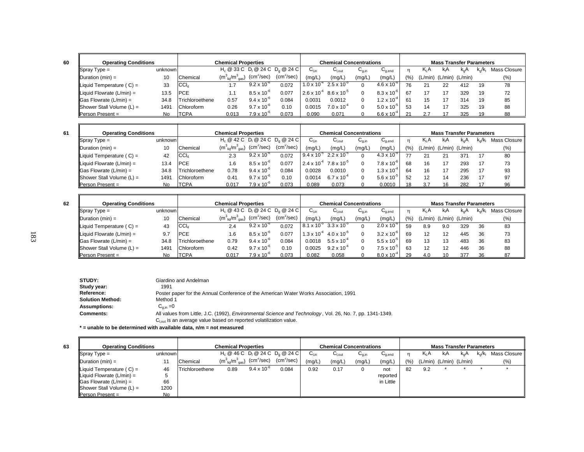| v<br>۰. | × | ۰. |
|---------|---|----|

| <b>Operating Conditions</b>          |         |                 | <b>Chemical Properties</b>            |                        |                                                                   |                      | <b>Chemical Concentrations</b> |            |                      | <b>Mass Transfer Parameters</b> |                  |                 |     |                  |              |  |
|--------------------------------------|---------|-----------------|---------------------------------------|------------------------|-------------------------------------------------------------------|----------------------|--------------------------------|------------|----------------------|---------------------------------|------------------|-----------------|-----|------------------|--------------|--|
| $\blacksquare$ Spray Type =          | unknown |                 |                                       |                        | H <sub>c</sub> @ 33 C D <sub>i</sub> @ 24 C D <sub>a</sub> @ 24 C | $C_{Lin}$            | $G_{\text{Lout}}$              | $C_{a,in}$ | $U_{q,end}$          |                                 | K <sub>I</sub> A | kA              | k.A | $k_{\alpha}/k_1$ | Mass Closure |  |
| $\blacksquare$ Duration (min) =      | 10      | Chemical        | $(m_{\text{liq}}^3/m_{\text{gas}}^3)$ | (cm <sup>2</sup> /sec) | $(cm^2/sec)$                                                      | (mg/L                | (mg/L,                         | (mg/L)     | (mg/L)               | (9/6)                           | (L/min)          | (L/min) (L/min) |     |                  | $(\%)$       |  |
| $\parallel$ Liquid Temperature (C) = | 33      | $ CC _4$        | 1.7                                   | $9.2 \times 10^{-6}$   | 0.072                                                             | $1.0 \times 10^{-4}$ | $2.5 \times 10^{-3}$           |            | $4.6 \times 10^{-6}$ | 76                              | 21               | 22              | 412 | 19               | 78           |  |
| Liquid Flowrate $(L/min) =$          | 13.5    | <b>PCE</b>      | 1.1                                   | $8.5 \times 10^{-6}$   | 0.077                                                             | $2.6 \times 10^{-4}$ | $8.6 \times 10^{-5}$           |            | $8.3 \times 10^{-7}$ | 67                              | 17               |                 | 329 | 19               | 72           |  |
| $\vert$ Gas Flowrate (L/min) =       | 34.8    | Trichloroethene | 0.57                                  | $9.4 \times 10^{-6}$   | 0.084                                                             | 0.0031               | 0.0012                         |            | $1.2 \times 10^{-7}$ | 61                              | 15               |                 | 314 | 19               | 85           |  |
| Shower Stall Volume $(L)$ =          | 1491    | Chloroform      | 0.26                                  | $9.7 \times 10^{-6}$   | 0.10                                                              | 0015                 | $7.0 \times 10^{-4}$           |            | $5.0 \times 10^{-3}$ | 53                              | 14               |                 | 325 | 19               | 88           |  |
| $Person Present =$                   | No      | <b>TCPA</b>     | 0.013                                 | $7.9 \times 10^{-6}$   | 0.073                                                             | 0.090                | 0.071                          |            | $6.6 \times 10^{-4}$ |                                 |                  |                 | 325 |                  | 88           |  |

**63**

| <b>Operating Conditions</b>              |         |                 | <b>Chemical Properties</b>            |                      |                                    | <b>Chemical Concentrations</b> |                                             |            |                                        |            | <b>Mass Transfer Parameters</b> |         |               |      |              |  |  |  |
|------------------------------------------|---------|-----------------|---------------------------------------|----------------------|------------------------------------|--------------------------------|---------------------------------------------|------------|----------------------------------------|------------|---------------------------------|---------|---------------|------|--------------|--|--|--|
| $\sqrt{\text{Spray Type}} =$             | unknown |                 |                                       |                      | $H_c @ 42 C D_1 @ 24 C D_2 @ 24 C$ | $C_{Lin}$                      | $\mathsf{C}_{\mathsf{Lout}}$                | $U_{q,in}$ | $\mathsf{u}_{\mathsf{q},\mathsf{end}}$ |            | K <sub>I</sub> A                | kıA     | $K_{\alpha}F$ | k./k | Mass Closure |  |  |  |
| $ $ Duration (min) =                     | 10      | Chemical        | $(m_{\text{lio}}^3/m_{\text{gas}}^3)$ | $(cm^2/sec)$         | (cm <sup>2</sup> /sec)             | (mg/L)                         | (mg/L)                                      | (mg/L)     | (mg/L,                                 | $(9)_{01}$ | (L/min)                         | (L/min) | (L/min)       |      | (%)          |  |  |  |
| Liquid Temperature $(C) =$               | 42      | $ CC _4$        | 2.3                                   | $9.2 \times 10^{-6}$ | 0.072                              |                                | $9.4 \times 10^{-5}$ 2.2 x 10 <sup>-5</sup> |            | $4.3 \times 10^{-6}$                   |            |                                 | 21      | 371           | 17   | 80           |  |  |  |
| Liquid Flowrate $(L/min) =$              | 13.4    | <b>IPCE</b>     | l.6                                   | $8.5 \times 10^{-6}$ | 0.077                              | $2.4 \times 10^{-4}$           | $7.8 \times 10^{-5}$                        |            | $7.8 \times 10^{-6}$                   | 68         | 16                              |         | 293           | 17   | 73           |  |  |  |
| $\textsf{  Gas}$ Flowrate (L/min) =      | 34.8    | Trichloroethene | 0.78                                  | $9.4 \times 10^{-6}$ | 0.084                              | 0.0028                         | 0.0010                                      |            | $1.3 \times 10^{-7}$                   | 64         | 16                              |         | 295           | 17   | 93           |  |  |  |
| $\blacksquare$ Shower Stall Volume (L) = | 1491    | Chloroform      | 0.41                                  | $9.7 \times 10^{-6}$ | 0.10                               | 0.0014                         | $6.7 \times 10^{-7}$                        |            | $5.6 \times 10^{-3}$                   | 52         | 12                              | 14      | 236           | 17   | 97           |  |  |  |
| <b>Person Present =</b>                  | No.     | <b>ITCPA</b>    | 0.017                                 | $7.9 \times 10^{-7}$ | 0.073                              | 0.089                          | 0.073                                       |            | 0.0010                                 |            |                                 |         | 282           |      | 96           |  |  |  |

| <b>Operating Conditions</b>        |         |                 | <b>Chemical Properties</b>            |                      |                                    | <b>Chemical Concentrations</b>              |                      |                                       |                                        |       | <b>Mass Transfer Parameters</b> |                     |                  |           |                |  |  |  |
|------------------------------------|---------|-----------------|---------------------------------------|----------------------|------------------------------------|---------------------------------------------|----------------------|---------------------------------------|----------------------------------------|-------|---------------------------------|---------------------|------------------|-----------|----------------|--|--|--|
| $\sqrt{\text{Spray Type}} =$       | unknown |                 |                                       |                      | $H_c @ 43 C D_1 @ 24 C D_0 @ 24 C$ | $\mathsf{C}_\mathsf{Lin}$                   | $C_{I,out}$          | $\mathsf{u}_{\mathsf{q},\mathsf{in}}$ | $\mathsf{C}_{\mathsf{q},\mathsf{end}}$ |       | K <sub>I</sub> A                | kA                  | k <sub>o</sub> A | $K_n/K_n$ | Mass Closure I |  |  |  |
| $\mathsf{Duration}(min) =$         | 10      | Chemical        | $(m_{\text{liq}}^3/m_{\text{gas}}^3)$ | $(cm^2/sec)$         | (cm <sup>2</sup> /sec)             | (mg/L)                                      | (mg/L)               | (mg/L)                                | (mg/L)                                 | (9/6) | (L/min)                         | $(L/min)$ $(L/min)$ |                  |           | $(\% )$        |  |  |  |
| Liquid Temperature $(C) =$         | 43      | $ CCI_4 $       | 2.4                                   | $9.2 \times 10^{-6}$ | 0.072                              | $8.1 \times 10^{-5}$ 3.3 x 10 <sup>-5</sup> |                      |                                       | $2.0 \times 10^{-6}$                   | 59    | 8.9                             | 9.0                 | 329              | 36        | 83             |  |  |  |
| Liquid Flowrate $(L/min) =$        | 9.7     | <b>IPCE</b>     | 1.6                                   | $8.5 \times 10^{-6}$ | 0.077                              | $1.3 \times 10^{-4}$                        | $4.0 \times 10^{-5}$ |                                       | $3.2 \times 10^{-6}$                   | 69    | 12                              | 12                  | 445              | 36        | 73             |  |  |  |
| $\textsf{IGas}$ Flowrate (L/min) = | 34.8    | Trichloroethene | 0.79                                  | $9.4 \times 10^{-6}$ | 0.084                              | 0.0018                                      | $5.5 \times 10^{-4}$ |                                       | $5.5 \times 10^{-3}$                   | 69    | 13                              | 13                  | 483              | 36        | 83             |  |  |  |
| Shower Stall Volume $(L)$ =        | 149.    | Chloroform      | 0.42                                  | $9.7 \times 10^{-6}$ | 0.10                               | 0.0025                                      | $9.2 \times 10^{-4}$ |                                       | $7.5 \times 10^{-7}$                   | 63    | 12                              | 12                  | 446              | 36        | 88             |  |  |  |
| $\blacksquare$ Person Present =    | No      | <b>TCPA</b>     | 0.017                                 | $7.9 \times 10^{-6}$ | 0.073                              | 0.082                                       | 0.058                |                                       | $8.0 \times 10^{-4}$                   |       | 4 C                             |                     | 377              | 36        |                |  |  |  |

| STUDY:                  | Giardino and Andelman                                                                                             |
|-------------------------|-------------------------------------------------------------------------------------------------------------------|
| Study year:             | 1991                                                                                                              |
| <b>Reference:</b>       | Poster paper for the Annual Conference of the American Water Works Association, 1991                              |
| <b>Solution Method:</b> | Method 1                                                                                                          |
| <b>Assumptions:</b>     | $C_{\alpha \text{ in }}=0$                                                                                        |
| <b>Comments:</b>        | All values from Little, J.C. (1992), <i>Environmental Science and Technology</i> , Vol. 26, No. 7, pp. 1341-1349. |
|                         | $Clout$ is an average value based on reported volatilization value.                                               |

**\* = unable to be determined with available data, n/m = not measured**

| <b>Operating Conditions</b>     |               |                 | <b>Chemical Properties</b>            |                            |                                    |                    | <b>Chemical Concentrations</b> |            |             |       |                  | <b>Mass Transfer Parameters</b> |          |               |              |
|---------------------------------|---------------|-----------------|---------------------------------------|----------------------------|------------------------------------|--------------------|--------------------------------|------------|-------------|-------|------------------|---------------------------------|----------|---------------|--------------|
| $\sqrt{\text{Spray Type}} =$    | unknown       |                 |                                       |                            | $H_c @ 46 C D_1 @ 24 C D_2 @ 24 C$ | $C_{\mathsf{Lin}}$ | $C_{\text{l,out}}$             | $C_{q,in}$ | $G_{q,end}$ | n     | K <sub>I</sub> A | kıA                             | $k_{0}A$ | $k_{0}/k_{1}$ | Mass Closure |
| $\Delta$ Duration (min) =       |               | Chemical        | $(m_{\text{lio}}^3/m_{\text{gas}}^3)$ | $\text{(cm}^2\text{/sec)}$ | $\text{(cm}^2\text{/sec}$          | (mg/L)             | (mg/L)                         | (mg/L)     | (mg/L,      | (9/6) | (L/min)          | (L/min) (L/min)                 |          |               | $(\% )$      |
| Liquid Temperature $(C) =$      | 46            | Trichloroethene | 0.89                                  | $9.4 \times 10^{-6}$       | 0.084                              | 0.92               | 0.17                           | 0          | not         | 82    | 9.2              |                                 |          |               |              |
| Liquid Flowrate $(L/min) =$     | $\mathcal{D}$ |                 |                                       |                            |                                    |                    |                                |            | reported    |       |                  |                                 |          |               |              |
| $\vert$ Gas Flowrate (L/min) =  | 66            |                 |                                       |                            |                                    |                    |                                |            | in Little   |       |                  |                                 |          |               |              |
| $ $ Shower Stall Volume $(L)$ = | 1200          |                 |                                       |                            |                                    |                    |                                |            |             |       |                  |                                 |          |               |              |
| $\blacksquare$ Person Present = | <b>No</b>     |                 |                                       |                            |                                    |                    |                                |            |             |       |                  |                                 |          |               |              |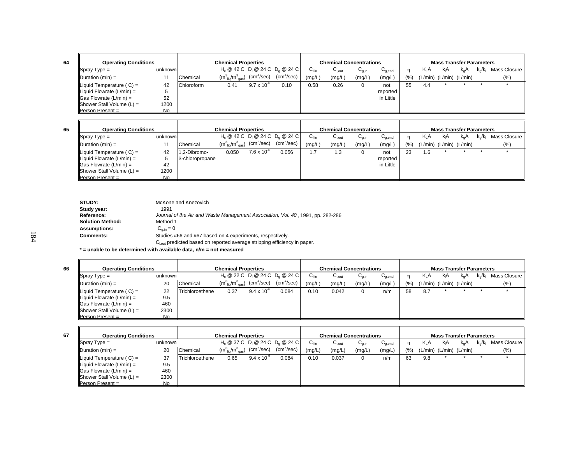| <b>Chemical Properties</b><br><b>Operating Conditions</b> |           |                   |                                         | <b>Chemical Concentrations</b> |                                              |        |        | <b>Mass Transfer Parameters</b> |             |         |                               |    |          |  |                        |
|-----------------------------------------------------------|-----------|-------------------|-----------------------------------------|--------------------------------|----------------------------------------------|--------|--------|---------------------------------|-------------|---------|-------------------------------|----|----------|--|------------------------|
| $\sqrt{\text{Spray Type}} =$                              | unknown   |                   |                                         |                                | $H_c \ @ 42 C \ D_1 \ @ 24 C \ D_2 \ @ 24 C$ | ∪∟in   | ∪l.out | ∪a.in                           | $U_{q,end}$ |         | $K_L A$                       | kA | $k_{0}A$ |  | $k_q/k_l$ Mass Closure |
| Duration $(min) =$                                        |           | Chemical          | $(m_{\text{ liq}}^3/m_{\text{ gas}}^3)$ | (cm <sup>2</sup> /sec)         | (cm <sup>2</sup> /sec)                       | (mg/L) | (mg/L) | (mg/L)                          | (mg/L)      | $(\% )$ | $(L/min)$ $(L/min)$ $(L/min)$ |    |          |  | (%)                    |
| Liquid Temperature $(C) =$                                | 42        | <b>Chloroform</b> | 0.41                                    | $9.7 \times 10^{-6}$           | 0.10                                         | 0.58   | 0.26   |                                 | not         | 55      | 4.4                           |    |          |  |                        |
| $\parallel$ Liquid Flowrate (L/min) =                     | 5         |                   |                                         |                                |                                              |        |        |                                 | reported    |         |                               |    |          |  |                        |
| $\textsf{  Gas}$ Flowrate (L/min) =                       | 52        |                   |                                         |                                |                                              |        |        |                                 | in Little   |         |                               |    |          |  |                        |
| <b>Shower Stall Volume (L) =</b>                          | 1200      |                   |                                         |                                |                                              |        |        |                                 |             |         |                               |    |          |  |                        |
| $Person Present =$                                        | <b>No</b> |                   |                                         |                                |                                              |        |        |                                 |             |         |                               |    |          |  |                        |

|                                      | <b>Operating Conditions</b><br><b>Chemical Properties</b> |                 |                                                                |                      |                                    | <b>Chemical Concentrations</b> |                   |            |                                        |      | <b>Mass Transfer Parameters</b> |                               |     |         |              |  |  |
|--------------------------------------|-----------------------------------------------------------|-----------------|----------------------------------------------------------------|----------------------|------------------------------------|--------------------------------|-------------------|------------|----------------------------------------|------|---------------------------------|-------------------------------|-----|---------|--------------|--|--|
| $\blacksquare$ Spray Type =          | unknown                                                   |                 |                                                                |                      | $H_c @ 42 C D_1 @ 24 C D_2 @ 24 C$ | $\mathsf{C}_\mathsf{Lin}$      | $G_{\text{Lout}}$ | $U_{q,in}$ | $\mathsf{u}_{\mathsf{q},\mathsf{end}}$ | n    | K A                             | kıA                           | k.A | $K_0/K$ | Mass Closure |  |  |
| Duration $(min) =$                   |                                                           | Chemical        | $(m_{\text{~liq}}^3/m_{\text{~gas}}^3)$ (cm <sup>2</sup> /sec) |                      | $(cm^2/sec)$                       | (mg/L)                         | (mg/L)            | (mg/L)     | (mg/L)                                 | (% ) |                                 | $(L/min)$ $(L/min)$ $(L/min)$ |     |         | $(\% )$      |  |  |
| $\parallel$ Liquid Temperature (C) = | 42                                                        | -2-Dibromo.     | 0.050                                                          | $7.6 \times 10^{-7}$ | 0.056                              | 1.7                            | l.3               |            | not                                    | 23   | 1.6                             |                               |     |         |              |  |  |
| Liquid Flowrate (L/min) =            | 5                                                         | 3-chloropropane |                                                                |                      |                                    |                                |                   |            | reported                               |      |                                 |                               |     |         |              |  |  |
| $\vert$ Gas Flowrate (L/min) =       | 42                                                        |                 |                                                                |                      |                                    |                                |                   |            | in Little                              |      |                                 |                               |     |         |              |  |  |
| $ $ Shower Stall Volume $(L)$ =      | 1200                                                      |                 |                                                                |                      |                                    |                                |                   |            |                                        |      |                                 |                               |     |         |              |  |  |
| <b>IPerson Present</b> =             | No.                                                       |                 |                                                                |                      |                                    |                                |                   |            |                                        |      |                                 |                               |     |         |              |  |  |

| STUDY:                  | McKone and Knezovich                                                            |
|-------------------------|---------------------------------------------------------------------------------|
| Study year:             | 1991                                                                            |
| <b>Reference:</b>       | Journal of the Air and Waste Management Association, Vol. 40, 1991, pp. 282-286 |
| <b>Solution Method:</b> | Method 1                                                                        |
| <b>Assumptions:</b>     | $C_{\alpha,in} = 0$                                                             |
| <b>Comments:</b>        | Studies #66 and #67 based on 4 experiments, respectively.                       |
|                         | $Clout$ predicted based on reported average stripping efficiency in paper.      |

**\* = unable to be determined with available data, n/m = not measured**

 $\frac{1}{\sqrt{2\pi}}$  Spray Type = unknown H<sub>c</sub> @ 22 C D<sub>l</sub> @ 24 C D<sub>g</sub> @ 24 C C<sub>l,in</sub> C<sub>l,out</sub> C<sub>g,end</sub> n K<sub>L</sub>A k<sub>g</sub>A k<sub>g</sub>/k<sub>l</sub> Mass Closure  $D$ uration (min) = 20 Chemical (m<sup>3</sup><sub>liq</sub>/m<sup>3</sup><sub>gas</sub>) (cm<sup>2</sup>/sec) (cm<sup>2</sup>/sec) (mg/L) (mg/L) (mg/L) (mg/L) (%) (L/min) (L/min) (Vmin) (%) Liquid Temperature ( C) = 22 |Trichloroethene 0.37 9.4 x 10<sup>-6</sup> 0.084 | 0.10 0.042 0 n/m | 58 8.7 \* \* \* Liquid Flowrate (L/min) = 9.5 Gas Flowrate (L/min) = 460 Shower Stall Volume (L) = 2300 Person Present = No **Operating Conditions Chemical Properties Chemical Concentrations Mass Transfer Parameters** 

**67**

| <b>Chemical Properties</b><br><b>Operating Conditions</b> |         |                 |                                                              |                      |                                    | <b>Chemical Concentrations</b> |                    |            |             |     | <b>Mass Transfer Parameters</b> |     |     |       |                |  |  |
|-----------------------------------------------------------|---------|-----------------|--------------------------------------------------------------|----------------------|------------------------------------|--------------------------------|--------------------|------------|-------------|-----|---------------------------------|-----|-----|-------|----------------|--|--|
| $\blacksquare$ Spray Type =                               | unknown |                 |                                                              |                      | $H_c @ 37 C D_1 @ 24 C D_0 @ 24 C$ | $\mathsf{C}_\mathsf{Lin}$      | $G_{\text{l,out}}$ | $U_{q,in}$ | $C_{q,end}$ |     | $K_1A$                          | kıA | k.A | k⊿/k∟ | Mass Closure I |  |  |
| $ $ Duration (min) =                                      | 20      | Chemical        | $(m_{\text{liq}}^3/m_{\text{gas}}^3)$ (cm <sup>2</sup> /sec) |                      | (cm <sup>2</sup> /sec)             | (mg/L)                         | (mg/L)             | (mg/L)     | (mg/L)      | (%) | $(L/min)$ $(L/min)$ $(L/min)$   |     |     |       | (% )           |  |  |
| Liquid Temperature $(C) =$                                | 37      | Trichloroethene | 0.65                                                         | $9.4 \times 10^{-6}$ | 0.084                              | 0.10                           | 0.037              |            | n/m         | 63  | 9.8                             |     |     |       |                |  |  |
| Liquid Flowrate $(L/min) =$                               | 9.5     |                 |                                                              |                      |                                    |                                |                    |            |             |     |                                 |     |     |       |                |  |  |
| $\textsf{Gas}$ Flowrate (L/min) =                         | 460     |                 |                                                              |                      |                                    |                                |                    |            |             |     |                                 |     |     |       |                |  |  |
| $ $ Shower Stall Volume $(L) =$                           | 2300    |                 |                                                              |                      |                                    |                                |                    |            |             |     |                                 |     |     |       |                |  |  |
| $Person Present =$                                        | No.     |                 |                                                              |                      |                                    |                                |                    |            |             |     |                                 |     |     |       |                |  |  |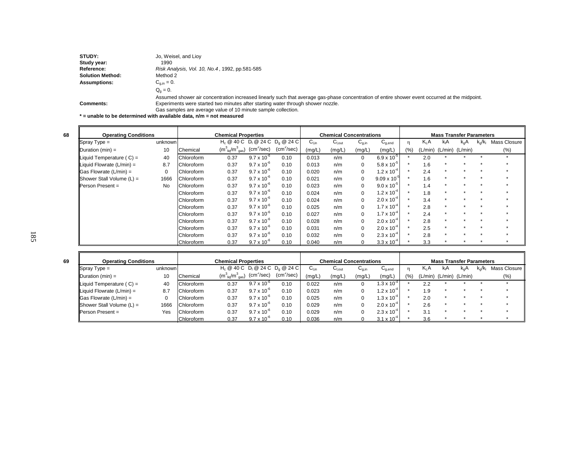| STUDY:              | Jo, Weisel, and Lioy                                                                                                                           |
|---------------------|------------------------------------------------------------------------------------------------------------------------------------------------|
| Study year:         | 1990                                                                                                                                           |
| <b>Reference:</b>   | Risk Analysis, Vol. 10, No.4, 1992, pp.581-585                                                                                                 |
| Solution Method:    | Method 2                                                                                                                                       |
| <b>Assumptions:</b> | $C_{q,in} = 0.$                                                                                                                                |
|                     | $Q_0 = 0.$                                                                                                                                     |
|                     | Assumed shower air concentration increased linearly such that average gas-phase concentration of entire shower event occurred at the midpoint. |
| <b>Comments:</b>    | Experiments were started two minutes after starting water through shower nozzle.                                                               |
|                     | Gas samples are average value of 10 minute sample collection.                                                                                  |

**\* = unable to be determined with available data, n/m = not measured**

F

| <b>Operating Conditions</b>     |           | <b>Chemical Properties</b> |                                       |                      |                                    | <b>Chemical Concentrations</b> |             |            |                       | <b>Mass Transfer Parameters</b> |                  |                         |           |              |              |  |
|---------------------------------|-----------|----------------------------|---------------------------------------|----------------------|------------------------------------|--------------------------------|-------------|------------|-----------------------|---------------------------------|------------------|-------------------------|-----------|--------------|--------------|--|
| $\blacksquare$ Spray Type =     | unknown   |                            |                                       |                      | $H_c @ 40 C D_1 @ 24 C D_0 @ 24 C$ | $C_{Lin}$                      | $C_{I,out}$ | $C_{q,in}$ | $C_{q,end}$           | η                               | K <sub>I</sub> A | kıA.                    | $k_{0}A$  | $k_0/k_1$    | Mass Closure |  |
| Duration (min) =                | 10        | Chemical                   | $(m_{\text{liq}}^3/m_{\text{gas}}^3)$ | $(cm^2/sec)$         | $(cm^2/sec)$                       | (mg/L)                         | (mg/L)      | (mg/L)     | (mg/L)                | (%)                             |                  | (L/min) (L/min) (L/min) |           |              | $(\% )$      |  |
| Liquid Temperature $(C) =$      | 40        | Chloroform                 | 0.37                                  | $9.7 \times 10^{-6}$ | 0.10                               | 0.013                          | n/m         | 0          | $6.9 \times 10^{-5}$  |                                 | 2.0              |                         |           |              |              |  |
| Liquid Flowrate $(L/min) =$     | 8.7       | Chloroform                 | 0.37                                  | $9.7 \times 10^{-6}$ | 0.10                               | 0.013                          | n/m         | 0          | $5.8 \times 10^{-5}$  |                                 | 1.6              | -46                     |           |              |              |  |
| <b>IGas Flowrate (L/min) =</b>  | $\Omega$  | Chloroform                 | 0.37                                  | $9.7 \times 10^{-6}$ | 0.10                               | 0.020                          | n/m         | 0          | $1.2 \times 10^{-4}$  |                                 | 2.4              | $\star$                 |           | $\star$      |              |  |
| $ $ Shower Stall Volume $(L)$ = | 1666      | Chloroform                 | 0.37                                  | $9.7 \times 10^{-6}$ | 0.10                               | 0.021                          | n/m         | 0          | $9.09 \times 10^{-3}$ |                                 | 1.6              | $\mathbf{r}$            |           | $\cdot$      |              |  |
| <b>I</b> Person Present =       | <b>No</b> | Chloroform                 | 0.37                                  | $9.7 \times 10^{-6}$ | 0.10                               | 0.023                          | n/m         | 0          | $9.0 \times 10^{-5}$  |                                 | 1.4              | $\mathbf{r}$            |           | $\mathbf{r}$ |              |  |
|                                 |           | Chloroform                 | 0.37                                  | $9.7 \times 10^{-6}$ | 0.10                               | 0.024                          | n/m         | 0          | $1.2 \times 10^{-4}$  |                                 | 1.8              | -46                     |           |              |              |  |
|                                 |           | Chloroform                 | 0.37                                  | $9.7 \times 10^{-6}$ | 0.10                               | 0.024                          | n/m         | 0          | $2.0 \times 10^{-4}$  |                                 | 3.4              | $\star$                 |           |              |              |  |
|                                 |           | .Chloroform                | 0.37                                  | $9.7 \times 10^{-6}$ | 0.10                               | 0.025                          | n/m         | 0          | $1.7 \times 10^{-4}$  |                                 | 2.8              | $\mathbf{r}$            |           | $\cdot$      |              |  |
|                                 |           | Chloroform                 | 0.37                                  | $9.7 \times 10^{-6}$ | 0.10                               | 0.027                          | n/m         | 0          | $1.7 \times 10^{-4}$  |                                 | 2.4              | $\star$                 |           | $\star$      |              |  |
|                                 |           | Chloroform                 | 0.37                                  | $9.7 \times 10^{-6}$ | 0.10                               | 0.028                          | n/m         | 0          | $2.0 \times 10^{-4}$  |                                 | 2.8              | -46                     |           |              |              |  |
|                                 |           | Chloroform                 | 0.37                                  | $9.7 \times 10^{-6}$ | 0.10                               | 0.031                          | n/m         | 0          | $2.0 \times 10^{-4}$  |                                 | 2.5              | -46                     |           |              |              |  |
|                                 |           | <b>Chloroform</b>          | 0.37                                  | $9.7 \times 10^{-6}$ | 0.10                               | 0.032                          | n/m         | 0          | $2.3 \times 10^{-4}$  |                                 | 2.8              | $\star$                 | $\bullet$ | $\cdot$      |              |  |
|                                 |           | Chloroform                 | 0.37                                  | $9.7 \times 10^{-6}$ | 0.10                               | 0.040                          | n/m         |            | $3.3 \times 10^{-4}$  |                                 | 3.3              |                         |           |              |              |  |

|                                   | <b>Operating Conditions</b><br><b>Chemical Properties</b> |                   |                                       |                      |                                    | <b>Chemical Concentrations</b> |             |                   |                      | <b>Mass Transfer Parameters</b> |                  |                               |     |                         |                |  |
|-----------------------------------|-----------------------------------------------------------|-------------------|---------------------------------------|----------------------|------------------------------------|--------------------------------|-------------|-------------------|----------------------|---------------------------------|------------------|-------------------------------|-----|-------------------------|----------------|--|
| $\sqrt{\text{Spray Type}} =$      | unknown                                                   |                   |                                       |                      | $H_c @ 40 C D_1 @ 24 C D_0 @ 24 C$ | ∪⊥տ                            | $C_{I.out}$ | ∪ <sub>g,in</sub> | $U_{q,end}$          |                                 | K <sub>I</sub> A | kıA                           | k.A | $k_{\alpha}/k_{\alpha}$ | Mass Closure I |  |
| $\Delta$ Duration (min) =         | 10                                                        | Chemical          | $(m_{\text{liq}}^3/m_{\text{gas}}^3)$ | $(cm^2/sec)$         | $(cm^2/sec)$                       | (mg/L)                         | (mg/L)      | (mg/L)            | (mg/L)               | $(%^{0})^{2}$                   |                  | $(L/min)$ $(L/min)$ $(L/min)$ |     |                         | $(\%)$         |  |
| Liquid Temperature $(C) =$        | 40                                                        | <b>Chloroform</b> | 0.37                                  | $9.7 \times 10^{-7}$ | 0.10                               | 0.022                          | n/m         |                   | $.3 \times 10^{-4}$  |                                 | 2.2              |                               |     |                         |                |  |
| Liquid Flowrate $(L/min) =$       | 8.7                                                       | Chloroform        | 0.37                                  | $9.7 \times 10^{-6}$ | 0.10                               | 0.023                          | n/m         |                   | $.2 \times 10^{-4}$  |                                 | 1.9              |                               |     |                         |                |  |
| $\textsf{Gas}$ Flowrate (L/min) = |                                                           | <b>Chloroform</b> | 0.37                                  | $9.7 \times 10^{-6}$ | 0.10                               | 0.025                          | n/m         |                   | $.3 \times 10^{-4}$  |                                 | 2.0              |                               |     |                         |                |  |
| Shower Stall Volume $(L)$ =       | 1666                                                      | Chloroform        | 0.37                                  | $9.7 \times 10^{-6}$ | 0.10                               | 0.029                          | n/m         |                   | $2.0 \times 10^{-4}$ |                                 | 2.6              | $\mathbf{r}$                  |     |                         |                |  |
| $\blacksquare$ Person Present =   | Yes                                                       | Chloroform        | 0.37                                  | $9.7 \times 10^{-7}$ | 0.10                               | 0.029                          | n/m         |                   | $2.3 \times 10^{-4}$ |                                 | 3.1              |                               |     |                         |                |  |
|                                   |                                                           | Chloroform        | 0.37                                  | $9.7 \times 10^{-6}$ | 0.10                               | 0.036                          | n/m         |                   | $3.1 \times 10^{-4}$ |                                 | 3.6              |                               |     |                         |                |  |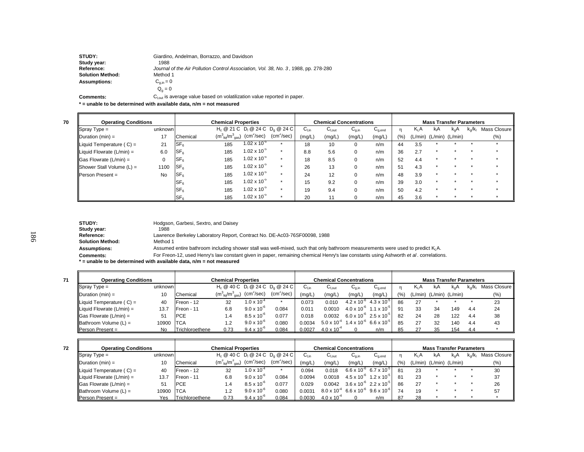| <b>STUDY:</b>           | Giardino, Andelman, Borrazzo, and Davidson                                          |
|-------------------------|-------------------------------------------------------------------------------------|
| Study year:             | 1988                                                                                |
| Reference:              | Journal of the Air Pollution Control Association, Vol. 38, No. 3, 1988, pp. 278-280 |
| <b>Solution Method:</b> | Method 1                                                                            |
| <b>Assumptions:</b>     | $C_{\text{min}} = 0$                                                                |
|                         | $Q_{0} = 0$                                                                         |

**Comments:** $C_{I,out}$  is average value based on volatilization value reported in paper.

**\* = unable to be determined with available data, n/m = not measured**

**70**

| <b>Operating Conditions</b><br><b>Chemical Properties</b> |           |                 |                                       |                                                                   |                        | <b>Chemical Concentrations</b> |        |                   |                                        | <b>Mass Transfer Parameters</b> |                  |                               |          |      |              |  |
|-----------------------------------------------------------|-----------|-----------------|---------------------------------------|-------------------------------------------------------------------|------------------------|--------------------------------|--------|-------------------|----------------------------------------|---------------------------------|------------------|-------------------------------|----------|------|--------------|--|
| $\sqrt{\text{Spray Type}} =$                              | unknown   |                 |                                       | H <sub>c</sub> @ 21 C D <sub>i</sub> @ 24 C D <sub>a</sub> @ 24 C |                        | $C_{Lin}$                      | ∪l,out | ∪ <sub>g,in</sub> | $\mathsf{u}_{\mathsf{q},\mathsf{end}}$ |                                 | Κ <sub>L</sub> Α | kA                            | $k_{0}A$ | k./k | Mass Closure |  |
| $\Delta$ Duration (min) =                                 | 17        | Chemical        | $(m_{\text{liq}}^3/m_{\text{gas}}^3)$ | $(cm^2/sec)$                                                      | (cm <sup>2</sup> /sec) | (mg/L)                         | (mg/L) | (mg/L)            | (mg/L)                                 | (%)                             |                  | $(L/min)$ $(L/min)$ $(L/min)$ |          |      | (% )         |  |
| Liquid Temperature ( $C$ ) =                              | 21        | SF <sub>6</sub> | 185                                   | $1.02 \times 10^{-5}$                                             |                        | 18                             | 10     |                   | n/m                                    | 44                              | 3.5              |                               |          |      |              |  |
| Liquid Flowrate (L/min) =                                 | 6.0       | SF <sub>6</sub> | 185                                   | $1.02 \times 10^{-5}$                                             |                        | 8.8                            | 5.6    |                   | n/m                                    | 36                              | 2.7              |                               |          |      |              |  |
| $\textsf{G}$ as Flowrate (L/min) =                        | $\Omega$  | SF <sub>6</sub> | 185                                   | $1.02 \times 10^{-5}$                                             |                        | 18                             | 8.5    |                   | n/m                                    | 52                              | 4.4              |                               |          |      |              |  |
| Shower Stall Volume $(L)$ =                               | 1100      | SF <sub>6</sub> | 185                                   | $1.02 \times 10^{-5}$                                             |                        | 26                             | 13     |                   | n/m                                    | 51                              | 4.3              |                               |          |      |              |  |
| <b>IPerson Present</b> =                                  | <b>No</b> | SF <sub>6</sub> | 185                                   | $1.02 \times 10^{-5}$                                             |                        | 24                             | 12     |                   | n/m                                    | 48                              | 3.9              |                               |          |      |              |  |
|                                                           |           | SF <sub>6</sub> | 185                                   | $1.02 \times 10^{-5}$                                             |                        | 15                             | 9.2    |                   | n/m                                    | 39                              | 3.0              |                               |          |      |              |  |
|                                                           |           | SF <sub>6</sub> | 185                                   | $1.02 \times 10^{-5}$                                             |                        | 19                             | 9.4    |                   | n/m                                    | 50                              | 4.2              |                               |          |      |              |  |
|                                                           |           | $S_{F_6}$       | 185                                   | $1.02 \times 10^{-5}$                                             |                        | 20                             |        |                   | n/m                                    | 45                              | 3.6              |                               |          |      |              |  |

| <b>STUDY:</b>           | Hodgson, Garbesi, Sextro, and Daisey                                                                                                       |
|-------------------------|--------------------------------------------------------------------------------------------------------------------------------------------|
| Study year:             | 1988                                                                                                                                       |
| Reference:              | Lawrence Berkeley Laboratory Report, Contract No. DE-Ac03-76SF00098, 1988                                                                  |
| <b>Solution Method:</b> | Method 1                                                                                                                                   |
| <b>Assumptions:</b>     | Assumed entire bathroom including shower stall was well-mixed, such that only bathroom measurements were used to predict K <sub>i</sub> A. |
| <b>Comments:</b>        | For Freon-12, used Henry's law constant given in paper, remaining chemical Henry's law constants using Ashworth et al. correlations        |

**\* = unable to be determined with available data, n/m = not measured**

| <b>Operating Conditions</b>       |         |                 | <b>Chemical Properties</b>                |                      |                                                                                |                   | <b>Chemical Concentrations</b> |                                             |                                        |       |                  | <b>Mass Transfer Parameters</b> |     |           |              |
|-----------------------------------|---------|-----------------|-------------------------------------------|----------------------|--------------------------------------------------------------------------------|-------------------|--------------------------------|---------------------------------------------|----------------------------------------|-------|------------------|---------------------------------|-----|-----------|--------------|
| $\sqrt{\text{Spray Type}} =$      | unknown |                 |                                           |                      | $H_c \otimes 40 C$ D <sub>1</sub> $\otimes$ 24 C D <sub>0</sub> $\otimes$ 24 C | ບ <sub>l.in</sub> | $G_{\text{I,out}}$             | $C_{q,in}$                                  | $\mathsf{u}_{\mathsf{q},\mathsf{end}}$ | n     | K <sub>L</sub> A | kıA                             | k.A | $k_o/k_1$ | Mass Closure |
| $ $ Duration (min) =              |         | Chemical        | $(m^{3}_{\text{liq}}/m^{3}_{\text{gas}})$ | $(cm^2/sec)$         | (cm <sup>2</sup> /sec)                                                         | (mg/L)            | (mg/L)                         | (mg/L)                                      | (mg/L)                                 | (9/6) | (L/min)          | (L/min) (L/min)                 |     |           | $(\%)$       |
| Liquid Temperature ( $C$ ) =      | 40      | Freon - 12      | 32                                        | $1.0 \times 10^{-4}$ |                                                                                | 0.073             | 0.010                          | $4.2 \times 10^{-6}$                        | $4.3 \times 10^{-5}$                   | 86    | 27               |                                 |     |           | 23           |
| Liquid Flowrate $(L/min) =$       | 13.7    | Freon - 11      | 6.8                                       | $9.0 \times 10^{-6}$ | 0.084                                                                          | 0.011             | 0.0010                         | $4.0 \times 10^{-6}$ 1.1 x 10 <sup>-5</sup> |                                        | 91    | 33               | 34                              | 149 | 4.4       | 24           |
| $\textsf{Gas}$ Flowrate (L/min) = | 51      | <b>IPCE</b>     | 1.4                                       | $8.5 \times 10^{-6}$ | 0.077                                                                          | 0.018             | 0.0032                         | $6.0 \times 10^{-6}$ 2.5 x 10 <sup>-t</sup> |                                        | 82    | 24               | 28                              | 122 | 4.4       | 38           |
| $\parallel$ Bathroom Volume (L) = | 10900   | <b>ITCA</b>     | 1.2                                       | $9.0 \times 10^{-6}$ | 0.080                                                                          | 0.0034            | $5.0 \times 10^{-4}$           | $1.4 \times 10^{-6}$                        | $6.6 \times 10^{-3}$                   | 85    | 27               | 32                              | 140 | 4.4       | 43           |
| $\blacksquare$ Person Present =   | No.     | Trichloroethene | 0.73                                      | $9.4 \times 10^{-6}$ | 0.084                                                                          | 0.0027            | $4.0 \times 10^{-4}$           |                                             | n/m                                    |       |                  | 35                              | 154 | 4.4       |              |

| <b>Operating Conditions</b>       |         |                 | <b>Chemical Properties</b>            |                        |                                    | <b>Chemical Concentrations</b> |                              |                                                                    | <b>Mass Transfer Parameters</b>             |    |         |                     |     |  |                |  |
|-----------------------------------|---------|-----------------|---------------------------------------|------------------------|------------------------------------|--------------------------------|------------------------------|--------------------------------------------------------------------|---------------------------------------------|----|---------|---------------------|-----|--|----------------|--|
| $ $ Spray Type =                  | unknown |                 |                                       |                        | $H_c @ 40 C D_1 @ 24 C D_2 @ 24 C$ | ∪ւտ                            | $\mathsf{u}_{\mathsf{Lout}}$ | $\mathsf{u}_{\mathsf{g},\mathsf{in}}$                              | $\mathsf{u}_{\mathsf{a}.\mathsf{end}}$      |    | K.A     | kΑ                  | k.A |  | Mass Closure I |  |
| $\Delta$ Duration (min) =         | 10      | Chemical        | $(m_{\text{lio}}^3/m_{\text{gas}}^3)$ | (cm <sup>2</sup> /sec) | (cm <sup>2</sup> /sec)             | (mg/L                          | (mg/L)                       | (mg/L,                                                             | (mg/L)                                      | (% | (L/min) | $(L/min)$ $(L/min)$ |     |  | (%)            |  |
| Liquid Temperature $(C) =$        | 40      | Freon - 12      | 32                                    | $1.0 \times 10^{-2}$   |                                    | 0.094                          | 0.018                        | $6.6 \times 10^{-6}$                                               | 6.7 x 10 <sup>-5</sup>                      |    | 23      |                     |     |  | 30             |  |
| Liquid Flowrate (L/min) =         | 13.7    | Freon - 11      | 6.8                                   | $9.0 \times 10^{-6}$   | 0.084                              | 0.0094                         | 0.0018                       |                                                                    | $4.5 \times 10^{-6}$ 1.2 x 10 <sup>-5</sup> |    | 23      |                     |     |  | 37             |  |
| $ Gas$ Flowrate $(L/min) =$       | 51      | <b>IPCE</b>     | 1.4                                   | $8.5 \times 10^{-6}$   | 0.077                              | 0.029                          | 0.0042                       |                                                                    | $3.6 \times 10^{6}$ 2.2 x 10 <sup>-5</sup>  | 86 | 27      |                     |     |  | 26             |  |
| $\parallel$ Bathroom Volume (L) = | 10900   | <b>ITCA</b>     |                                       | $9.0 \times 10^{-6}$   | 0.080                              | 0.0031                         |                              | $8.0 \times 10^{-4}$ 6.6 x 10 <sup>-6</sup> 9.6 x 10 <sup>-6</sup> |                                             |    | 19      |                     |     |  | 57             |  |
| $Person Present =$                | Yes     | Trichloroethene | 0.73                                  | $9.4 \times 10^{-6}$   | 0.084                              | 0.0030                         | $4.0 \times 10^{-4}$         |                                                                    | n/m                                         |    | 28      |                     |     |  |                |  |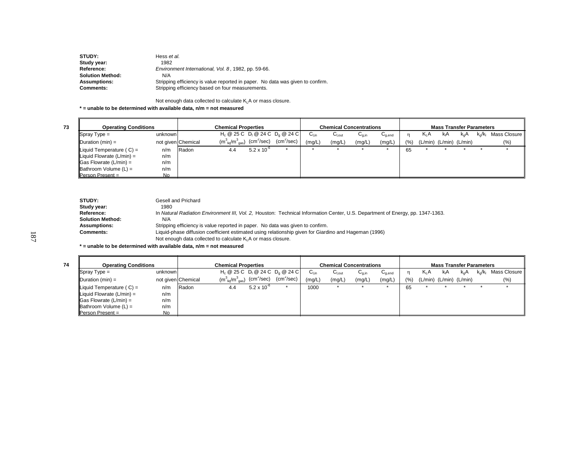| Hess et al.                                                                    |
|--------------------------------------------------------------------------------|
| 1982                                                                           |
| Environment International, Vol. 8, 1982, pp. 59-66.                            |
| N/A                                                                            |
| Stripping efficiency is value reported in paper. No data was given to confirm. |
| Stripping efficiency based on four measurements.                               |
|                                                                                |

Not enough data collected to calculate  $K<sub>L</sub>A$  or mass closure.

**\* = unable to be determined with available data, n/m = not measured**

**74**

| <b>Operating Conditions</b>       |         |                    |     |                                                                                                          | <b>Chemical Concentrations</b> | <b>Mass Transfer Parameters</b> |            |            |             |     |        |    |                               |      |              |
|-----------------------------------|---------|--------------------|-----|----------------------------------------------------------------------------------------------------------|--------------------------------|---------------------------------|------------|------------|-------------|-----|--------|----|-------------------------------|------|--------------|
| $\sqrt{\text{Spray Type}} =$      | unknown |                    |     | $H_c$ @ 25 C D <sub>1</sub> @ 24 C D <sub>0</sub> @ 24 C                                                 |                                | $C_{Lin}$                       | $C_{Lout}$ | $U_{q,in}$ | $C_{q,end}$ |     | $K_1A$ | kA | K <sub>o</sub> A              | k./k | Mass Closure |
| $\Delta$ Duration (min) =         |         | not given Chemical |     | $(\textsf{m}^{3}_{\ \ \textsf{liq}}/\textsf{m}^{3}_{\ \ \textsf{gas}})$ $(\textsf{cm}^{2}/\textsf{sec})$ | $(cm^2/sec)$                   | (mg/L)                          | (mg/L)     | (mg/L)     | (mg/L)      | (%) |        |    | $(L/min)$ $(L/min)$ $(L/min)$ |      | (%)          |
| Liquid Temperature $(C) =$        | n/m     | Radon              | 4.4 | $5.2 \times 10^{-6}$                                                                                     |                                |                                 |            |            |             | 65  |        |    |                               |      |              |
| Liquid Flowrate $(L/min) =$       | n/m     |                    |     |                                                                                                          |                                |                                 |            |            |             |     |        |    |                               |      |              |
| $\vert$ Gas Flowrate (L/min) =    | n/m     |                    |     |                                                                                                          |                                |                                 |            |            |             |     |        |    |                               |      |              |
| $\parallel$ Bathroom Volume (L) = | n/m     |                    |     |                                                                                                          |                                |                                 |            |            |             |     |        |    |                               |      |              |
| Person Present =                  | No.     |                    |     |                                                                                                          |                                |                                 |            |            |             |     |        |    |                               |      |              |

| STUDY:                  | Gesell and Prichard                                                                                                            |
|-------------------------|--------------------------------------------------------------------------------------------------------------------------------|
| Study year:             | 1980                                                                                                                           |
| Reference:              | In Natural Radiation Environment III, Vol. 2, Houston: Technical Information Center, U.S. Department of Energy, pp. 1347-1363. |
| <b>Solution Method:</b> | N/A                                                                                                                            |
| <b>Assumptions:</b>     | Stripping efficiency is value reported in paper. No data was given to confirm.                                                 |
| <b>Comments:</b>        | Liquid-phase diffusion coefficient estimated using relationship given for Giardino and Hageman (1996)                          |
|                         | Not enough data collected to calculate $K_i A$ or mass closure.                                                                |

**\* = unable to be determined with available data, n/m = not measured**

| <b>Operating Conditions</b>        |         | <b>Chemical Properties</b> |                                                        |                      |                                                                   |                  | <b>Chemical Concentrations</b> |            |             |      |                         | <b>Mass Transfer Parameters</b> |               |                         |                |  |  |  |
|------------------------------------|---------|----------------------------|--------------------------------------------------------|----------------------|-------------------------------------------------------------------|------------------|--------------------------------|------------|-------------|------|-------------------------|---------------------------------|---------------|-------------------------|----------------|--|--|--|
| $\sqrt{\text{Spray Type}} =$       | unknown |                            |                                                        |                      | H <sub>c</sub> @ 25 C D <sub>i</sub> @ 24 C D <sub>a</sub> @ 24 C | $C_{\text{Lin}}$ | $C_{\text{Lout}}$              | $U_{q,in}$ | $C_{q,end}$ |      | K <sub>i</sub> A        | k A                             | $k_{\alpha}A$ | $k_{\alpha}/k_{\alpha}$ | Mass Closure I |  |  |  |
| Duration $(min) =$                 |         | not given Chemical         | $\rm (m_{\ \, liq}^3/m_{\ \, gas}^3)$ $\rm (cm^2/sec)$ |                      | (cm <sup>2</sup> /sec)                                            | (mg/L)           | (mg/L)                         | (mg/L)     | (mg/L)      | (% ) | (L/min) (L/min) (L/min) |                                 |               |                         | $(\%)$         |  |  |  |
| Liquid Temperature $(C) =$         | n/m     | Radon                      | 4.4                                                    | $5.2 \times 10^{-6}$ |                                                                   | 1000             | ÷                              |            |             | 65   |                         |                                 |               |                         |                |  |  |  |
| Liquid Flowrate (L/min) =          | n/m     |                            |                                                        |                      |                                                                   |                  |                                |            |             |      |                         |                                 |               |                         |                |  |  |  |
| $\parallel$ Gas Flowrate (L/min) = | n/m     |                            |                                                        |                      |                                                                   |                  |                                |            |             |      |                         |                                 |               |                         |                |  |  |  |
| $\parallel$ Bathroom Volume (L) =  | n/m     |                            |                                                        |                      |                                                                   |                  |                                |            |             |      |                         |                                 |               |                         |                |  |  |  |
| $Person Present =$                 | No      |                            |                                                        |                      |                                                                   |                  |                                |            |             |      |                         |                                 |               |                         |                |  |  |  |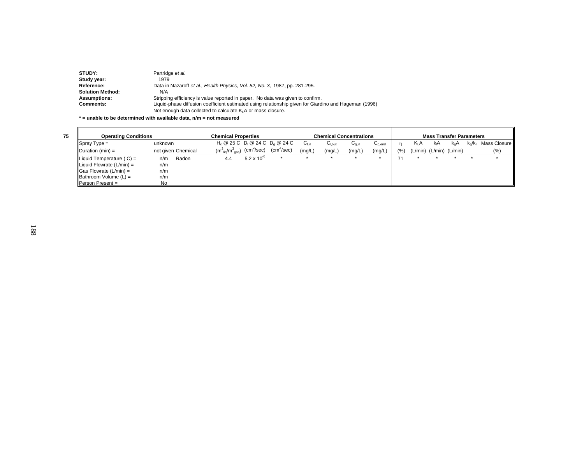| <b>STUDY:</b>           | Partridge et al.                                                                                      |
|-------------------------|-------------------------------------------------------------------------------------------------------|
| Study year:             | 1979                                                                                                  |
| Reference:              | Data in Nazaroff et al., Health Physics, Vol. 52, No. 3, 1987, pp. 281-295.                           |
| <b>Solution Method:</b> | N/A                                                                                                   |
| <b>Assumptions:</b>     | Stripping efficiency is value reported in paper. No data was given to confirm.                        |
| <b>Comments:</b>        | Liquid-phase diffusion coefficient estimated using relationship given for Giardino and Hageman (1996) |
|                         | Not enough data collected to calculate K <sub>i</sub> A or mass closure.                              |

**\* = unable to be determined with available data, n/m = not measured**

| <b>Operating Conditions</b>          |           |                    |                                       |                            | <b>Chemical Concentrations</b>     |           | <b>Mass Transfer Parameters</b> |                   |             |     |         |                               |     |           |              |
|--------------------------------------|-----------|--------------------|---------------------------------------|----------------------------|------------------------------------|-----------|---------------------------------|-------------------|-------------|-----|---------|-------------------------------|-----|-----------|--------------|
| $\blacksquare$ Spray Type =          | unknown   |                    |                                       |                            | $H_c @ 25 C D_1 @ 24 C D_0 @ 24 C$ | $C_{Lin}$ | ∪l.out                          | ∪ <sub>g,in</sub> | $U_{q,end}$ | n.  | $K_L A$ | kıA                           | k.A | $k_o/k_1$ | Mass Closure |
| $\Delta$ Duration (min) =            |           | not given Chemical | $(m_{\text{liq}}^3/m_{\text{gas}}^3)$ | $\text{(cm}^2\text{/sec)}$ | (cm <sup>2</sup> /sec)             | (mg/L)    | (mg/L)                          | (mg/L)            | (mg/L)      | (%) |         | $(L/min)$ $(L/min)$ $(L/min)$ |     |           | $(\%)$       |
| Liquid Temperature $(C) =$           | n/m       | Radon              | 4.4                                   | $5.2 \times 10^{-6}$       |                                    |           |                                 |                   |             |     |         |                               |     |           |              |
| Liquid Flowrate $(L/min) =$          | n/m       |                    |                                       |                            |                                    |           |                                 |                   |             |     |         |                               |     |           |              |
| $\textsf{Gas}$ Flowrate (L/min) =    | n/m       |                    |                                       |                            |                                    |           |                                 |                   |             |     |         |                               |     |           |              |
| $\blacksquare$ Bathroom Volume (L) = | n/m       |                    |                                       |                            |                                    |           |                                 |                   |             |     |         |                               |     |           |              |
| <b>Person Present =</b>              | <b>No</b> |                    |                                       |                            |                                    |           |                                 |                   |             |     |         |                               |     |           |              |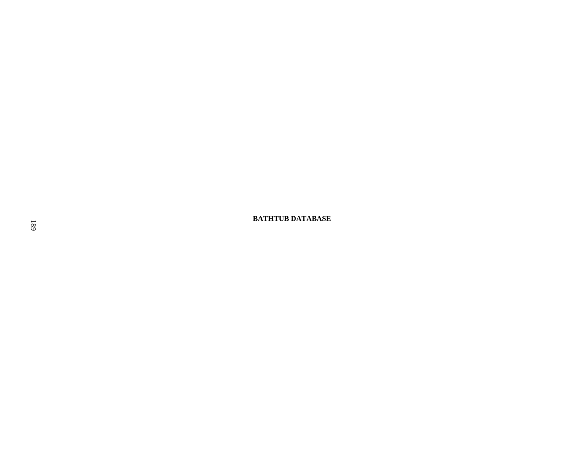**BATHTUB DATABASE**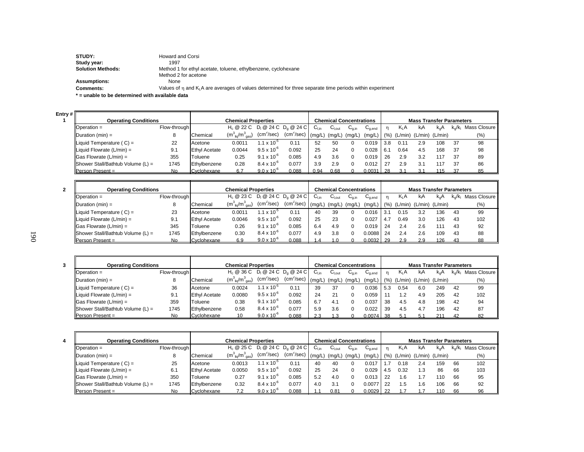| STUDY:                   | <b>Howard and Corsi</b>                                                                                         |
|--------------------------|-----------------------------------------------------------------------------------------------------------------|
| Study year:              | 1997                                                                                                            |
| <b>Solution Methods:</b> | Method 1 for ethyl acetate, toluene, ethylbenzene, cyclohexane                                                  |
|                          | Method 2 for acetone                                                                                            |
| <b>Assumptions:</b>      | None                                                                                                            |
| <b>Comments:</b>         | Values of $\eta$ and $K_1A$ are averages of values determined for three separate time periods within experiment |
|                          |                                                                                                                 |

**\* = unable to be determined with available data**

**2**

| <b>Operating Conditions</b><br><b>Chemical Properties</b><br><b>Chemical Concentrations</b><br>H <sub>c</sub> @ 22 C D <sub>i</sub> @ 24 C D <sub>a</sub> @ 24 C<br>$C_{Lin}$<br>$C_{q,in}$<br>Flow-through<br>K A<br>$k_{n}A$<br>kA<br>$D$ Doeration =<br>n<br>$U_{\text{Lout}}$<br>$\mathsf{u}_{\mathsf{q},\mathsf{end}}$<br>$(cm^2/sec)$<br>(cm <sup>2</sup> /sec)<br>$(m^{3}_{\text{liq}}/m^{3}_{\text{gas}})$<br>(mq/L)<br>$ $ Duration (min) =<br>(% )<br>(L/min) (L/min) (L/min)<br>Chemical<br>(mg/L)<br>(mg/L)<br>(mg/L)<br>$1.1 \times 10^{-7}$<br>0.019<br>0.11<br>Liquid Temperature $(C) =$<br>0.0011<br>52<br>108<br>22<br>50<br>3.8<br>2.9<br>-37<br>$\Omega$<br>0.11<br>Acetone |                                 |  |  |  |  |  |  |  |
|-------------------------------------------------------------------------------------------------------------------------------------------------------------------------------------------------------------------------------------------------------------------------------------------------------------------------------------------------------------------------------------------------------------------------------------------------------------------------------------------------------------------------------------------------------------------------------------------------------------------------------------------------------------------------------------------------|---------------------------------|--|--|--|--|--|--|--|
|                                                                                                                                                                                                                                                                                                                                                                                                                                                                                                                                                                                                                                                                                                 | <b>Mass Transfer Parameters</b> |  |  |  |  |  |  |  |
|                                                                                                                                                                                                                                                                                                                                                                                                                                                                                                                                                                                                                                                                                                 | $k_o/k_i$ Mass Closure          |  |  |  |  |  |  |  |
|                                                                                                                                                                                                                                                                                                                                                                                                                                                                                                                                                                                                                                                                                                 | $(\%)$                          |  |  |  |  |  |  |  |
|                                                                                                                                                                                                                                                                                                                                                                                                                                                                                                                                                                                                                                                                                                 | 98                              |  |  |  |  |  |  |  |
| $9.5 \times 10^{-6}$<br>Liquid Flowrate $(L/min) =$<br>0.092<br>25<br><b>Ethyl Acetate</b><br>0.0044<br>24<br>37<br>9.1<br>0.028<br>0.64<br>4.5<br>168<br>. 6.1                                                                                                                                                                                                                                                                                                                                                                                                                                                                                                                                 | 98                              |  |  |  |  |  |  |  |
| $9.1 \times 10^{-6}$<br>355<br>$\vert$ Gas Flowrate (L/min) =<br>0.085<br>4.9<br>3.6<br>37<br>0.25<br>0.019<br>26<br>3.2<br>117<br>Toluene<br>2.9<br>$\Omega$                                                                                                                                                                                                                                                                                                                                                                                                                                                                                                                                   | 89                              |  |  |  |  |  |  |  |
| $8.4 \times 10^{-6}$<br>Shower Stall/Bathtub Volume $(L)$ =<br>0.077<br>1745<br>3.9<br>37<br>0.28<br>2.9<br>0.012<br>27<br>117<br>Ethylbenzene<br>2.9<br>3.1<br>O                                                                                                                                                                                                                                                                                                                                                                                                                                                                                                                               | 86                              |  |  |  |  |  |  |  |
| $9.0 \times 10^{-6}$<br>0.088<br>0.94<br>0.68<br>No.<br>$0.0031$ 28<br>Person Present =<br>Cyclohexane<br>115                                                                                                                                                                                                                                                                                                                                                                                                                                                                                                                                                                                   | 85                              |  |  |  |  |  |  |  |

| <b>Operating Conditions</b>           |              | <b>Chemical Properties</b> |                                                          |                      |                        |           | <b>Chemical Concentrations</b> |        |             |     | <b>Mass Transfer Parameters</b> |                               |               |    |                                             |  |  |
|---------------------------------------|--------------|----------------------------|----------------------------------------------------------|----------------------|------------------------|-----------|--------------------------------|--------|-------------|-----|---------------------------------|-------------------------------|---------------|----|---------------------------------------------|--|--|
| $\blacksquare$ Depends $\blacksquare$ | Flow-through |                            | $H_c$ @ 23 C D <sub>1</sub> @ 24 C D <sub>0</sub> @ 24 C |                      |                        | $C_{Lin}$ | $U_{\text{Lout}}$              | ∪a.in  | $U_{q,end}$ |     | $K_1A$                          | КA                            | $K_{\alpha}A$ |    | k <sub>o</sub> /k <sub>i</sub> Mass Closure |  |  |
| Duration (min) $=$                    |              | Chemical                   | $(m_{\text{liq}}^3/m_{\text{gas}}^3)$                    | $(cm^2/sec)$         | $(cm2/sec)$ $(mg/L)$ ' |           | (mg/L)                         | (mq/L) | (mg/L)      |     |                                 | $(%)$ (L/min) (L/min) (L/min) |               |    | $(\% )$                                     |  |  |
| Liquid Temperature $(C) =$            | 23           | Acetone                    | 0.0011                                                   | 1.1 x 10 $^{\circ}$  | 0.11                   | 40        | 39                             |        | 0.016       | 3.  | 0.15                            | 3.2                           | 136           | 43 | 99                                          |  |  |
| Liquid Flowrate $(L/min) =$           | 9.1          | <b>Ethyl Acetate</b>       | 0.0046                                                   | $9.5 \times 10^{-6}$ | 0.092                  | 25        | 23                             |        | 0.027       | 4.1 | 0.49                            | 3.0                           | 126           | 43 | 102                                         |  |  |
| $\Box$ Gas Flowrate (L/min) =         | 345          | Toluene                    | 0.26                                                     | $9.1 \times 10^{-6}$ | 0.085                  | 6.4       | 4.9                            |        | 0.019       | -24 | 2.4                             | 2.6                           |               | 43 | 92                                          |  |  |
| Shower Stall/Bathtub Volume $(L)$ =   | 1745         | Ethylbenzene               | 0.30                                                     | $8.4 \times 10^{-6}$ | 0.077                  | 4.9       | 3.8                            |        | 0.0088      | 24  | 2.4                             | 2.6                           | 109           | 43 | 88                                          |  |  |
| <b>Person Present =</b>               | No           | Cyclohexane                | 6.9                                                      | $9.0 \times 10^{-6}$ | 0.088                  | $\Delta$  |                                |        | $0.0032$ 29 |     | 2.9                             | 2.9                           | 126           | 43 | 88                                          |  |  |

| <b>Operating Conditions</b>         |              | <b>Chemical Properties</b> |                                       |                        |                                     |          | <b>Chemical Concentrations</b> |            |                                        |      | <b>Mass Transfer Parameters</b> |                 |     |                         |                |  |  |
|-------------------------------------|--------------|----------------------------|---------------------------------------|------------------------|-------------------------------------|----------|--------------------------------|------------|----------------------------------------|------|---------------------------------|-----------------|-----|-------------------------|----------------|--|--|
| $\blacksquare$ Operation =          | Flow-through |                            | $H_c \otimes 36 C$                    |                        | $D_1 \otimes 24 C D_0 \otimes 24 C$ | ∪եո      | $C_{\text{Lout}}$              | $U_{0,in}$ | $\mathsf{u}_{\mathsf{q},\mathsf{end}}$ |      | K <sub>I</sub> A                | kA              | k.A | $k_{\alpha}/k_{\alpha}$ | Mass Closure I |  |  |
| $IDuration (min) =$                 |              | Chemical                   | $(m_{\text{liq}}^3/m_{\text{gas}}^3)$ | (cm <sup>2</sup> /sec) | (cm <sup>2</sup> /sec)              | l (ma/L) | (mq/L)                         | (mq/L)     | (mg/L)                                 | (% ) | (L/min)                         | (L/min) (L/min) |     |                         | (% )           |  |  |
| Liquid Temperature $(C) =$          | 36           | Acetone                    | 0.0024                                | $1.1 \times 10^{-7}$   | 0.11                                | 39       | 37                             |            | 0.036                                  | 5.3  | 0.54                            | 6.0             | 249 | 42                      | 99             |  |  |
| Liquid Flowrate $(L/min) =$         | 9.1          | <b>Ethyl Acetate</b>       | 0.0080                                | $9.5 \times 10^{-6}$   | 0.092                               | 24       | 21                             |            | 0.059                                  |      | 1.2                             | 4.9             | 205 | 42                      | 102            |  |  |
| $\Box$ Gas Flowrate (L/min) =       | 359          | Toluene                    | 0.38                                  | $9.1 \times 10^{-6}$   | 0.085                               | 6.7      | 4.1                            |            | 0.037                                  | 38   | 4.5                             | 4.8             | 198 | 42                      | 94             |  |  |
| Shower Stall/Bathtub Volume $(L)$ = | 1745         | Ethylbenzene               | 0.58                                  | $8.4 \times 10^{-6}$   | 0.077                               | 5.9      | 3.6                            |            | 0.022                                  | 39   | 4.5                             | 4.7             | 196 | 42                      | 87             |  |  |
| <b>Person Present =</b>             | No.          | Cyclohexane                |                                       | $9.0 \times 10^{-6}$   | 0.088                               | 2.3      |                                |            | $0.0074$ 38                            |      | 5.1                             |                 | 211 | 42                      |                |  |  |

| <b>Operating Conditions</b>         |              | <b>Chemical Properties</b> |                                                                   |                      |                                   |           | <b>Chemical Concentrations</b> |            |              |     |        | <b>Mass Transfer Parameters</b> |          |     |                          |  |  |  |  |
|-------------------------------------|--------------|----------------------------|-------------------------------------------------------------------|----------------------|-----------------------------------|-----------|--------------------------------|------------|--------------|-----|--------|---------------------------------|----------|-----|--------------------------|--|--|--|--|
| $\blacksquare$ Operation =          | Flow-through |                            | H <sub>c</sub> @ 25 C D <sub>i</sub> @ 24 C D <sub>a</sub> @ 24 C |                      |                                   | $C_{Lin}$ | $U_{\text{Lout}}$              | $U_{0,in}$ | $G_{q,end}$  |     | $K_1A$ | kA                              | $k_{n}A$ |     | $k_o/k_i$ Mass Closure I |  |  |  |  |
| Duration $(min) =$                  |              | Chemical                   | $(m_{\text{liq}}^3/m_{\text{gas}}^3)$                             | $(cm^2/sec)$         | (cm <sup>2</sup> /sec)   (mg/L) ' |           | (mq/L)                         | (mq/L)     | $(mg/L)$ (%) |     |        | (L/min) (L/min) (L/min)         |          |     | $(\%)$                   |  |  |  |  |
| Liquid Temperature $(C) =$          | 25           | Acetone                    | 0.0013                                                            | $1.1 \times 10^{-3}$ | 0.11                              | 40        | 40                             |            | 0.017        |     | 0.18   | 2.4                             | 159      | 66  | 102                      |  |  |  |  |
| Liquid Flowrate $(L/min) =$         | 6.1          | <b>Ethyl Acetate</b>       | 0.0050                                                            | $9.5 \times 10^{-6}$ | 0.092                             | 25        | 24                             |            | 0.029        | 4.5 | 0.32   | l.3                             | 86       | 66  | 103                      |  |  |  |  |
| $\textsf{Gas}$ Flowrate (L/min) =   | 350          | Toluene                    | 0.27                                                              | $9.1 \times 10^{-6}$ | 0.085                             | 5.2       | 4.0                            |            | 0.013        |     | 1.6    |                                 | 110      | 66  | 95                       |  |  |  |  |
| Shower Stall/Bathtub Volume $(L)$ = | 1745         | Ethylbenzene               | 0.32                                                              | $8.4 \times 10^{-6}$ | 0.077                             | 4.0       | 3.1                            |            | 0.0077       |     | l.5    | .6                              | 106      | 66  | 92                       |  |  |  |  |
| <b>I</b> Person Present $=$         | No.          | Cyclohexane                |                                                                   | $9.0 \times 10^{-6}$ | 0.088                             |           | 0.81                           |            | 0.0029       |     |        |                                 | 110      | -66 | 96                       |  |  |  |  |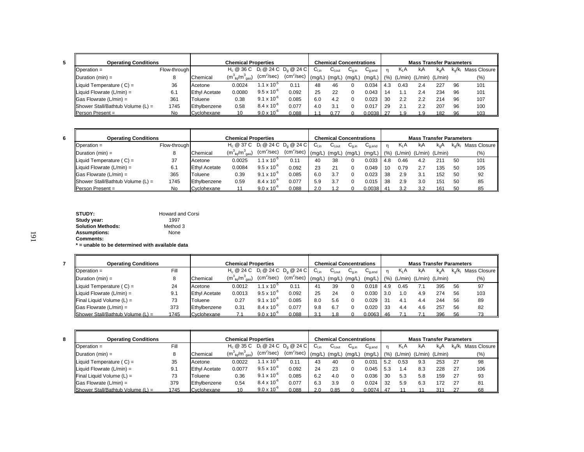| <b>Operating Conditions</b>           |              |                      | <b>Chemical Properties</b>                                        |                      |                        |           |        | Chemical Concentrations |             |      |                  |     | <b>Mass Transfer Parameters</b> |           |              |
|---------------------------------------|--------------|----------------------|-------------------------------------------------------------------|----------------------|------------------------|-----------|--------|-------------------------|-------------|------|------------------|-----|---------------------------------|-----------|--------------|
| Operation $=$                         | Flow-through |                      | H <sub>c</sub> @ 36 C D <sub>i</sub> @ 24 C D <sub>a</sub> @ 24 C |                      |                        | ∪⊥տ       | ના∪    | $U_{0,in}$              | $G_{g,end}$ |      | K <sub>I</sub> A | kA  | $k_{\alpha}A$                   | $k_0/k_1$ | Mass Closure |
| Duration $(min) =$                    |              | Chemical             | $(m_{\text{liq}}^3/m_{\text{gas}}^3)$                             | $(cm^2/sec)$         | (cm <sup>2</sup> /sec) | $'$ (ma/L | (mg/L, | (mg/L)                  | (mg/L)      | (% ) |                  |     | (L/min) (L/min) (L/min)         |           | $(\%)$       |
| $\parallel$ Liquid Temperature (C) =  | 36           | Acetone              | 0.0024                                                            | $1.1 \times 10^{-7}$ | 0.1'                   | 48        | 46     |                         | 0.034       | 4.3  | 0.43             | 2.4 | 227                             | 96        | 101          |
| $\parallel$ Liquid Flowrate (L/min) = | 6.1          | <b>Ethyl Acetate</b> | 0.0080                                                            | $9.5 \times 10^{-6}$ | 0.092                  | 25        | 22     |                         | 0.043       | 14   |                  | 2.4 | 234                             | 96        | 101          |
| $\vert$ Gas Flowrate (L/min) =        | 361          | Toluene              | 0.38                                                              | $9.1 \times 10^{-6}$ | 0.085                  | 6.0       | 4.2    |                         | 0.023       | 30   | 2.2              | 2.2 | 214                             | 96        | 107          |
| Shower Stall/Bathtub Volume $(L)$ =   | 1745         | Ethylbenzene         | 0.58                                                              | $8.4 \times 10^{-6}$ | 0.077                  | 4.0       | 3.1    |                         | 0.017       | 29   | 2.1              | 2.2 | 207                             | 96        | 100          |
| <b>Person Present =</b>               | No           | Cyclohexane          |                                                                   | $9.0 \times 10^{-6}$ | 0.088                  |           | 0.77   |                         | 0.0038 27   |      | 1.9              | 1.9 | 182                             | 96        | 103          |

**8**

| <b>Operating Conditions</b>         |              |                      | <b>Chemical Properties</b>                                        |                      |                        |        |                   | <b>Chemical Concentrations</b> |             |      |                  | <b>Mass Transfer Parameters</b> |     |                  |              |
|-------------------------------------|--------------|----------------------|-------------------------------------------------------------------|----------------------|------------------------|--------|-------------------|--------------------------------|-------------|------|------------------|---------------------------------|-----|------------------|--------------|
| $\Box$ Operation =                  | Flow-through |                      | H <sub>c</sub> @ 37 C D <sub>i</sub> @ 24 C D <sub>a</sub> @ 24 C |                      |                        | ∪∟in   | $C_{\text{Lout}}$ | $U_{0}$ in                     | $C_{q,end}$ |      | K <sub>I</sub> A | kA                              | k.A | $k_{\alpha}/k_1$ | Mass Closure |
| $Duration (min) =$                  |              | Chemical             | $(m^{3}_{\text{liq}}/m^{3}_{\text{gas}})$                         | $(cm^2/sec)$         | (cm <sup>2</sup> /sec) | (mg/L) | $(mg/L)$ $(mg/L)$ |                                | (mg/L)      | (% ) |                  | (L/min) (L/min) (L/min)         |     |                  | $(\%)$       |
| Liquid Temperature $(C) =$          | 37           | Acetone              | 0.0025                                                            | $1.1 \times 10^{-7}$ | 0.11                   | 40     | 38                |                                | 0.033       | 4.8  | 0.46             | 4.2                             | 211 | -50              | 101          |
| Liquid Flowrate $(L/min) =$         | 6.1          | <b>Ethyl Acetate</b> | 0.0084                                                            | $9.5 \times 10^{-6}$ | 0.092                  | 23     | 21                |                                | 0.049       | 10   | 0.79             |                                 | 135 | -50              | 105          |
| $\Box$ Gas Flowrate (L/min) =       | 365          | Toluene              | 0.39                                                              | $9.1 \times 10^{-6}$ | 0.085                  | 6.0    | 3.7               |                                | 0.023       | 38   | 2.9              |                                 | 152 | 50               | 92           |
| Shower Stall/Bathtub Volume $(L)$ = | 1745         | Ethylbenzene         | 0.59                                                              | $8.4 \times 10^{-6}$ | 0.077                  | 5.9    | 3.7               |                                | 0.015       | 38   | 2.9              | 3.0                             | 151 | 50               | 85           |
| <b>Person Present =</b>             | No.          | Cvclohexane          |                                                                   | $9.0 \times 10^{-6}$ | 0.088                  |        |                   |                                | 0.0038      |      | 3.2              |                                 | 161 |                  | 85           |

| STUDY:                   | <b>Howard and Corsi</b> |
|--------------------------|-------------------------|
| Study year:              | 1997                    |
| <b>Solution Methods:</b> | Method 3                |
| <b>Assumptions:</b>      | None                    |
| <b>Comments:</b>         |                         |

**\* = unable to be determined with available data**

| <b>Operating Conditions</b>                      |      |                      | <b>Chemical Properties</b>            |                      |                        |           |                   | <b>Chemical Concentrations</b> |             |      |         | <b>Mass Transfer Parameters</b>      |               |    |                                             |
|--------------------------------------------------|------|----------------------|---------------------------------------|----------------------|------------------------|-----------|-------------------|--------------------------------|-------------|------|---------|--------------------------------------|---------------|----|---------------------------------------------|
| $D$ Doeration =                                  | Fill |                      | $H_c @ 24 C D_1 @ 24 C D_2 @ 24 C$    |                      |                        | $C_{Lin}$ | $C_{\text{Lout}}$ | $U_{q,in}$                     | $C_{q,end}$ |      | $K_L A$ | kA                                   | $k_{\alpha}A$ |    | k <sub>o</sub> /k <sub>i</sub> Mass Closure |
| $Duration (min) =$                               | 8    | Chemical             | $(m_{\text{liq}}^3/m_{\text{gas}}^3)$ | $(cm^2/sec)$         | (cm <sup>2</sup> /sec) | (mg/L)    | (mg/L)            | (mg/L)                         |             |      |         | $(mg/L)$ (%) (L/min) (L/min) (L/min) |               |    | (% )                                        |
| Liquid Temperature $(C) =$                       | 24   | Acetone              | 0.0012                                | $1.1 \times 10^{-3}$ | 0.11                   | 41        | 39                |                                | 0.018       | 14.9 | 0.45    | 7.1                                  | 395           | 56 | 97                                          |
| Liquid Flowrate $(L/min) =$                      | 9.1  | <b>Ethyl Acetate</b> | 0.0013                                | $9.5 \times 10^{-6}$ | 0.092                  | 25        | 24                |                                | 0.030       | -3.0 | 1.0     | 4.9                                  | 274           | 56 | 103                                         |
| <b>Final Liquid Volume (L) =</b>                 | 73   | Toluene              | 0.27                                  | $9.1 \times 10^{-6}$ | 0.085                  | 8.0       | 5.6               |                                | 0.029       | . 31 | 4.1     | 4.4                                  | 244           | 56 | 89                                          |
| $\Box$ Gas Flowrate (L/min) =                    | 373  | Ethylbenzene         | 0.31                                  | $8.4 \times 10^{-6}$ | 0.077                  | 9.8       | 6.7               |                                | 0.020       | 33   | 4.4     | 4.6                                  | 257           | 56 | 82                                          |
| $\blacksquare$ Shower Stall/Bathtub Volume (L) = | 1745 | Cyclohexane          |                                       | $9.0 \times 10^{-6}$ | 0.088                  |           |                   |                                | $0.0063$ 46 |      |         |                                      | 396           | 56 |                                             |

| <b>Operating Conditions</b>                      |      |                      | <b>Chemical Properties</b>                |                      |              |                           | <b>Chemical Concentrations</b> |            |                             |     |                  | <b>Mass Transfer Parameters</b> |               |                         |              |
|--------------------------------------------------|------|----------------------|-------------------------------------------|----------------------|--------------|---------------------------|--------------------------------|------------|-----------------------------|-----|------------------|---------------------------------|---------------|-------------------------|--------------|
| $\blacksquare$ Operation =                       | Fill |                      | $H_c @ 35 C D_1 @ 24 C D_0 @ 24 C$        |                      |              | $\mathsf{C}_\mathsf{Lin}$ | $C_{\text{Lout}}$              | $U_{0,in}$ | $\mathrm{C}_{\text{q,end}}$ |     | K <sub>I</sub> A | kıA                             | $k_{\alpha}A$ | $k_{\alpha}/k_{\alpha}$ | Mass Closure |
| $\Delta$ Duration (min) =                        |      | Chemical             | $(m^{3}_{\text{liq}}/m^{3}_{\text{gas}})$ | $(cm^2/sec)$         | $(cm^2/sec)$ | (ma/L)                    | (mg/L)                         | ` (mg/L)   | $(mg/L)$ (%)                |     |                  | (L/min) (L/min) (L/min)         |               |                         | (%)          |
| Liquid Temperature $(C) =$                       | 35   | Acetone              | 0.0022                                    | $1.1 \times 10^{-3}$ | 0.11         | 43                        | 40                             |            | $0.03^{\circ}$              | 5.2 | 0.53             | 9.3                             | 253           | 27                      | 98           |
| Liquid Flowrate $(L/min) =$                      | 9.1  | <b>Ethyl Acetate</b> | 0.0077                                    | $9.5 \times 10^{-6}$ | 0.092        | 24                        | 23                             |            | 0.045                       | 5.3 | 1.4              | 8.3                             | 228           | 27                      | 106          |
| $\blacksquare$ Final Liquid Volume (L) =         | 73   | Toluene              | 0.36                                      | $9.1 \times 10^{-6}$ | 0.085        | 6.2                       | 4.0                            |            | 0.036                       | 30  | 5.3              | 5.8                             | 159           | 27                      | 93           |
| $\Box$ Gas Flowrate (L/min) =                    | 379  | Ethylbenzene         | 0.54                                      | $8.4 \times 10^{-6}$ | 0.077        | 6.3                       | 3.9                            |            | 0.024                       | 32  | 5.9              | 6.3                             | 172           | -27                     | 81           |
| $\blacksquare$ Shower Stall/Bathtub Volume (L) = | 1745 | Cyclohexane          |                                           | $9.0 \times 10^{-6}$ | 0.088        |                           | 0.85                           |            | $0.0074$ 47                 |     |                  |                                 | 311           |                         | 68           |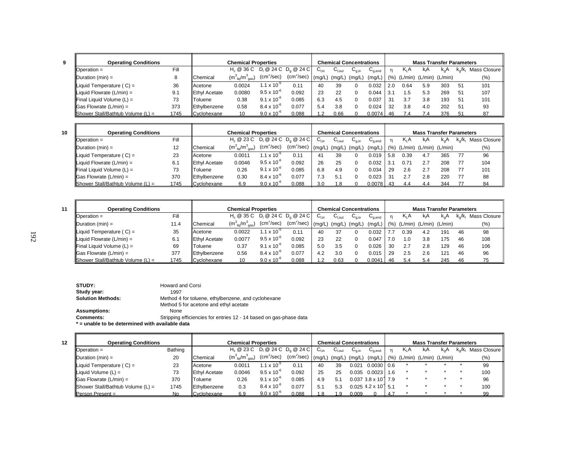| I |        |  |  |
|---|--------|--|--|
|   |        |  |  |
|   | I      |  |  |
| × | I<br>٠ |  |  |

**11**

| <b>Operating Conditions</b>           |      |                      | <b>Chemical Properties</b>            |                        |                                                                   |                           |                    | <b>Chemical Concentrations</b> |                                    |                |                  | <b>Mass Transfer Parameters</b> |               |           |                |
|---------------------------------------|------|----------------------|---------------------------------------|------------------------|-------------------------------------------------------------------|---------------------------|--------------------|--------------------------------|------------------------------------|----------------|------------------|---------------------------------|---------------|-----------|----------------|
| $D$ Doeration =                       | Fill |                      |                                       |                        | H <sub>c</sub> @ 36 C D <sub>i</sub> @ 24 C D <sub>a</sub> @ 24 C | $\mathsf{C}_\mathsf{Lin}$ | $U_{\text{I,out}}$ | $U_{q,in}$                     | $\mathtt{C}_{\text{\text{q},end}}$ | n              | K <sub>I</sub> A | kıA                             | $k_{\alpha}A$ | $k_0/k_1$ | Mass Closure I |
| $IDuration (min) =$                   |      | Chemical             | $(m_{\text{liq}}^3/m_{\text{gas}}^3)$ | $(cm^2/sec)$           | (cm <sup>2</sup> /sec)                                            | (ma/L)                    | (mg/L)             | (mg/L)                         | (mg/L)                             | (% )           | (L/min)          | (L/min) (L/min)                 |               |           | (%)            |
| $\parallel$ Liquid Temperature (C) =  | 36   | Acetone              | 0.0024                                | 1.1 x 10 <sup>-5</sup> | 0.11                                                              | 40                        | 39                 |                                | 0.032                              | 2.0            | 0.64             | 5.9                             | 303           | -51       | 101            |
| Liquid Flowrate $(L/min) =$           | 9.1  | <b>Ethyl Acetate</b> | 0.0080                                | $9.5 \times 10^{-6}$   | 0.092                                                             | 23                        | 22                 |                                | 0.044                              | 3.             | . 5              | 5.3                             | 269           | 51        | 107            |
| $\parallel$ Final Liquid Volume (L) = | 73   | Toluene              | 0.38                                  | $9.1 \times 10^{-6}$   | 0.085                                                             | 6.3                       | 4.5                |                                | 0.037                              | 3 <sup>1</sup> | 3.7              | 3.8                             | 193           | 51        | 101            |
| $\textsf{Gas}$ Flowrate (L/min) =     | 373  | Ethylbenzene         | 0.58                                  | $8.4 \times 10^{-6}$   | 0.077                                                             |                           | 3.8                |                                | 0.024                              | 32             | 3.8              | 4.0                             | 202           | -51       | 93             |
| Shower Stall/Bathtub Volume $(L)$ =   | 1745 | Cyclohexane          |                                       | $9.0 \times 10^{-6}$   | 0.088                                                             |                           | 0.66               |                                | $0.0074$ 46                        |                | 7.4              |                                 | 376           |           | 87             |

| <b>Operating Conditions</b>                      |      |                      | <b>Chemical Properties</b>            |                        |                        |           |                   | <b>Chemical Concentrations</b> |                                    |      |                         | <b>Mass Transfer Parameters</b> |               |                         |              |
|--------------------------------------------------|------|----------------------|---------------------------------------|------------------------|------------------------|-----------|-------------------|--------------------------------|------------------------------------|------|-------------------------|---------------------------------|---------------|-------------------------|--------------|
| $D$ peration =                                   | Fill |                      | $H_c @ 23 C D_1 @ 24 C D_0 @ 24 C$    |                        |                        | $C_{Lin}$ | $C_{\text{Lout}}$ | $U_{0,in}$                     | $\mathtt{C}_{\text{\text{q},end}}$ |      | K <sub>ι</sub> Α        | kA                              | $k_{\alpha}A$ | $k_{\alpha}/k_{\alpha}$ | Mass Closure |
| Duration $(min) =$                               | 12   | Chemical             | $(m_{\text{liq}}^3/m_{\text{gas}}^3)$ | $(cm^2/sec)$           | (cm <sup>2</sup> /sec) | ' (mg/L)  | (mg/L)            | (mg/L)                         | (mg/L)                             | (% ) | (L/min) (L/min) (L/min) |                                 |               |                         | (9/0)        |
| Liquid Temperature $(C) =$                       | 23   | Acetone              | 0.0011                                | 1.1 x 10 <sup>-5</sup> | 0.11                   | 41        | 39                |                                | 0.019                              | 5.8  | 0.39                    | 4.7                             | 365           | 77                      | 96           |
| Liquid Flowrate $(L/min) =$                      | 6.7  | <b>Ethyl Acetate</b> | 0.0046                                | $9.5 \times 10^{-6}$   | 0.092                  | 26        | 25                |                                | 0.032                              | 3.   | $0.7^{\circ}$           | 2.7                             | 208           | 77                      | 104          |
| $\blacksquare$ Final Liquid Volume (L) =         | 73   | Toluene              | 0.26                                  | $9.1 \times 10^{-6}$   | 0.085                  | 6.8       | 4.9               |                                | 0.034                              | 29   | 2.6                     | 2.7                             | 208           | 77                      | 101          |
| $\textsf{G}$ as Flowrate (L/min) =               | 370  | Ethylbenzene         | 0.30                                  | $8.4 \times 10^{-6}$   | 0.077                  | 7.3       | 5.1               |                                | 0.023                              | 31   | 2.7                     | 2.8                             | 220           | 77                      | 88           |
| $\blacksquare$ Shower Stall/Bathtub Volume (L) = | 1745 | Cyclohexane          | 6.9                                   | $9.0 \times 10^{-6}$   | 0.088                  | 3.0       |                   |                                | 0.0078                             | - 43 | 4.4                     | 44                              | 344           |                         | 84           |

| <b>Operating Conditions</b>                      |      |                      | <b>Chemical Properties</b>            |                      |              |                           |                   | <b>Chemical Concentrations</b> |             |     |        | <b>Mass Transfer Parameters</b> |          |                         |                |
|--------------------------------------------------|------|----------------------|---------------------------------------|----------------------|--------------|---------------------------|-------------------|--------------------------------|-------------|-----|--------|---------------------------------|----------|-------------------------|----------------|
| $D$ Doeration =                                  | Fill |                      | $H_c @ 35 C D_1 @ 24 C D_0 @ 24 C$    |                      |              | $\mathsf{C}_\mathsf{Lin}$ | $C_{\text{Lout}}$ | ∪a.in                          | $C_{q,end}$ |     | $K_1A$ | kıA                             | $k_{0}A$ | $k_{\alpha}/k_{\alpha}$ | Mass Closure I |
| $\Delta$ Duration (min) =                        | 11.4 | Chemical             | $(m_{\text{liq}}^3/m_{\text{gas}}^3)$ | $(cm^2/sec)$         | $(cm^2/sec)$ | (mq/L)                    | $\mod$ (mg/L)     | (mq/L)                         | (mg/L)      |     |        | $(%)$ (L/min) (L/min) (L/min)   |          |                         | (% )           |
| Liquid Temperature $(C) =$                       | 35   | Acetone              | 0.0022                                | $1.1 \times 10^{-3}$ | 0.11         | 40                        | 37                |                                | 0.032       |     | 0.39   | 4.2                             | 191      | 46                      | 98             |
| Liquid Flowrate $(L/min) =$                      | 6.1  | <b>Ethyl Acetate</b> | 0.0077                                | $9.5 \times 10^{-6}$ | 0.092        | 23                        | 22                |                                | 0.047       | 7.0 | 1.0    | 3.8                             | 175      | 46                      | 108            |
| $\parallel$ Final Liquid Volume (L) =            | 69   | Toluene              | 0.37                                  | $9.1 \times 10^{-6}$ | 0.085        | 5.0                       | 3.5               |                                | 0.026       | 30  | 2.7    | 2.8                             | 129      | 46                      | 106            |
| $\vert$ Gas Flowrate (L/min) =                   | 377  | Ethylbenzene         | 0.56                                  | $8.4 \times 10^{-6}$ | 0.077        | 4.2                       | 3.0               |                                | 0.015       | 29  | 2.5    | 2.6                             | 121      | 46                      | 96             |
| $\blacksquare$ Shower Stall/Bathtub Volume (L) = | 1745 | <b>C</b> vclohexane  |                                       | $9.0 \times 10^{-6}$ | 0.088        |                           | 0.63              |                                | $0.0041$ 46 |     | 5.4    | 5.4                             | 245      | -46                     |                |

| <b>STUDY:</b>                                   | Howard and Corsi                                                   |
|-------------------------------------------------|--------------------------------------------------------------------|
| Study year:                                     | 1997                                                               |
| <b>Solution Methods:</b>                        | Method 4 for toluene, ethylbenzene, and cyclohexane                |
|                                                 | Method 5 for acetone and ethyl acetate                             |
| <b>Assumptions:</b>                             | None                                                               |
| <b>Comments:</b>                                | Stripping efficiencies for entries 12 - 14 based on gas-phase data |
| * = unable to be determined with available data |                                                                    |

| <b>Operating Conditions</b>         |         |                      | <b>Chemical Properties</b>                                        |                        |                        |        |                   | <b>Chemical Concentrations</b> |                                        |     |         | <b>Mass Transfer Parameters</b> |     |           |              |
|-------------------------------------|---------|----------------------|-------------------------------------------------------------------|------------------------|------------------------|--------|-------------------|--------------------------------|----------------------------------------|-----|---------|---------------------------------|-----|-----------|--------------|
| $D$ Doeration =                     | Bathing |                      | H <sub>c</sub> @ 23 C D <sub>i</sub> @ 24 C D <sub>a</sub> @ 24 C |                        |                        | ∪եո    | $C_{\text{Lout}}$ | $U_{0,in}$                     | $\mathsf{u}_{\mathsf{q},\mathsf{end}}$ |     | $K_L A$ | kA                              | k.A | $k_0/k_1$ | Mass Closure |
| $ $ Duration (min) =                | 20      | Chemical             | $(m^{3}_{\text{liq}}/m^{3}_{\text{gas}})$                         | (cm <sup>2</sup> /sec) | (cm <sup>2</sup> /sec) | (ma/L) | (mg/L)            | (mg/L)                         | (mg/L) (%)                             |     |         | (L/min) (L/min) (L/min)         |     |           | (%)          |
| Liquid Temperature $(C) =$          | 23      | Acetone              | 0.0011                                                            | $1.1 \times 10^{-7}$   | 0.11                   | 40     | 39                | 0.021                          | $0.0030$ 0.6                           |     |         |                                 |     |           | 99           |
| Liquid Volume $(L)$ =               | 73      | <b>Ethyl Acetate</b> | 0.0046                                                            | $9.5 \times 10^{-6}$   | 0.092                  | 25     | 25                | 0.035                          | $0.0023$ 1.6                           |     |         |                                 |     |           | 100          |
| $\textsf{Gas}$ Flowrate (L/min) =   | 370     | Toluene              | 0.26                                                              | $9.1 \times 10^{-6}$   | 0.085                  | 4.9    | 5.1               |                                | $0.037$ 3.8 x 10 <sup>1</sup> 7.9      |     |         |                                 |     |           | 96           |
| Shower Stall/Bathtub Volume $(L)$ = | 1745    | Ethylbenzene         | 0.3                                                               | $8.4 \times 10^{-6}$   | 0.077                  | 5.1    | 5.3               |                                | $0.025$ 4.2 x 10 <sup>1</sup> 5.1      |     |         |                                 |     |           | 100          |
| <b>Person Present =</b>             | No      | Cyclohexane          | 6.9                                                               | $9.0 \times 10^{-6}$   | 0.088                  | .8     | 1.9               | 0.009                          |                                        | 4.7 |         |                                 |     |           | 99           |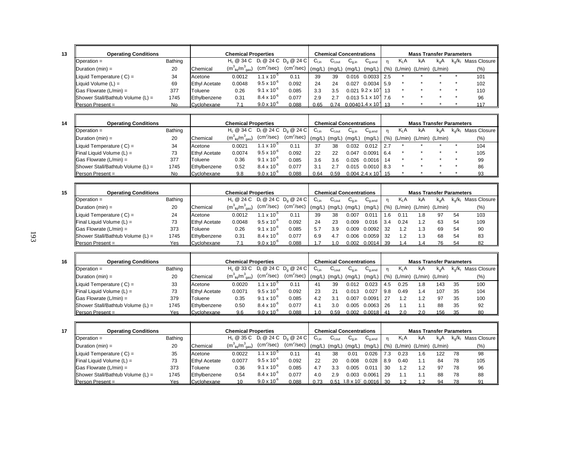| ۰, |                   |
|----|-------------------|
|    | ٦<br>٦<br>×<br>۰, |

**15**

**16**

| <b>Operating Conditions</b>         |         |                      | <b>Chemical Properties</b>            |                        |                        |                 |                   | <b>Chemical Concentrations</b> |                                       |                  | <b>Mass Transfer Parameters</b> |               |                         |              |
|-------------------------------------|---------|----------------------|---------------------------------------|------------------------|------------------------|-----------------|-------------------|--------------------------------|---------------------------------------|------------------|---------------------------------|---------------|-------------------------|--------------|
| Operation $=$                       | Bathing |                      | $H_c @ 34 C D_1 @ 24 C D_2 @ 24 C$    |                        |                        | $C_{Lin}$       | $C_{\text{Lout}}$ | $U_{0,in}$                     | $C_{q,end}$                           | K <sub>L</sub> A | kA                              | $k_{\alpha}A$ | $k_{\alpha}/k_{\alpha}$ | Mass Closure |
| $\Delta$ Duration (min) =           | 20      | Chemical             | $(m_{\text{liq}}^3/m_{\text{gas}}^3)$ | (cm <sup>2</sup> /sec) | (cm <sup>2</sup> /sec) | $(mg/L)$ (mg/L) |                   | (mg/L)                         | $(mg/L)$ (%) (L/min) (L/min) (L/min)  |                  |                                 |               |                         | (% )         |
| Liquid Temperature $(C) =$          | 34      | Acetone              | 0.0012                                | $1.1 \times 10^{-5}$   | 0.11                   | 39              | 39                | 0.016                          | 0.0033 2.5                            |                  |                                 |               |                         | 101          |
| Liquid Volume $(L)$ =               | 69      | <b>Ethyl Acetate</b> | 0.0048                                | $9.5 \times 10^{-6}$   | 0.092                  | 24              | 24                | 0.027                          | $0.0034$ 5.9                          |                  |                                 |               |                         | 102          |
| $\vert$ Gas Flowrate (L/min) =      | 377     | Toluene              | 0.26                                  | $9.1 \times 10^{-6}$   | 0.085                  | 3.3             | 3.5               |                                | $0.021$ 9.2 x 10 <sup>1</sup> 13      |                  |                                 |               |                         | 110          |
| Shower Stall/Bathtub Volume $(L)$ = | 1745    | Ethylbenzene         | 0.31                                  | $8.4 \times 10^{-6}$   | 0.077                  | 2.9             | 2.7               |                                | $0.013\ 5.1 \times 10^{\text{-}}$ 7.6 |                  |                                 |               |                         | 96           |
| <b>Person Present =</b>             | No.     | Cyclohexane          |                                       | $9.0 \times 10^{-6}$   | 0.088                  | 0.65            | 0.74              |                                | $0.00401.4 \times 10^{-4}$ 13         |                  |                                 |               |                         | 117          |

| <b>Operating Conditions</b>              |         |                      | <b>Chemical Properties</b>            |                        |                        |              |                   | <b>Chemical Concentrations</b> |                                      |      |                  | <b>Mass Transfer Parameters</b> |     |                         |              |
|------------------------------------------|---------|----------------------|---------------------------------------|------------------------|------------------------|--------------|-------------------|--------------------------------|--------------------------------------|------|------------------|---------------------------------|-----|-------------------------|--------------|
| Operation $=$                            | Bathing |                      | $H_c @ 34 C D_1 @ 24 C D_0 @ 24 C$    |                        |                        | $C_{Lin}$    | $C_{\text{Lout}}$ | $G_{q,in}$                     | $\mathrm{C}_{\text{q,end}}$          |      | Κ <sub>L</sub> Α | kA                              | k.A | $k_{\alpha}/k_{\alpha}$ | Mass Closure |
| Duration (min) $=$                       | 20      | Chemical             | $(m_{\text{liq}}^3/m_{\text{gas}}^3)$ | (cm <sup>2</sup> /sec) | (cm <sup>2</sup> /sec) | $\lq$ (mg/L) | (mg/L)            | (mg/L)                         | $(mg/L)$ (%) (L/min) (L/min) (L/min) |      |                  |                                 |     |                         | (%)          |
| Liquid Temperature ( $C$ ) =             | 34      | Acetone              | 0.0021                                | $1.1 \times 10^{-5}$   | 0.11                   | 37           | 38                | 0.032                          | 0.012                                | 12.7 |                  |                                 |     |                         | 104          |
| $\blacksquare$ Final Liquid Volume (L) = | 73      | <b>Ethyl Acetate</b> | 0.0074                                | $9.5 \times 10^{-6}$   | 0.092                  | 22           | 22                | 0.047                          | $0.0091$ 6.4                         |      |                  |                                 |     |                         | 105          |
| $\vert$ Gas Flowrate (L/min) =           | 377     | Toluene              | 0.36                                  | $9.1 \times 10^{-6}$   | 0.085                  | 3.6          | 3.6               | 0.026                          | 0.0016 14                            |      |                  |                                 |     |                         | 99           |
| Shower Stall/Bathtub Volume $(L)$ =      | 1745    | Ethylbenzene         | 0.52                                  | $8.4 \times 10^{-6}$   | 0.077                  | 3.1          | 2.7               |                                | $0.015$ $0.0010$ 8.3                 |      |                  |                                 |     |                         | 86           |
| <b>Person Present =</b>                  | No      | Cyclohexane          | 9.8                                   | $9.0 \times 10^{-6}$   | 0.088                  | 0.64         | 0.59              |                                | $0.004$ 2.4 x 10 <sup>1</sup> 15     |      |                  |                                 |     |                         | 93           |

| <b>Operating Conditions</b>         |         |                      | <b>Chemical Properties</b>            |                      |                         |           |                              | <b>Chemical Concentrations</b> |                                      |     |        | <b>Mass Transfer Parameters</b> |          |       |              |
|-------------------------------------|---------|----------------------|---------------------------------------|----------------------|-------------------------|-----------|------------------------------|--------------------------------|--------------------------------------|-----|--------|---------------------------------|----------|-------|--------------|
| $\Box$ Operation =                  | Bathing |                      | $H_0 @ 24 C$                          |                      | $D_1 @ 24 C D_2 @ 24 C$ | $C_{Lin}$ | $\mathsf{C}_{\mathsf{Lout}}$ | $U_{0,in}$                     | $C_{q,end}$                          |     | $K_1A$ | kA                              | $k_{n}A$ | k./k∟ | Mass Closure |
| Duration (min) $=$                  | 20      | Chemical             | $(m_{\text{lio}}^3/m_{\text{gas}}^3)$ | $(cm^2/sec)$         | (cm <sup>2</sup> /sec)  | (ma/L)    | (mg/L)                       | (mq/L)                         | $(mg/L)$ (%) (L/min) (L/min) (L/min) |     |        |                                 |          |       | (%)          |
| Liquid Temperature ( $C$ ) =        | 24      | Acetone              | 0.0012                                | $1.1 \times 10^{-7}$ | 0.11                    | 39        | 38                           | 0.007                          | 0.01                                 | 1.6 | 0.11   | 1.8                             | 97       | 54    | 103          |
| <b>Final Liquid Volume (L) =</b>    | 73      | <b>Ethyl Acetate</b> | 0.0048                                | $9.5 \times 10^{-6}$ | 0.092                   | 24        | 23                           | 0.009                          | 0.016                                | 3.4 | 0.24   |                                 | 63       | 54    | 109          |
| $\Box$ Gas Flowrate (L/min) =       | 373     | Toluene              | 0.26                                  | $9.1 \times 10^{-6}$ | 0.085                   | 5.7       | 3.9                          | 0.009                          | 0.0092                               | -32 | 1.2    | 1.3                             | 69       | 54    | 90           |
| Shower Stall/Bathtub Volume $(L)$ = | 1745    | Ethylbenzene         | 0.31                                  | $8.4 \times 10^{-6}$ | 0.077                   | 6.9       | 4.7                          | 0.006                          | 0.0059                               | -32 | 1.2    | 1.3                             | 68       | 54    | 83           |
| <b>Person Present =</b>             | Yes     | Cyclohexane          |                                       | $9.0 \times 10^{-6}$ | 0.088                   |           |                              |                                | 0.002 0.0014 39                      |     |        |                                 |          | .54   |              |

| <b>Operating Conditions</b>         |         |                      | <b>Chemical Properties</b>                                        |                      |              |           |                              | <b>Chemical Concentrations</b> |             |     |        | <b>Mass Transfer Parameters</b>                |               |           |                |
|-------------------------------------|---------|----------------------|-------------------------------------------------------------------|----------------------|--------------|-----------|------------------------------|--------------------------------|-------------|-----|--------|------------------------------------------------|---------------|-----------|----------------|
| $\Box$ Operation =                  | Bathing |                      | H <sub>c</sub> @ 33 C D <sub>i</sub> @ 24 C D <sub>a</sub> @ 24 C |                      |              | $C_{Lin}$ | $\mathsf{C}_{\mathsf{Lout}}$ | $U_{0,in}$                     | $U_{q,end}$ | n   | $K_1A$ | kA                                             | $k_{\alpha}A$ | $k_0/k_1$ | Mass Closure I |
| $\Delta$ Duration (min) =           | 20      | Chemical             | $(m_{\text{liq}}^3/m_{\text{gas}}^3)$                             | $(cm^2/sec)$         | $(cm^2/sec)$ | (mq/L)    | (mg/L)                       |                                |             |     |        | $(mg/L)$ (mg/L) $(\%)$ (L/min) (L/min) (L/min) |               |           | $(\%)$         |
| Liquid Temperature $(C) =$          | 33      | Acetone              | 0.0020                                                            | $1.1 \times 10^{-7}$ | 0.11         | 41        | 39                           | 0.012                          | 0.023       | 4.5 | 0.25   | ' .8                                           | 143           | 35        | 100            |
| <b>Final Liquid Volume (L) =</b>    | 73      | <b>Ethyl Acetate</b> | 0.0071                                                            | $9.5 \times 10^{-6}$ | 0.092        | 23        | 21                           | 0.013                          | 0.027       | 9.8 | 0.49   | ، 4                                            | 107           | 35        | 104            |
| $\vert$ Gas Flowrate (L/min) =      | 379     | Toluene              | 0.35                                                              | $9.1 \times 10^{-6}$ | 0.085        | 4.2       | 3.1                          | 0.007                          | 0.0091      | 27  | 1.2    | 1.2                                            | 97            | 35        | 100            |
| Shower Stall/Bathtub Volume $(L)$ = | 1745    | Ethylbenzene         | 0.50                                                              | $8.4 \times 10^{-6}$ | 0.077        | 4.1       | 3.0                          | 0.005                          | 0.0063      | 26  |        |                                                | 88            | 35        | 92             |
| Person Present =                    | Yes     | Cyclohexane          | 9.6                                                               | $9.0 \times 10^{-6}$ | 0.088        |           | 0.59                         | 0.002                          | $0.0018$ 41 |     | 2.0    | 2.0                                            | 156           | -35       |                |

| ۰, |
|----|
|    |

| <b>Operating Conditions</b>              |         |                      | <b>Chemical Properties</b>          |                        |                                     |           |                   | <b>Chemical Concentrations</b> |                            |      |                  | <b>Mass Transfer Parameters</b> |     |       |              |
|------------------------------------------|---------|----------------------|-------------------------------------|------------------------|-------------------------------------|-----------|-------------------|--------------------------------|----------------------------|------|------------------|---------------------------------|-----|-------|--------------|
| $\blacksquare$ Operation =               | Bathing |                      | $H_c \otimes 35 C$                  |                        | $D_1 \otimes 24 C D_0 \otimes 24 C$ | $C_{Lin}$ | $C_{\text{Lout}}$ | ∪a.in                          | $U_{q,end}$                |      | K <sub>I</sub> A | kА                              | k.A | k./k∟ | Mass Closure |
| Duration $(min) =$                       | 20      | Chemical             | $(m3_{\text{lio}}/m3_{\text{gas}})$ | (cm <sup>2</sup> /sec) | (cm <sup>2</sup> /sec)              | (ma/L)    | (mg/L)            | (mg/L,                         | (mg/L)                     | (% ) |                  | (L/min) (L/min) (L/min)         |     |       | (%)          |
| Liquid Temperature $(C) =$               | 35      | Acetone              | 0.0022                              | $1.1 \times 10^{-3}$   | 0.11                                | 4.        | 38                | 0.01                           | 0.026                      | 7.3  | 0.23             | 1.6                             | 122 | 78    | 98           |
| $\blacksquare$ Final Liquid Volume (L) = | 73      | <b>Ethyl Acetate</b> | 0.0077                              | $9.5 \times 10^{-6}$   | 0.092                               | 22        | 20                | 0.008                          | 0.028                      | 8.9  | 0.40             | 1.1                             | 84  | 78    | 105          |
| $\vert$ Gas Flowrate (L/min) =           | 373     | Toluene              | 0.36                                | $9.1 \times 10^{-6}$   | 0.085                               |           | 3.3               |                                | $0.01^{\circ}$             | 30   | 1.2              | 1.2                             | 97  | 78    | 96           |
| Shower Stall/Bathtub Volume $(L)$ =      | 1745    | Ethylbenzene         | 0.54                                | $8.4 \times 10^{-6}$   | 0.077                               | 4.0       | 2.9               | 0.003                          | 0.006 <sup>4</sup>         | 29   |                  |                                 | 88  | 78    | 88           |
| IPerson Present =                        | Yes     | Cyclohexane          |                                     | $9.0 \times 10^{-6}$   | 880 O                               |           | 0.51              |                                | $3.8 \times 10^{6} 0.0016$ |      |                  |                                 |     |       |              |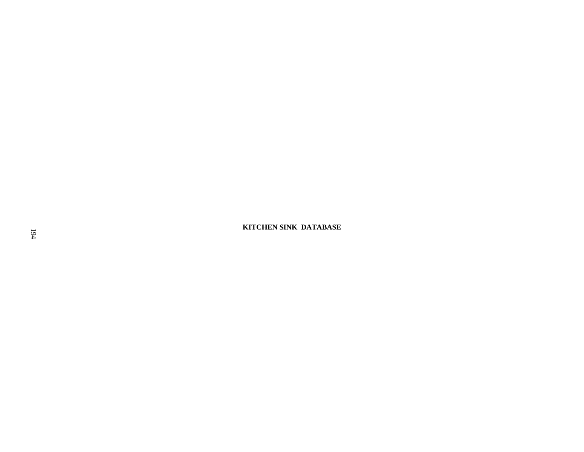**IF A KITCHEN SINK DATABASE**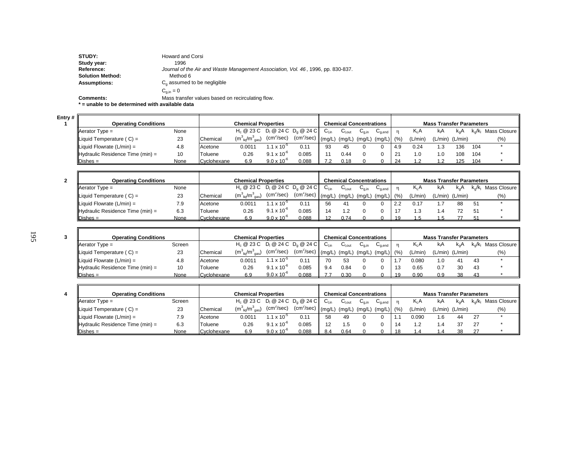| <b>STUDY:</b>           | <b>Howard and Corsi</b>                                                          |
|-------------------------|----------------------------------------------------------------------------------|
| Study year:             | 1996                                                                             |
| Reference:              | Journal of the Air and Waste Management Association, Vol. 46, 1996, pp. 830-837. |
| <b>Solution Method:</b> | Method 6                                                                         |
| <b>Assumptions:</b>     | $C0$ assumed to be negligible                                                    |
|                         | $C_{\text{min}} = 0$                                                             |
| <b>Comments:</b>        | Mass transfer values based on recirculating flow.                                |

**\* = unable to be determined with available data**

**Entry # 1**

| <b>Operating Conditions</b>                   |      |             | <b>Chemical Properties</b>                   |                        |               |        | <b>Chemical Concentrations</b> |        |                                        |             |                  | <b>Mass Transfer Parameters</b> |                     |     |                        |
|-----------------------------------------------|------|-------------|----------------------------------------------|------------------------|---------------|--------|--------------------------------|--------|----------------------------------------|-------------|------------------|---------------------------------|---------------------|-----|------------------------|
| $A$ erator Type =                             | None |             | $H_c \ @ 23 C \ D_1 \ @ 24 C \ D_0 \ @ 24 C$ |                        |               |        | ∪l.out                         | ∪a.in  | $\mathsf{u}_{\mathsf{a}.\mathsf{end}}$ |             | K <sub>I</sub> A | КA                              | $k_{n}A$            |     | $k_o/k_i$ Mass Closure |
| Liquid Temperature $(C) =$                    | 23   | Chemical    | $(m_{\text{liq}}^3/m_{\text{gas}}^3)$        | (cm <sup>2</sup> /sec) | $(cm^2/sec)$  | (ma/L) | (mg/L)                         | (mg/L) | (mg/L) (%)                             |             | (L/min)          |                                 | $(L/min)$ $(L/min)$ |     | (9/6)                  |
| Liquid Flowrate $(L/min) =$                   | 4.8  | Acetone     | 0.001 <sup>2</sup>                           | $1.1 \times 10^{-3}$   | $0.1^{\circ}$ | 93     | 45                             |        |                                        | 4.9         | 0.24             |                                 | 136                 | 104 |                        |
| $\mathbf{r}$ Hydraulic Residence Time (min) = | 10   | Toluene     | 0.26                                         | $9.1 \times 10^{-6}$   | 0.085         |        | 0.44                           |        |                                        | $2^{\circ}$ | 1.0              |                                 | 108                 | 104 |                        |
| $\mathsf{IDishes} =$                          | None | Cyclohexane | 6.9                                          | $9.0 \times 10^{-6}$   | 0.088         |        | 0.18                           |        |                                        | 24          |                  |                                 | 125                 | 104 |                        |

| <b>Operating Conditions</b>                   |      |                 | <b>Chemical Properties</b>                   |                        |                        |        | <b>Chemical Concentrations</b> |        |                                        |      |          | <b>Mass Transfer Parameters</b> |                     |           |                |
|-----------------------------------------------|------|-----------------|----------------------------------------------|------------------------|------------------------|--------|--------------------------------|--------|----------------------------------------|------|----------|---------------------------------|---------------------|-----------|----------------|
| $\blacksquare$ Aerator Type =                 | None |                 | $H_c \ @ 23 C \ D_1 \ @ 24 C \ D_0 \ @ 24 C$ |                        |                        | ∪∟in   | ∪l.out                         | ∪a.in  | $\mathsf{u}_{\mathsf{a}.\mathsf{end}}$ |      | $K_{L}A$ | kA                              | $k_{0}A$            | $k_0/k_1$ | Mass Closure I |
| Liquid Temperature $(C) =$                    | 23   | <b>Chemical</b> | $(m_{\text{liq}}^3/m_{\text{gas}}^3)$        | $(cm^2/sec)$           | (cm <sup>2</sup> /sec) | (ma/L) | (mg/L)                         | (mg/L) | (mq/L)                                 | (% ) | (L/min)  |                                 | $(L/min)$ $(L/min)$ |           | (% )           |
| Liquid Flowrate $(L/min) =$                   | 7.9  | Acetone         | 0.0011                                       | 1.1 x 10 <sup>-5</sup> | $0.1^{\circ}$          | 56     |                                |        |                                        |      | 0.17     |                                 | 88                  | 51        |                |
| $\mathbf{H}$ Hydraulic Residence Time (min) = | 6.3  | Toluene         | 0.26                                         | $9.1 \times 10^{-6}$   | 0.085                  |        |                                |        |                                        |      |          |                                 |                     | 51        |                |
| $\mathsf{IDishes} =$                          | None | Cvclohexane     | 6.9                                          | $9.0 \times 10^{-6}$   | 0.088                  |        | 0.74                           |        |                                        |      |          |                                 |                     |           |                |

| 3 | <b>Operating Conditions</b>                   |        |                      | <b>Chemical Properties</b>                   |                        |              |        | <b>Chemical Concentrations</b> |                     |                                        |    |         | <b>Mass Transfer Parameters</b> |     |           |              |
|---|-----------------------------------------------|--------|----------------------|----------------------------------------------|------------------------|--------------|--------|--------------------------------|---------------------|----------------------------------------|----|---------|---------------------------------|-----|-----------|--------------|
|   | $\Delta$ Aerator Type =                       | Screen |                      | $H_c \ @ 23 C \ D_1 \ @ 24 C \ D_2 \ @ 24 C$ |                        |              | ∪∟in   | ان آ                           | ∪a.in               | $\mathsf{u}_{\mathsf{a}.\mathsf{end}}$ |    | Kı A    | КA                              | k.A | $k_0/k_1$ | Mass Closure |
|   | Liquid Temperature $(C) =$                    | 23     | Chemical             | $(m_{\text{lin}}^3/m_{\text{max}}^3)$        | (cm <sup>2</sup> /sec) | $(cm^2/sec)$ | (mq/L) | (mg/L)                         | (mg/L) $(mg/L)$ (%) |                                        |    | (L/min) | $(L/min)$ $(L/min)$             |     |           | (% )         |
|   | Liquid Flowrate $(L/min) =$                   | 4.8    | Acetone              | 0.001 <sup>2</sup>                           | $.1 \times 10^{-7}$    |              |        | 53                             |                     |                                        |    | 0.080   |                                 |     | -43       |              |
|   | $\mathbf{H}$ Hydraulic Residence Time (min) = | 10     | Toluene              | 0.26                                         | $9.1 \times 10^{-6}$   | 0.085        |        | 0.84                           |                     |                                        |    | 0.65    | 0.                              |     | 43        |              |
|   | $Dishes =$                                    | None   | <b>IC</b> vclohexane | 6.9                                          | $9.0 \times 10^{-6}$   | 0.088        |        | 0.30                           |                     |                                        | 10 | 0.90    | 0.9                             |     |           |              |

| <b>Operating Conditions</b>      |        |                  | <b>Chemical Properties</b>            |                        |              |                  | <b>Chemical Concentrations</b> |       |                                        |    |         | <b>Mass Transfer Parameters</b> |        |    |                           |
|----------------------------------|--------|------------------|---------------------------------------|------------------------|--------------|------------------|--------------------------------|-------|----------------------------------------|----|---------|---------------------------------|--------|----|---------------------------|
| $A$ erator Type =                | Screen |                  | $H_c @ 23 C D_1 @ 24 C D_2 @ 24 C$    |                        |              | $C_{\text{Lin}}$ | ∪l.out                         | ∪a.in | $\mathsf{C}_{\mathsf{q},\mathsf{end}}$ |    | K A     | kıA                             | $K_nA$ |    | $k_o/k_i$ Mass Closure II |
| Liquid Temperature (C) =         | 23     | <b>IChemical</b> | $(m_{\text{liq}}^3/m_{\text{gas}}^3)$ | (cm <sup>2</sup> /sec) | $(cm^2/sec)$ |                  | $(mg/L)$ (mg/L) (mg/L)         |       | \ (mg/L) (%)                           |    | (L/min) | $(L/min)$ $(L/min)$             |        |    | (%)                       |
| Liquid Flowrate $(L/min) =$      | 7.9    | Acetone          | 0.0011                                | $.1 \times 10^{-7}$    | 0.11         | 58               | 49                             |       |                                        |    | 0.090   | l.6                             | 44     |    |                           |
| Hydraulic Residence Time (min) = | 6.3    | Toluene          | 0.26                                  | $9.1 \times 10^{-6}$   | 0.085        |                  |                                |       |                                        | 14 | 1.2     | 4. ا                            |        | 27 |                           |
| $Dishes =$                       | None   | Cvclohexane      | 6.9                                   | $9.0 \times 10^{-6}$   | 0.088        | 8.4              | 0.64                           |       |                                        |    |         |                                 |        |    |                           |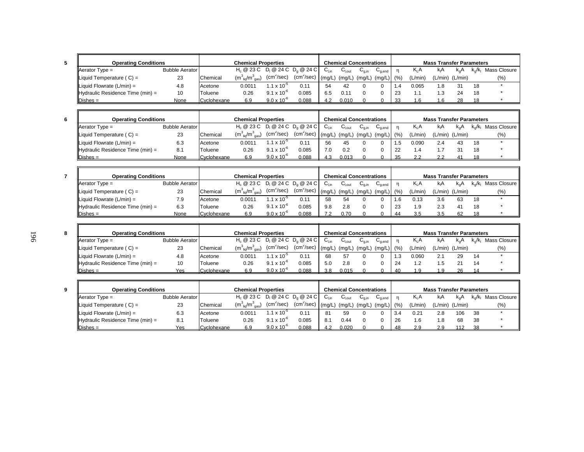| <b>Operating Conditions</b>           |                       |             | <b>Chemical Properties</b>                               |                        |               |                   | <b>Chemical Concentrations</b> |        |                                        |     |          | <b>Mass Transfer Parameters</b> |                 |           |              |
|---------------------------------------|-----------------------|-------------|----------------------------------------------------------|------------------------|---------------|-------------------|--------------------------------|--------|----------------------------------------|-----|----------|---------------------------------|-----------------|-----------|--------------|
| $A$ erator Type =                     | <b>Bubble Aerator</b> |             | $H_c$ @ 23 C D <sub>1</sub> @ 24 C D <sub>0</sub> @ 24 C |                        |               | $C_{\text{l.in}}$ | ∪l.out                         | ∪a.in  | $\mathsf{u}_{\mathsf{a}.\mathsf{end}}$ |     | $K_{L}A$ | <b>K</b> A                      | $k_{0}A$        | $k_0/k_1$ | Mass Closure |
| Liquid Temperature $(C) =$            | 23                    | Chemical    | $(m_{\text{liq}}^3/m_{\text{gas}}^3)$                    | (cm <sup>2</sup> /sec) | $(cm^2/sec)$  | (ma/L)            | (mg/L)                         | (mg/L) | $(mg/L)$ (%)                           |     | (L/min)  |                                 | (L/min) (L/min) |           | (%)          |
| $\parallel$ Liquid Flowrate (L/min) = | 4.8                   | Acetone     | 0.0011                                                   | $1.1 \times 10^{-7}$   | $0.1^{\circ}$ | 54                | 42                             |        |                                        |     | 0.065    | .8                              |                 | 18        |              |
| Hydraulic Residence Time (min) =      | 10                    | Toluene     | 0.26                                                     | $9.1 \times 10^{-6}$   | 0.085         | 6.5               |                                |        |                                        | -23 |          |                                 |                 | 18        |              |
| $\mathsf{Dishes} =$                   | None                  | Cyclohexane | 6.9                                                      | $9.0 \times 10^{-6}$   | 0.088         | 4.2               | 0.010                          |        |                                        | -33 | 1.6      | l.6                             | 28              | 18        |              |

| <b>Operating Conditions</b>             |                |             | <b>Chemical Properties</b>                               |                      |                        |           | <b>Chemical Concentrations</b> |       |                                             |      |         | <b>Mass Transfer Parameters</b> |                     |       |              |
|-----------------------------------------|----------------|-------------|----------------------------------------------------------|----------------------|------------------------|-----------|--------------------------------|-------|---------------------------------------------|------|---------|---------------------------------|---------------------|-------|--------------|
| $\blacksquare$ Aerator Type =           | Bubble Aerator |             | $H_c$ @ 23 C D <sub>1</sub> @ 24 C D <sub>0</sub> @ 24 C |                      |                        | $C_{Lin}$ | ∪l.out                         | ∪a.in | $\mathsf{\omega}_{\mathtt{a}.\mathtt{end}}$ |      | K A     | kА                              | k.A                 | k⊿/k∟ | Mass Closure |
| $\blacksquare$ Liquid Temperature (C) = | 23             | Chemical    | $(m_{\text{lin}}^3/m_{\text{max}}^3)$                    | $\rm (cm^2/sec)$     | (cm <sup>2</sup> /sec) | (ma/L)    | $(mg/L)$ $(mg/L)$              |       | $\binom{1}{1}$ (mg/L)                       | (% ) | (L/min) |                                 | $(L/min)$ $(L/min)$ |       | $(\% )$      |
| Liquid Flowrate $(L/min) =$             | 6.3            | Acetone     | 0.0011                                                   | $1.1 \times 10^{-7}$ |                        | 56        | 45                             |       |                                             |      | 0.090   | 2.4                             |                     | 18    |              |
| $\ $ Hydraulic Residence Time (min) =   | 8.1            | Toluene     | 0.26                                                     | $91 \times 10^{6}$   | 0.085                  | 7.0       | 0.2                            |       |                                             | -22  | . 4     |                                 |                     | 18    |              |
| Dishes $=$                              | None           | Cyclohexane | 6.9                                                      | $9.0 \times 10^{-7}$ | 0.088                  |           | 0.013                          |       |                                             | -35  |         |                                 |                     |       |              |

| <b>Operating Conditions</b>      |                       |                      | <b>Chemical Properties</b>                |                        |              |     |        | <b>Chemical Concentrations</b> |                                             |      |         | <b>Mass Transfer Parameters</b> |                     |                  |                |
|----------------------------------|-----------------------|----------------------|-------------------------------------------|------------------------|--------------|-----|--------|--------------------------------|---------------------------------------------|------|---------|---------------------------------|---------------------|------------------|----------------|
| $\blacksquare$ Aerator Type =    | <b>Bubble Aerator</b> |                      | $H_c @ 23 C D_1 @ 24 C D_2 @ 24 C$        |                        |              | ∪⊥տ | ∪l.out | ∪a.in                          | $\mathsf{\omega}_{\mathtt{a}.\mathtt{end}}$ |      | K.A     | КA                              |                     | $k_{\alpha}/k_1$ | Mass Closure I |
| Liquid Temperature (C) =         | ົດລ<br>د∠             | <b>Chemical</b>      | $(m^{3}_{\text{lio}}/m^{3}_{\text{gas}})$ | (cm <sup>2</sup> /sec) | $(cm^2/sec)$ |     |        | $(mg/L)$ $(mg/L)$ $(mg/L)$     | $\binom{m}{k}$                              | (% ) | (L/min) |                                 | $(L/min)$ $(L/min)$ |                  | (%)            |
| Liquid Flowrate (L/min) =        | 7.9                   | Acetone              | 0.0011                                    | $.1 \times 10^{-7}$    | 0.11         |     | 54     |                                |                                             |      | 0.13    | 3.6                             | 63                  | 18               |                |
| Hydraulic Residence Time (min) = | 6.3                   | Toluene              | 0.26                                      | $9.1 \times 10^{-6}$   | 0.085        | 9.8 | 2.8    |                                |                                             | 23   | .9      |                                 |                     | 18               |                |
| 'Dishes =                        | None                  | <b>IC</b> vclohexane | 6.9                                       | $9.0 \times 10^{-6}$   | 0.088        |     | 0.70   |                                |                                             |      |         |                                 |                     |                  |                |

| <b>Operating Conditions</b>      |                       |             | <b>Chemical Properties</b>                |                        |                        |      | <b>Chemical Concentrations</b> |        |                         |      |                  | <b>Mass Transfer Parameters</b> |               |       |                        |
|----------------------------------|-----------------------|-------------|-------------------------------------------|------------------------|------------------------|------|--------------------------------|--------|-------------------------|------|------------------|---------------------------------|---------------|-------|------------------------|
| $\blacksquare$ Aerator Type =    | <b>Bubble Aerator</b> |             | $H_c @ 23 C D_1 @ 24 C D_0 @ 24 C$        |                        |                        | ∪Lin | ∪l.out                         | ∪a.in  | $\cup_{0,\mathsf{end}}$ |      | K <sub>I</sub> A | kıA                             | $k_{\alpha}A$ | k.√k∟ | Mass Closure <b>II</b> |
| Liquid Temperature ( $C$ ) =     | າາ<br>دے              | Chemical    | $(m^{3}_{\text{lio}}/m^{3}_{\text{gas}})$ | (cm <sup>2</sup> /sec) | (cm <sup>2</sup> /sec) |      | $(mg/L)$ $(mg/L)$              | (mq/L) | $\lq$ (mg/L))           | (% ) | (L/min)          | $(L/min)$ $(L/min)$             |               |       | (%)                    |
| Liquid Flowrate $(L/min) =$      | 4.8                   | Acetone     | 0.0011                                    | $.1 \times 10^{-7}$    | 0.11                   | 68   | 57                             |        |                         |      | 0.060            | Ζ.                              |               | 14    |                        |
| Hydraulic Residence Time (min) = | 10                    | Toluene     | 0.26                                      | $9.1 \times 10^{-6}$   | 0.085                  | 5.0  | 2.8                            |        |                         | 24   |                  | .ט                              |               | 14    |                        |
| $\mathsf{Dishes} =$              | Yes                   | Cyclohexane | 6.9                                       | $9.0 \times 10^{-6}$   | 0.088                  | 3.8  | 0.015                          |        |                         | Δſ   |                  |                                 |               |       |                        |

| <b>Operating Conditions</b>      |                       |                 | <b>Chemical Properties</b>                |                        |                        |     | <b>Chemical Concentrations</b> |        |                                        |     |         | <b>Mass Transfer Parameters</b> |                  |    |                                                |
|----------------------------------|-----------------------|-----------------|-------------------------------------------|------------------------|------------------------|-----|--------------------------------|--------|----------------------------------------|-----|---------|---------------------------------|------------------|----|------------------------------------------------|
| $\blacksquare$ Aerator Type =    | <b>Bubble Aerator</b> |                 | $H_c @ 23 C D_1 @ 24 C D_2 @ 24 C$        |                        |                        | ∪⊥տ | ∪l.out                         | ∪a.in  | $\mathsf{C}_{\mathsf{q},\mathsf{end}}$ |     | K A     | kΑ                              | K <sub>o</sub> A |    | k <sub>o</sub> /k <sub>i</sub> Mass Closure II |
| Liquid Temperature $(C) =$       | 23                    | <b>Chemical</b> | $(m^{3}_{\text{liq}}/m^{3}_{\text{gas}})$ | (cm <sup>2</sup> /sec) | (cm <sup>2</sup> /sec) |     | $(mg/L)$ $(mg/L)$              | (mg/L) | $\binom{1}{2}$ (mg/L) (%)              |     | (L/min) | $(L/min)$ $(L/min)$             |                  |    | (% )                                           |
| Liquid Flowrate $(L/min) =$      | 6.3                   | Acetone         | 0.0011                                    | $.1 \times 10^{-7}$    |                        |     | 59                             |        |                                        | 3.4 | 0.21    | 2.8                             | 106              | 38 |                                                |
| Hydraulic Residence Time (min) = | 81                    | Toluene         | 0.26                                      | $9.1 \times 10^{-6}$   | 0.085                  | 8.  | 0.44                           |        |                                        | 26  | 1.6     |                                 | 68               | 38 |                                                |
| Dishes =                         | Yes                   | Cvclohexane     | 6.9                                       | $9.0 \times 10^{-6}$   | 0.088                  |     | 0.020                          |        |                                        | -48 | 2.9     |                                 |                  |    |                                                |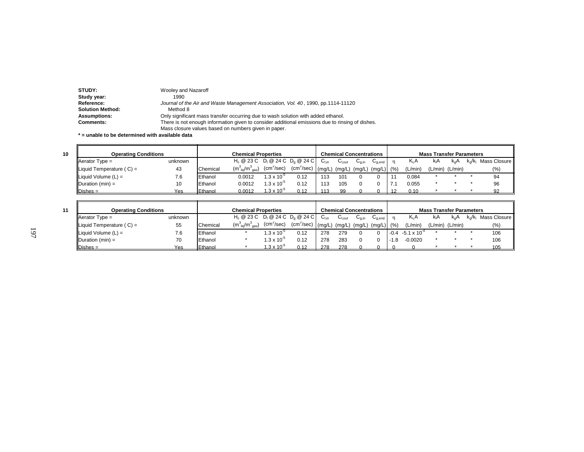| STUDY:                  | Wooley and Nazaroff                                                                              |
|-------------------------|--------------------------------------------------------------------------------------------------|
| Study year:             | 1990                                                                                             |
| Reference:              | Journal of the Air and Waste Management Association, Vol. 40, 1990, pp.1114-11120                |
| <b>Solution Method:</b> | Method 8                                                                                         |
| <b>Assumptions:</b>     | Only significant mass transfer occurring due to wash solution with added ethanol.                |
| <b>Comments:</b>        | There is not enough information given to consider additional emissions due to rinsing of dishes. |
|                         | Mass closure values based on numbers given in paper.                                             |

**\* = unable to be determined with available data**

| <b>Operating Conditions</b>  |         |                 | Chemical Properties                   |                        |              |        | <b>Chemical Concentrations</b> |        |                                        |         | <b>Mass Transfer Parameters</b> |                     |           |              |
|------------------------------|---------|-----------------|---------------------------------------|------------------------|--------------|--------|--------------------------------|--------|----------------------------------------|---------|---------------------------------|---------------------|-----------|--------------|
| $\Delta$ Aerator Type =      | unknown |                 | $H_c @ 23 C D_1 @ 24 C D_0 @ 24 C$    |                        |              | ∪l.in  | اب),out                        | ∪a.in  | $\mathsf{u}_{\mathsf{q},\mathsf{end}}$ | $K_1A$  | kА                              | k.A                 | $k_0/k_1$ | Mass Closure |
| Liquid Temperature ( $C$ ) = | 43      | <b>Chemical</b> | $(m_{\text{liq}}^3/m_{\text{gas}}^3)$ | (cm <sup>2</sup> /sec) | $(cm^2/sec)$ | (ma/L) | (mg/L)                         | (mg/L) | (mg/L) (%)                             | (L/min) |                                 | $(L/min)$ $(L/min)$ |           | (%)          |
| Liquid Volume (L) =          | 7.6     | Ethanol         | 0.0012                                | 1.3 x 10 $^{\circ}$    | 0.12         | 13     | 101                            |        |                                        | 0.084   |                                 |                     |           | 94           |
| Duration $(min) =$           | 10      | Ethanol         | 0.0012                                | $1.3 \times 10^{-5}$   | 0.12         | 13     | 105                            |        |                                        | 0.055   |                                 |                     |           | 96           |
| Dishes =                     | Yes     | <b>IEthanol</b> | 0.0012                                | $1.3 \times 10^{-3}$   | ∩ 1 ∩        |        | 99                             |        |                                        | 0.10    |                                 |                     |           | 92           |

| <b>Operating Conditions</b>     |         |          | <b>Chemical Properties</b>          |                        |              |           |        | <b>Chemical Concentrations</b> |                                        |        |                            | <b>Mass Transfer Parameters</b> |         |                                             |
|---------------------------------|---------|----------|-------------------------------------|------------------------|--------------|-----------|--------|--------------------------------|----------------------------------------|--------|----------------------------|---------------------------------|---------|---------------------------------------------|
| $A$ erator Type =               | unknown |          | $H_c @ 23 C D_1 @ 24 C D_0 @ 24 C$  |                        |              | $C_{Lin}$ | ∪l.out | ∪a.in                          | $\mathsf{u}_{\mathsf{q},\mathsf{end}}$ |        | Κ <sub>L</sub> Α           | kιA                             | K⊿A     | k <sub>a</sub> /k <sub>i</sub> Mass Closure |
| Liquid Temperature $(C) =$      | 55      | Chemical | $(m3_{\text{liq}}/m3_{\text{gas}})$ | (cm <sup>2</sup> /sec) | $(cm^2/sec)$ | (mg/L)    | (mg/L) | (mq/L)                         | $(mg/L)$ (%)                           |        | (L/min)                    | (L/min)                         | (L/min) | (%)                                         |
| $\parallel$ Liquid Volume (L) = | 7.6     | Ethanol  |                                     | $1.3 \times 10^{-3}$   | 0.12         | 278       | 279    |                                |                                        |        | $-0.4 -5.1 \times 10^{-4}$ |                                 |         | 106                                         |
| Duration $(min) =$              |         | Ethanol  |                                     | $1.3 \times 10^{-7}$   | 0.12         | 278       | 283    |                                |                                        | $-1.8$ | $-0.0020$                  |                                 |         | 106                                         |
| Dishes $=$                      | Yes     | Ethanol  |                                     | $1.3 \times 10^{-5}$   | 0.12         |           | 278    |                                |                                        |        |                            |                                 |         | 105                                         |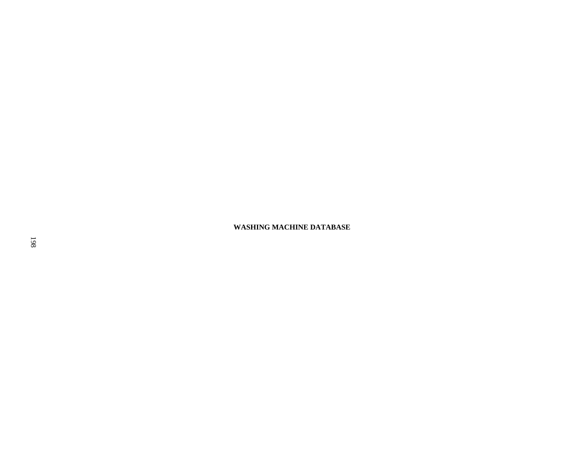**WASHING MACHINE DATABASE**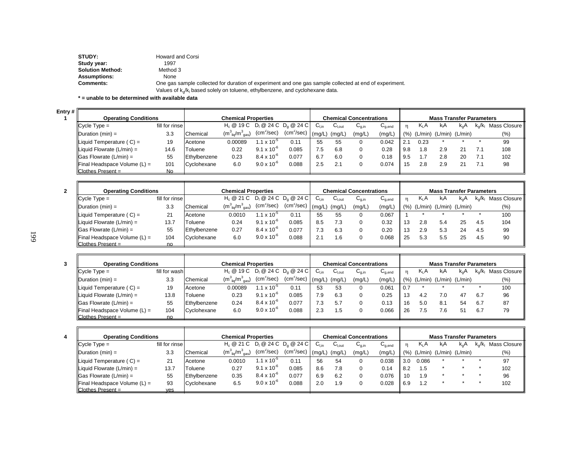| STUDY:                  | Howard and Corsi                                                                                       |
|-------------------------|--------------------------------------------------------------------------------------------------------|
| Study year:             | 1997                                                                                                   |
| <b>Solution Method:</b> | Method 3                                                                                               |
| <b>Assumptions:</b>     | None                                                                                                   |
| <b>Comments:</b>        | One gas sample collected for duration of experiment and one gas sample collected at end of experiment. |
|                         | Values of $k_0/k_1$ based solely on toluene, ethylbenzene, and cyclohexane data.                       |

**\* = unable to be determined with available data**

**Entry 1**

| #  <br><b>Operating Conditions</b> |                |              | <b>Chemical Properties</b>            |                        |                        |                   |        | <b>Chemical Concentrations</b> |             |     |         | <b>Mass Transfer Parameters</b> |     |                         |                |
|------------------------------------|----------------|--------------|---------------------------------------|------------------------|------------------------|-------------------|--------|--------------------------------|-------------|-----|---------|---------------------------------|-----|-------------------------|----------------|
| $C$ vcle Type =                    | fill for rinse |              | $H_c @ 19 C D_1 @ 24 C D_0 @ 24 C$    |                        |                        | $G_{\text{Lin}}$  | ∪l.out | $C_{q,in}$                     | $C_{q,end}$ | n   | $K_L A$ | kıA                             | k.A | $k_{\alpha}/k_{\alpha}$ | Mass Closure I |
| Duration (min) =                   | 3.3            | Chemical     | $(m_{\text{liq}}^3/m_{\text{gas}}^3)$ | (cm <sup>2</sup> /sec) | (cm <sup>2</sup> /sec) | $\ln \frac{1}{2}$ | (mg/L, | (mg/L)                         | (mg/L)      | (%) |         | $(L/min)$ $(L/min)$ $(L/min)$   |     |                         | $(\% )$        |
| Liquid Temperature ( $C$ ) =       | 19             | Acetone      | 0.00089                               | 1.1 x 10 <sup>-5</sup> | 0.11                   | 55                | 55     |                                | 0.042       | 2.1 | 0.23    |                                 |     |                         | 99             |
| Liquid Flowrate $(L/min) =$        | 14.6           | Toluene      | 0.22                                  | $9.1 \times 10^{-6}$   | 0.085                  | '.5               | 6.8    |                                | 0.28        | 9.8 | 1.8     | 2.9                             |     | 7.1                     | 108            |
| $\textsf{Gas}$ Flowrate (L/min) =  | 55             | Ethylbenzene | 0.23                                  | $8.4 \times 10^{-6}$   | 0.077                  | 6.7               | 6.0    |                                | 0.18        | 9.5 |         | 2.8                             | 20  | 7.1                     | 102            |
| Final Headspace Volume $(L)$ =     | 101            | Cyclohexane  | 6.0                                   | $9.0 \times 10^{-6}$   | 0.088                  | 2.5               | 2.1    |                                | 0.074       | 15  | 2.8     | 2.9                             |     | 7.1                     | 98             |
| Clothes Present $=$                | No             |              |                                       |                        |                        |                   |        |                                |             |     |         |                                 |     |                         |                |

| <b>Operating Conditions</b>    |                |              | <b>Chemical Properties</b>            |                        |                         |           |             | <b>Chemical Concentrations</b> |                                |     |         | <b>Mass Transfer Parameters</b> |          |                    |                 |
|--------------------------------|----------------|--------------|---------------------------------------|------------------------|-------------------------|-----------|-------------|--------------------------------|--------------------------------|-----|---------|---------------------------------|----------|--------------------|-----------------|
| $C$ vcle $Type =$              | fill for rinse |              | $H_c @ 21 C D_1 @ 24 C D_0 @ 24 C$    |                        |                         | $C_{Lin}$ | $C_{I,out}$ | ن (C <sub>q,in</sub>           | $\mathtt{C}_{\mathtt{a. end}}$ |     | $K_L A$ | kıA                             | $k_{0}A$ | k <sub>∾</sub> /k∟ | Mass Closure II |
| Duration $(min) =$             | 3.3            | Chemical     | $(m_{\text{liq}}^3/m_{\text{gas}}^3)$ | (cm <sup>2</sup> /sec) | $(cm^2/sec)$ $(mg/L)$ ' |           | (mg/L)      | (mg/L)                         | (mg/L)                         | (%) | (L/min) | (L/min) (L/min)                 |          |                    | $(\% )$         |
| Liquid Temperature $(C) =$     | 21             | Acetone      | 0.0010                                | $1.1 \times 10^{-3}$   | 0.11                    | 55        | 55          |                                | 0.067                          |     |         |                                 |          |                    | 100             |
| Liquid Flowrate $(L/min) =$    | 13.7           | Toluene      | 0.24                                  | $9.1 \times 10^{-6}$   | 0.085                   | 8.5       | 7.3         |                                | 0.32                           | 13  | 2.8     | 5.4                             | 25       | 4.5                | 104             |
| $\Box$ Gas Flowrate (L/min) =  | 55             | Ethylbenzene | 0.27                                  | $8.4 \times 10^{-6}$   | 0.077                   | 7.3       | 6.3         |                                | 0.20                           | 13  | 2.9     | 5.3                             | 24       | 4.5                | 99              |
| Final Headspace Volume $(L)$ = | 104            | Cyclohexane  | 6.0                                   | $9.0 \times 10^{-6}$   | 0.088                   | z.        | .6          |                                | 0.068                          | 25  | 5.3     | 5.5                             | 25       | 4.5                | 90              |
| Clothes Present $=$            | no             |              |                                       |                        |                         |           |             |                                |                                |     |         |                                 |          |                    |                 |

| <b>Operating Conditions</b>    |               |              | <b>Chemical Properties</b>                |                        |                           |                  |             | <b>Chemical Concentrations</b>        |                                        |              |                  | <b>Mass Transfer Parameters</b> |               |               |                |
|--------------------------------|---------------|--------------|-------------------------------------------|------------------------|---------------------------|------------------|-------------|---------------------------------------|----------------------------------------|--------------|------------------|---------------------------------|---------------|---------------|----------------|
| $C$ vcle $Type =$              | fill for wash |              | $H_c @ 19 C D_1 @ 24 C D_0 @ 24 C$        |                        |                           | $C_{\text{Lin}}$ | $C_{I,out}$ | $\mathsf{u}_{\mathsf{g},\mathsf{in}}$ | $\mathsf{u}_{\mathsf{q},\mathsf{end}}$ | $\mathbf{r}$ | K <sub>L</sub> A | kβA                             | $k_{\alpha}A$ | $k_{0}/k_{1}$ | Mass Closure I |
| Duration $(min) =$             | 3.3           | Chemical     | $(m^{3}_{\text{liq}}/m^{3}_{\text{gas}})$ | (cm <sup>2</sup> /sec) | $(cm2/sec)$ (mg/L) (mg/L) |                  |             | (mg/L)                                | (mg/L)                                 | (%)          | (L/min)          | $(L/min)$ $(L/min)$             |               |               | $(\% )$        |
| Liquid Temperature (C) =       | 19            | Acetone      | 0.00089                                   | $1.1 \times 10^{-7}$   | 0.11                      | 53               | 53          |                                       | 0.061                                  | 0.7          |                  |                                 |               |               | 100            |
| Liquid Flowrate $(L/min) =$    | 13.8          | Toluene      | 0.23                                      | $9.1 \times 10^{-6}$   | 0.085                     | 7.9              | 6.3         |                                       | 0.25                                   | 13           | 4.2              | 7.0                             | 47            | 6.7           | 96             |
| Gas Flowrate $(L/min) =$       | 55            | Ethylbenzene | 0.24                                      | $8.4 \times 10^{-6}$   | 0.077                     | 7.3              | 5.7         |                                       | 0.13                                   | 16           | 5.0              | 8.1                             | 54            | 6.7           | 87             |
| Final Headspace Volume $(L)$ = | 104           | Cyclohexane  | 6.0                                       | $9.0 \times 10^{-7}$   | 0.088                     | 2.3              | 1.5         |                                       | 0.066                                  | 26           | $^{\circ}5$      | 7.6                             | 51            | 6.7           | 79             |
| Clothes Present =              | no            |              |                                           |                        |                           |                  |             |                                       |                                        |              |                  |                                 |               |               |                |

| 4 | <b>Operating Conditions</b>         |                |              | <b>Chemical Properties</b>            |                        |                                                                   |                  |                     | <b>Chemical Concentrations</b> |                                        |     |         | <b>Mass Transfer Parameters</b> |     |                           |
|---|-------------------------------------|----------------|--------------|---------------------------------------|------------------------|-------------------------------------------------------------------|------------------|---------------------|--------------------------------|----------------------------------------|-----|---------|---------------------------------|-----|---------------------------|
|   | $C$ ycle $Type =$                   | fill for rinse |              | $H_c @ 21 C D_1 @ 24 C D_0 @ 24 C$    |                        |                                                                   | $C_{\text{Lin}}$ | $C_{1, \text{out}}$ | $G_{q,in}$                     | $\mathsf{U}_{\mathsf{q},\mathsf{end}}$ | 'n  | $K_L A$ | kıA                             | k.A | $k_0/k_1$ Mass Closure II |
|   | Duration $(min) =$                  | 3.3            | Chemical     | $(m_{\text{liq}}^3/m_{\text{gas}}^3)$ | (cm <sup>2</sup> /sec) | $\sqrt{2}$ (cm <sup>2</sup> /sec) $\frac{1}{2}$ (mg/L) $\sqrt{2}$ |                  | (mg/L)              | (mg/L)                         | (mg/L)                                 | (%) | (L/min) | $(L/min)$ $(L/min)$             |     | (%)                       |
|   | Liquid Temperature $(C) =$          | 21             | Acetone      | 0.0010                                | $1.1 \times 10^{-3}$   | 0.11                                                              | 56               | 54                  | 0                              | 0.038                                  | 3.0 | 0.086   |                                 |     | 97                        |
|   | Liquid Flowrate $(L/min) =$         | 13.7           | Toluene      | 0.27                                  | $9.1 \times 10^{-6}$   | 0.085                                                             | 8.6              | 7.8                 |                                | 0.14                                   | 8.2 | 1.5     |                                 |     | 102                       |
|   | $\Box$ Gas Flowrate (L/min) =       | 55             | Ethylbenzene | 0.35                                  | $8.4 \times 10^{-6}$   | 0.077                                                             | 6.9              | 6.2                 | 0                              | 0.076                                  | 10  | 1.9     |                                 |     | 96                        |
|   | <b>Final Headspace Volume (L) =</b> | 93             | Cyclohexane  | 6.5                                   | $9.0 \times 10^{-6}$   | 0.088                                                             | 2.0              | 1.9                 |                                | 0.028                                  | 6.9 | 1.2     |                                 |     | 102                       |
|   | $C$ lothes Present =                | ves            |              |                                       |                        |                                                                   |                  |                     |                                |                                        |     |         |                                 |     |                           |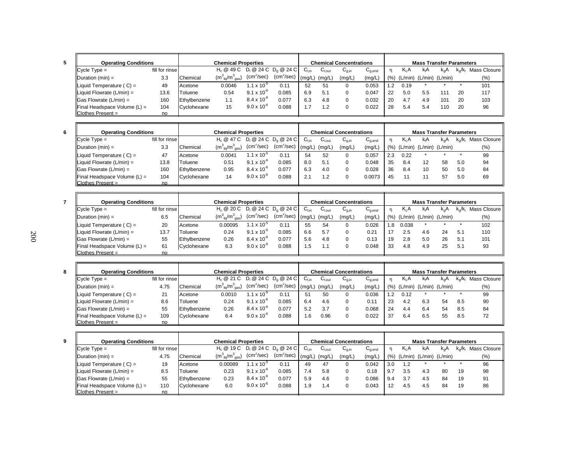| ī<br>I       |  |
|--------------|--|
| i<br>w<br>۰. |  |

| <b>Operating Conditions</b>                 |                |              | <b>Chemical Properties</b>            |                        |                                                                   |           |             | <b>Chemical Concentrations</b> |                                        |      |                  | <b>Mass Transfer Parameters</b> |     |                         |              |
|---------------------------------------------|----------------|--------------|---------------------------------------|------------------------|-------------------------------------------------------------------|-----------|-------------|--------------------------------|----------------------------------------|------|------------------|---------------------------------|-----|-------------------------|--------------|
| $ C$ ycle Type =                            | fill for rinse |              |                                       |                        | H <sub>c</sub> @ 49 C D <sub>i</sub> @ 24 C D <sub>a</sub> @ 24 C | $C_{Lin}$ | $C_{I.out}$ | $U_{0,in}$                     | $\mathsf{C}_{\mathsf{a}.\mathsf{end}}$ | n    | K <sub>I</sub> A | kıA                             | k.A | $k_{\alpha}/k_{\alpha}$ | Mass Closure |
| $\blacksquare$ Duration (min) =             | 3.3            | Chemical     | $(m_{\text{liq}}^3/m_{\text{gas}}^3)$ | (cm <sup>2</sup> /sec) | (cm <sup>2</sup> /sec)                                            | (mg/L)    | (mg/L,      | (mg/L)                         | (mg/L)                                 | (% ) | (L/min)          | $(L/min)$ $(L/min)$             |     |                         | (%)          |
| Liquid Temperature $(C) =$                  | 49             | Acetone      | 0.0046                                | 1.1 x 10 <sup>-3</sup> | 0.11                                                              | 52        | 51          |                                | 0.053                                  | 1.2  | 0.19             |                                 |     |                         | 101          |
| Liquid Flowrate $(L/min) =$                 | 13.6           | Toluene      | 0.54                                  | $9.1 \times 10^{-6}$   | 0.085                                                             | 6.9       | 5.1         |                                | 0.047                                  | 22   | 5.0              | 5.5                             | 111 | 20                      | 117          |
| $\vert$ Gas Flowrate (L/min) =              | 160            | Ethylbenzene | 1.1                                   | $8.4 \times 10^{-6}$   | 0.077                                                             | 6.3       | 4.8         |                                | 0.032                                  | 20   | 4.7              | 4.9                             | 101 | 20                      | 103          |
| $\blacksquare$ Final Headspace Volume (L) = | 104            | Cyclohexane  | 15                                    | $9.0 \times 10^{-6}$   | 0.088                                                             | .         | 1.2         |                                | 0.022                                  | 28   | 5.4              | 5.4                             | 110 | 20                      | 96           |
| $ $ Clothes Present =                       | no             |              |                                       |                        |                                                                   |           |             |                                |                                        |      |                  |                                 |     |                         |              |

| <b>Operating Conditions</b>                 |                |              | <b>Chemical Properties</b>                                        |                      |                        |                 |             | <b>Chemical Concentrations</b> |                                        |      |                  | <b>Mass Transfer Parameters</b> |     |               |              |
|---------------------------------------------|----------------|--------------|-------------------------------------------------------------------|----------------------|------------------------|-----------------|-------------|--------------------------------|----------------------------------------|------|------------------|---------------------------------|-----|---------------|--------------|
| $Cycle Type =$                              | fill for rinse |              | H <sub>c</sub> @ 47 C D <sub>i</sub> @ 24 C D <sub>a</sub> @ 24 C |                      |                        | $C_{lin}$       | $C_{I,out}$ | ∪ <sub>a.in</sub>              | $\mathsf{u}_{\mathsf{q},\mathsf{end}}$ | n    | Κ <sub>L</sub> Α | kıA                             | k.A | $k_{0}/k_{1}$ | Mass Closure |
| $\Delta$ Duration (min) =                   | 3.3            | Chemical     | $(m_{\text{liq}}^3/m_{\text{gas}}^3)$                             | $(cm^2/sec)$         | (cm <sup>2</sup> /sec) | $\mathsf{mq/L}$ | (mg/L)      | (mg/L)                         | (mg/L)                                 | (% ) | (L/min)          | (L/min) (L/min)                 |     |               | (% )         |
| Liquid Temperature $(C) =$                  | 47             | Acetone      | 0.0041                                                            | $1.1 \times 10^{-5}$ | 0.11                   | 54              | 52          |                                | 0.057                                  | 2.3  | 0.22             |                                 |     |               | 99           |
| $\parallel$ Liquid Flowrate (L/min) =       | 13.8           | Toluene      | 0.51                                                              | $9.1 \times 10^{-6}$ | 0.085                  | 8.0             | 5.1         |                                | 0.048                                  | 35   | 8.4              | 12                              | 58  | 5.0           | 94           |
| $\textsf{Gas}$ Flowrate (L/min) =           | 160            | Ethylbenzene | 0.95                                                              | $8.4 \times 10^{-6}$ | 0.077                  | 6.3             | 4.0         |                                | 0.028                                  | 36   | 8.4              | 10                              | 50  | 5.0           | 84           |
| $\blacksquare$ Final Headspace Volume (L) = | 104            | Cyclohexane  | 14                                                                | $9.0 \times 10^{-6}$ | 0.088                  | 2.1             | $\cdot$     |                                | 0.0073                                 | 45   |                  |                                 | 57  | 5.0           | 69           |
| $IC$ lothes Present =                       | no.            |              |                                                                   |                      |                        |                 |             |                                |                                        |      |                  |                                 |     |               |              |

| <b>Operating Conditions</b>              |                |              | <b>Chemical Properties</b>                |                        |                        |                  |             | <b>Chemical Concentrations</b>        |                                        |      |                  | <b>Mass Transfer Parameters</b> |               |                         |                 |
|------------------------------------------|----------------|--------------|-------------------------------------------|------------------------|------------------------|------------------|-------------|---------------------------------------|----------------------------------------|------|------------------|---------------------------------|---------------|-------------------------|-----------------|
| $\mathsf{IC}$ vcle $\mathsf{Type} =$     | fill for rinse |              | $H_c @ 20 C D_1 @ 24 C D_2 @ 24 C$        |                        |                        | $C_{\text{Lin}}$ | $C_{I,out}$ | $\mathsf{u}_{\mathsf{q},\mathsf{in}}$ | $\mathsf{u}_{\mathsf{q},\mathsf{end}}$ | n    | Κ <sub>L</sub> Α | k.A                             | $k_{\alpha}A$ | $k_{\alpha}/k_{\alpha}$ | Mass Closure li |
| $I$ Duration (min) =                     | 6.5            | Chemical     | $(m^{3}_{\text{li0}}/m^{3}_{\text{gas}})$ | (cm <sup>2</sup> /sec) | $(cm2/sec)$ $(mg/L)$ ' |                  | (mg/L)      | (mg/L)                                | (mg/L)                                 | (% ) | (L/min)          | $(L/min)$ $(L/min)$             |               |                         | (% )            |
| Liquid Temperature $(C) =$               | 20             | Acetone      | 0.00095                                   | $1.1 \times 10^{-5}$   | 0.11                   | 55               | 54          |                                       | 0.026                                  | 1.8  | 0.038            |                                 |               |                         | 102             |
| Liquid Flowrate $(L/min) =$              | 13.7           | Toluene      | 0.24                                      | $9.1 \times 10^{-6}$   | 0.085                  | 6.6              | 5.7         |                                       | 0.21                                   |      | 2.5              | 4.6                             | 24            | 5.1                     | 110             |
| $\textsf{Gas}$ Flowrate (L/min) =        | 55             | Ethylbenzene | 0.26                                      | $8.4 \times 10^{-6}$   | 0.077                  | 5.6              | 4.8         |                                       | 0.13                                   | 19   | 2.8              | 5.0                             | 26            | 5.1                     | 101             |
| $\parallel$ Final Headspace Volume (L) = | 61             | Cyclohexane  | 6.3                                       | $9.0 \times 10^{-6}$   | 0.088                  | .5               | 1.،         |                                       | 0.048                                  | 33   | 4.8              | 4.9                             | 25            | 5.1                     | 93              |
| $IC$ lothes Present =                    | no             |              |                                           |                        |                        |                  |             |                                       |                                        |      |                  |                                 |               |                         |                 |

| <b>Operating Conditions</b>              |                |              | <b>Chemical Properties</b>            |                        |                                              |           |             | <b>Chemical Concentrations</b> |                                        |     |      | <b>Mass Transfer Parameters</b> |     |               |              |
|------------------------------------------|----------------|--------------|---------------------------------------|------------------------|----------------------------------------------|-----------|-------------|--------------------------------|----------------------------------------|-----|------|---------------------------------|-----|---------------|--------------|
| $C$ vcle Type =                          | fill for rinse |              | $Hc \otimes 21$ C                     |                        | $D_1 \otimes 24 C D_0 \otimes 24 C$          | $C_{Lin}$ | $C_{I,out}$ | $U_{q,in}$                     | $\mathsf{u}_{\mathsf{q},\mathsf{end}}$ |     | Kı A | kıA                             | k.A | $k_{0}/k_{1}$ | Mass Closure |
| $\blacksquare$ Duration (min) =          | 4.75           | Chemical     | $(m_{\text{lio}}^3/m_{\text{gas}}^3)$ | (cm <sup>2</sup> /sec) | $\text{(cm}^2/\text{sec})$ $\text{(mg/L)}$ ' |           | (mg/L)      | (mg/L)                         | (mg/L)                                 | (%) |      | $(L/min)$ $(L/min)$ $(L/min)$   |     |               | $(\%)$       |
| $\blacksquare$ Liquid Temperature (C) =  | 21             | Acetone      | 0.0010                                | $1.1 \times 10^{-7}$   | 0.11                                         | 51        | 50          |                                | 0.036                                  |     | 0.12 |                                 |     |               | 99           |
| Liquid Flowrate $(L/min) =$              | 8.6            | Toluene      | 0.24                                  | $9.1 \times 10^{-6}$   | 0.085                                        | 6.4       | 4.6         | 0                              | 0.11                                   | 23  | 4.2  | 6.3                             | 54  | 8.5           | 90           |
| $\textsf{Gas}$ Flowrate (L/min) =        | 55             | Ethylbenzene | 0.26                                  | $8.4 \times 10^{-6}$   | 0.077                                        | 5.2       | 3.7         |                                | 0.068                                  | 24  | 4.4  | 6.4                             | 54  | 8.5           | 84           |
| $\parallel$ Final Headspace Volume (L) = | 109            | Cyclohexane  | 6.4                                   | $9.0 \times 10^{-6}$   | 0.088                                        | .6        | 0.96        | 0                              | 0.022                                  | -37 | 6.4  | 6.5                             | 55  | 8.5           | 72           |
| Clothes Present $=$                      | no             |              |                                       |                        |                                              |           |             |                                |                                        |     |      |                                 |     |               |              |

| <b>Operating Conditions</b>              |                |              | <b>Chemical Properties</b>            |                        |                        |                           |             | <b>Chemical Concentrations</b>        |                                        |      |         | <b>Mass Transfer Parameters</b> |               |                  |              |
|------------------------------------------|----------------|--------------|---------------------------------------|------------------------|------------------------|---------------------------|-------------|---------------------------------------|----------------------------------------|------|---------|---------------------------------|---------------|------------------|--------------|
| $C$ vcle Type =                          | fill for rinse |              | $H_c @ 19 C D_1 @ 24 C D_0 @ 24 C$    |                        |                        | $\mathsf{C}_\mathsf{Lin}$ | $C_{I,out}$ | $\mathsf{u}_{\mathsf{g},\mathsf{in}}$ | $\mathsf{u}_{\mathsf{q},\mathsf{end}}$ | n    | $K_L A$ | kıA                             | $k_{\alpha}A$ | $k_{\alpha}/k_1$ | Mass Closure |
| $IDuration (min) =$                      | 4.75           | Chemical     | $(m_{\text{lio}}^3/m_{\text{gas}}^3)$ | $(cm^2/sec)$           | (cm <sup>2</sup> /sec) | (ma/L)                    | (mg/L)      | (mg/L)                                | (mg/L)                                 | (% ) | (L/min) | (L/min) (L/min)                 |               |                  | $(\%)$       |
| $\blacksquare$ Liquid Temperature (C) =  | 19             | Acetone      | 0.00089                               | 1.1 x 10 <sup>-5</sup> | 0.11                   | 49                        | 47          |                                       | 0.042                                  | 3.0  | 1.2     |                                 |               |                  | 96           |
| $\blacksquare$ Liquid Flowrate (L/min) = | 8.5            | Toluene      | 0.23                                  | $9.1 \times 10^{-6}$   | 0.085                  | 7.4                       | 5.8         |                                       | 0.18                                   | 9.7  | 3.5     | 4.3                             | 80            | 19               | 98           |
| $\vert$ Gas Flowrate (L/min) =           | 55             | Ethylbenzene | 0.23                                  | $8.4 \times 10^{-7}$   | 0.077                  | 5.9                       | 4.6         |                                       | 0.086                                  | 9.4  | 3.7     | 4.5                             | 84            | 19               | 91           |
| $\parallel$ Final Headspace Volume (L) = | 110            | Cyclohexane  | 6.0                                   | $9.0 \times 10^{-6}$   | 0.088                  | í.9                       | 1.4         |                                       | 0.043                                  | 12   | 4.5     | 4.5                             | 84            | 19               | 86           |
| $IC$ lothes Present =                    | no.            |              |                                       |                        |                        |                           |             |                                       |                                        |      |         |                                 |               |                  |              |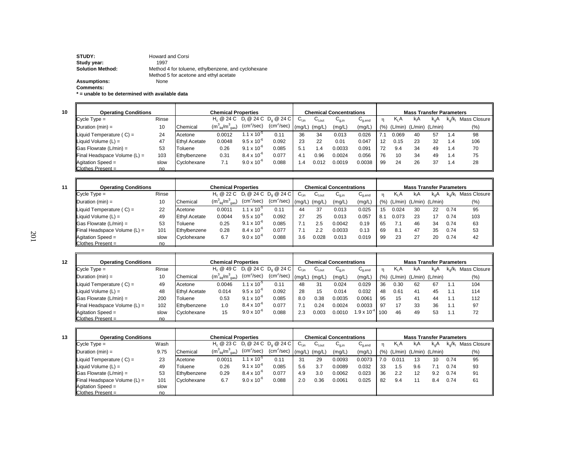**STUDY:** Howard and Corsi **Study year:** 1997 **Solution Method:** Method 4 for toluene, ethylbenzene, and cyclohexane Method 5 for acetone and ethyl acetate **Assumptions:** None **Comments:**

**\* = unable to be determined with available data**

| <b>Operating Conditions</b>                 |       |                      | <b>Chemical Properties</b>            |                        |              |         |                            | <b>Chemical Concentrations</b>        |             |       |                  | <b>Mass Transfer Parameters</b> |               |                         |                |
|---------------------------------------------|-------|----------------------|---------------------------------------|------------------------|--------------|---------|----------------------------|---------------------------------------|-------------|-------|------------------|---------------------------------|---------------|-------------------------|----------------|
| $C$ vcle Type =                             | Rinse |                      | $H_c @ 24 C D_1 @ 24 C D_0 @ 24 C$    |                        |              | ∪ւտ     | $\mathtt{C_{\text{Lout}}}$ | $\mathsf{u}_{\mathsf{g},\mathsf{in}}$ | $C_{q,end}$ |       | K <sub>I</sub> A | kıA                             | $k_{\alpha}A$ | $k_{\alpha}/k_{\alpha}$ | Mass Closure I |
| $\Delta$ Duration (min) =                   | 10    | Chemical             | $(m_{\text{liq}}^3/m_{\text{gas}}^3)$ | (cm <sup>2</sup> /sec) | $(cm^2/sec)$ | (mq/L)  | (mg/L,                     | (mg/L)                                | (mg/L)      | (9/6) | (L/min)          | (L/min) (L/min)                 |               |                         | (% )           |
| Liquid Temperature (C) =                    | 24    | Acetone              | 0.0012                                | $.1 \times 10^{-5}$    | 0.11         | 36      | 34                         | 0.013                                 | 0.026       |       | 0.069            | 40                              | 57            | 1.4                     | 98             |
| Liquid Volume $(L)$ =                       | 47    | <b>Ethyl Acetate</b> | 0.0048                                | $9.5 \times 10^{-6}$   | 0.092        | 23      | 22                         | 0.01                                  | 0.047       | 12    | 0.15             | 23                              | 32            | 1.4                     | 106            |
| $\textsf{G}$ as Flowrate (L/min) =          | 53    | Toluene              | 0.26                                  | $9.1 \times 10^{-6}$   | 0.085        | 5.1     | $\mathcal{A}$              | 0.0033                                | 0.091       | 72    | 9.4              | 34                              | 49            | 1.4                     | 70             |
| $\blacksquare$ Final Headspace Volume (L) = | 103   | Ethylbenzene         | 0.31                                  | $8.4 \times 10^{-6}$   | 0.077        | 4.1     | 0.96                       | 0.0024                                | 0.056       | 76    | 10               | 34                              | 49            | 1.4                     | 75             |
| $\mu$ Agitation Speed =                     | slow  | Cyclohexane          | 7.1                                   | $9.0 \times 10^{-6}$   | 0.088        | $\cdot$ | 0.012                      | 0.0019                                | 0.0038      | 99    | 24               | 26                              | 37            | 1.4                     | 28             |
| $IC$ othes Present =                        | no    |                      |                                       |                        |              |         |                            |                                       |             |       |                  |                                 |               |                         |                |

| 11 | <b>Operating Conditions</b>                     |       |                      | <b>Chemical Properties</b>                |                      |                              |           |                   | <b>Chemical Concentrations</b>        |                                        |     |                  | <b>Mass Transfer Parameters</b> |     |                         |                |
|----|-------------------------------------------------|-------|----------------------|-------------------------------------------|----------------------|------------------------------|-----------|-------------------|---------------------------------------|----------------------------------------|-----|------------------|---------------------------------|-----|-------------------------|----------------|
|    | $C$ vcle Type =                                 | Rinse |                      | $H_c \otimes 22 C$                        |                      | $D_1 @ 24 C D_0 @ 24 C$      | $C_{Lin}$ | $C_{\text{Lout}}$ | $\mathsf{u}_{\mathsf{g},\mathsf{in}}$ | $\mathsf{u}_{\mathsf{q},\mathsf{end}}$ | n   | K <sub>I</sub> A | kıA                             | k.A | $k_{\alpha}/k_{\alpha}$ | Mass Closure I |
|    | $\mathsf{IDuration}\left(\mathsf{min}\right) =$ | 10    | Chemical             | $(m^{3}_{\text{liq}}/m^{3}_{\text{gas}})$ | $(cm^2/sec)$         | $(cm^2/sec)$ (mg/L) $\prime$ |           | (mg/L)            | (mg/L)                                | (mg/L)                                 | (%) | (L/min)          | $(L/min)$ $(L/min)$             |     |                         | (% )           |
|    | Liquid Temperature ( $C$ ) =                    | 22    | Acetone              | 0.0011                                    | $1.1 \times 10^{-7}$ | 0.11                         | 44        | 37                | 0.013                                 | 0.025                                  | -15 | 0.024            | 30                              | 22  | 0.74                    | 95             |
|    | Liquid Volume (L) =                             | 49    | <b>Ethyl Acetate</b> | 0.0044                                    | $9.5 \times 10^{-6}$ | 0.092                        | 27        | 25                | 0.013                                 | 0.057                                  | 8.1 | 0.073            | 23                              |     | 0.74                    | 103            |
|    | $ Gas Flowrate (L/min) =$                       | 53    | Toluene              | 0.25                                      | $9.1 \times 10^{-6}$ | 0.085                        |           | 2.5               | 0.0042                                | 0.19                                   | 65  |                  | 46                              | 34  | 0.74                    | 63             |
|    | $\parallel$ Final Headspace Volume (L) =        | 101   | Ethylbenzene         | 0.28                                      | $8.4 \times 10^{-6}$ | 0.077                        | 7.1       | 2.2               | 0.0033                                | 0.13                                   | 69  | 8.1              | 47                              | 35  | 0.74                    | 53             |
|    | $\blacksquare$ Agitation Speed =                | slow  | Cyclohexane          | 6.7                                       | $9.0 \times 10^{-6}$ | 0.088                        | 3.6       | 0.028             | 0.013                                 | 0.019                                  | 99  | 23               | 27                              | 20  | 0.74                    | 42             |
|    | $IC$ lothes Present =                           | no    |                      |                                           |                      |                              |           |                   |                                       |                                        |     |                  |                                 |     |                         |                |

| 12 | <b>Operating Conditions</b>              |       |                      | <b>Chemical Properties</b>          |                        |                                              |           |                    | <b>Chemical Concentrations</b> |                                        |              |                  | <b>Mass Transfer Parameters</b> |     |                         |                |
|----|------------------------------------------|-------|----------------------|-------------------------------------|------------------------|----------------------------------------------|-----------|--------------------|--------------------------------|----------------------------------------|--------------|------------------|---------------------------------|-----|-------------------------|----------------|
|    | $C$ vcle Type =                          | Rinse |                      | H <sub>c</sub> @ 49 C               |                        | $D_1 @ 24 C D_0 @ 24 C$                      | $C_{Lin}$ | $C_{\text{l.out}}$ | $G_{q,in}$                     | $\mathsf{u}_{\mathsf{q},\mathsf{end}}$ | $\mathsf{n}$ | K <sub>I</sub> A | kıA                             | k.A | $k_{\alpha}/k_{\alpha}$ | Mass Closure I |
|    | Duration $(min) =$                       | 10    | Chemical             | $(m3_{\text{liq}}/m3_{\text{gas}})$ | (cm <sup>2</sup> /sec) | $\text{(cm}^2/\text{sec})$ $\text{(mg/L)}$ ' |           | (mg/L)             | (mg/L)                         | (mg/L)                                 | (% )         | (L/min)          | $(L/min)$ $(L/min)$             |     |                         | (% )           |
|    | Liquid Temperature (C) =                 | 49    | Acetone              | 0.0046                              | $1.1 \times 10^{-7}$   | 0.11                                         | 48        | 31                 | 0.024                          | 0.029                                  | 36           | 0.30             | 62                              | 67  | 1.1                     | 104            |
|    | <b>IL</b> iauid Volume (L) =             | 48    | <b>Ethyl Acetate</b> | 0.014                               | $9.5 \times 10^{-6}$   | 0.092                                        | 28        | 15                 | 0.014                          | 0.032                                  | 48           | 0.61             | 41                              | 45  | 1.1                     | 114            |
|    | $ Gas Flowrate (L/min) =$                | 200   | Toluene              | 0.53                                | $9.1 \times 10^{-6}$   | 0.085                                        | 8.0       | 0.38               | 0.0035                         | 0.0061                                 | 95           | 15               | 41                              | 44  |                         | 112            |
|    | $\parallel$ Final Headspace Volume (L) = | 102   | Ethylbenzene         | 1.0                                 | $8.4 \times 10^{-6}$   | 0.077                                        |           | 0.24               | 0.0024                         | 0.0033                                 | 97           | 17               | 33                              | 36  | 1.1                     | 97             |
|    | $\blacksquare$ Agitation Speed =         | slow  | Cyclohexane          | 15                                  | $9.0 \times 10^{-6}$   | 0.088                                        | 2.3       | 0.003              | 0.0010                         | $.9 \times 10^{-4}$                    | 100          | 46               | 49                              | 53  | 1.1                     | 72             |
|    | $ $ Clothes Present =                    | no    |                      |                                     |                        |                                              |           |                    |                                |                                        |              |                  |                                 |     |                         |                |

| 13 | <b>Operating Conditions</b>  |      |              | <b>Chemical Properties</b>                               |                        |                                                            |                |                    | <b>Chemical Concentrations</b>        |             |      |                  | <b>Mass Transfer Parameters</b> |          |                  |                |
|----|------------------------------|------|--------------|----------------------------------------------------------|------------------------|------------------------------------------------------------|----------------|--------------------|---------------------------------------|-------------|------|------------------|---------------------------------|----------|------------------|----------------|
|    | $C$ ycle Type =              | Wash |              | $H_c$ @ 23 C D <sub>1</sub> @ 24 C D <sub>0</sub> @ 24 C |                        |                                                            | $C_{Lin}$      | $C_{\text{l.out}}$ | $\mathsf{u}_{\mathsf{q},\mathsf{in}}$ | $C_{q,end}$ |      | Κ <sub>L</sub> Α | kıA                             | $k_{0}A$ | $k_{\alpha}/k_1$ | Mass Closure I |
|    | Duration $(min) =$           | 9.75 | Chemical     | $(m_{\text{lio}}^3/m_{\text{gas}}^3)$                    | (cm <sup>2</sup> /sec) | $(\text{cm}^2/\text{sec})$ $(\text{mg/L})$ $(\text{mg/L})$ |                |                    | (mg/L)                                | (mg/L)      | (% ) |                  | (L/min) (L/min) (L/min)         |          |                  | (%)            |
|    | Liquid Temperature (C) =     | 23   | Acetone      | 0.0011                                                   | $1.1 \times 10^{-7}$   | 0.11                                                       | 3 <sup>1</sup> | 29                 | 0.0093                                | 0.0073      |      | 0.011            | 13                              | 10       | 0.74             | 95             |
|    | Liquid Volume $(L)$ =        | 49   | Toluene      | 0.26                                                     | $9.1 \times 10^{-6}$   | 0.085                                                      | 5.6            | 3.7                | 0.0089                                | 0.032       | 33   | 5.،              | 9.6                             |          | 0.74             | 93             |
|    | Gas Flowrate (L/min) =       | 53   | Ethylbenzene | 0.29                                                     | $8.4 \times 10^{-6}$   | 0.077                                                      | 4.9            | 3.0                | 0.0062                                | 0.023       | 36   | 2.2              | 12                              | 9.2      | 0.74             | 91             |
|    | Final Headspace Volume (L) = | 101  | Cyclohexane  | 6.7                                                      | $9.0 \times 10^{-6}$   | 0.088                                                      | 2.0            | 0.36               | 0.0061                                | 0.025       | -82  | 9.4              |                                 | 8.4      | 0.74             | 61             |
|    | Agitation Speed =            | slow |              |                                                          |                        |                                                            |                |                    |                                       |             |      |                  |                                 |          |                  |                |
|    | Clothes Present =            | no   |              |                                                          |                        |                                                            |                |                    |                                       |             |      |                  |                                 |          |                  |                |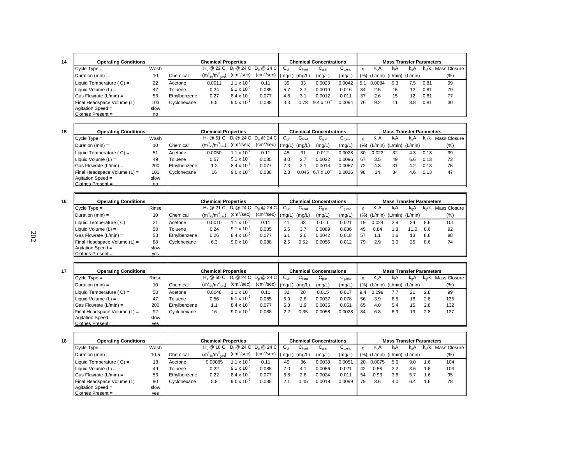| ٠ |  |
|---|--|

| <b>Operating Conditions</b>                 |      | <b>Chemical Properties</b> |                                       |                        |                                                                   |                  | <b>Chemical Concentrations</b>    |                      |                                        |     | <b>Mass Transfer Parameters</b> |                               |     |      |                                             |  |  |
|---------------------------------------------|------|----------------------------|---------------------------------------|------------------------|-------------------------------------------------------------------|------------------|-----------------------------------|----------------------|----------------------------------------|-----|---------------------------------|-------------------------------|-----|------|---------------------------------------------|--|--|
| $\mathsf{IC}$ vcle $\mathsf{Type} =$        | Wash |                            |                                       |                        | H <sub>c</sub> @ 22 C D <sub>i</sub> @ 24 C D <sub>a</sub> @ 24 C | $C_{\text{Lin}}$ | $\mathtt{C_{\text{\tiny{Lout}}}}$ | $G_{q,in}$           | $\mathsf{C}_{\mathsf{q},\mathsf{end}}$ |     | K <sub>i</sub> A                | kA                            | k.A |      | k <sub>o</sub> /k <sub>i</sub> Mass Closure |  |  |
| $ $ Duration (min) =                        | 10   | Chemical                   | $(m_{\text{liq}}^3/m_{\text{gas}}^3)$ | (cm <sup>2</sup> /sec) | (cm <sup>2</sup> /sec)                                            | (mg/L)           | (mg/L,                            | (mg/L)               | (mg/L)                                 | (%) |                                 | $(L/min)$ $(L/min)$ $(L/min)$ |     |      | $(\%)$                                      |  |  |
| $\parallel$ Liquid Temperature (C) =        | 22   | Acetone                    | 0.001                                 | 1.1 x 10 <sup>-5</sup> | 0.11                                                              | 35               | 33                                | 0.0023               | 0.0042                                 | 5.1 | 0.0084                          | 9.3                           | 7.5 | 0.81 | 99                                          |  |  |
| $\parallel$ Liquid Volume (L) =             | 47   | Toluene                    | 0.24                                  | $9.1 \times 10^{-6}$   | 0.085                                                             | 5.7              | 3.7                               | 0.0019               | 0.016                                  | 34  | 2.5                             | 15                            | 12  | 0.81 | 79                                          |  |  |
| $\vert$ Gas Flowrate (L/min) =              | 53   | Ethylbenzene               | 0.27                                  | $8.4 \times 10^{-6}$   | 0.077                                                             | 4.8              | 3.1                               | 0.0012               | 0.011                                  | 37  | 2.6                             | 15                            | 12  | 0.81 | 77                                          |  |  |
| $\blacksquare$ Final Headspace Volume (L) = | 103  | <b>C</b> vclohexane        | 6.5                                   | $9.0 \times 10^{-6}$   | 0.088                                                             | 3.3              | 0.78                              | $9.4 \times 10^{-4}$ | 0.0094                                 | 76  | 9.2                             |                               | 8.8 | 0.81 | 30                                          |  |  |
| Agitation Speed =                           | slow |                            |                                       |                        |                                                                   |                  |                                   |                      |                                        |     |                                 |                               |     |      |                                             |  |  |
| $IClothes Present =$                        | no   |                            |                                       |                        |                                                                   |                  |                                   |                      |                                        |     |                                 |                               |     |      |                                             |  |  |

|  | ۰. |
|--|----|

| <b>Operating Conditions</b>              |      |              | <b>Chemical Properties</b>            |                        |                                                                   |      |                   | <b>Chemical Concentrations</b> |              |      |         | <b>Mass Transfer Parameters</b> |               |                         |              |
|------------------------------------------|------|--------------|---------------------------------------|------------------------|-------------------------------------------------------------------|------|-------------------|--------------------------------|--------------|------|---------|---------------------------------|---------------|-------------------------|--------------|
| $ C$ ycle Type =                         | Wash |              |                                       |                        | H <sub>c</sub> @ 51 C D <sub>i</sub> @ 24 C D <sub>a</sub> @ 24 C | ∪∟in | $G_{\text{Lout}}$ | $C_{q,in}$                     | $C_{q, end}$ |      | $K_L A$ | kA                              | $k_{\alpha}A$ | $k_{\alpha}/k_{\alpha}$ | Mass Closure |
| $\Delta$ Duration (min) =                | 10   | Chemical     | $(m_{\text{liq}}^3/m_{\text{gas}}^3)$ | (cm <sup>2</sup> /sec) | $\rm (cm^2/sec)$ $\,$ $\rm (mg/L)$ $\,$                           |      | (mg/L)            | (mg/L)                         | (mg/L)       | (% ) | (L/min) | (L/min) (L/min)                 |               |                         | (% )         |
| $\parallel$ Liquid Temperature (C) =     | 51   | Acetone      | 0.0050                                | $1.1 \times 10^{-3}$   | 0.11                                                              | 45   | 31                | 0.012                          | 0.0028       | 30   | 0.022   | 32                              | 4.3           | 0.13                    | 99           |
| $\parallel$ Liquid Volume (L) =          | 49   | Toluene      | 0.57                                  | $9.1 \times 10^{-6}$   | 0.085                                                             | 8.0  | 2.7               | 0.0022                         | 0.0096       | 67   | 3.5     | 49                              | 6.6           | 0.13                    | 73           |
| $\parallel$ Gas Flowrate (L/min) =       | 200  | Ethylbenzene | 1.2                                   | $8.4 \times 10^{-6}$   | 0.077                                                             | 7.3  | 2.1               | 0.0014                         | 0.0067       | 72   | 4.3     | -31                             | 4.2           | 0.13                    | 75           |
| $\parallel$ Final Headspace Volume (L) = | 101  | Cyclohexane  | 16                                    | $9.0 \times 10^{-6}$   | 0.088                                                             | 2.8  | 0.045             | $6.7 \times 10^{-4}$           | 0.0026       | 98   | 24      | 34                              | 4.6           | 0.13                    | 47           |
| Agitation Speed =                        | slow |              |                                       |                        |                                                                   |      |                   |                                |              |      |         |                                 |               |                         |              |
| Clothes Present =                        | no   |              |                                       |                        |                                                                   |      |                   |                                |              |      |         |                                 |               |                         |              |

| <b>Operating Conditions</b>              |            | <b>Chemical Properties</b> |                                       |                        |                                    |                       |                   | <b>Chemical Concentrations</b> |             |     |        | <b>Mass Transfer Parameters</b> |               |           |              |
|------------------------------------------|------------|----------------------------|---------------------------------------|------------------------|------------------------------------|-----------------------|-------------------|--------------------------------|-------------|-----|--------|---------------------------------|---------------|-----------|--------------|
| $Cycle Type =$                           | Rinse      |                            |                                       |                        | $H_c @ 21 C D_1 @ 24 C D_0 @ 24 C$ | $C_{\text{Lin}}$      | $C_{\text{Lout}}$ | $C_{q,in}$                     | $G_{q,end}$ | n   | $K_1A$ | kA                              | $k_{\alpha}A$ | $k_o/k_1$ | Mass Closure |
| $\Delta$ Duration (min) =                | 10         | Chemical                   | $(m_{\text{liq}}^3/m_{\text{gas}}^3)$ | (cm <sup>2</sup> /sec) | (cm <sup>2</sup> /sec)             | $\mathsf{Im}\alpha/L$ | (mg/L)            | (mg/L)                         | (mg/L)      | (%) |        | $(L/min)$ $(L/min)$ $(L/min)$   |               |           | $(\% )$      |
| Liquid Temperature (C) =                 | 21         | Acetone                    | 0.0010                                | $1.1 \times 10^{-5}$   | 0.11                               | 41                    | 33                | 0.011                          | 0.021       | 19  | 0.024  | 2.9                             | 24            | 8.6       | 101          |
| Liquid Volume $(L)$ =                    | 50         | Toluene                    | 0.24                                  | $9.1 \times 10^{-6}$   | 0.085                              | 6.6                   | 3.7               | 0.0089                         | 0.036       | 45  | 0.84   | 1.3                             | 11.0          | 8.6       | 92           |
| $\vert$ Gas Flowrate (L/min) =           | 53         | Ethylbenzene               | 0.26                                  | $8.4 \times 10^{-6}$   | 0.077                              | 6.1                   | 2.6               | 0.0042                         | 0.018       | 57  | 1.1    | 1.6                             | 13            | 8.6       | 88           |
| $\parallel$ Final Headspace Volume (L) = | 88         | Cyclohexane                | 6.3                                   | $9.0 \times 10^{-6}$   | 0.088                              | 2.5                   | 0.52              | 0.0056                         | 0.012       | 79  | 2.9    | 3.0                             | 25            | 8.6       | 74           |
| $\vert$ Agitation Speed =                | slow       |                            |                                       |                        |                                    |                       |                   |                                |             |     |        |                                 |               |           |              |
| $ C $ othes Present =                    | <b>yes</b> |                            |                                       |                        |                                    |                       |                   |                                |             |     |        |                                 |               |           |              |

| 17 | <b>Operating Conditions</b>              |       |              | <b>Chemical Properties</b>                                        |                        |                       |                  |            | <b>Chemical Concentrations</b> |                                        |      |                  | <b>Mass Transfer Parameters</b> |                  |     |                                             |
|----|------------------------------------------|-------|--------------|-------------------------------------------------------------------|------------------------|-----------------------|------------------|------------|--------------------------------|----------------------------------------|------|------------------|---------------------------------|------------------|-----|---------------------------------------------|
|    | $\mathsf{IC}$ vcle Type =                | Rinse |              | H <sub>c</sub> @ 50 C D <sub>i</sub> @ 24 C D <sub>a</sub> @ 24 C |                        |                       | $C_{\text{Lin}}$ | $C_{Lout}$ | $C_{q,in}$                     | $\mathsf{u}_{\mathsf{q},\mathsf{end}}$ |      | K <sub>I</sub> A | kA                              | k <sub>o</sub> A |     | k <sub>o</sub> /k <sub>i</sub> Mass Closure |
|    | Duration (min) =                         | 10    | Chemical     | $(m_{\text{liq}}^3/m_{\text{gas}}^3)$                             | (cm <sup>2</sup> /sec) | $(cm^2/sec)$ (mg/L) ' |                  | (mg/L)     | (mg/L)                         | (mg/L)                                 | (% ) |                  | (L/min) (L/min) (L/min)         |                  |     | $(\% )$                                     |
|    | Liquid Temperature $(C) =$               | 50    | Acetone      | 0.0048                                                            | $.1 \times 10^{-7}$    | 0.11                  | 32               | 28         | 0.015                          | 0.017                                  | 9.4  | 0.099            | 7.7                             | 21               | 2.8 | 99                                          |
|    | Liquid Volume $(L)$ =                    | 47    | Toluene      | 0.56                                                              | $9.1 \times 10^{-6}$   | 0.085                 | 5.9              | 2.6        | 0.0037                         | 0.078                                  | 56   | 3.9              | 6.5                             | 18               | 2.8 | 135                                         |
|    | $\textsf{Gas}$ Flowrate (L/min) =        | 200   | Ethylbenzene | 1.1                                                               | $8.4 \times 10^{-6}$   | 0.077                 | 5.3              | 1.9        | 0.0035                         | 0.051                                  | 65   | 4.0              | 5.4                             | 15               | 2.8 | 132                                         |
|    | $\parallel$ Final Headspace Volume (L) = | 92    | Cyclohexane  | 16                                                                | $9.0 \times 10^{-6}$   | 0.088                 | 2.2              | 0.35       | 0.0058                         | 0.0028                                 | 84   | 6.8              | 6.9                             | 19               | 2.8 | 137                                         |
|    | $\Delta$ qitation Speed =                | slow  |              |                                                                   |                        |                       |                  |            |                                |                                        |      |                  |                                 |                  |     |                                             |
|    | <b>IClothes Present</b> =                | ves   |              |                                                                   |                        |                       |                  |            |                                |                                        |      |                  |                                 |                  |     |                                             |

| 18 | <b>Operating Conditions</b>              |      |                  | <b>Chemical Properties</b>            |                        |                      |           |                              | <b>Chemical Concentrations</b> |             |      |        | <b>Mass Transfer Parameters</b> |               |                         |                 |  |  |  |
|----|------------------------------------------|------|------------------|---------------------------------------|------------------------|----------------------|-----------|------------------------------|--------------------------------|-------------|------|--------|---------------------------------|---------------|-------------------------|-----------------|--|--|--|
|    | $\mathsf{IC}$ vcle Type =                | Wash |                  | $H_c @ 18 C D_1 @ 24 C D_2 @ 24 C$    |                        |                      | $C_{Lin}$ | $\mathsf{C}_{\mathsf{Lout}}$ | $G_{q,in}$                     | $G_{q,end}$ |      | $K_iA$ | kıA                             | $k_{\alpha}A$ | $k_{\alpha}/k_{\alpha}$ | Mass Closure II |  |  |  |
|    | $IDuration (min) =$                      | 10.5 | Chemical         | $(m_{\text{liq}}^3/m_{\text{gas}}^3)$ | (cm <sup>2</sup> /sec) | $(cm2/sec)$ $(mq/L)$ |           | (mg/L)                       | (mg/L)                         | (mg/L)      | (% ) |        | (L/min) (L/min) (L/min)         |               |                         | $(\% )$         |  |  |  |
|    | $\parallel$ Liquid Temperature (C) =     | 18   | <b>I</b> Acetone | 0.00085                               | $1.1 \times 10^{-5}$   | 0.11                 | 45        | 36                           | 0.0038                         | 0.0051      | 20   | 0.0075 | 5.6                             | 9.0           | 1.6                     | 104             |  |  |  |
|    | Liquid Volume (L) =                      | 49   | Toluene          | 0.22                                  | $9.1 \times 10^{-6}$   | 0.085                | 7.0       | 4.1                          | 0.0056                         | 0.021       | 42   | 0.58   | 2.2                             | 3.6           | 1.6                     | 103             |  |  |  |
|    | $\vert$ Gas Flowrate (L/min) =           | 53   | Ethylbenzene     | 0.22                                  | $8.4 \times 10^{-6}$   | 0.077                | 5.8       | 2.6                          | 0.0024                         | 0.011       | -54  | 0.93   | 3.6                             | 5.7           | 1.6                     | 95              |  |  |  |
|    | $\parallel$ Final Headspace Volume (L) = | 90   | Cyclohexane      | 5.8                                   | $9.0 \times 10^{-6}$   | 0.088                | 2.1       | 0.45                         | 0.0019                         | 0.0099      | 79   | 3.6    | 4.0                             | 6.4           | 1.6                     | 78              |  |  |  |
|    | Agitation Speed =                        | slow |                  |                                       |                        |                      |           |                              |                                |             |      |        |                                 |               |                         |                 |  |  |  |
|    | $ $ Clothes Present =                    | ves  |                  |                                       |                        |                      |           |                              |                                |             |      |        |                                 |               |                         |                 |  |  |  |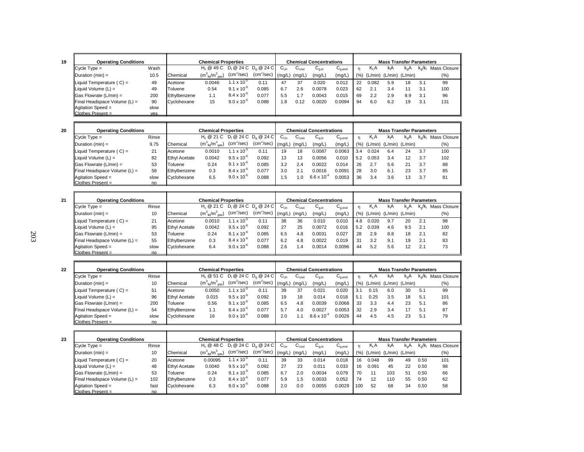| ٦ |  |
|---|--|

| IJ |                  |
|----|------------------|
|    | сy               |
|    | Du               |
|    | Lic<br>Lic<br>Ga |
|    |                  |
|    |                  |
|    |                  |

| <b>Operating Conditions</b>  |      | <b>Chemical Properties</b> |                                                                   |                        |                        |                  | <b>Chemical Concentrations</b> |        |             |     | <b>Mass Transfer Parameters</b> |                               |               |           |              |  |  |
|------------------------------|------|----------------------------|-------------------------------------------------------------------|------------------------|------------------------|------------------|--------------------------------|--------|-------------|-----|---------------------------------|-------------------------------|---------------|-----------|--------------|--|--|
| $C$ ycle $Type =$            | Wash |                            | H <sub>c</sub> @ 49 C D <sub>i</sub> @ 24 C D <sub>c</sub> @ 24 C |                        |                        | $C_{\text{Lin}}$ | $C_{\text{l,out}}$             | ان ب   | $G_{q,end}$ |     | Κ <sub>Ι</sub> Α                | kA                            | $k_{\alpha}A$ | $k_o/k_i$ | Mass Closure |  |  |
| Duration (min) =             | 10.5 | Chemical                   | $(m_{\text{liq}}^3/m_{\text{gas}}^3)$                             | (cm <sup>2</sup> /sec) | (cm <sup>2</sup> /sec) | (ma/L)           | (mg/L)                         | (mg/L) | (mg/L)      | (%) |                                 | $(L/min)$ $(L/min)$ $(L/min)$ |               |           | (%)          |  |  |
| Liquid Temperature ( $C$ ) = | 49   | Acetone                    | 0.0046                                                            | $1.1 \times 10^{-5}$   | 0.11                   | 47               | 37                             | 0.020  | 0.012       | 22  | 0.082                           | 5.9                           | 18            | 3.1       | 99           |  |  |
| Liquid Volume (L) =          | 49   | Toluene                    | 0.54                                                              | $9.1 \times 10^{-6}$   | 0.085                  | 6.7              | 2.6                            | 0.0078 | 0.023       | 62  | 2.1                             | 3.4                           |               | 3.1       | 100          |  |  |
| Gas Flowrate (L/min) =       | 200  | Ethylbenzene               | 1.1                                                               | $8.4 \times 10^{-6}$   | 0.077                  | 5.5              |                                | 0.0043 | 0.015       | 69  | 2.2                             | 2.9                           | 8.9           | 3.1       | 96           |  |  |
| Final Headspace Volume (L) = | 90   | Cyclohexane                | 15                                                                | $9.0 \times 10^{-6}$   | 0.088                  | .8               | 0.12                           | 0.0020 | 0.0094      | 94  | 6.0                             | 6.2                           | 19            | 3.1       | 131          |  |  |
| Agitation Speed =            | slow |                            |                                                                   |                        |                        |                  |                                |        |             |     |                                 |                               |               |           |              |  |  |
| Clothes Present =            | ves  |                            |                                                                   |                        |                        |                  |                                |        |             |     |                                 |                               |               |           |              |  |  |

| ٦ |          |
|---|----------|
| c | I        |
|   | M.<br>۰, |

| <b>Operating Conditions</b>              |       | <b>Chemical Properties</b> |                                       |                               |                         |           | <b>Chemical Concentrations</b> |                                       |                                        |     | <b>Mass Transfer Parameters</b> |                               |      |                         |              |
|------------------------------------------|-------|----------------------------|---------------------------------------|-------------------------------|-------------------------|-----------|--------------------------------|---------------------------------------|----------------------------------------|-----|---------------------------------|-------------------------------|------|-------------------------|--------------|
| $Cycle Type =$                           | Rinse |                            | $H_c \otimes 21$ C                    |                               | $D_1 @ 24 C D_2 @ 24 C$ | $C_{lin}$ | ان ب                           | $\mathsf{U}_{\mathsf{q},\mathsf{in}}$ | $\mathsf{C}_{\mathsf{q},\mathsf{end}}$ | 'n  | Κ <sub>L</sub> Α                | kA                            | k, A | $k_{\alpha}/k_{\alpha}$ | Mass Closure |
| $\Delta$ Duration (min) =                | 9.75  | Chemical                   | $(m_{\text{liq}}^3/m_{\text{gas}}^3)$ | (cm <sup>2</sup> /sec)        | (cm <sup>2</sup> /sec)  | (mg/L)    | (mg/L,                         | (mg/L)                                | (mg/L)                                 | (%) |                                 | $(L/min)$ $(L/min)$ $(L/min)$ |      |                         | (%)          |
| Liquid Temperature $(C) =$               | 21    | Acetone                    | 0.0010                                | 1.1 $\times$ 10 <sup>-3</sup> | 0.11                    | 19        | 18                             | 0.0087                                | 0.0063                                 | 3.4 | 0.024                           | 6.4                           | 24   | 3.7                     | 100          |
| Liquid Volume $(L)$ =                    | 82    | <b>Ethyl Acetate</b>       | 0.0042                                | $9.5 \times 10^{-6}$          | 0.092                   | 13        | 13                             | 0.0056                                | 0.010                                  | 5.2 | 0.053                           | 3.4                           | 12   | 3.7                     | 102          |
| $\textsf{G}$ as Flowrate (L/min) =       | 53    | Toluene                    | 0.24                                  | $9.1 \times 10^{-6}$          | 0.085                   | 3.2       | 2.4                            | 0.0022                                | 0.014                                  | 26  | 2.7                             | 5.6                           | 21   | 3.7                     | 88           |
| $\parallel$ Final Headspace Volume (L) = | 58    | Ethylbenzene               | 0.3                                   | $8.4 \times 10^{-6}$          | 0.077                   | 3.0       | 2.1                            | 0.0016                                | 0.0091                                 | 28  | 3.0                             | 6.1                           | 23   | 3.7                     | 85           |
| Agitation Speed =                        | slow  | Cyclohexane                | 6.5                                   | $9.0 \times 10^{-6}$          | 0.088                   | .5        | $\Omega$                       | $6.6 \times 10^{-4}$                  | 0.0053                                 | 36  | 3.4                             | 3.6                           | 13   | 3.7                     | 81           |
| $\mathsf{C}$ Iothes Present =            | no    |                            |                                       |                               |                         |           |                                |                                       |                                        |     |                                 |                               |      |                         |              |

| 21 | <b>Operating Conditions</b>              |       | <b>Chemical Properties</b> |                                                                   |                        |                        |                  |                    | <b>Chemical Concentrations</b> |              |      |                         | <b>Mass Transfer Parameters</b> |                   |           |              |
|----|------------------------------------------|-------|----------------------------|-------------------------------------------------------------------|------------------------|------------------------|------------------|--------------------|--------------------------------|--------------|------|-------------------------|---------------------------------|-------------------|-----------|--------------|
|    | $ C$ vcle Type =                         | Rinse |                            | H <sub>c</sub> @ 21 C D <sub>i</sub> @ 24 C D <sub>o</sub> @ 24 C |                        |                        | $C_{\text{Lin}}$ | $C_{\text{l,out}}$ | $C_{q,in}$                     | $C_{q, end}$ |      | $K_L A$                 | kıA                             | k.A               | $k_0/k_1$ | Mass Closure |
|    | Duration $(min) =$                       | 10    | Chemical                   | $(m_{\text{liq}}^3/m_{\text{gas}}^3)$                             | (cm <sup>2</sup> /sec) | (cm <sup>2</sup> /sec) | (mg/L)           | (mg/L)             | (mg/L)                         | (mg/L)       | (% ) | (L/min) (L/min) (L/min) |                                 |                   |           | (%)          |
|    | Liquid Temperature $(C) =$               | 21    | Acetone                    | 0.0010                                                            | 1.1 x $10^{-5}$        | 0.11                   | 38               | 36                 | 0.010                          | 0.010        | 4.8  | 0.020                   | 9.7                             | 20                | 2.1       | 98           |
|    | Liquid Volume $(L)$ =                    | 95    | <b>Ethyl Acetate</b>       | 0.0042                                                            | $9.5 \times 10^{-6}$   | 0.092                  | 27               | 25                 | 0.0072                         | 0.016        | 5.2  | 0.039                   | 4.6                             | 9.5               | 2.1       | 100          |
|    | $\vert$ Gas Flowrate (L/min) =           | 53    | Toluene                    | 0.24                                                              | $9.1 \times 10^{-6}$   | 0.085                  | 6.5              | 4.8                | 0.0031                         | 0.027        | -28  | 2.9                     | 8.8                             | 18                | 2.1       | 82           |
|    | $\parallel$ Final Headspace Volume (L) = | 55    | Ethylbenzene               | 0.3                                                               | $8.4 \times 10^{-6}$   | 0.077                  | 6.2              | 4.8                | 0.0022                         | 0.019        | 31   | 3.2                     | 9.1                             | 19                | 2.1       | 83           |
|    | $\vert$ Agitation Speed =                | slow  | Cyclohexane                | 6.4                                                               | $9.0 \times 10^{-6}$   | 0.088                  | 2.6              | . .4               | 0.0014                         | 0.0096       | 44   | 5.2                     | 5.6                             | $12 \overline{ }$ | 2.1       | 73           |
|    | $ $ Clothes Present =                    | no    |                            |                                                                   |                        |                        |                  |                    |                                |              |      |                         |                                 |                   |           |              |

| 22 | <b>Operating Conditions</b>    |       |                      | <b>Chemical Properties</b>                                        |                        |                        |                  |                    | <b>Chemical Concentrations</b> |              |     |                               | <b>Mass Transfer Parameters</b> |     |                         |              |
|----|--------------------------------|-------|----------------------|-------------------------------------------------------------------|------------------------|------------------------|------------------|--------------------|--------------------------------|--------------|-----|-------------------------------|---------------------------------|-----|-------------------------|--------------|
|    | $\blacksquare$ Cycle Type =    | Rinse |                      | H <sub>c</sub> @ 51 C D <sub>i</sub> @ 24 C D <sub>c</sub> @ 24 C |                        |                        | ∪ <sub>Lin</sub> | $C_{\text{l,out}}$ | $C_{q,in}$                     | $C_{q, end}$ | n   | $K_i A$                       | kA                              | k.A | $k_{\alpha}/k_{\alpha}$ | Mass Closure |
|    |                                |       |                      |                                                                   | (cm <sup>2</sup> /sec) | (cm <sup>2</sup> /sec) |                  |                    |                                |              |     |                               |                                 |     |                         |              |
|    | $\Delta$ Duration (min) =      | 10    | Chemical             | $(m_{\text{lio}}^3/m_{\text{gas}}^3)$                             |                        |                        | (mg/L)           | (mg/L              | (mg/L)                         | (mg/L)       | (%) | $(L/min)$ $(L/min)$ $(L/min)$ |                                 |     |                         | (%)          |
|    | Liquid Temperature $(C) =$     | 51    | Acetone              | 0.0050                                                            | $1.1 \times 10^{-5}$   | 0.11                   | 39               | 37                 | 0.021                          | 0.020        | 3.1 | 0.15                          | 6.0                             | 30  | 5.1                     | 99           |
|    | Liquid Volume $(L)$ =          | 96    | <b>Ethyl Acetate</b> | 0.015                                                             | $9.5 \times 10^{-6}$   | 0.092                  | 19               | 18                 | 0.014                          | 0.018        | 5.  | 0.25                          | 3.5                             | 18  | 5.1                     | 101          |
|    | $\vert$ Gas Flowrate (L/min) = | 200   | Toluene              | 0.56                                                              | $9.1 \times 10^{-6}$   | 0.085                  | 6.5              | 4.8                | 0.0039                         | 0.0068       | 33  | 3.3                           | 4.4                             | 23  | 5.1                     | 86           |
|    | Final Headspace Volume $(L)$ = | 54    | Ethylbenzene         | 1.1                                                               | $8.4 \times 10^{-6}$   | 0.077                  | 5.7              | 4.0                | 0.0027                         | 0.0053       | 32  | 2.9                           | 3.4                             |     | 5.1                     | 87           |
|    | $\vert$ Agitation Speed =      | slow  | Cyclohexane          | 16                                                                | $9.0 \times 10^{-6}$   | 0.088                  | 2.0              |                    | $8.6 \times 10^{-4}$           | 0.0026       | 44  | 4.5                           | 4.5                             | 23  | 5.1                     | 79           |
|    | $Clothers$ Present =           | no.   |                      |                                                                   |                        |                        |                  |                    |                                |              |     |                               |                                 |     |                         |              |

| 23 | <b>Operating Conditions</b>              |       |                      | <b>Chemical Properties</b>                                        |                        |                        |                   |             | Chemical Concentrations |                                        |     |                  | <b>Mass Transfer Parameters</b> |     |                         |              |
|----|------------------------------------------|-------|----------------------|-------------------------------------------------------------------|------------------------|------------------------|-------------------|-------------|-------------------------|----------------------------------------|-----|------------------|---------------------------------|-----|-------------------------|--------------|
|    | $\mathsf{C}$ vcle Type =                 | Rinse |                      | H <sub>c</sub> @ 48 C D <sub>i</sub> @ 24 C D <sub>a</sub> @ 24 C |                        |                        | $C_{\text{Lin}}$  | $C_{I,out}$ | $G_{q,in}$              | $\mathsf{U}_{\mathsf{q},\mathsf{end}}$ | n   | K <sub>I</sub> A | k <sub>i</sub> A                | k.A | $k_{\alpha}/k_{\alpha}$ | Mass Closure |
|    | $\Delta$ Duration (min) =                | 10    | Chemical             | $(m_{\text{lio}}^3/m_{\text{gas}}^3)$                             | (cm <sup>2</sup> /sec) | (cm <sup>2</sup> /sec) | $(mg/L)$ $(mg/L)$ |             | (mg/L)                  | (mg/L)                                 | (%) | (L/min)          | $(L/min)$ $(L/min)$             |     |                         | (%)          |
|    | Liquid Temperature $(C) =$               | 20    | Acetone              | 0.00095                                                           | $1.1 \times 10^{-5}$   | 0.1                    | 39                | 33          | 0.014                   | 0.018                                  | 16  | 0.048            | 99                              | 49  | 0.50                    | 101          |
|    | Liquid Volume $(L)$ =                    | 48    | <b>Ethyl Acetate</b> | 0.0040                                                            | $9.5 \times 10^{-6}$   | 0.092                  | 27                | 23          | 0.011                   | 0.033                                  | 16  | 0.091            | 45                              | 22  | 0.50                    | 98           |
|    | $\textsf{G}$ as Flowrate (L/min) =       | 53    | Toluene              | 0.24                                                              | $9.1 \times 10^{-6}$   | 0.085                  | 6.7               | 2.0         | 0.0034                  | 0.079                                  | 70  | 11               | 103                             | 51  | 0.50                    | 66           |
|    | $\parallel$ Final Headspace Volume (L) = | 102   | Ethylbenzene         | 0.3                                                               | $8.4 \times 10^{-6}$   | 0.077                  | 5.9               | 5.،         | 0.0033                  | 0.052                                  | 74  | 12               | 110                             | 55  | 0.50                    | 62           |
|    | Agitation Speed =                        | fast  | Cyclohexane          | 6.3                                                               | $9.0 \times 10^{-6}$   | 0.088                  | 2.0               | 0.0         | 0.0055                  | 0.0029                                 | 100 | 52               | 68                              | 34  | 0.50                    | 58           |
|    | $IC$ lothes Present =                    | no    |                      |                                                                   |                        |                        |                   |             |                         |                                        |     |                  |                                 |     |                         |              |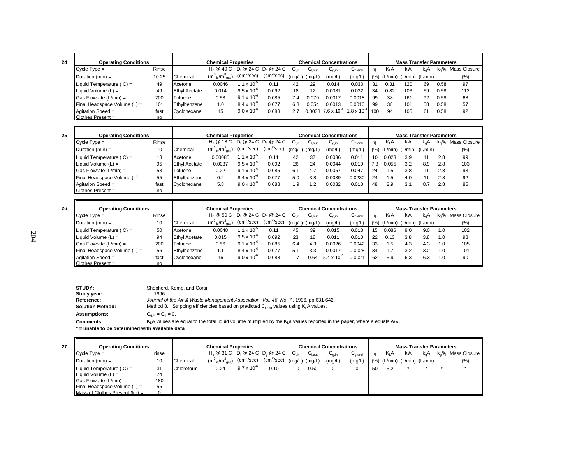| <b>Operating Conditions</b>              |       |                      | <b>Chemical Properties</b>            |                        |                         |                  |                    | <b>Chemical Concentrations</b>        |                                        |                 |                  | <b>Mass Transfer Parameters</b> |          |                         |              |
|------------------------------------------|-------|----------------------|---------------------------------------|------------------------|-------------------------|------------------|--------------------|---------------------------------------|----------------------------------------|-----------------|------------------|---------------------------------|----------|-------------------------|--------------|
| $\mathsf{IC}$ vcle $\mathsf{Type} =$     | Rinse |                      | H <sub>c</sub> @ 49 C                 |                        | $D_1 @ 24 C D_2 @ 24 C$ | $C_{\text{Lin}}$ | $C_{\text{l,out}}$ | $\mathsf{u}_{\mathsf{g},\mathsf{in}}$ | $\mathsf{U}_{\mathsf{q},\mathsf{end}}$ |                 | K <sub>I</sub> A | kıA                             | $k_{0}A$ | $k_{\alpha}/k_{\alpha}$ | Mass Closure |
| $\Delta$ Duration (min) =                | 10.25 | Chemical             | $(m_{\text{liq}}^3/m_{\text{gas}}^3)$ | (cm <sup>2</sup> /sec) | $(cm^2/sec)$            | (mg/L)           | (mg/L)             | (mg/L)                                | (mg/L)                                 | (% )            |                  | $(L/min)$ $(L/min)$ $(L/min)$   |          |                         | $(\% )$      |
| Liquid Temperature $(C) =$               | 49    | Acetone              | 0.0046                                | 1.1 x 10 <sup>-5</sup> | 0.11                    | 42               | 29                 | 0.014                                 | 0.030                                  | 31              | 0.31             | 120                             | 69       | 0.58                    | 97           |
| $\parallel$ Liquid Volume (L) =          | 49    | <b>Ethyl Acetate</b> | 0.014                                 | $9.5 \times 10^{-6}$   | 0.092                   | 18               | 12                 | 0.0081                                | 0.032                                  | 34              | 0.82             | 103                             | 59       | 0.58                    | 112          |
| $\textsf{  Gas}$ Flowrate (L/min) =      | 200   | Toluene              | 0.53                                  | $9.1 \times 10^{-6}$   | 0.085                   | 7.4              | 0.070              | 0.0017                                | 0.0018                                 | 99              | 38               | 161                             | 92       | 0.58                    | 68           |
| $\parallel$ Final Headspace Volume (L) = | 101   | Ethylbenzene         | 1.0                                   | $8.4 \times 10^{-6}$   | 0.077                   | 6.8              | 0.054              | 0.0013                                | 0.0010                                 | 99              | 38               | 101                             | 58       | 0.58                    | 57           |
| $\parallel$ Agitation Speed =            | fast  | Cyclohexane          | 15                                    | $9.0 \times 10^{-6}$   | 0.088                   | 2.7              |                    | $0.0038$ 7.6 x 10 <sup>-4</sup>       | $1.8 \times 10^{-7}$                   | 10 <sup>c</sup> | 94               | 105                             | 61       | 0.58                    | 92           |
| Clothes Present =                        | no    |                      |                                       |                        |                         |                  |                    |                                       |                                        |                 |                  |                                 |          |                         |              |

| <b>Operating Conditions</b>              |       |                      | <b>Chemical Properties</b>            |                      |                        |           |                   | <b>Chemical Concentrations</b>        |                                        |      |                  | <b>Mass Transfer Parameters</b> |     |                         |              |
|------------------------------------------|-------|----------------------|---------------------------------------|----------------------|------------------------|-----------|-------------------|---------------------------------------|----------------------------------------|------|------------------|---------------------------------|-----|-------------------------|--------------|
| $ C$ ycle Type =                         | Rinse |                      | $H_c @ 18 C D_1 @ 24 C D_2 @ 24 C$    |                      |                        | $C_{Lin}$ | $U_{\text{Lout}}$ | $\mathsf{u}_{\mathsf{q},\mathsf{in}}$ | $\mathsf{u}_{\mathsf{q},\mathsf{end}}$ |      | K <sub>I</sub> A | kA                              | k.A | $k_{\alpha}/k_{\alpha}$ | Mass Closure |
| $\Delta$ Duration (min) =                | 10    | Chemical             | $(m_{\text{liq}}^3/m_{\text{gas}}^3)$ | $(cm^2/sec)$         | (cm <sup>2</sup> /sec) | (ma/L)    | (mg/L)            | (mg/L)                                | (mg/L)                                 | (% ) | (L/min)          | (L/min) (L/min)                 |     |                         | (%)          |
| $\parallel$ Liquid Temperature (C) =     | 18    | Acetone              | 0.00085                               | $1.1 \times 10^{-5}$ | 0.11                   | 42        | 37                | 0.0036                                | 0.011                                  | 10   | 0.023            | 3.9                             |     | 2.8                     | 99           |
| Liquid Volume (L) =                      | 95    | <b>Ethyl Acetate</b> | 0.0037                                | $9.5 \times 10^{-6}$ | 0.092                  | 26        | 24                | 0.0044                                | 0.019                                  | 7.8  | 0.055            | 3.2                             | 8.9 | 2.8                     | 103          |
| $\vert$ Gas Flowrate (L/min) =           | 53    | Toluene              | 0.22                                  | $9.1 \times 10^{-6}$ | 0.085                  | 6.1       | 4.7               | 0.0057                                | 0.047                                  | 24   | 1.5              | 3.8                             |     | 2.8                     | 93           |
| $\parallel$ Final Headspace Volume (L) = | 55    | Ethylbenzene         | 0.2                                   | $8.4 \times 10^{-6}$ | 0.077                  | 5.0       | 3.8               | 0.0039                                | 0.0230                                 | 24   | 1.5              | 4.0                             |     | 2.8                     | 92           |
| $\vert$ Agitation Speed =                | fast  | Cyclohexane          | 5.8                                   | $9.0 \times 10^{-6}$ | 0.088                  | 1.9       | $\cdot$ 2         | 0.0032                                | 0.018                                  | 48   | 2.9              | 3.1                             | 8.7 | 2.8                     | 85           |
| $IClothes Present =$                     | no    |                      |                                       |                      |                        |           |                   |                                       |                                        |      |                  |                                 |     |                         |              |

| 26 | <b>Operating Conditions</b>         |       |                      | <b>Chemical Properties</b>                                        |                      |                        |                     |             | <b>Chemical Concentrations</b> |             |              |                  | <b>Mass Transfer Parameters</b> |          |               |              |
|----|-------------------------------------|-------|----------------------|-------------------------------------------------------------------|----------------------|------------------------|---------------------|-------------|--------------------------------|-------------|--------------|------------------|---------------------------------|----------|---------------|--------------|
|    | $\textsf{IC}$ vcle Type =           | Rinse |                      | H <sub>c</sub> @ 50 C D <sub>i</sub> @ 24 C D <sub>a</sub> @ 24 C |                      |                        | $C_{\text{Lin}}$    | $C_{I,out}$ | $U_{q,in}$                     | $U_{q,end}$ | $\mathsf{n}$ | Κ <sub>L</sub> Α | kıA                             | $k_{n}A$ | $k_{0}/k_{1}$ | Mass Closure |
|    | Duration $(min) =$                  | 10    | Chemical             | $(m3_{\text{liq}}/m3_{\text{gas}})$                               | $(cm^2/sec)$         | (cm <sup>2</sup> /sec) | $\mathsf{I}$ (mg/L) | (mg/L)      | (mg/L)                         | (mg/L)      | (%)          |                  | $(L/min)$ $(L/min)$ $(L/min)$   |          |               | $(\% )$      |
|    | Liquid Temperature $(C) =$          | 50    | <b>I</b> Acetone     | 0.0048                                                            | $4.1 \times 10^{-3}$ | 0.11                   | 45                  | 39          | 0.015                          | 0.013       | 15           | 0.086            | 9.0                             | 9.0      | 1.0           | 102          |
|    | Liquid Volume $(L)$ =               | 94    | <b>Ethyl Acetate</b> | 0.015                                                             | $9.5 \times 10^{-6}$ | 0.092                  | 23                  | 18          | 0.011                          | 0.010       | 22           | 0.13             | 3.8                             | 3.8      | 1.0           | 98           |
|    | $\textsf{  Gas}$ Flowrate (L/min) = | 200   | Toluene              | 0.56                                                              | $9.1 \times 10^{-6}$ | 0.085                  | 6.4                 | 4.3         | 0.0026                         | 0.0042      | 33           | 5.،              | 4.3                             | 4.3      | 1.0           | 105          |
|    | Final Headspace Volume (L) =        | 56    | Ethylbenzene         | 1.1                                                               | $8.4 \times 10^{-6}$ | 0.077                  | 5.1                 | 3.3         | 0.0017                         | 0.0028      | 34           |                  | 3.2                             | 3.2      | 1.0           | 101          |
|    | Agitation Speed =                   | fast  | Cyclohexane          | 16                                                                | $9.0 \times 10^{-6}$ | 0.088                  |                     | በ 64        | $5.4 \times 10^{-4}$           | 0.0021      | 62           | 5.9              | 6.3                             | 6.3      | 1.0           | 90           |
|    | Clothes Present =                   | no.   |                      |                                                                   |                      |                        |                     |             |                                |             |              |                  |                                 |          |               |              |

| STUDY:                                          | Shepherd, Kemp, and Corsi                                                                                                                  |
|-------------------------------------------------|--------------------------------------------------------------------------------------------------------------------------------------------|
| Study year:                                     | 1996                                                                                                                                       |
| Reference:                                      | Journal of the Air & Waste Management Association, Vol. 46, No. 7, 1996, pp.631-642.                                                       |
| <b>Solution Method:</b>                         | Method 8. Stripping efficiencies based on predicted $C_{1 \text{ end}}$ values using $K_1 A$ values.                                       |
| <b>Assumptions:</b>                             | $C_{\text{min}} = C_{\text{0}} = 0.$                                                                                                       |
| Comments:                                       | $K_i$ A values are equal to the total liquid volume multiplied by the $K_i$ a values reported in the paper, where a equals AV <sub>I</sub> |
| * = unable to be determined with available data |                                                                                                                                            |

| <b>Operating Conditions</b>              |       |            | <b>Chemical Properties</b>                                                     |                        |                           |                  |                   | <b>Chemical Concentrations</b>        |             |      |                  | <b>Mass Transfer Parameters</b> |          |                                             |
|------------------------------------------|-------|------------|--------------------------------------------------------------------------------|------------------------|---------------------------|------------------|-------------------|---------------------------------------|-------------|------|------------------|---------------------------------|----------|---------------------------------------------|
| $\vert$ Cycle Type =                     | rinse |            | $H_c \otimes 31 C$ D <sub>1</sub> $\otimes$ 24 C D <sub>0</sub> $\otimes$ 24 C |                        |                           | $C_{\text{Lin}}$ | $C_{\text{Lout}}$ | $\mathsf{u}_{\mathsf{q},\mathsf{in}}$ | $C_{q,end}$ |      | K <sub>I</sub> A | kA                              | $k_{n}A$ | k <sub>o</sub> /k <sub>i</sub> Mass Closure |
| $\Delta$ Duration (min) =                | 10    | Chemical   | $(m^{3}_{\text{lio}}/m^{3}_{\text{gas}})$                                      | (cm <sup>2</sup> /sec) | $(cm2/sec)$ (mg/L) (mg/L) |                  |                   | (mg/L)                                | (mg/L)      | (% ) |                  | $(L/min)$ $(L/min)$ $(L/min)$   |          | $(\% )$                                     |
| Liquid Temperature $(C) =$               | 31    | Chloroform | 0.24                                                                           | $9.7 \times 10^{-6}$   | 0.10                      | 1.0              | 0.50              |                                       |             | 50   | 5.2              |                                 |          |                                             |
| Liquid Volume $(L)$ =                    | 74    |            |                                                                                |                        |                           |                  |                   |                                       |             |      |                  |                                 |          |                                             |
| $\vert$ Gas Flowrate (L/min) =           | 180   |            |                                                                                |                        |                           |                  |                   |                                       |             |      |                  |                                 |          |                                             |
| $\parallel$ Final Headspace Volume (L) = | 55    |            |                                                                                |                        |                           |                  |                   |                                       |             |      |                  |                                 |          |                                             |
| Mass of Clothes Present $(ka) =$         |       |            |                                                                                |                        |                           |                  |                   |                                       |             |      |                  |                                 |          |                                             |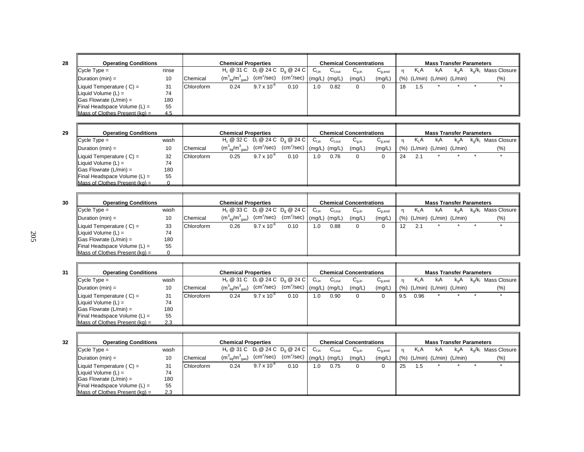Cycle Type = rinse Fig. @ 31 C D<sub>l</sub> @ 24 C D<sub>g</sub> @ 24 C C<sub>l,in</sub> C<sub>l,out</sub> C<sub>g,in</sub> C<sub>g,end</sub> n K<sub>L</sub>A k<sub>g</sub>A k<sub>g</sub>/k<sub>l</sub> Mass Closure Duration (min) = 10 | Chemical  $(m^3_{liq}/m^3_{gas})$  (cm<sup>2</sup>/sec) (cm<sup>2</sup>/sec) | (mg/L) (mg/L) (mg/L) | (%) (L/min) (L/min) (L/min) (%) Liquid Temperature ( C) = 31 Chloroform 0.24 9.7 x 10<sup>-6</sup> 0.10 1.0 0.82 0 0 18 1.5 \* \* \* \* \* Liquid Volume  $(L) = 74$ <br>Gas Flowrate  $(L/min) = 180$ Gas Flowrate  $(L/min) =$  180<br>Final Headspace Volume  $(L) =$  55 Final Headspace Volume (L) = 55 Mass of Clothes Present  $(kg) =$  4.5 **Operating Conditions Chemical Properties Chemical Concentrations Mass Transfer Parameters** 

| <b>Operating Conditions</b>                                                          |                 |            | <b>Chemical Properties</b>            |                      |                                                                   |                  |                    | <b>Chemical Concentrations</b> |                                        |     |         | <b>Mass Transfer Parameters</b> |               |                                     |
|--------------------------------------------------------------------------------------|-----------------|------------|---------------------------------------|----------------------|-------------------------------------------------------------------|------------------|--------------------|--------------------------------|----------------------------------------|-----|---------|---------------------------------|---------------|-------------------------------------|
| $Cycle Type =$                                                                       | wash            |            |                                       |                      | H <sub>c</sub> @ 32 C D <sub>i</sub> @ 24 C D <sub>c</sub> @ 24 C | $C_{\text{Lin}}$ | $C_{\text{l,out}}$ | $C_{q,in}$                     | $\mathtt{C}_{\mathtt{q},\mathtt{end}}$ |     | $K_L A$ | kA                              | $k_{\alpha}A$ | $k_{\alpha}/k_{\beta}$ Mass Closure |
| Duration $(min) =$                                                                   | 10              | Chemical   | $(m_{\text{lio}}^3/m_{\text{gas}}^3)$ | $\rm (cm^2/sec)$     | $(cm^2/sec)$ $(mg/L)$                                             |                  | (mg/L)             | (mg/L)                         | (mg/L)                                 | (%) |         | $(L/min)$ $(L/min)$ $(L/min)$   |               | $(\%)$                              |
| Liquid Temperature $(C) =$<br>Liquid Volume $(L)$ =<br>$\Box$ Gas Flowrate (L/min) = | 32<br>74<br>180 | Chloroform | 0.25                                  | $9.7 \times 10^{-6}$ | 0.10                                                              | 1.0              | 0.76               |                                |                                        | 24  | 2.1     |                                 |               |                                     |
| <b>Final Headspace Volume (L) =</b><br>Mass of Clothes Present ( $ka$ ) =            | 55              |            |                                       |                      |                                                                   |                  |                    |                                |                                        |     |         |                                 |               |                                     |

| 30 | <b>Operating Conditions</b>                 |      |            | <b>Chemical Properties</b>            |                            |                                 |                  |                    | <b>Chemical Concentrations</b>        |             |    |                                | <b>Mass Transfer Parameters</b> |               |                        |
|----|---------------------------------------------|------|------------|---------------------------------------|----------------------------|---------------------------------|------------------|--------------------|---------------------------------------|-------------|----|--------------------------------|---------------------------------|---------------|------------------------|
|    | $C$ vcle Type =                             | wash |            | $H_c @ 33 C D_1 @ 24 C D_0 @ 24 C$    |                            |                                 | $C_{\text{Lin}}$ | C <sub>1.out</sub> | $\mathsf{C}_{\mathsf{q},\mathsf{in}}$ | $C_{q,end}$ |    | $K_1A$                         | kıA                             | $k_{\alpha}A$ | $k_o/k_l$ Mass Closure |
|    | Duration $(min) =$                          | 10   | Chemical   | $(m_{\text{lio}}^3/m_{\text{gas}}^3)$ | $\text{(cm}^2\text{/sec)}$ | , $(cm2/sec)$ $(mg/L)$ $(mg/L)$ |                  |                    | (mg/L)                                | (mg/L)      |    | $(\%)$ (L/min) (L/min) (L/min) |                                 |               | (% )                   |
|    | Liquid Temperature $(C) =$                  | 33   | Chloroform | 0.26                                  | $9.7 \times 10^{-6}$       | 0.10                            | 1.0              | 0.88               | 0                                     |             | 12 | 2.1                            |                                 |               |                        |
|    | Liquid Volume $(L) =$                       | 74   |            |                                       |                            |                                 |                  |                    |                                       |             |    |                                |                                 |               |                        |
|    | $\vert$ Gas Flowrate (L/min) =              | 180  |            |                                       |                            |                                 |                  |                    |                                       |             |    |                                |                                 |               |                        |
|    | $\blacksquare$ Final Headspace Volume (L) = | 55   |            |                                       |                            |                                 |                  |                    |                                       |             |    |                                |                                 |               |                        |
|    | Mass of Clothes Present (kg) =              |      |            |                                       |                            |                                 |                  |                    |                                       |             |    |                                |                                 |               |                        |

| 31 | <b>Operating Conditions</b>        |      |            | <b>Chemical Properties</b>                   |                            |      |                  |             | <b>Chemical Concentrations</b>        |             |     |         | <b>Mass Transfer Parameters</b> |               |                        |
|----|------------------------------------|------|------------|----------------------------------------------|----------------------------|------|------------------|-------------|---------------------------------------|-------------|-----|---------|---------------------------------|---------------|------------------------|
|    | $C$ ycle Type =                    | wash |            | $H_c \ @ 31 C \ D_1 \ @ 24 C \ D_2 \ @ 24 C$ |                            |      | $C_{\text{Lin}}$ | $C_{I.out}$ | $\mathsf{u}_{\mathsf{g},\mathsf{in}}$ | $C_{q,end}$ |     | $K_L A$ | kıA                             | $k_{\alpha}A$ | $k_o/k_i$ Mass Closure |
|    | $\blacksquare$ Duration (min) =    | 10   | Chemical   | $(m_{\text{liq}}^3/m_{\text{gas}}^3)$        | $\text{(cm}^2\text{/sec)}$ |      |                  |             | (mg/L)                                | (mg/L)      | (%) |         | (L/min) (L/min) (L/min)         |               | (% )                   |
|    | Liquid Temperature (C) =           | 31   | Chloroform | 0.24                                         | $9.7 \times 10^{-6}$       | 0.10 | $^{\circ}$ .0    | 0.90        |                                       |             | 9.5 | 0.96    |                                 |               |                        |
|    | Liquid Volume $(L)$ =              | 74   |            |                                              |                            |      |                  |             |                                       |             |     |         |                                 |               |                        |
|    | $\Box$ Gas Flowrate (L/min) =      | 180  |            |                                              |                            |      |                  |             |                                       |             |     |         |                                 |               |                        |
|    | Final Headspace Volume (L) =       | 55   |            |                                              |                            |      |                  |             |                                       |             |     |         |                                 |               |                        |
|    | Mass of Clothes Present ( $kq$ ) = | 2.3  |            |                                              |                            |      |                  |             |                                       |             |     |         |                                 |               |                        |

| 32 | <b>Operating Conditions</b>                 |      |            | <b>Chemical Properties</b>                   |                        |                                                 |                  |                    | <b>Chemical Concentrations</b> |             |      |                               | <b>Mass Transfer Parameters</b> |     |                                             |
|----|---------------------------------------------|------|------------|----------------------------------------------|------------------------|-------------------------------------------------|------------------|--------------------|--------------------------------|-------------|------|-------------------------------|---------------------------------|-----|---------------------------------------------|
|    | $C$ vcle Type =                             | wash |            | $H_c \ @ 31 C \ D_1 \ @ 24 C \ D_0 \ @ 24 C$ |                        |                                                 | $C_{\text{Lin}}$ | $C_{1,\text{out}}$ | $C_{q,in}$                     | $C_{q,end}$ |      | K <sub>L</sub> A              | kıA                             | k.A | k <sub>o</sub> /k <sub>i</sub> Mass Closure |
|    | Duration $(min) =$                          | 10   | Chemical   | $(m_{\text{liq}}^3/m_{\text{gas}}^3)$        | (cm <sup>2</sup> /sec) | $\sqrt{2}$ (cm <sup>2</sup> /sec) (mg/L) (mg/L) |                  |                    | (mg/L)                         | (mg/L)      | (% ) | $(L/min)$ $(L/min)$ $(L/min)$ |                                 |     | (%)                                         |
|    | Liquid Temperature $(C) =$                  | 31   | Chloroform | 0.24                                         | $9.7 \times 10^{-7}$   | 0.10                                            | 1.0              | 0.75               | 0                              | 0           | 25   | 1.5                           |                                 |     |                                             |
|    | Liquid Volume $(L)$ =                       | 74   |            |                                              |                        |                                                 |                  |                    |                                |             |      |                               |                                 |     |                                             |
|    | $\vert$ Gas Flowrate (L/min) =              | 180  |            |                                              |                        |                                                 |                  |                    |                                |             |      |                               |                                 |     |                                             |
|    | $\blacksquare$ Final Headspace Volume (L) = | 55   |            |                                              |                        |                                                 |                  |                    |                                |             |      |                               |                                 |     |                                             |
|    | Mass of Clothes Present $(ka) =$            | 2.3  |            |                                              |                        |                                                 |                  |                    |                                |             |      |                               |                                 |     |                                             |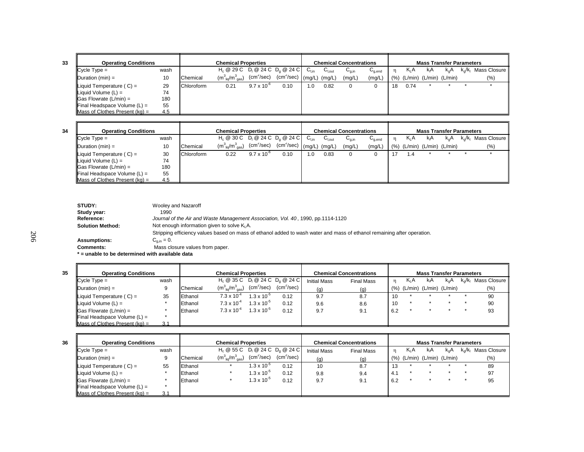| I |
|---|
|   |

| <b>Operating Conditions</b>         |      |            | <b>Chemical Properties</b>            |                            |                                      |           |             | <b>Chemical Concentrations</b> |             |         |          | <b>Mass Transfer Parameters</b> |               |                        |
|-------------------------------------|------|------------|---------------------------------------|----------------------------|--------------------------------------|-----------|-------------|--------------------------------|-------------|---------|----------|---------------------------------|---------------|------------------------|
| $Cycle Type =$                      | wash |            |                                       |                            | $H_c @ 29 C D_1 @ 24 C D_2 @ 24 C$   | $C_{Lin}$ | $C_{I.out}$ | $G_{a,in}$                     | $C_{q,end}$ | n       | $K_{L}A$ | kıA                             | $k_{\alpha}A$ | $k_0/k_1$ Mass Closure |
| Duration $(min) =$                  | 10   | Chemical   | $(m_{\text{liq}}^3/m_{\text{gas}}^3)$ | $\text{(cm}^2\text{/sec)}$ | (cm <sup>2</sup> /sec) (mg/L) (mg/L) |           |             | (mg/L)                         | (mg/L)      | $(\% )$ |          | (L/min) (L/min) (L/min)         |               | (%)                    |
| Liquid Temperature $(C) =$          | 29   | Chloroform | 0.21                                  | $9.7 \times 10^{-6}$       | 0.10                                 | .0        | 0.82        |                                |             | 18      | 0.74     |                                 |               |                        |
| $\parallel$ Liquid Volume (L) =     | 74   |            |                                       |                            |                                      |           |             |                                |             |         |          |                                 |               |                        |
| $\vert$ Gas Flowrate (L/min) =      | 180  |            |                                       |                            |                                      |           |             |                                |             |         |          |                                 |               |                        |
| <b>Final Headspace Volume (L) =</b> | 55   |            |                                       |                            |                                      |           |             |                                |             |         |          |                                 |               |                        |
| Mass of Clothes Present $(ka) =$    | 4.5  |            |                                       |                            |                                      |           |             |                                |             |         |          |                                 |               |                        |

| <b>Operating Conditions</b>        |      |            | <b>Chemical Properties</b>            |                        |                                              |                  |                     | <b>Chemical Concentrations</b> |                                    |      |                  | <b>Mass Transfer Parameters</b> |               |                        |
|------------------------------------|------|------------|---------------------------------------|------------------------|----------------------------------------------|------------------|---------------------|--------------------------------|------------------------------------|------|------------------|---------------------------------|---------------|------------------------|
| $C$ vcle Type =                    | wash |            |                                       |                        | $H_c \ @ 30 C \ D_1 \ @ 24 C \ D_2 \ @ 24 C$ | $C_{\text{Lin}}$ | $C_{1, \text{out}}$ | $U_{q,in}$                     | $\mathtt{C}_{\text{\text{q},end}}$ |      | K <sub>L</sub> A | kıA                             | $k_{\alpha}A$ | $k_o/k_i$ Mass Closure |
| Duration $(min) =$                 | 10   | Chemical   | $(m_{\text{liq}}^3/m_{\text{gas}}^3)$ | (cm <sup>2</sup> /sec) | $(cm2/sec)$ (mg/L) (mg/L)                    |                  |                     | (mg/L)                         | (mg/L)                             | (% ) |                  | (L/min) (L/min) (L/min)         |               | (% )                   |
| Liquid Temperature $(C) =$         | 30   | Chloroform | 0.22                                  | $9.7 \times 10^{-6}$   | 0.10                                         | 1.0              | 0.83                | 0                              | 0                                  |      | 1.4              |                                 |               |                        |
| $\parallel$ Liquid Volume (L) =    | 74   |            |                                       |                        |                                              |                  |                     |                                |                                    |      |                  |                                 |               |                        |
| $\Box$ Gas Flowrate (L/min) =      | 180  |            |                                       |                        |                                              |                  |                     |                                |                                    |      |                  |                                 |               |                        |
| Final Headspace Volume (L) =       | 55   |            |                                       |                        |                                              |                  |                     |                                |                                    |      |                  |                                 |               |                        |
| Mass of Clothes Present ( $ka$ ) = | 4.5  |            |                                       |                        |                                              |                  |                     |                                |                                    |      |                  |                                 |               |                        |

| STUDY:                                          | Wooley and Nazaroff                                                                                                     |
|-------------------------------------------------|-------------------------------------------------------------------------------------------------------------------------|
| Study year:                                     | 1990                                                                                                                    |
| Reference:                                      | Journal of the Air and Waste Management Association, Vol. 40, 1990, pp.1114-1120                                        |
| <b>Solution Method:</b>                         | Not enough information given to solve K <sub>i</sub> A.                                                                 |
|                                                 | Stripping efficiency values based on mass of ethanol added to wash water and mass of ethanol remaining after operation. |
| <b>Assumptions:</b>                             | $C_{\text{min}} = 0.$                                                                                                   |
| <b>Comments:</b>                                | Mass closure values from paper.                                                                                         |
| * = unable to be determined with available data |                                                                                                                         |

| 35 | <b>Operating Conditions</b>        |      |          | <b>Chemical Properties</b>                   |                        |                        |                     | <b>Chemical Concentrations</b> |     |                               | <b>Mass Transfer Parameters</b> |               |                        |
|----|------------------------------------|------|----------|----------------------------------------------|------------------------|------------------------|---------------------|--------------------------------|-----|-------------------------------|---------------------------------|---------------|------------------------|
|    | $C$ vcle Type =                    | wash |          | $H_c \ @ 35 C \ D_1 \ @ 24 C \ D_2 \ @ 24 C$ |                        |                        | <b>Initial Mass</b> | <b>Final Mass</b>              |     | K <sub>L</sub> A              | kıA                             | $k_{\alpha}A$ | $k_o/k_i$ Mass Closure |
|    | $I$ Duration (min) =               |      | Chemical | $(m_{\text{liq}}^3/m_{\text{gas}}^3)$        | (cm <sup>2</sup> /sec) | (cm <sup>2</sup> /sec) | (q)                 | (q)                            |     | $(%)$ (L/min) (L/min) (L/min) |                                 |               | (%)                    |
|    | Liquid Temperature $(C) =$         | 35   | Ethanol  | $7.3 \times 10^{-4}$                         | $1.3 \times 10^{-5}$   | 0.12                   | 9.7                 | 8.7                            | 10  |                               |                                 |               | 90                     |
|    | Liquid Volume $(L)$ =              |      | Ethanol  | $7.3 \times 10^{-4}$                         | $1.3 \times 10^{-5}$   | 0.12                   | 9.6                 | 8.6                            | 10  |                               |                                 |               | 90                     |
|    | $\Box$ Gas Flowrate (L/min) =      |      | Ethanol  | $7.3 \times 10^{-4}$                         | $1.3 \times 10^{-5}$   | 0.12                   | 9.7                 | 9.1                            | 6.2 |                               |                                 |               | 93                     |
|    | Final Headspace Volume (L) =       |      |          |                                              |                        |                        |                     |                                |     |                               |                                 |               |                        |
|    | Mass of Clothes Present ( $ka$ ) = | 3.1  |          |                                              |                        |                        |                     |                                |     |                               |                                 |               |                        |

| 36 | <b>Operating Conditions</b>        |      |          | <b>Chemical Properties</b>                   |                                          |                        |                     | <b>Chemical Concentrations</b> |           |                               | <b>Mass Transfer Parameters</b> |               |                        |
|----|------------------------------------|------|----------|----------------------------------------------|------------------------------------------|------------------------|---------------------|--------------------------------|-----------|-------------------------------|---------------------------------|---------------|------------------------|
|    | $Cycle Type =$                     | wash |          | $H_c \ @ 55 C \ D_1 \ @ 24 C \ D_2 \ @ 24 C$ |                                          |                        | <b>Initial Mass</b> | <b>Final Mass</b>              |           | $K_1A$                        | kıA                             | $k_{\alpha}A$ | $k_o/k_l$ Mass Closure |
|    | Duration $(min) =$                 |      | Chemical | $(m_{\text{liq}}^3/m_{\text{gas}}^3)$        | (cm <sup>2</sup> /sec)                   | (cm <sup>2</sup> /sec) | (g)                 | (q)                            |           | $(%)$ (L/min) (L/min) (L/min) |                                 |               | (%)                    |
|    | Liquid Temperature $(C) =$         | 55   | Ethanol  |                                              | $1.3 \times 10^{-3}$                     | 0.12                   | 10                  | 8.7                            | 10<br>כ ו |                               |                                 |               | 89                     |
|    | Liquid Volume $(L)$ =              |      | Ethanol  |                                              | 1.3 x 10 <sup><math>\degree</math></sup> | 0.12                   | 9.8                 | 9.4                            | 4.1       |                               |                                 |               | 97                     |
|    | $\textsf{IGas}$ Flowrate (L/min) = |      | Ethanol  |                                              | 1.3 x 10 <sup><math>\degree</math></sup> | 0.12                   | 9.7                 | 9.1                            | 6.2       |                               |                                 |               | 95                     |
|    | Final Headspace Volume (L) =       |      |          |                                              |                                          |                        |                     |                                |           |                               |                                 |               |                        |
|    | Mass of Clothes Present $(kq) =$   | 3.1  |          |                                              |                                          |                        |                     |                                |           |                               |                                 |               |                        |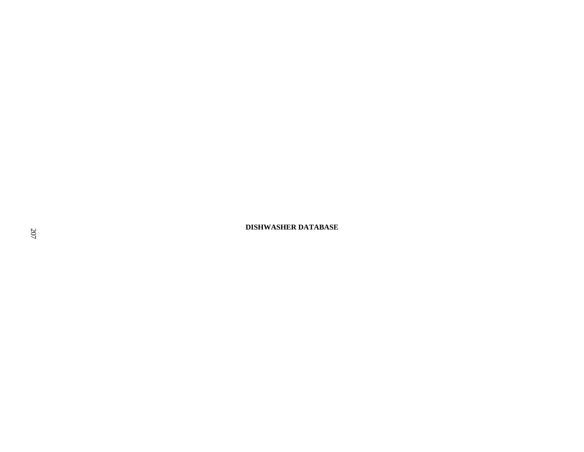**DISHWASHER DATABASE**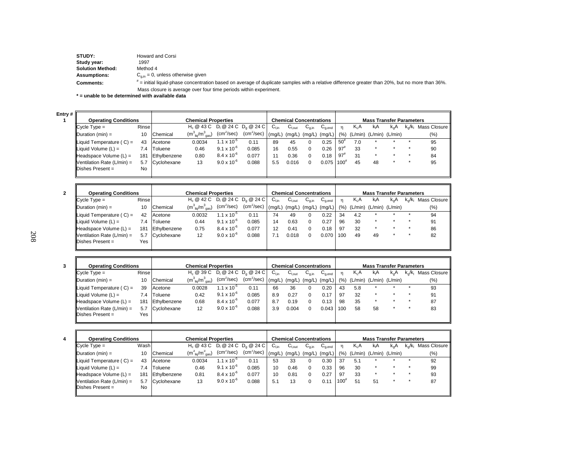| STUDY:                                          | Howard and Corsi                                                                                                                                      |
|-------------------------------------------------|-------------------------------------------------------------------------------------------------------------------------------------------------------|
| Study year:                                     | 1997                                                                                                                                                  |
| <b>Solution Method:</b>                         | Method 4                                                                                                                                              |
| <b>Assumptions:</b>                             | $C_{\text{min}} = 0$ , unless otherwise given                                                                                                         |
| <b>Comments:</b>                                | $\dot{=}$ initial liquid-phase concentration based on average of duplicate samples with a relative difference greater than 20%, but no more than 36%. |
|                                                 | Mass closure is average over four time periods within experiment.                                                                                     |
| * = unable to be determined with available data |                                                                                                                                                       |

**Entry # 1**

| # I                                |       |              |                                       |                      |                         |                  |                   |                                |             |              |         |                                 |               |           |              |
|------------------------------------|-------|--------------|---------------------------------------|----------------------|-------------------------|------------------|-------------------|--------------------------------|-------------|--------------|---------|---------------------------------|---------------|-----------|--------------|
| <b>Operating Conditions</b>        |       |              | <b>Chemical Properties</b>            |                      |                         |                  |                   | <b>Chemical Concentrations</b> |             |              |         | <b>Mass Transfer Parameters</b> |               |           |              |
| $C$ vcle Type =                    | Rinse |              | $H_c \otimes 43C$                     |                      | $D_1 @ 24 C D_2 @ 24 C$ | $C_{\text{Lin}}$ | $C_{I.out}$       | $C_{q,in}$                     | $C_{q,end}$ |              | $K_L A$ | k <sub>i</sub> A                | $k_{\alpha}A$ | $k_0/k_1$ | Mass Closure |
| Duration $(min) =$                 | 10    | Chemical     | $(m_{\text{liq}}^3/m_{\text{gas}}^3)$ | $(cm^2/sec)$         | $(cm^2/sec)$            | (mq/L)           | $(mg/L)$ $(mg/L)$ |                                | (mg/L)      | (% )         | (L/min) | $(L/min)$ $(L/min)$             |               |           | $(\% )$      |
| Liquid Temperature ( $C$ ) =       | 43    | Acetone      | 0.0034                                | 1.1 x $10^{-5}$      | 0.11                    | 89               | 45                |                                | 0.25        | 50           | 7.0     |                                 |               |           | 95           |
| Liquid Volume $(L) =$              | 7.4   | Toluene      | 0.46                                  | $9.1 \times 10^{-6}$ | 0.085                   | 16               | 0.55              |                                | 0.26        | $97^{\circ}$ | 33      | $\star$                         |               |           | 90           |
| Headspace Volume (L) =             | 181   | Ethylbenzene | 0.80                                  | $8.4 \times 10^{-6}$ | 0.077                   | 11               | 0.36              |                                | 0.18        | $97^{n}$     | 31      | $\star$                         |               |           | 84           |
| <b>IVentilation Rate (L/min)</b> = | 5.7   | Cyclohexane  | 13                                    | $9.0 \times 10^{-6}$ | 0.088                   | 5.5              | 0.016             |                                | 0.075       | 100          | 45      | 48                              |               |           | 95           |
| <b>IDishes Present</b> =           | No    |              |                                       |                      |                         |                  |                   |                                |             |              |         |                                 |               |           |              |
|                                    |       |              |                                       |                      |                         |                  |                   |                                |             |              |         |                                 |               |           |              |

| <b>Operating Conditions</b> |              |                | <b>Chemical Properties</b>            |                        |                         |                   | <b>Chemical Concentrations</b> |            |                   |      |                  | <b>Mass Transfer Parameters</b> |               |                         |              |
|-----------------------------|--------------|----------------|---------------------------------------|------------------------|-------------------------|-------------------|--------------------------------|------------|-------------------|------|------------------|---------------------------------|---------------|-------------------------|--------------|
| $C$ vcle Type =             | <b>Rinse</b> |                | H <sub>c</sub> @ 42 C                 |                        | $D_1 @ 24 C D_0 @ 24 C$ | $C_{Lin}$         | $C_{I.out}$                    | $C_{q,in}$ | $C_{q,end}$       |      | K <sub>L</sub> A | kıA                             | $k_{\alpha}A$ | $k_{\alpha}/k_{\alpha}$ | Mass Closure |
| Duration $(min) =$          | 10           | Chemical       | $(m_{\text{liq}}^3/m_{\text{gas}}^3)$ | (cm <sup>2</sup> /sec) | (cm <sup>2</sup> /sec)  | $(mg/L)$ $(mg/L)$ |                                |            | $(mg/L)$ $(mg/L)$ | (% ) |                  | $(L/min)$ $(L/min)$ $(L/min)$   |               |                         | $(\% )$      |
| Liquid Temperature (C) =    | 42           | Acetone        | 0.0032                                | $1.1 \times 10^{-5}$   | 0.11                    | 74                | 49                             |            | 0.22              | 34   | 4.2              | $\ddot{}$                       |               |                         | 94           |
| Liquid Volume $(L) =$       | 7.4          | <b>Toluene</b> | 0.44                                  | $9.1 \times 10^{-6}$   | 0.085                   | 14                | 0.63                           |            | 0.27              | 96   | 30               | $\star$                         |               |                         | 91           |
| Headspace Volume $(L)$ =    | 181          | Ethylbenzene   | 0.75                                  | $8.4 \times 10^{-6}$   | 0.077                   | 12                | 0.41                           |            | 0.18              | 97   | 32               | $\star$                         |               |                         | 86           |
| Ventilation Rate (L/min) =  | 5.7          | Cyclohexane    | 12                                    | $9.0 \times 10^{-6}$   | 0.088                   | 41                | 0.018                          |            | 0.070             | 100  | 49               | 49                              |               |                         | 82           |
| <b>IDishes Present =</b>    | Yes          |                |                                       |                        |                         |                   |                                |            |                   |      |                  |                                 |               |                         |              |

| <b>Operating Conditions</b>                     |       |                | <b>Chemical Properties</b>            |                        |                                      |                  |            | <b>Chemical Concentrations</b> |             |      |                               | <b>Mass Transfer Parameters</b> |     |                         |              |
|-------------------------------------------------|-------|----------------|---------------------------------------|------------------------|--------------------------------------|------------------|------------|--------------------------------|-------------|------|-------------------------------|---------------------------------|-----|-------------------------|--------------|
| $C$ vcle Type =                                 | Rinse |                |                                       |                        | $H_0 @ 39 C  D_1 @ 24 C  D_0 @ 24 C$ | $C_{\text{Lin}}$ | $C_{Lout}$ | $C_{q,in}$                     | $C_{q,end}$ | n    | Κ <sub>L</sub> Α              | kıA                             | k.A | $k_{\alpha}/k_{\alpha}$ | Mass Closure |
| $\mathsf{IDuration}\left(\mathsf{min}\right) =$ | 10    | Chemical       | $(m_{\text{liq}}^3/m_{\text{gas}}^3)$ | (cm <sup>2</sup> /sec) | $(cm2/sec)$ $(mg/L)$                 |                  |            | (mg/L) (mg/L)                  | (mg/L)      | (% ) | $(L/min)$ $(L/min)$ $(L/min)$ |                                 |     |                         | $(\% )$      |
| Liquid Temperature (C) =                        | 39    | Acetone        | 0.0028                                | 1.1 x 10 $^{\circ}$    | 0.11                                 | 66               | 36         |                                | 0.20        | 43   | 5.8                           | $\star$                         |     |                         | 93           |
| Liquid Volume $(L)$ =                           | 7.4   | <b>Toluene</b> | 0.42                                  | $9.1 \times 10^{-6}$   | 0.085                                | 8.9              | 0.27       |                                | 0.17        | 97   | 32                            | $\star$                         |     |                         | 91           |
| Headspace Volume $(L)$ =                        | 181   | Ethylbenzene   | 0.68                                  | $8.4 \times 10^{-6}$   | 0.077                                | 8.7              | 0.19       |                                | 0.13        | 98   | 35                            | $\star$                         |     |                         | 87           |
| Ventilation Rate (L/min) =                      | 5.7   | Cyclohexane    | 12                                    | $9.0 \times 10^{-6}$   | 0.088                                | 3.9              | 0.004      |                                | 0.043       | 100  | 58                            | 58                              |     |                         | 83           |
| Dishes Present =                                | Yes   |                |                                       |                        |                                      |                  |            |                                |             |      |                               |                                 |     |                         |              |
|                                                 |       |                |                                       |                        |                                      |                  |            |                                |             |      |                               |                                 |     |                         |              |

| $C$ vcle Type =                   |     |                             |                                                                           |                        |                            | $C_{Lin}$ | $C_{I.out}$                          | $C_{q,in}$ | $C_{q,end}$ |                                                                    | $K_1A$ | kıA     | $k_{\alpha}A$ |                               | $k_o/k_l$ Mass Closure          |
|-----------------------------------|-----|-----------------------------|---------------------------------------------------------------------------|------------------------|----------------------------|-----------|--------------------------------------|------------|-------------|--------------------------------------------------------------------|--------|---------|---------------|-------------------------------|---------------------------------|
| Duration $(min) =$                | 10  |                             | $(m_{\text{liq}}^3/m_{\text{gas}}^3)$                                     | (cm <sup>2</sup> /sec) |                            |           |                                      |            |             | (% )                                                               |        |         |               |                               | $(\% )$                         |
| Liquid Temperature $(C) =$        | 43  |                             | 0.0034                                                                    | $1.1 \times 10^{-5}$   | 0.11                       | 53        | 33                                   | 0          | 0.30        | 37                                                                 | 5.1    |         |               |                               | 92                              |
| Liquid Volume $(L)$ =             |     |                             | 0.46                                                                      | $9.1 \times 10^{-6}$   | 0.085                      | 10        | 0.46                                 | $\Omega$   | 0.33        | 96                                                                 | 30     | $\star$ |               |                               | 99                              |
| $H$ eadspace Volume (L) =         | 181 |                             | 0.81                                                                      | $8.4 \times 10^{-6}$   | 0.077                      | 10        | 0.81                                 | $\Omega$   | 0.27        | 97                                                                 | 33     | $\star$ |               |                               | 93                              |
| <b>Nentilation Rate (L/min)</b> = | 5.7 |                             | 13                                                                        | $9.0 \times 10^{-6}$   | 0.088                      | 5.1       | 13                                   |            | 0.11        | $100^{#}$                                                          | 51     | 51      |               |                               | 87                              |
| <b>IDishes Present =</b>          | No  |                             |                                                                           |                        |                            |           |                                      |            |             |                                                                    |        |         |               |                               |                                 |
|                                   |     | <b>Operating Conditions</b> | Wash<br>Chemical<br>Acetone<br>7.4 Toluene<br>Ethylbenzene<br>Cyclohexane |                        | <b>Chemical Properties</b> |           | $H_0 @ 43 C  D_1 @ 24 C  D_0 @ 24 C$ |            |             | <b>Chemical Concentrations</b><br>$(cm2/sec)$ (mg/L) (mg/L) (mg/L) | (mg/L) |         |               | $(L/min)$ $(L/min)$ $(L/min)$ | <b>Mass Transfer Parameters</b> |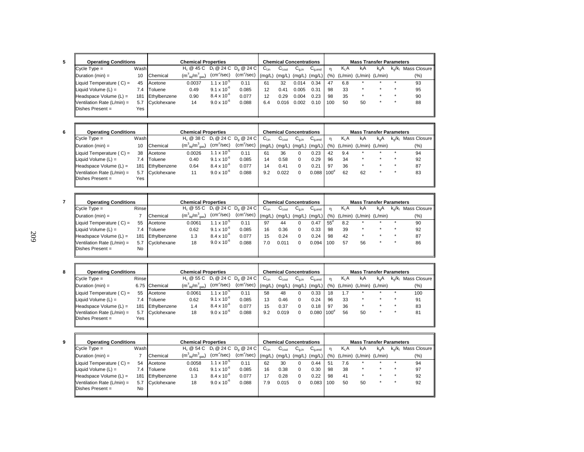| <b>Operating Conditions</b>       |      |              | <b>Chemical Properties</b>            |                        |                                                                   |                  | <b>Chemical Concentrations</b> |            |             |      |         | <b>Mass Transfer Parameters</b> |               |                         |              |
|-----------------------------------|------|--------------|---------------------------------------|------------------------|-------------------------------------------------------------------|------------------|--------------------------------|------------|-------------|------|---------|---------------------------------|---------------|-------------------------|--------------|
| $C$ vcle Type =                   | Wash |              |                                       |                        | H <sub>c</sub> @ 45 C D <sub>i</sub> @ 24 C D <sub>c</sub> @ 24 C | $C_{\text{Lin}}$ | $C_{\text{Lout}}$              | $G_{a,in}$ | $C_{q,end}$ |      | $K_L A$ | kA                              | $k_{\alpha}A$ | $k_{\alpha}/k_{\alpha}$ | Mass Closure |
| $\blacksquare$ Duration (min) =   | 10   | Chemical     | $(m_{\text{liq}}^3/m_{\text{gas}}^3)$ | (cm <sup>2</sup> /sec) | (cm <sup>2</sup> /sec)                                            | (mq/L)           | (mg/L)                         | (mg/L)     | (mg/L)      | (% ) | (L/min) | $(L/min)$ $(L/min)$             |               |                         | (%)          |
| Liquid Temperature $(C) =$        | 45   | Acetone      | 0.0037                                | $1.1 \times 10^{-5}$   | 0.11                                                              | 61               | 32                             | 0.014      | 0.34        | 47   | 6.8     |                                 |               |                         | 93           |
| Liquid Volume $(L)$ =             | 7.4  | Toluene      | 0.49                                  | $9.1 \times 10^{-6}$   | 0.085                                                             | 12               | 0.41                           | 0.005      | 0.31        | 98   | 33      | $\star$                         |               |                         | 95           |
| $H$ eadspace Volume (L) =         | 181  | Ethylbenzene | 0.90                                  | $8.4 \times 10^{-6}$   | 0.077                                                             | 12               | 0.29                           | 0.004      | 0.23        | 98   | 35      | $\star$                         |               |                         | 90           |
| <b>Nentilation Rate (L/min)</b> = | 5.7  | Cyclohexane  | 14                                    | $9.0 \times 10^{-6}$   | 0.088                                                             | 6.4              | 0.016                          | 0.002      | 0.10        | 100  | 50      | 50                              |               |                         | 88           |
| $IDishes Present =$               | Yes  |              |                                       |                        |                                                                   |                  |                                |            |             |      |         |                                 |               |                         |              |
|                                   |      |              |                                       |                        |                                                                   |                  |                                |            |             |      |         |                                 |               |                         |              |

┓

| <b>Operating Conditions</b>       |      |              | <b>Chemical Properties</b>                                        |                        |                        |                  |                   | <b>Chemical Concentrations</b> |             | <b>Mass Transfer Parameters</b> |                         |         |               |                         |              |  |  |
|-----------------------------------|------|--------------|-------------------------------------------------------------------|------------------------|------------------------|------------------|-------------------|--------------------------------|-------------|---------------------------------|-------------------------|---------|---------------|-------------------------|--------------|--|--|
| $C$ vcle Type =                   | Wash |              | H <sub>c</sub> @ 38 C D <sub>i</sub> @ 24 C D <sub>a</sub> @ 24 C |                        |                        | $C_{\text{Lin}}$ | $C_{\text{Lout}}$ | $C_{a,in}$                     | $C_{q,end}$ |                                 | K <sub>I</sub> A        | kıA     | $k_{\alpha}A$ | $k_{\alpha}/k_{\alpha}$ | Mass Closure |  |  |
| $I$ Duration (min) =              | 10   | Chemical     | $(m_{\text{lio}}^3/m_{\text{gas}}^3)$                             | (cm <sup>2</sup> /sec) | (cm <sup>2</sup> /sec) | (mg/L)           |                   | $(mg/L)$ $(mg/L)$ $(mg/L)$     |             | (% )                            | (L/min) (L/min) (L/min) |         |               |                         | (%)          |  |  |
| Liquid Temperature ( $C$ ) =      | 38   | Acetone      | 0.0026                                                            | 1.1 x $10^{-5}$        | 0.11                   | 61               | 36                |                                | 0.23        | 42                              | 9.4                     | $\star$ |               |                         | 94           |  |  |
| Liquid Volume $(L) =$             | 7.4  | Toluene      | 0.40                                                              | $9.1 \times 10^{-6}$   | 0.085                  | 14               | 0.58              |                                | 0.29        | 96                              | 34                      | $\star$ |               |                         | 92           |  |  |
| Headspace Volume (L) =            | 181  | Ethylbenzene | 0.64                                                              | $8.4 \times 10^{-6}$   | 0.077                  | 14               | 0.41              |                                | 0.21        | 97                              | 36                      | $\star$ |               |                         | 87           |  |  |
| <b>Nentilation Rate (L/min)</b> = | 5.7  | Cyclohexane  | 11                                                                | $9.0 \times 10^{-6}$   | 0.088                  | 9.2              | 0.022             |                                | 0.088       | $1100^{\circ}$                  | 62                      | 62      |               |                         | 83           |  |  |
| <b>IDishes Present =</b>          | Yes  |              |                                                                   |                        |                        |                  |                   |                                |             |                                 |                         |         |               |                         |              |  |  |
|                                   |      |              |                                                                   |                        |                        |                  |                   |                                |             |                                 |                         |         |               |                         |              |  |  |

|                            | <b>Operating Conditions</b><br><b>Chemical Properties</b> |                |                                                                   |                        | <b>Chemical Concentrations</b> |                                   |                   |            |             |                 | <b>Mass Transfer Parameters</b> |         |          |                         |              |  |  |  |
|----------------------------|-----------------------------------------------------------|----------------|-------------------------------------------------------------------|------------------------|--------------------------------|-----------------------------------|-------------------|------------|-------------|-----------------|---------------------------------|---------|----------|-------------------------|--------------|--|--|--|
| $C$ ycle Type =            | <b>Rinse</b>                                              |                | H <sub>c</sub> @ 55 C D <sub>i</sub> @ 24 C D <sub>c</sub> @ 24 C |                        |                                | $C_{\text{Lin}}$                  | $C_{\text{Lout}}$ | $C_{a,in}$ | $C_{q,end}$ |                 | $K_L A$                         | kA      | $k_{n}A$ | $k_{\alpha}/k_{\alpha}$ | Mass Closure |  |  |  |
| $\Delta$ Duration (min) =  |                                                           | Chemical       | $(m_{\text{lio}}^3/m_{\text{gas}}^3)$                             | (cm <sup>2</sup> /sec) | (cm <sup>2</sup> /sec)         | $(mg/L)$ (mg/L) (mg/L) (mg/L) (%) |                   |            |             |                 | $(L/min)$ $(L/min)$ $(L/min)$   |         |          |                         | (%)          |  |  |  |
| Liquid Temperature $(C) =$ | 55                                                        | Acetone        | 0.0061                                                            | $1.1 \times 10^{-3}$   | 0.11                           | 97                                | 44                |            | 0.47        | 55 <sup>n</sup> | 8.2                             |         |          |                         | 90           |  |  |  |
| Liquid Volume $(L) =$      | 7.4                                                       | <b>Toluene</b> | 0.62                                                              | $9.1 \times 10^{-6}$   | 0.085                          | 16                                | 0.36              | 0          | 0.33        | 98              | 39                              | $\star$ |          |                         | 92           |  |  |  |
| Headspace Volume (L) =     | 181                                                       | Ethylbenzene   | 1.3                                                               | $8.4 \times 10^{-6}$   | 0.077                          | 15                                | 0.24              |            | 0.24        | 98              | 42                              | $\star$ |          |                         | 87           |  |  |  |
| Ventilation Rate (L/min) = | 5.7                                                       | Cyclohexane    | 18                                                                | $9.0 \times 10^{-6}$   | 0.088                          | 7.0                               | 0.011             |            | 0.094       | 100             | 57                              | 56      |          |                         | 86           |  |  |  |
| Dishes Present =           | No                                                        |                |                                                                   |                        |                                |                                   |                   |            |             |                 |                                 |         |          |                         |              |  |  |  |
|                            |                                                           |                |                                                                   |                        |                                |                                   |                   |            |             |                 |                                 |         |          |                         |              |  |  |  |

| <b>Operating Conditions</b>  |              |               | <b>Chemical Properties</b>                                        |                        |                        | <b>Chemical Concentrations</b> |                   |                   |             |      | <b>Mass Transfer Parameters</b> |         |        |           |              |  |  |  |
|------------------------------|--------------|---------------|-------------------------------------------------------------------|------------------------|------------------------|--------------------------------|-------------------|-------------------|-------------|------|---------------------------------|---------|--------|-----------|--------------|--|--|--|
| $C$ ycle Type =              | <b>Rinse</b> |               | H <sub>c</sub> @ 55 C D <sub>i</sub> @ 24 C D <sub>o</sub> @ 24 C |                        |                        | $\mathsf{C}_\mathsf{Lin}$      | $C_{\text{Lout}}$ | $C_{q,in}$        | $C_{q,end}$ | n    | KLA                             | kıA     | $k_0A$ | $k_0/k_1$ | Mass Closure |  |  |  |
| Duration $(min) =$           |              | 6.75 Chemical | $(m_{\text{lio}}^3/m_{\text{gas}}^3)$                             | (cm <sup>2</sup> /sec) | (cm <sup>2</sup> /sec) | (mq/L)                         | (mg/L)            | $(mg/L)$ $(mg/L)$ |             | (%)  | $(L/min)$ $(L/min)$ $(L/min)$   |         |        |           | $(\% )$      |  |  |  |
| Liquid Temperature ( $C$ ) = | 55           | Acetone       | 0.0061                                                            | $1.1 \times 10^{-3}$   | 0.11                   | 58                             | 48                |                   | 0.33        | 18   | 1.7                             |         |        |           | 100          |  |  |  |
| Liquid Volume (L) =          | 7.4          | Toluene       | 0.62                                                              | $9.1 \times 10^{-6}$   | 0.085                  | 13                             | 0.46              |                   | 0.24        | 96   | 33                              | $\star$ |        |           | 91           |  |  |  |
| Headspace Volume (L) =       | 181          | Ethylbenzene  | 1.4                                                               | $8.4 \times 10^{-6}$   | 0.077                  | 15                             | 0.37              |                   | 0.18        | 97   | 36                              | $\star$ |        |           | 83           |  |  |  |
| Ventilation Rate $(L/min) =$ | 5.7          | Cyclohexane   | 18                                                                | $9.0 \times 10^{-6}$   | 0.088                  | 9.2                            | 0.019             |                   | 0.080       | 100' | 56                              | 50      |        |           | 81           |  |  |  |
| <b>IDishes Present</b> =     | Yes          |               |                                                                   |                        |                        |                                |                   |                   |             |      |                                 |         |        |           |              |  |  |  |
|                              |              |               |                                                                   |                        |                        |                                |                   |                   |             |      |                                 |         |        |           |              |  |  |  |

| 9 | <b>Operating Conditions</b>                                   | <b>Chemical Properties</b> |                |                                       |                        |                         | <b>Chemical Concentrations</b> |                   |                   |             | <b>Mass Transfer Parameters</b> |                  |                               |     |                         |              |  |  |
|---|---------------------------------------------------------------|----------------------------|----------------|---------------------------------------|------------------------|-------------------------|--------------------------------|-------------------|-------------------|-------------|---------------------------------|------------------|-------------------------------|-----|-------------------------|--------------|--|--|
|   | $C$ vcle Type =                                               | Wash                       |                | H <sub>c</sub> $@$ 54 C               |                        | $D_1 @ 24 C D_0 @ 24 C$ | $C_{\text{Lin}}$               | $C_{\text{Lout}}$ | $C_{q,in}$        | $C_{q,end}$ |                                 | K <sub>i</sub> A | kA                            | k,A | $k_{\alpha}/k_{\alpha}$ | Mass Closure |  |  |
|   | Duration $(min) =$                                            |                            | Chemical       | $(m_{\text{liq}}^3/m_{\text{gas}}^3)$ | (cm <sup>2</sup> /sec) | $(cm^2/sec)$            | (mq/L)                         | (mg/L)            | $(mg/L)$ $(mg/L)$ |             | (%)                             |                  | $(L/min)$ $(L/min)$ $(L/min)$ |     |                         | (% )         |  |  |
|   | Liquid Temperature $(C) =$                                    | 54                         | Acetone        | 0.0058                                | $1.1 \times 10^{-5}$   | 0.11                    | 62                             | 30                |                   | 0.44        | -51                             | 7.6              |                               |     |                         | 94           |  |  |
|   | $\parallel$ Liquid Volume (L) =                               | 7.4                        | <b>Toluene</b> | 0.61                                  | $9.1 \times 10^{-6}$   | 0.085                   | 16                             | 0.38              |                   | 0.30        | 98                              | 38               | $\star$                       |     |                         | 97           |  |  |
|   | Headspace Volume $(L)$ =                                      | 181                        | Ethylbenzene   | 1.3                                   | $8.4 \times 10^{-6}$   | 0.077                   |                                | 0.28              |                   | 0.22        | 98                              | 41               | $\star$                       |     |                         | 92           |  |  |
|   | <b>Ventilation Rate (L/min)</b> =<br><b>IDishes Present =</b> | 5.7<br>No                  | Cyclohexane    | 18                                    | $9.0 \times 10^{-6}$   | 0.088                   | 7.9                            | 0.015             |                   | 0.083       | 100                             | 50               | 50                            |     |                         | 92           |  |  |

209

**5**